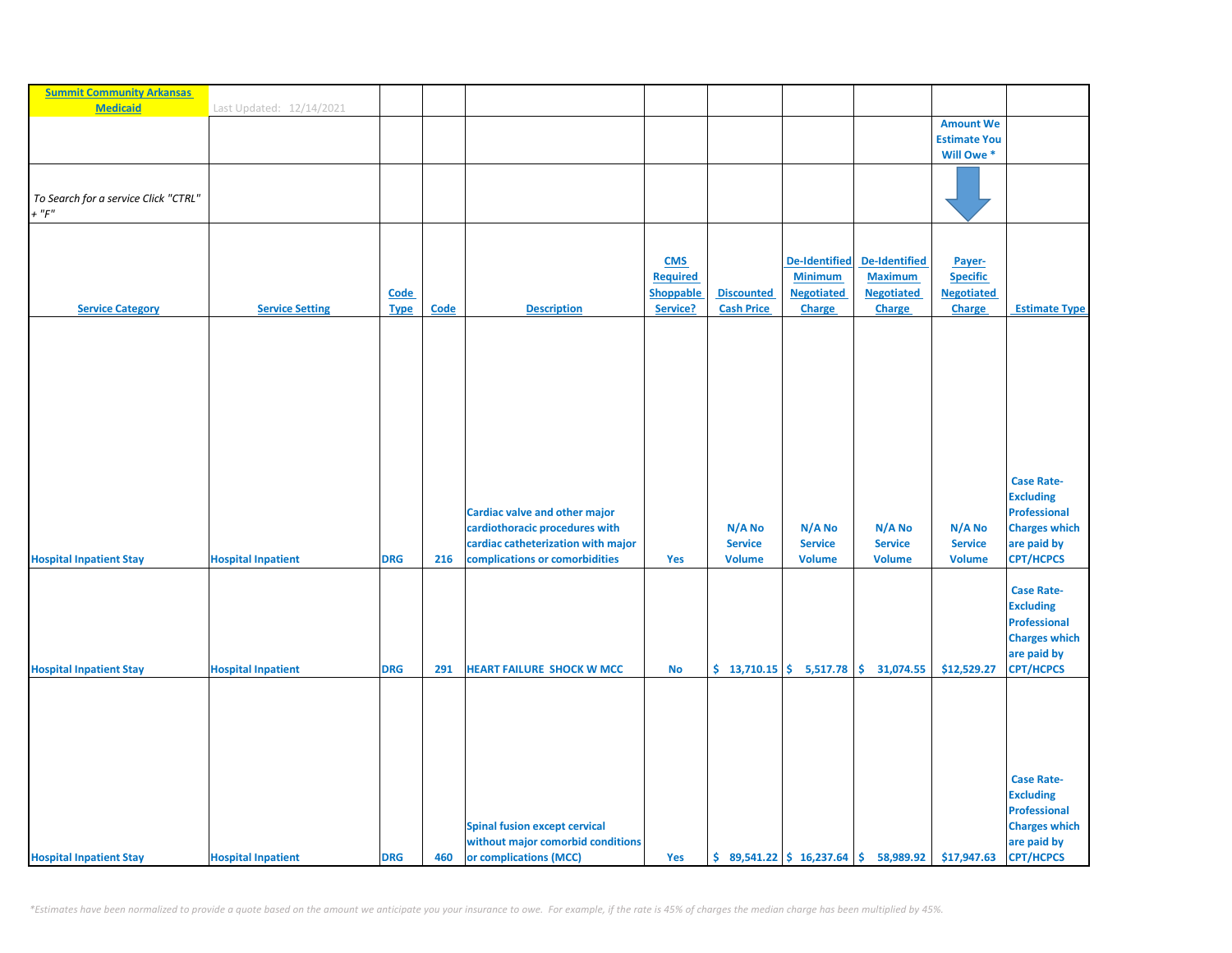| <b>Summit Community Arkansas</b>     |                           |             |      |                                      |                               |                   |                                                               |                                        |                           |                                       |
|--------------------------------------|---------------------------|-------------|------|--------------------------------------|-------------------------------|-------------------|---------------------------------------------------------------|----------------------------------------|---------------------------|---------------------------------------|
| <b>Medicaid</b>                      | Last Updated: 12/14/2021  |             |      |                                      |                               |                   |                                                               |                                        | <b>Amount We</b>          |                                       |
|                                      |                           |             |      |                                      |                               |                   |                                                               |                                        | <b>Estimate You</b>       |                                       |
|                                      |                           |             |      |                                      |                               |                   |                                                               |                                        | Will Owe *                |                                       |
|                                      |                           |             |      |                                      |                               |                   |                                                               |                                        |                           |                                       |
| To Search for a service Click "CTRL" |                           |             |      |                                      |                               |                   |                                                               |                                        |                           |                                       |
| $+$ " $F$ "                          |                           |             |      |                                      |                               |                   |                                                               |                                        |                           |                                       |
|                                      |                           |             |      |                                      |                               |                   |                                                               |                                        |                           |                                       |
|                                      |                           |             |      |                                      |                               |                   |                                                               |                                        |                           |                                       |
|                                      |                           |             |      |                                      | <b>CMS</b><br><b>Required</b> |                   | <b>De-Identified</b><br><b>Minimum</b>                        | <b>De-Identified</b><br><b>Maximum</b> | Payer-<br><b>Specific</b> |                                       |
|                                      |                           | <b>Code</b> |      |                                      | <b>Shoppable</b>              | <b>Discounted</b> | <b>Negotiated</b>                                             | <b>Negotiated</b>                      | <b>Negotiated</b>         |                                       |
| <b>Service Category</b>              | <b>Service Setting</b>    | <b>Type</b> | Code | <b>Description</b>                   | Service?                      | <b>Cash Price</b> | <b>Charge</b>                                                 | <b>Charge</b>                          | <b>Charge</b>             | <b>Estimate Type</b>                  |
|                                      |                           |             |      |                                      |                               |                   |                                                               |                                        |                           |                                       |
|                                      |                           |             |      |                                      |                               |                   |                                                               |                                        |                           |                                       |
|                                      |                           |             |      |                                      |                               |                   |                                                               |                                        |                           |                                       |
|                                      |                           |             |      |                                      |                               |                   |                                                               |                                        |                           |                                       |
|                                      |                           |             |      |                                      |                               |                   |                                                               |                                        |                           |                                       |
|                                      |                           |             |      |                                      |                               |                   |                                                               |                                        |                           |                                       |
|                                      |                           |             |      |                                      |                               |                   |                                                               |                                        |                           |                                       |
|                                      |                           |             |      |                                      |                               |                   |                                                               |                                        |                           |                                       |
|                                      |                           |             |      |                                      |                               |                   |                                                               |                                        |                           | <b>Case Rate-</b>                     |
|                                      |                           |             |      |                                      |                               |                   |                                                               |                                        |                           | <b>Excluding</b>                      |
|                                      |                           |             |      | <b>Cardiac valve and other major</b> |                               |                   |                                                               |                                        |                           | <b>Professional</b>                   |
|                                      |                           |             |      | cardiothoracic procedures with       |                               | N/A No            | N/A No                                                        | N/A No                                 | N/A No                    | <b>Charges which</b>                  |
|                                      |                           |             |      | cardiac catheterization with major   |                               | <b>Service</b>    | <b>Service</b>                                                | <b>Service</b>                         | <b>Service</b>            | are paid by                           |
| <b>Hospital Inpatient Stay</b>       | <b>Hospital Inpatient</b> | <b>DRG</b>  | 216  | complications or comorbidities       | Yes                           | <b>Volume</b>     | <b>Volume</b>                                                 | <b>Volume</b>                          | <b>Volume</b>             | <b>CPT/HCPCS</b>                      |
|                                      |                           |             |      |                                      |                               |                   |                                                               |                                        |                           | <b>Case Rate-</b>                     |
|                                      |                           |             |      |                                      |                               |                   |                                                               |                                        |                           | <b>Excluding</b>                      |
|                                      |                           |             |      |                                      |                               |                   |                                                               |                                        |                           | <b>Professional</b>                   |
|                                      |                           |             |      |                                      |                               |                   |                                                               |                                        |                           | <b>Charges which</b>                  |
|                                      |                           |             |      |                                      |                               |                   |                                                               |                                        |                           | are paid by                           |
| <b>Hospital Inpatient Stay</b>       | <b>Hospital Inpatient</b> | <b>DRG</b>  | 291  | <b>HEART FAILURE SHOCK W MCC</b>     | <b>No</b>                     |                   | $$13,710.15$ $$5,517.78$                                      | \$<br>31,074.55                        | \$12,529.27               | <b>CPT/HCPCS</b>                      |
|                                      |                           |             |      |                                      |                               |                   |                                                               |                                        |                           |                                       |
|                                      |                           |             |      |                                      |                               |                   |                                                               |                                        |                           |                                       |
|                                      |                           |             |      |                                      |                               |                   |                                                               |                                        |                           |                                       |
|                                      |                           |             |      |                                      |                               |                   |                                                               |                                        |                           |                                       |
|                                      |                           |             |      |                                      |                               |                   |                                                               |                                        |                           |                                       |
|                                      |                           |             |      |                                      |                               |                   |                                                               |                                        |                           | <b>Case Rate-</b><br><b>Excluding</b> |
|                                      |                           |             |      |                                      |                               |                   |                                                               |                                        |                           | <b>Professional</b>                   |
|                                      |                           |             |      | <b>Spinal fusion except cervical</b> |                               |                   |                                                               |                                        |                           | <b>Charges which</b>                  |
|                                      |                           |             |      | without major comorbid conditions    |                               |                   |                                                               |                                        |                           | are paid by                           |
| <b>Hospital Inpatient Stay</b>       | <b>Hospital Inpatient</b> | <b>DRG</b>  | 460  | or complications (MCC)               | Yes                           |                   | $\frac{1}{2}$ 89,541.22 $\frac{1}{2}$ 16,237.64 $\frac{1}{2}$ | 58,989.92                              | \$17,947.63               | <b>CPT/HCPCS</b>                      |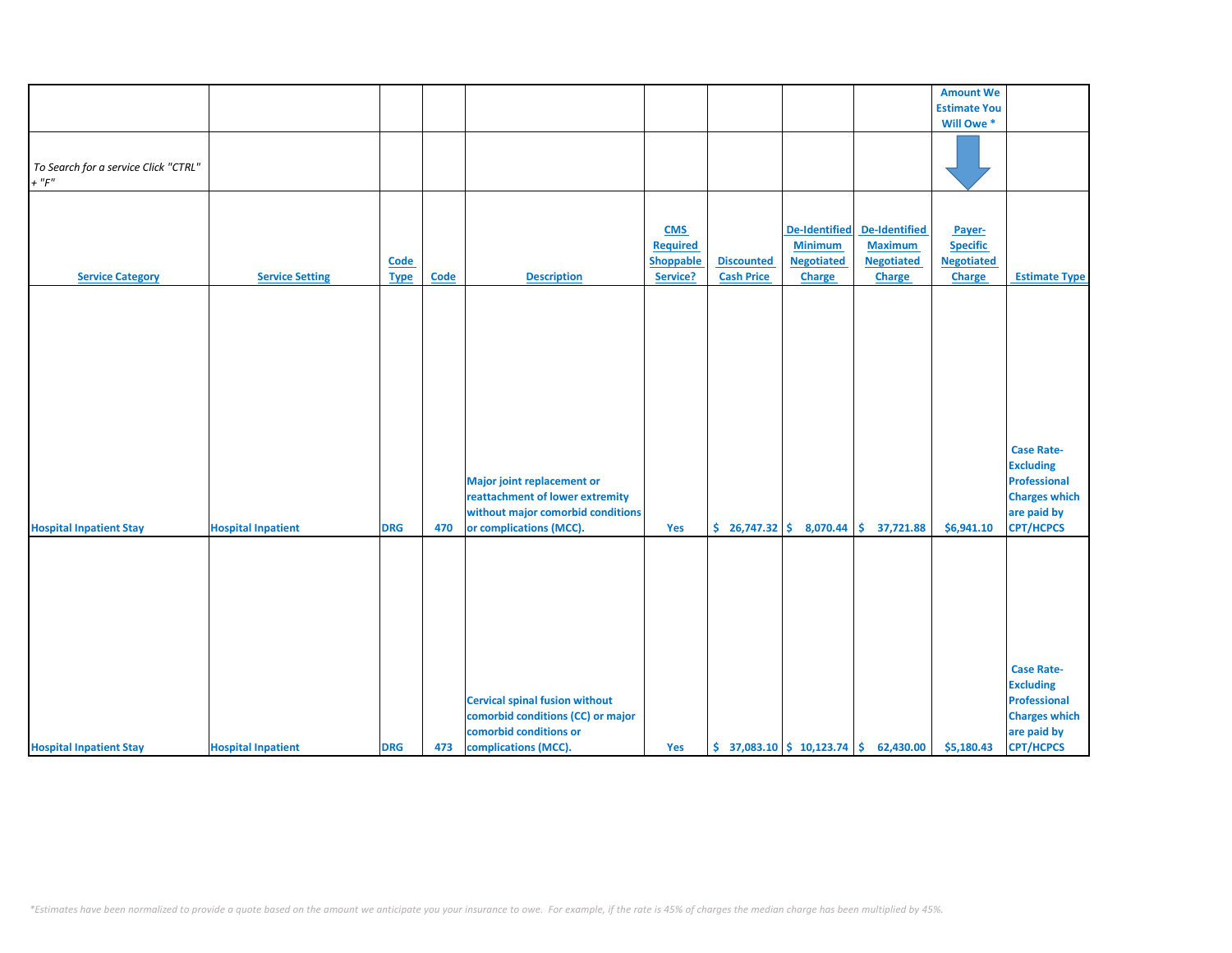|                                      |                           |             |             |                                                                                                                                      |                  |                   |                              |                                                                            | <b>Amount We</b>    |                                                                                                                         |
|--------------------------------------|---------------------------|-------------|-------------|--------------------------------------------------------------------------------------------------------------------------------------|------------------|-------------------|------------------------------|----------------------------------------------------------------------------|---------------------|-------------------------------------------------------------------------------------------------------------------------|
|                                      |                           |             |             |                                                                                                                                      |                  |                   |                              |                                                                            | <b>Estimate You</b> |                                                                                                                         |
|                                      |                           |             |             |                                                                                                                                      |                  |                   |                              |                                                                            | Will Owe *          |                                                                                                                         |
|                                      |                           |             |             |                                                                                                                                      |                  |                   |                              |                                                                            |                     |                                                                                                                         |
| To Search for a service Click "CTRL" |                           |             |             |                                                                                                                                      |                  |                   |                              |                                                                            |                     |                                                                                                                         |
| $+$ " $F$ "                          |                           |             |             |                                                                                                                                      |                  |                   |                              |                                                                            |                     |                                                                                                                         |
|                                      |                           |             |             |                                                                                                                                      |                  |                   |                              |                                                                            |                     |                                                                                                                         |
|                                      |                           |             |             |                                                                                                                                      |                  |                   |                              |                                                                            |                     |                                                                                                                         |
|                                      |                           |             |             |                                                                                                                                      | <b>CMS</b>       |                   | <b>De-Identified</b>         | De-Identified                                                              | Payer-              |                                                                                                                         |
|                                      |                           |             |             |                                                                                                                                      | <b>Required</b>  |                   | <b>Minimum</b>               | <b>Maximum</b>                                                             | <b>Specific</b>     |                                                                                                                         |
|                                      |                           | Code        |             |                                                                                                                                      | <b>Shoppable</b> | <b>Discounted</b> | <b>Negotiated</b>            | <b>Negotiated</b>                                                          | <b>Negotiated</b>   |                                                                                                                         |
| <b>Service Category</b>              | <b>Service Setting</b>    | <b>Type</b> | <b>Code</b> | <b>Description</b>                                                                                                                   | Service?         | <b>Cash Price</b> | <b>Charge</b>                | Charge                                                                     | <b>Charge</b>       | <b>Estimate Type</b>                                                                                                    |
| <b>Hospital Inpatient Stay</b>       | <b>Hospital Inpatient</b> | <b>DRG</b>  | 470         | <b>Major joint replacement or</b><br>reattachment of lower extremity<br>without major comorbid conditions<br>or complications (MCC). | Yes              |                   | $$26,747.32 \mid $8,070.44]$ | \$37,721.88                                                                | \$6,941.10          | <b>Case Rate-</b><br><b>Excluding</b><br><b>Professional</b><br><b>Charges which</b><br>are paid by<br><b>CPT/HCPCS</b> |
| <b>Hospital Inpatient Stay</b>       | <b>Hospital Inpatient</b> | <b>DRG</b>  | 473         | <b>Cervical spinal fusion without</b><br>comorbid conditions (CC) or major<br>comorbid conditions or<br>complications (MCC).         | Yes              |                   |                              | $\binom{2}{3}$ 37,083.10 $\binom{2}{3}$ 10,123.74 $\binom{2}{3}$ 62,430.00 | \$5,180.43          | <b>Case Rate-</b><br><b>Excluding</b><br><b>Professional</b><br><b>Charges which</b><br>are paid by<br><b>CPT/HCPCS</b> |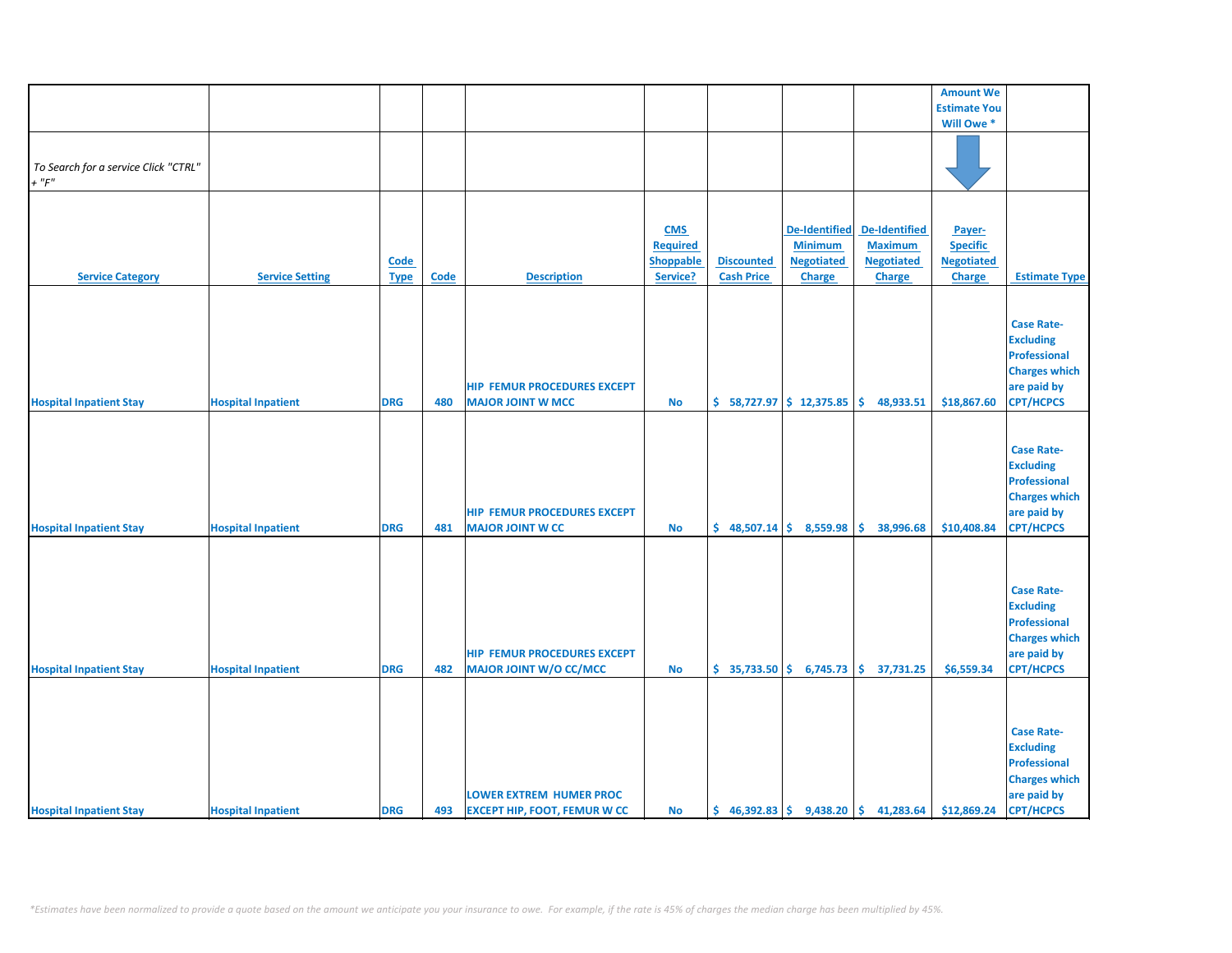|                                      |                           |             |             |                                     |                 |                           |                           |                                                                           | <b>Amount We</b>    |                      |
|--------------------------------------|---------------------------|-------------|-------------|-------------------------------------|-----------------|---------------------------|---------------------------|---------------------------------------------------------------------------|---------------------|----------------------|
|                                      |                           |             |             |                                     |                 |                           |                           |                                                                           | <b>Estimate You</b> |                      |
|                                      |                           |             |             |                                     |                 |                           |                           |                                                                           | Will Owe *          |                      |
|                                      |                           |             |             |                                     |                 |                           |                           |                                                                           |                     |                      |
|                                      |                           |             |             |                                     |                 |                           |                           |                                                                           |                     |                      |
| To Search for a service Click "CTRL" |                           |             |             |                                     |                 |                           |                           |                                                                           |                     |                      |
|                                      |                           |             |             |                                     |                 |                           |                           |                                                                           |                     |                      |
| $+$ " $F"$                           |                           |             |             |                                     |                 |                           |                           |                                                                           |                     |                      |
|                                      |                           |             |             |                                     |                 |                           |                           |                                                                           |                     |                      |
|                                      |                           |             |             |                                     |                 |                           |                           |                                                                           |                     |                      |
|                                      |                           |             |             |                                     | <b>CMS</b>      |                           | De-Identified             | <b>De-Identified</b>                                                      | Payer-              |                      |
|                                      |                           |             |             |                                     |                 |                           |                           | <b>Maximum</b>                                                            |                     |                      |
|                                      |                           |             |             |                                     | <b>Required</b> |                           | <b>Minimum</b>            |                                                                           | <b>Specific</b>     |                      |
|                                      |                           | <b>Code</b> |             |                                     | Shoppable       | <b>Discounted</b>         | <b>Negotiated</b>         | <b>Negotiated</b>                                                         | <b>Negotiated</b>   |                      |
| <b>Service Category</b>              | <b>Service Setting</b>    | <b>Type</b> | <b>Code</b> | <b>Description</b>                  | Service?        | <b>Cash Price</b>         | Charge                    | Charge                                                                    | Charge              | <b>Estimate Type</b> |
|                                      |                           |             |             |                                     |                 |                           |                           |                                                                           |                     |                      |
|                                      |                           |             |             |                                     |                 |                           |                           |                                                                           |                     |                      |
|                                      |                           |             |             |                                     |                 |                           |                           |                                                                           |                     |                      |
|                                      |                           |             |             |                                     |                 |                           |                           |                                                                           |                     | <b>Case Rate-</b>    |
|                                      |                           |             |             |                                     |                 |                           |                           |                                                                           |                     | <b>Excluding</b>     |
|                                      |                           |             |             |                                     |                 |                           |                           |                                                                           |                     | <b>Professional</b>  |
|                                      |                           |             |             |                                     |                 |                           |                           |                                                                           |                     | <b>Charges which</b> |
|                                      |                           |             |             |                                     |                 |                           |                           |                                                                           |                     |                      |
|                                      |                           |             |             | <b>HIP FEMUR PROCEDURES EXCEPT</b>  |                 |                           |                           |                                                                           |                     | are paid by          |
| <b>Hospital Inpatient Stay</b>       | <b>Hospital Inpatient</b> | <b>DRG</b>  | 480         | <b>MAJOR JOINT W MCC</b>            | <b>No</b>       | $$58,727.97$ $$12,375.85$ |                           | \$.<br>48,933.51                                                          | \$18,867.60         | <b>CPT/HCPCS</b>     |
|                                      |                           |             |             |                                     |                 |                           |                           |                                                                           |                     |                      |
|                                      |                           |             |             |                                     |                 |                           |                           |                                                                           |                     |                      |
|                                      |                           |             |             |                                     |                 |                           |                           |                                                                           |                     | <b>Case Rate-</b>    |
|                                      |                           |             |             |                                     |                 |                           |                           |                                                                           |                     |                      |
|                                      |                           |             |             |                                     |                 |                           |                           |                                                                           |                     | <b>Excluding</b>     |
|                                      |                           |             |             |                                     |                 |                           |                           |                                                                           |                     | <b>Professional</b>  |
|                                      |                           |             |             |                                     |                 |                           |                           |                                                                           |                     | <b>Charges which</b> |
|                                      |                           |             |             | <b>HIP FEMUR PROCEDURES EXCEPT</b>  |                 |                           |                           |                                                                           |                     | are paid by          |
|                                      |                           |             | 481         |                                     |                 |                           | $$48,507.14$$ $$8,559.98$ |                                                                           |                     | <b>CPT/HCPCS</b>     |
| <b>Hospital Inpatient Stay</b>       | <b>Hospital Inpatient</b> | <b>DRG</b>  |             | <b>MAJOR JOINT W CC</b>             | No              |                           |                           | \$.<br>38,996.68                                                          | \$10,408.84         |                      |
|                                      |                           |             |             |                                     |                 |                           |                           |                                                                           |                     |                      |
|                                      |                           |             |             |                                     |                 |                           |                           |                                                                           |                     |                      |
|                                      |                           |             |             |                                     |                 |                           |                           |                                                                           |                     |                      |
|                                      |                           |             |             |                                     |                 |                           |                           |                                                                           |                     | <b>Case Rate-</b>    |
|                                      |                           |             |             |                                     |                 |                           |                           |                                                                           |                     |                      |
|                                      |                           |             |             |                                     |                 |                           |                           |                                                                           |                     | <b>Excluding</b>     |
|                                      |                           |             |             |                                     |                 |                           |                           |                                                                           |                     | <b>Professional</b>  |
|                                      |                           |             |             |                                     |                 |                           |                           |                                                                           |                     | <b>Charges which</b> |
|                                      |                           |             |             | <b>HIP FEMUR PROCEDURES EXCEPT</b>  |                 |                           |                           |                                                                           |                     | are paid by          |
|                                      |                           |             |             |                                     |                 |                           |                           |                                                                           |                     |                      |
| <b>Hospital Inpatient Stay</b>       | <b>Hospital Inpatient</b> | <b>DRG</b>  | 482         | <b>MAJOR JOINT W/O CC/MCC</b>       | No              |                           |                           | $\binom{1}{2}$ 35,733.50 $\binom{2}{3}$ 6,745.73 $\binom{3}{2}$ 37,731.25 | \$6,559.34          | <b>CPT/HCPCS</b>     |
|                                      |                           |             |             |                                     |                 |                           |                           |                                                                           |                     |                      |
|                                      |                           |             |             |                                     |                 |                           |                           |                                                                           |                     |                      |
|                                      |                           |             |             |                                     |                 |                           |                           |                                                                           |                     |                      |
|                                      |                           |             |             |                                     |                 |                           |                           |                                                                           |                     | <b>Case Rate-</b>    |
|                                      |                           |             |             |                                     |                 |                           |                           |                                                                           |                     |                      |
|                                      |                           |             |             |                                     |                 |                           |                           |                                                                           |                     | <b>Excluding</b>     |
|                                      |                           |             |             |                                     |                 |                           |                           |                                                                           |                     | <b>Professional</b>  |
|                                      |                           |             |             |                                     |                 |                           |                           |                                                                           |                     | <b>Charges which</b> |
|                                      |                           |             |             | <b>LOWER EXTREM HUMER PROC</b>      |                 |                           |                           |                                                                           |                     |                      |
|                                      |                           |             |             |                                     |                 |                           |                           |                                                                           |                     | are paid by          |
| <b>Hospital Inpatient Stay</b>       | <b>Hospital Inpatient</b> | <b>DRG</b>  | 493         | <b>EXCEPT HIP, FOOT, FEMUR W CC</b> | No              |                           |                           | $\binom{6}{5}$ 46,392.83 $\binom{6}{5}$ 9,438.20 $\binom{6}{5}$ 41,283.64 | \$12,869.24         | <b>CPT/HCPCS</b>     |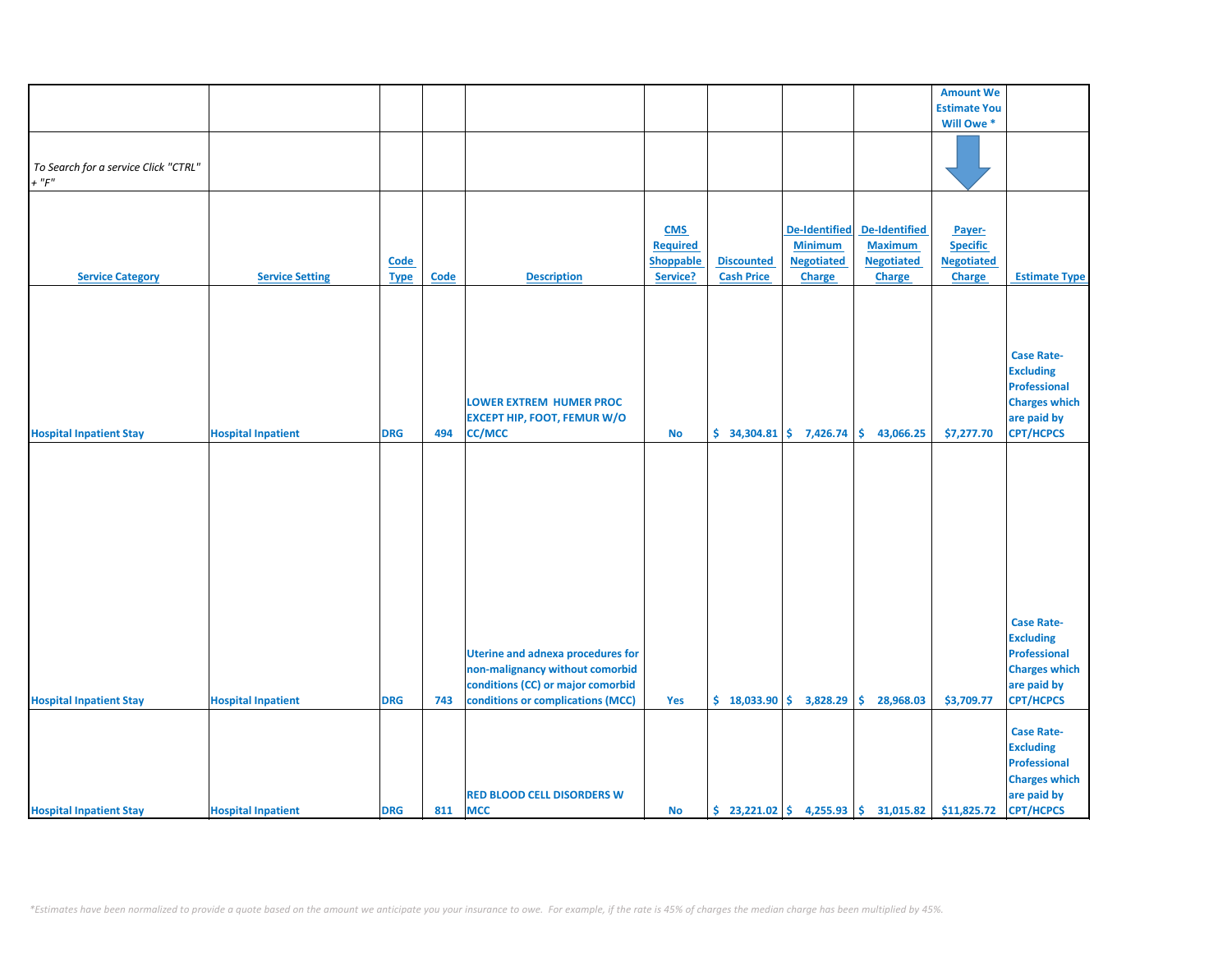|                                      |                           |             |             |                                          |                  |                   |                          |                                                              | <b>Amount We</b>    |                      |
|--------------------------------------|---------------------------|-------------|-------------|------------------------------------------|------------------|-------------------|--------------------------|--------------------------------------------------------------|---------------------|----------------------|
|                                      |                           |             |             |                                          |                  |                   |                          |                                                              | <b>Estimate You</b> |                      |
|                                      |                           |             |             |                                          |                  |                   |                          |                                                              | Will Owe *          |                      |
|                                      |                           |             |             |                                          |                  |                   |                          |                                                              |                     |                      |
|                                      |                           |             |             |                                          |                  |                   |                          |                                                              |                     |                      |
|                                      |                           |             |             |                                          |                  |                   |                          |                                                              |                     |                      |
| To Search for a service Click "CTRL" |                           |             |             |                                          |                  |                   |                          |                                                              |                     |                      |
| $+$ " $F"$                           |                           |             |             |                                          |                  |                   |                          |                                                              |                     |                      |
|                                      |                           |             |             |                                          |                  |                   |                          |                                                              |                     |                      |
|                                      |                           |             |             |                                          |                  |                   |                          |                                                              |                     |                      |
|                                      |                           |             |             |                                          |                  |                   |                          |                                                              |                     |                      |
|                                      |                           |             |             |                                          | <b>CMS</b>       |                   | <b>De-Identified</b>     | <b>De-Identified</b>                                         | Payer-              |                      |
|                                      |                           |             |             |                                          | <b>Required</b>  |                   | <b>Minimum</b>           | <b>Maximum</b>                                               | <b>Specific</b>     |                      |
|                                      |                           | Code        |             |                                          | <b>Shoppable</b> | <b>Discounted</b> | <b>Negotiated</b>        | <b>Negotiated</b>                                            | <b>Negotiated</b>   |                      |
| <b>Service Category</b>              | <b>Service Setting</b>    | <b>Type</b> | <b>Code</b> | <b>Description</b>                       | Service?         | <b>Cash Price</b> | <b>Charge</b>            | Charge                                                       | Charge              | <b>Estimate Type</b> |
|                                      |                           |             |             |                                          |                  |                   |                          |                                                              |                     |                      |
|                                      |                           |             |             |                                          |                  |                   |                          |                                                              |                     |                      |
|                                      |                           |             |             |                                          |                  |                   |                          |                                                              |                     |                      |
|                                      |                           |             |             |                                          |                  |                   |                          |                                                              |                     |                      |
|                                      |                           |             |             |                                          |                  |                   |                          |                                                              |                     |                      |
|                                      |                           |             |             |                                          |                  |                   |                          |                                                              |                     |                      |
|                                      |                           |             |             |                                          |                  |                   |                          |                                                              |                     | <b>Case Rate-</b>    |
|                                      |                           |             |             |                                          |                  |                   |                          |                                                              |                     | <b>Excluding</b>     |
|                                      |                           |             |             |                                          |                  |                   |                          |                                                              |                     | <b>Professional</b>  |
|                                      |                           |             |             | <b>LOWER EXTREM HUMER PROC</b>           |                  |                   |                          |                                                              |                     | <b>Charges which</b> |
|                                      |                           |             |             |                                          |                  |                   |                          |                                                              |                     |                      |
|                                      |                           |             |             | <b>EXCEPT HIP, FOOT, FEMUR W/O</b>       |                  |                   |                          |                                                              |                     | are paid by          |
| <b>Hospital Inpatient Stay</b>       | <b>Hospital Inpatient</b> | <b>DRG</b>  | 494         | <b>CC/MCC</b>                            | <b>No</b>        |                   | $$34,304.81$ $$7,426.74$ | \$.<br>43,066.25                                             | \$7,277.70          | <b>CPT/HCPCS</b>     |
|                                      |                           |             |             |                                          |                  |                   |                          |                                                              |                     |                      |
|                                      |                           |             |             |                                          |                  |                   |                          |                                                              |                     |                      |
|                                      |                           |             |             |                                          |                  |                   |                          |                                                              |                     |                      |
|                                      |                           |             |             |                                          |                  |                   |                          |                                                              |                     |                      |
|                                      |                           |             |             |                                          |                  |                   |                          |                                                              |                     |                      |
|                                      |                           |             |             |                                          |                  |                   |                          |                                                              |                     |                      |
|                                      |                           |             |             |                                          |                  |                   |                          |                                                              |                     |                      |
|                                      |                           |             |             |                                          |                  |                   |                          |                                                              |                     |                      |
|                                      |                           |             |             |                                          |                  |                   |                          |                                                              |                     |                      |
|                                      |                           |             |             |                                          |                  |                   |                          |                                                              |                     |                      |
|                                      |                           |             |             |                                          |                  |                   |                          |                                                              |                     |                      |
|                                      |                           |             |             |                                          |                  |                   |                          |                                                              |                     |                      |
|                                      |                           |             |             |                                          |                  |                   |                          |                                                              |                     |                      |
|                                      |                           |             |             |                                          |                  |                   |                          |                                                              |                     |                      |
|                                      |                           |             |             |                                          |                  |                   |                          |                                                              |                     | <b>Case Rate-</b>    |
|                                      |                           |             |             |                                          |                  |                   |                          |                                                              |                     | <b>Excluding</b>     |
|                                      |                           |             |             |                                          |                  |                   |                          |                                                              |                     |                      |
|                                      |                           |             |             | <b>Uterine and adnexa procedures for</b> |                  |                   |                          |                                                              |                     | <b>Professional</b>  |
|                                      |                           |             |             | non-malignancy without comorbid          |                  |                   |                          |                                                              |                     | <b>Charges which</b> |
|                                      |                           |             |             | conditions (CC) or major comorbid        |                  |                   |                          |                                                              |                     | are paid by          |
| <b>Hospital Inpatient Stay</b>       | <b>Hospital Inpatient</b> | <b>DRG</b>  | 743         | conditions or complications (MCC)        | Yes              |                   | $$18,033.90 \t$3,828.29$ | Ŝ.<br>28,968.03                                              | \$3,709.77          | <b>CPT/HCPCS</b>     |
|                                      |                           |             |             |                                          |                  |                   |                          |                                                              |                     |                      |
|                                      |                           |             |             |                                          |                  |                   |                          |                                                              |                     |                      |
|                                      |                           |             |             |                                          |                  |                   |                          |                                                              |                     | <b>Case Rate-</b>    |
|                                      |                           |             |             |                                          |                  |                   |                          |                                                              |                     | <b>Excluding</b>     |
|                                      |                           |             |             |                                          |                  |                   |                          |                                                              |                     | <b>Professional</b>  |
|                                      |                           |             |             |                                          |                  |                   |                          |                                                              |                     |                      |
|                                      |                           |             |             |                                          |                  |                   |                          |                                                              |                     | <b>Charges which</b> |
|                                      |                           |             |             | <b>RED BLOOD CELL DISORDERS W</b>        |                  |                   |                          |                                                              |                     | are paid by          |
| <b>Hospital Inpatient Stay</b>       | <b>Hospital Inpatient</b> | <b>DRG</b>  | 811         | <b>MCC</b>                               | <b>No</b>        |                   |                          | $\binom{23,221.02}{5}$ 4,255.93 $\binom{25,23}{5}$ 31,015.82 | \$11,825.72         | <b>CPT/HCPCS</b>     |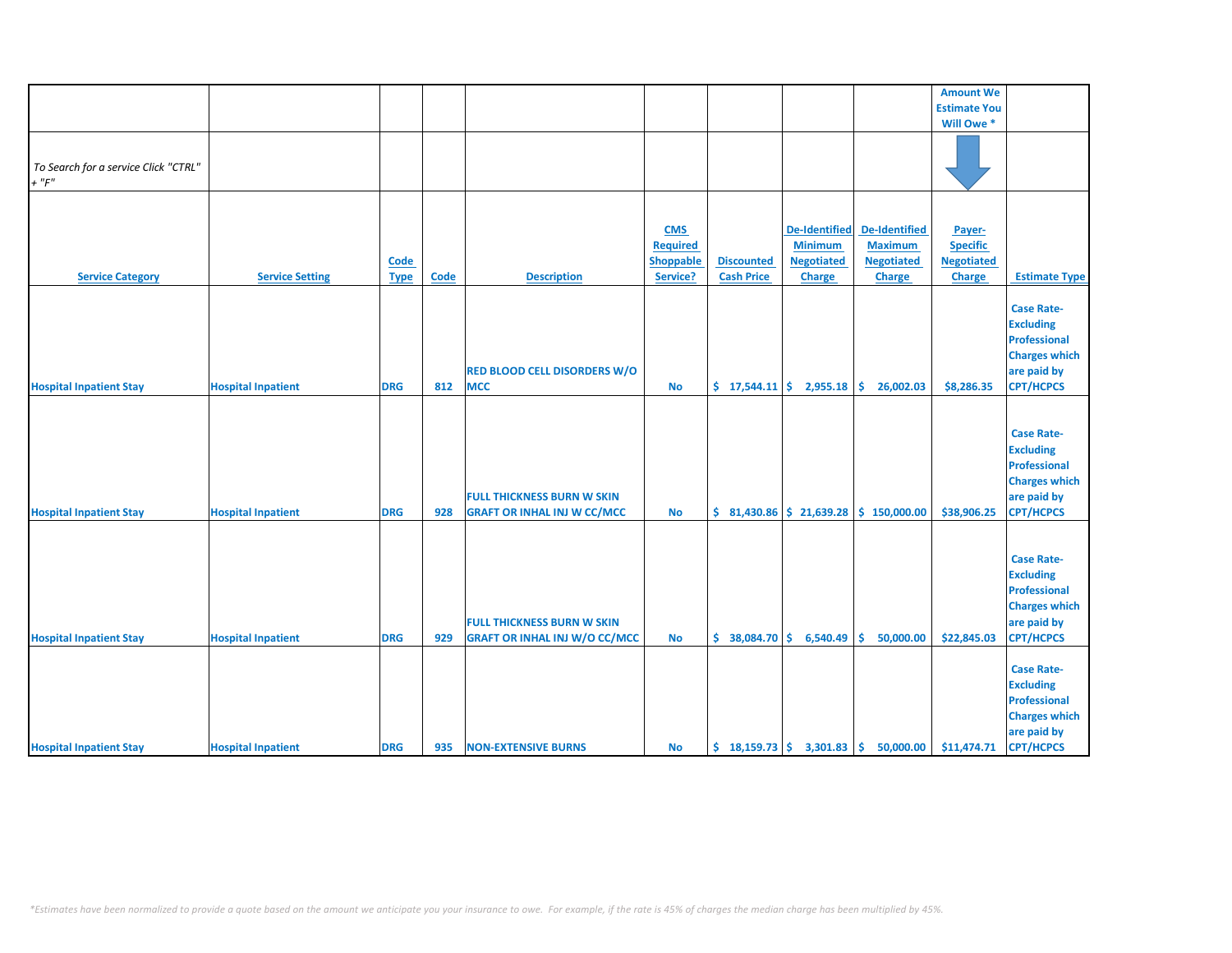|                                                     |                           |                     |      |                                                                           |                                                               |                                        |                                                                       |                                                                              | <b>Amount We</b>                                                |                                                                                                                         |
|-----------------------------------------------------|---------------------------|---------------------|------|---------------------------------------------------------------------------|---------------------------------------------------------------|----------------------------------------|-----------------------------------------------------------------------|------------------------------------------------------------------------------|-----------------------------------------------------------------|-------------------------------------------------------------------------------------------------------------------------|
|                                                     |                           |                     |      |                                                                           |                                                               |                                        |                                                                       |                                                                              | <b>Estimate You</b>                                             |                                                                                                                         |
|                                                     |                           |                     |      |                                                                           |                                                               |                                        |                                                                       |                                                                              | Will Owe *                                                      |                                                                                                                         |
| To Search for a service Click "CTRL"<br>$+$ " $F$ " |                           |                     |      |                                                                           |                                                               |                                        |                                                                       |                                                                              |                                                                 |                                                                                                                         |
| <b>Service Category</b>                             | <b>Service Setting</b>    | Code<br><b>Type</b> | Code | <b>Description</b>                                                        | <b>CMS</b><br><b>Required</b><br><b>Shoppable</b><br>Service? | <b>Discounted</b><br><b>Cash Price</b> | <b>De-Identified</b><br><b>Minimum</b><br><b>Negotiated</b><br>Charge | <b>De-Identified</b><br><b>Maximum</b><br><b>Negotiated</b><br><b>Charge</b> | Payer-<br><b>Specific</b><br><b>Negotiated</b><br><b>Charge</b> | <b>Estimate Type</b>                                                                                                    |
| <b>Hospital Inpatient Stay</b>                      | <b>Hospital Inpatient</b> | <b>DRG</b>          | 812  | <b>RED BLOOD CELL DISORDERS W/O</b><br><b>MCC</b>                         | <b>No</b>                                                     |                                        | $\frac{1}{2}$ 17,544.11 $\frac{1}{2}$ 2,955.18                        | \$.<br>26,002.03                                                             | \$8,286.35                                                      | <b>Case Rate-</b><br><b>Excluding</b><br><b>Professional</b><br><b>Charges which</b><br>are paid by<br><b>CPT/HCPCS</b> |
| <b>Hospital Inpatient Stay</b>                      | <b>Hospital Inpatient</b> | <b>DRG</b>          | 928  | <b>FULL THICKNESS BURN W SKIN</b><br><b>GRAFT OR INHAL INJ W CC/MCC</b>   | <b>No</b>                                                     |                                        | $$31,430.86 \mid $21,639.28$                                          | \$150,000.00                                                                 | \$38,906.25                                                     | <b>Case Rate-</b><br><b>Excluding</b><br><b>Professional</b><br><b>Charges which</b><br>are paid by<br><b>CPT/HCPCS</b> |
| <b>Hospital Inpatient Stay</b>                      | <b>Hospital Inpatient</b> | <b>DRG</b>          | 929  | <b>FULL THICKNESS BURN W SKIN</b><br><b>GRAFT OR INHAL INJ W/O CC/MCC</b> | <b>No</b>                                                     | $$38,084.70 \mid $6,540.49$            |                                                                       | 50,000.00<br>Ŝ.                                                              | \$22,845.03                                                     | <b>Case Rate-</b><br><b>Excluding</b><br><b>Professional</b><br><b>Charges which</b><br>are paid by<br><b>CPT/HCPCS</b> |
| <b>Hospital Inpatient Stay</b>                      | <b>Hospital Inpatient</b> | <b>DRG</b>          | 935  | <b>NON-EXTENSIVE BURNS</b>                                                | No                                                            |                                        |                                                                       | $\frac{1}{2}$ 18,159.73 $\frac{1}{2}$ 3,301.83 $\frac{1}{2}$ 50,000.00       | \$11,474.71                                                     | <b>Case Rate-</b><br><b>Excluding</b><br><b>Professional</b><br><b>Charges which</b><br>are paid by<br><b>CPT/HCPCS</b> |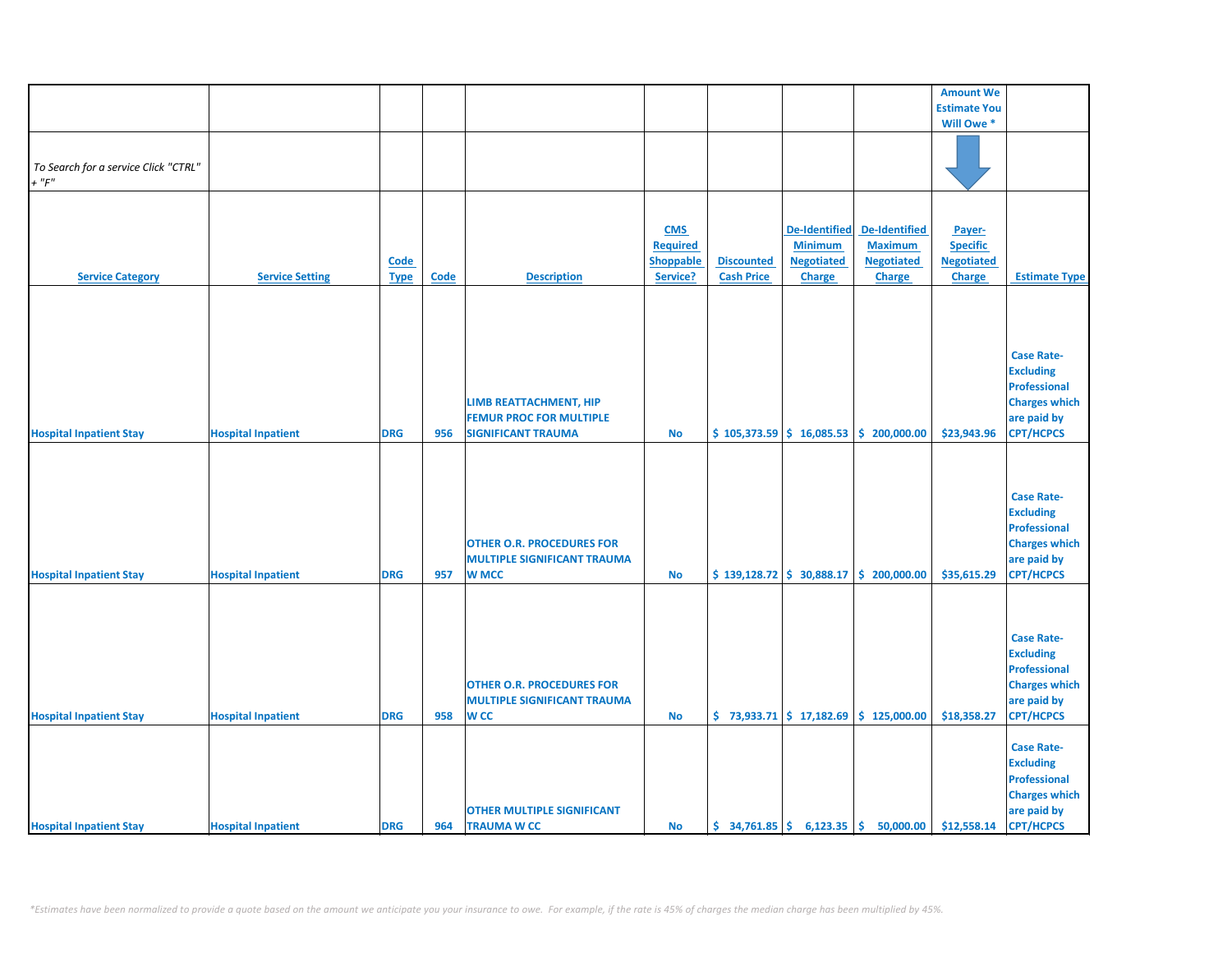|                                      |                           |             |             |                                    |                 |                                                              |                      |                                                                             | <b>Amount We</b>    |                      |
|--------------------------------------|---------------------------|-------------|-------------|------------------------------------|-----------------|--------------------------------------------------------------|----------------------|-----------------------------------------------------------------------------|---------------------|----------------------|
|                                      |                           |             |             |                                    |                 |                                                              |                      |                                                                             | <b>Estimate You</b> |                      |
|                                      |                           |             |             |                                    |                 |                                                              |                      |                                                                             | Will Owe *          |                      |
|                                      |                           |             |             |                                    |                 |                                                              |                      |                                                                             |                     |                      |
|                                      |                           |             |             |                                    |                 |                                                              |                      |                                                                             |                     |                      |
| To Search for a service Click "CTRL" |                           |             |             |                                    |                 |                                                              |                      |                                                                             |                     |                      |
| $+$ " $F$ "                          |                           |             |             |                                    |                 |                                                              |                      |                                                                             |                     |                      |
|                                      |                           |             |             |                                    |                 |                                                              |                      |                                                                             |                     |                      |
|                                      |                           |             |             |                                    |                 |                                                              |                      |                                                                             |                     |                      |
|                                      |                           |             |             |                                    | <b>CMS</b>      |                                                              | <b>De-Identified</b> | De-Identified                                                               | Payer-              |                      |
|                                      |                           |             |             |                                    | <b>Required</b> |                                                              | <b>Minimum</b>       | <b>Maximum</b>                                                              | <b>Specific</b>     |                      |
|                                      |                           | <b>Code</b> |             |                                    | Shoppable       | <b>Discounted</b>                                            | <b>Negotiated</b>    | <b>Negotiated</b>                                                           | <b>Negotiated</b>   |                      |
| <b>Service Category</b>              | <b>Service Setting</b>    |             | <b>Code</b> | <b>Description</b>                 | Service?        | <b>Cash Price</b>                                            | <b>Charge</b>        | <b>Charge</b>                                                               | Charge              | <b>Estimate Type</b> |
|                                      |                           | <b>Type</b> |             |                                    |                 |                                                              |                      |                                                                             |                     |                      |
|                                      |                           |             |             |                                    |                 |                                                              |                      |                                                                             |                     |                      |
|                                      |                           |             |             |                                    |                 |                                                              |                      |                                                                             |                     |                      |
|                                      |                           |             |             |                                    |                 |                                                              |                      |                                                                             |                     |                      |
|                                      |                           |             |             |                                    |                 |                                                              |                      |                                                                             |                     |                      |
|                                      |                           |             |             |                                    |                 |                                                              |                      |                                                                             |                     | <b>Case Rate-</b>    |
|                                      |                           |             |             |                                    |                 |                                                              |                      |                                                                             |                     | <b>Excluding</b>     |
|                                      |                           |             |             |                                    |                 |                                                              |                      |                                                                             |                     | <b>Professional</b>  |
|                                      |                           |             |             | LIMB REATTACHMENT, HIP             |                 |                                                              |                      |                                                                             |                     | <b>Charges which</b> |
|                                      |                           |             |             | <b>FEMUR PROC FOR MULTIPLE</b>     |                 |                                                              |                      |                                                                             |                     | are paid by          |
| <b>Hospital Inpatient Stay</b>       | <b>Hospital Inpatient</b> | <b>DRG</b>  | 956         | <b>SIGNIFICANT TRAUMA</b>          | No              |                                                              |                      | $$105,373.59 \mid $16,085.53 \mid $200,000.00$                              | \$23,943.96         | <b>CPT/HCPCS</b>     |
|                                      |                           |             |             |                                    |                 |                                                              |                      |                                                                             |                     |                      |
|                                      |                           |             |             |                                    |                 |                                                              |                      |                                                                             |                     |                      |
|                                      |                           |             |             |                                    |                 |                                                              |                      |                                                                             |                     |                      |
|                                      |                           |             |             |                                    |                 |                                                              |                      |                                                                             |                     | <b>Case Rate-</b>    |
|                                      |                           |             |             |                                    |                 |                                                              |                      |                                                                             |                     | <b>Excluding</b>     |
|                                      |                           |             |             |                                    |                 |                                                              |                      |                                                                             |                     | <b>Professional</b>  |
|                                      |                           |             |             | <b>OTHER O.R. PROCEDURES FOR</b>   |                 |                                                              |                      |                                                                             |                     | <b>Charges which</b> |
|                                      |                           |             |             | <b>MULTIPLE SIGNIFICANT TRAUMA</b> |                 |                                                              |                      |                                                                             |                     | are paid by          |
| <b>Hospital Inpatient Stay</b>       | <b>Hospital Inpatient</b> | <b>DRG</b>  | 957         | <b>W MCC</b>                       | <b>No</b>       |                                                              |                      | $\frac{1}{2}$ 139,128.72 $\frac{1}{2}$ 30,888.17 $\frac{1}{2}$ 200,000.00   | \$35,615.29         | <b>CPT/HCPCS</b>     |
|                                      |                           |             |             |                                    |                 |                                                              |                      |                                                                             |                     |                      |
|                                      |                           |             |             |                                    |                 |                                                              |                      |                                                                             |                     |                      |
|                                      |                           |             |             |                                    |                 |                                                              |                      |                                                                             |                     |                      |
|                                      |                           |             |             |                                    |                 |                                                              |                      |                                                                             |                     |                      |
|                                      |                           |             |             |                                    |                 |                                                              |                      |                                                                             |                     | <b>Case Rate-</b>    |
|                                      |                           |             |             |                                    |                 |                                                              |                      |                                                                             |                     | <b>Excluding</b>     |
|                                      |                           |             |             |                                    |                 |                                                              |                      |                                                                             |                     | <b>Professional</b>  |
|                                      |                           |             |             | <b>OTHER O.R. PROCEDURES FOR</b>   |                 |                                                              |                      |                                                                             |                     | <b>Charges which</b> |
|                                      |                           |             |             | <b>MULTIPLE SIGNIFICANT TRAUMA</b> |                 |                                                              |                      |                                                                             |                     | are paid by          |
| <b>Hospital Inpatient Stay</b>       | <b>Hospital Inpatient</b> | <b>DRG</b>  | 958         | <b>WCC</b>                         | <b>No</b>       |                                                              |                      | $\binom{1}{2}$ 73,933.71 $\binom{2}{3}$ 17,182.69 $\binom{3}{2}$ 125,000.00 | \$18,358.27         | <b>CPT/HCPCS</b>     |
|                                      |                           |             |             |                                    |                 |                                                              |                      |                                                                             |                     |                      |
|                                      |                           |             |             |                                    |                 |                                                              |                      |                                                                             |                     | <b>Case Rate-</b>    |
|                                      |                           |             |             |                                    |                 |                                                              |                      |                                                                             |                     | <b>Excluding</b>     |
|                                      |                           |             |             |                                    |                 |                                                              |                      |                                                                             |                     | <b>Professional</b>  |
|                                      |                           |             |             |                                    |                 |                                                              |                      |                                                                             |                     | <b>Charges which</b> |
|                                      |                           |             |             | <b>OTHER MULTIPLE SIGNIFICANT</b>  |                 |                                                              |                      |                                                                             |                     | are paid by          |
| <b>Hospital Inpatient Stay</b>       | <b>Hospital Inpatient</b> | <b>DRG</b>  | 964         | <b>TRAUMA W CC</b>                 | <b>No</b>       | $\frac{1}{2}$ 34,761.85 $\frac{1}{2}$ 6,123.35 $\frac{1}{2}$ |                      | 50,000.00                                                                   | \$12,558.14         | <b>CPT/HCPCS</b>     |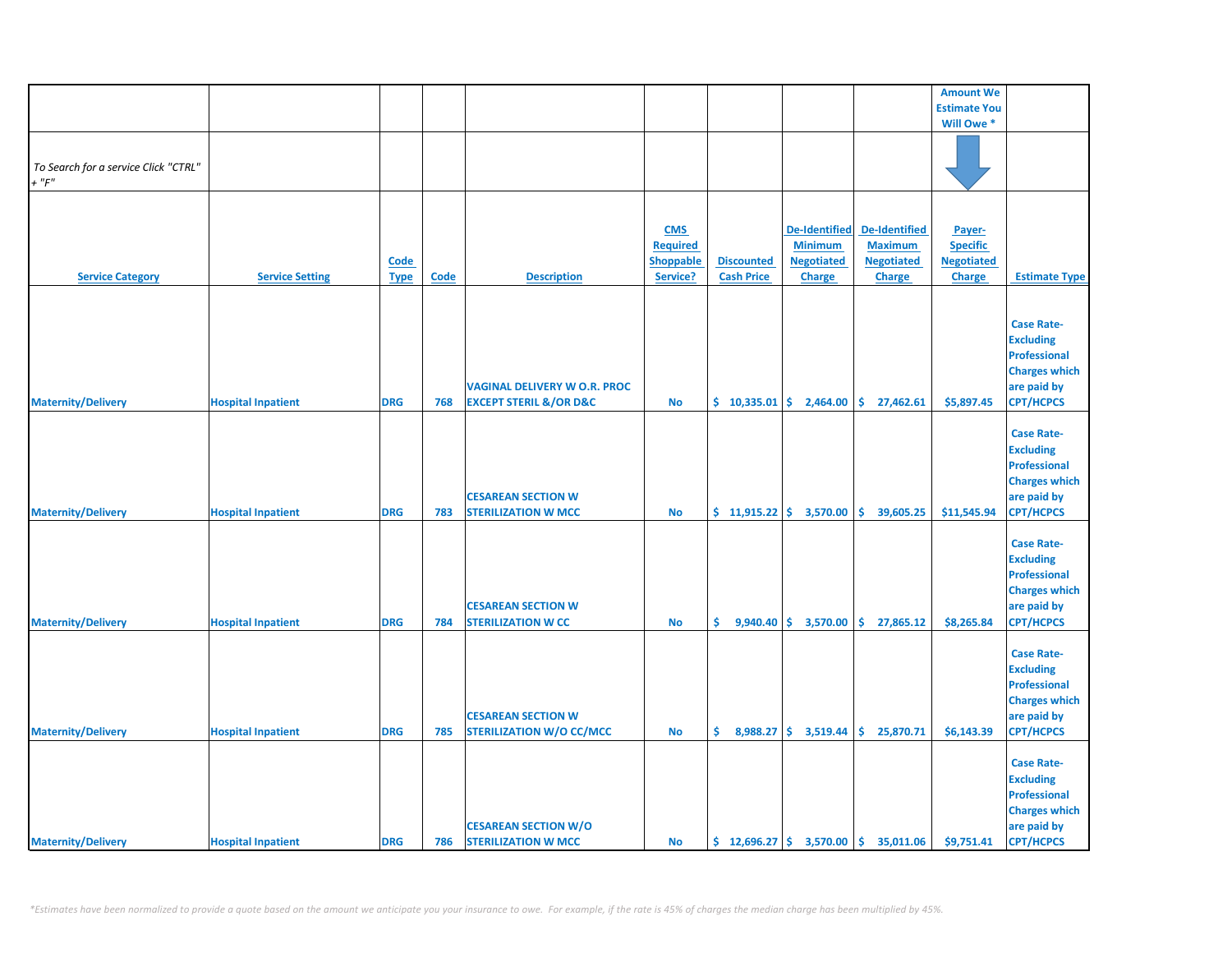|                                      |                           |             |             |                                       |                  |                   |                                                 |                                                                  | <b>Amount We</b>    |                      |
|--------------------------------------|---------------------------|-------------|-------------|---------------------------------------|------------------|-------------------|-------------------------------------------------|------------------------------------------------------------------|---------------------|----------------------|
|                                      |                           |             |             |                                       |                  |                   |                                                 |                                                                  | <b>Estimate You</b> |                      |
|                                      |                           |             |             |                                       |                  |                   |                                                 |                                                                  | Will Owe *          |                      |
|                                      |                           |             |             |                                       |                  |                   |                                                 |                                                                  |                     |                      |
|                                      |                           |             |             |                                       |                  |                   |                                                 |                                                                  |                     |                      |
| To Search for a service Click "CTRL" |                           |             |             |                                       |                  |                   |                                                 |                                                                  |                     |                      |
| $+$ " $F$ "                          |                           |             |             |                                       |                  |                   |                                                 |                                                                  |                     |                      |
|                                      |                           |             |             |                                       |                  |                   |                                                 |                                                                  |                     |                      |
|                                      |                           |             |             |                                       |                  |                   |                                                 |                                                                  |                     |                      |
|                                      |                           |             |             |                                       | <b>CMS</b>       |                   | <b>De-Identified</b>                            | <b>De-Identified</b>                                             | Payer-              |                      |
|                                      |                           |             |             |                                       | <b>Required</b>  |                   | <b>Minimum</b>                                  | <b>Maximum</b>                                                   | <b>Specific</b>     |                      |
|                                      |                           | <b>Code</b> |             |                                       | <b>Shoppable</b> | <b>Discounted</b> | <b>Negotiated</b>                               | <b>Negotiated</b>                                                | <b>Negotiated</b>   |                      |
| <b>Service Category</b>              | <b>Service Setting</b>    | <b>Type</b> | <b>Code</b> | <b>Description</b>                    | Service?         | <b>Cash Price</b> | <b>Charge</b>                                   | <b>Charge</b>                                                    | Charge              | <b>Estimate Type</b> |
|                                      |                           |             |             |                                       |                  |                   |                                                 |                                                                  |                     |                      |
|                                      |                           |             |             |                                       |                  |                   |                                                 |                                                                  |                     |                      |
|                                      |                           |             |             |                                       |                  |                   |                                                 |                                                                  |                     | <b>Case Rate-</b>    |
|                                      |                           |             |             |                                       |                  |                   |                                                 |                                                                  |                     | <b>Excluding</b>     |
|                                      |                           |             |             |                                       |                  |                   |                                                 |                                                                  |                     | <b>Professional</b>  |
|                                      |                           |             |             |                                       |                  |                   |                                                 |                                                                  |                     | <b>Charges which</b> |
|                                      |                           |             |             | <b>VAGINAL DELIVERY W O.R. PROC</b>   |                  |                   |                                                 |                                                                  |                     | are paid by          |
|                                      |                           |             |             |                                       |                  |                   |                                                 |                                                                  |                     | <b>CPT/HCPCS</b>     |
| <b>Maternity/Delivery</b>            | <b>Hospital Inpatient</b> | <b>DRG</b>  | 768         | <b>EXCEPT STERIL &amp;/OR D&amp;C</b> | <b>No</b>        |                   |                                                 | $\binom{10,335.01}{5}$ 2,464.00 $\binom{10,335.01}{5}$ 27,462.61 | \$5,897.45          |                      |
|                                      |                           |             |             |                                       |                  |                   |                                                 |                                                                  |                     |                      |
|                                      |                           |             |             |                                       |                  |                   |                                                 |                                                                  |                     | <b>Case Rate-</b>    |
|                                      |                           |             |             |                                       |                  |                   |                                                 |                                                                  |                     | <b>Excluding</b>     |
|                                      |                           |             |             |                                       |                  |                   |                                                 |                                                                  |                     | <b>Professional</b>  |
|                                      |                           |             |             |                                       |                  |                   |                                                 |                                                                  |                     | <b>Charges which</b> |
|                                      |                           |             |             | <b>CESAREAN SECTION W</b>             |                  |                   |                                                 |                                                                  |                     | are paid by          |
| <b>Maternity/Delivery</b>            | <b>Hospital Inpatient</b> | <b>DRG</b>  | 783         | <b>STERILIZATION W MCC</b>            | <b>No</b>        |                   | $$11,915.22 \mid $3,570.00$                     | \$<br>39,605.25                                                  | \$11,545.94         | <b>CPT/HCPCS</b>     |
|                                      |                           |             |             |                                       |                  |                   |                                                 |                                                                  |                     |                      |
|                                      |                           |             |             |                                       |                  |                   |                                                 |                                                                  |                     | <b>Case Rate-</b>    |
|                                      |                           |             |             |                                       |                  |                   |                                                 |                                                                  |                     | <b>Excluding</b>     |
|                                      |                           |             |             |                                       |                  |                   |                                                 |                                                                  |                     | <b>Professional</b>  |
|                                      |                           |             |             |                                       |                  |                   |                                                 |                                                                  |                     | <b>Charges which</b> |
|                                      |                           |             |             | <b>CESAREAN SECTION W</b>             |                  |                   |                                                 |                                                                  |                     | are paid by          |
| <b>Maternity/Delivery</b>            | <b>Hospital Inpatient</b> | <b>DRG</b>  | 784         | <b>STERILIZATION W CC</b>             | <b>No</b>        | \$.               | $9,940.40 \mid \xi$ 3,570.00                    | \$27,865.12                                                      | \$8,265.84          | <b>CPT/HCPCS</b>     |
|                                      |                           |             |             |                                       |                  |                   |                                                 |                                                                  |                     |                      |
|                                      |                           |             |             |                                       |                  |                   |                                                 |                                                                  |                     | <b>Case Rate-</b>    |
|                                      |                           |             |             |                                       |                  |                   |                                                 |                                                                  |                     | <b>Excluding</b>     |
|                                      |                           |             |             |                                       |                  |                   |                                                 |                                                                  |                     | <b>Professional</b>  |
|                                      |                           |             |             |                                       |                  |                   |                                                 |                                                                  |                     |                      |
|                                      |                           |             |             |                                       |                  |                   |                                                 |                                                                  |                     | <b>Charges which</b> |
|                                      |                           |             |             | <b>CESAREAN SECTION W</b>             |                  |                   |                                                 |                                                                  |                     | are paid by          |
| <b>Maternity/Delivery</b>            | <b>Hospital Inpatient</b> | <b>DRG</b>  | 785         | <b>STERILIZATION W/O CC/MCC</b>       | No               |                   | $\binom{6}{5}$ 8,988.27 $\binom{6}{5}$ 3,519.44 | \$25,870.71                                                      | \$6,143.39          | CPT/HCPCS            |
|                                      |                           |             |             |                                       |                  |                   |                                                 |                                                                  |                     |                      |
|                                      |                           |             |             |                                       |                  |                   |                                                 |                                                                  |                     | <b>Case Rate-</b>    |
|                                      |                           |             |             |                                       |                  |                   |                                                 |                                                                  |                     | <b>Excluding</b>     |
|                                      |                           |             |             |                                       |                  |                   |                                                 |                                                                  |                     | <b>Professional</b>  |
|                                      |                           |             |             |                                       |                  |                   |                                                 |                                                                  |                     | <b>Charges which</b> |
|                                      |                           |             |             | <b>CESAREAN SECTION W/O</b>           |                  |                   |                                                 |                                                                  |                     | are paid by          |
| <b>Maternity/Delivery</b>            | <b>Hospital Inpatient</b> | <b>DRG</b>  | 786         | <b>STERILIZATION W MCC</b>            | <b>No</b>        |                   |                                                 | $\binom{12,696.27}{ }$ \$ 3,570.00 \$ 35,011.06                  | \$9,751.41          | <b>CPT/HCPCS</b>     |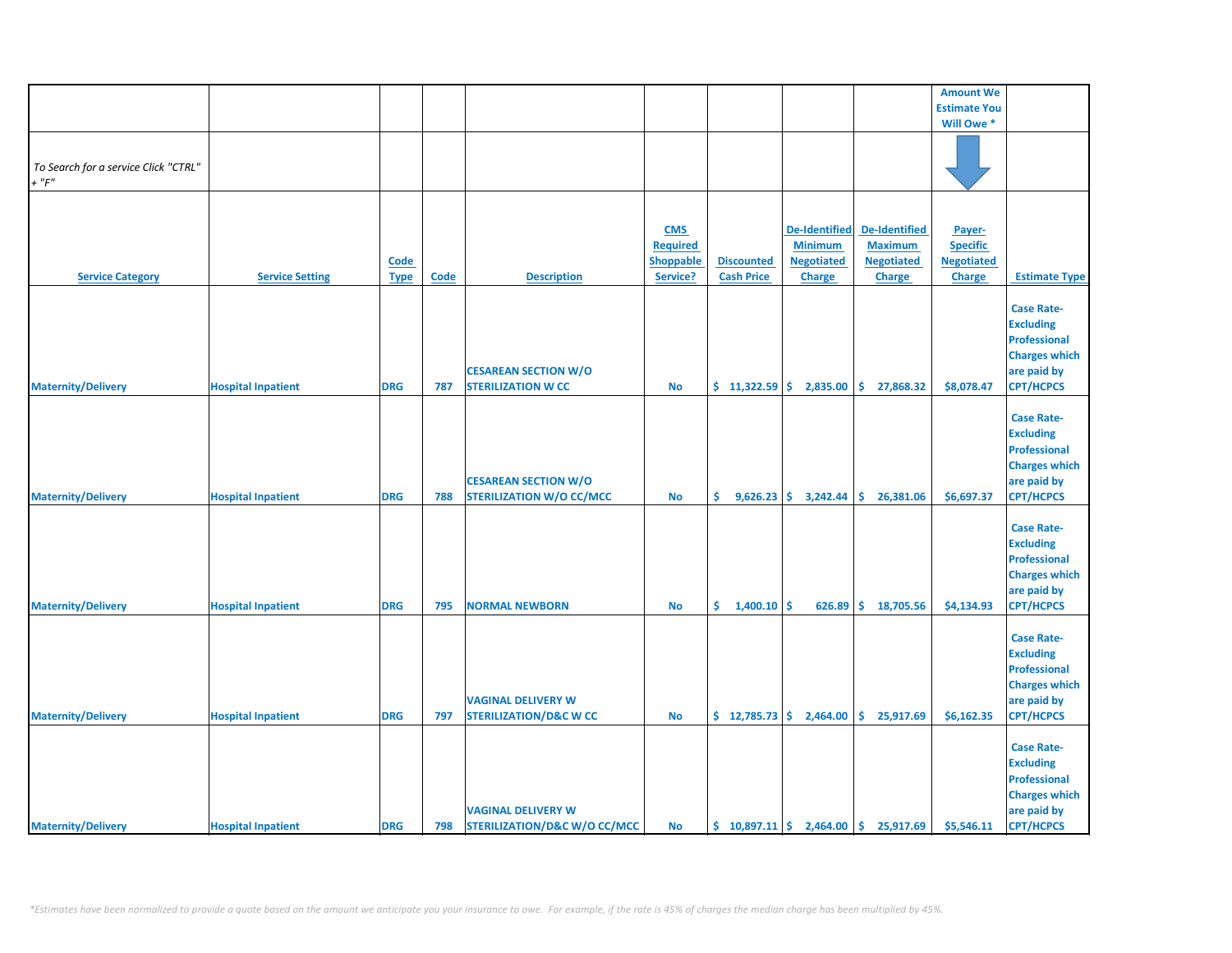|                                      |                           |             |             |                                   |                 |                   |                        |                                                        | <b>Amount We</b>    |                      |
|--------------------------------------|---------------------------|-------------|-------------|-----------------------------------|-----------------|-------------------|------------------------|--------------------------------------------------------|---------------------|----------------------|
|                                      |                           |             |             |                                   |                 |                   |                        |                                                        | <b>Estimate You</b> |                      |
|                                      |                           |             |             |                                   |                 |                   |                        |                                                        | Will Owe *          |                      |
|                                      |                           |             |             |                                   |                 |                   |                        |                                                        |                     |                      |
|                                      |                           |             |             |                                   |                 |                   |                        |                                                        |                     |                      |
| To Search for a service Click "CTRL" |                           |             |             |                                   |                 |                   |                        |                                                        |                     |                      |
| $+$ " $F$ "                          |                           |             |             |                                   |                 |                   |                        |                                                        |                     |                      |
|                                      |                           |             |             |                                   |                 |                   |                        |                                                        |                     |                      |
|                                      |                           |             |             |                                   |                 |                   |                        |                                                        |                     |                      |
|                                      |                           |             |             |                                   | <b>CMS</b>      |                   | <b>De-Identified</b>   | <b>De-Identified</b>                                   | Payer-              |                      |
|                                      |                           |             |             |                                   | <b>Required</b> |                   | <b>Minimum</b>         | <b>Maximum</b>                                         | <b>Specific</b>     |                      |
|                                      |                           |             |             |                                   |                 | <b>Discounted</b> | <b>Negotiated</b>      | <b>Negotiated</b>                                      | <b>Negotiated</b>   |                      |
|                                      |                           | Code        |             |                                   | Shoppable       |                   |                        |                                                        |                     |                      |
| <b>Service Category</b>              | <b>Service Setting</b>    | <b>Type</b> | <b>Code</b> | <b>Description</b>                | Service?        | <b>Cash Price</b> | Charge                 | <b>Charge</b>                                          | Charge              | <b>Estimate Type</b> |
|                                      |                           |             |             |                                   |                 |                   |                        |                                                        |                     |                      |
|                                      |                           |             |             |                                   |                 |                   |                        |                                                        |                     | <b>Case Rate-</b>    |
|                                      |                           |             |             |                                   |                 |                   |                        |                                                        |                     | <b>Excluding</b>     |
|                                      |                           |             |             |                                   |                 |                   |                        |                                                        |                     | <b>Professional</b>  |
|                                      |                           |             |             |                                   |                 |                   |                        |                                                        |                     | <b>Charges which</b> |
|                                      |                           |             |             | <b>CESAREAN SECTION W/O</b>       |                 |                   |                        |                                                        |                     | are paid by          |
| <b>Maternity/Delivery</b>            | <b>Hospital Inpatient</b> | <b>DRG</b>  | 787         | <b>STERILIZATION W CC</b>         | <b>No</b>       | $$11,322.59$ \$   | 2,835.00               | \$<br>27,868.32                                        | \$8,078.47          | <b>CPT/HCPCS</b>     |
|                                      |                           |             |             |                                   |                 |                   |                        |                                                        |                     |                      |
|                                      |                           |             |             |                                   |                 |                   |                        |                                                        |                     | <b>Case Rate-</b>    |
|                                      |                           |             |             |                                   |                 |                   |                        |                                                        |                     | <b>Excluding</b>     |
|                                      |                           |             |             |                                   |                 |                   |                        |                                                        |                     |                      |
|                                      |                           |             |             |                                   |                 |                   |                        |                                                        |                     | <b>Professional</b>  |
|                                      |                           |             |             |                                   |                 |                   |                        |                                                        |                     | <b>Charges which</b> |
|                                      |                           |             |             | <b>CESAREAN SECTION W/O</b>       |                 |                   |                        |                                                        |                     | are paid by          |
| <b>Maternity/Delivery</b>            | <b>Hospital Inpatient</b> | <b>DRG</b>  | 788         | <b>STERILIZATION W/O CC/MCC</b>   | <b>No</b>       | \$.               | $9,626.23$ \$ 3,242.44 | \$26,381.06                                            | \$6,697.37          | CPT/HCPCS            |
|                                      |                           |             |             |                                   |                 |                   |                        |                                                        |                     |                      |
|                                      |                           |             |             |                                   |                 |                   |                        |                                                        |                     | <b>Case Rate-</b>    |
|                                      |                           |             |             |                                   |                 |                   |                        |                                                        |                     | <b>Excluding</b>     |
|                                      |                           |             |             |                                   |                 |                   |                        |                                                        |                     | <b>Professional</b>  |
|                                      |                           |             |             |                                   |                 |                   |                        |                                                        |                     | <b>Charges which</b> |
|                                      |                           |             |             |                                   |                 |                   |                        |                                                        |                     | are paid by          |
| <b>Maternity/Delivery</b>            | <b>Hospital Inpatient</b> | <b>DRG</b>  | 795         | <b>NORMAL NEWBORN</b>             | <b>No</b>       | \$.<br>1,400.10   | \$.<br>626.89          | \$18,705.56                                            | \$4,134.93          | <b>CPT/HCPCS</b>     |
|                                      |                           |             |             |                                   |                 |                   |                        |                                                        |                     |                      |
|                                      |                           |             |             |                                   |                 |                   |                        |                                                        |                     |                      |
|                                      |                           |             |             |                                   |                 |                   |                        |                                                        |                     | <b>Case Rate-</b>    |
|                                      |                           |             |             |                                   |                 |                   |                        |                                                        |                     | <b>Excluding</b>     |
|                                      |                           |             |             |                                   |                 |                   |                        |                                                        |                     | Professional         |
|                                      |                           |             |             |                                   |                 |                   |                        |                                                        |                     | <b>Charges which</b> |
|                                      |                           |             |             | <b>VAGINAL DELIVERY W</b>         |                 |                   |                        |                                                        |                     | are paid by          |
| <b>Maternity/Delivery</b>            | <b>Hospital Inpatient</b> | <b>DRG</b>  | 797         | <b>STERILIZATION/D&amp;C W CC</b> | <b>No</b>       | \$12,785.73       | 2,464.00               | \$<br>25,917.69                                        | \$6,162.35          | <b>CPT/HCPCS</b>     |
|                                      |                           |             |             |                                   |                 |                   |                        |                                                        |                     |                      |
|                                      |                           |             |             |                                   |                 |                   |                        |                                                        |                     | <b>Case Rate-</b>    |
|                                      |                           |             |             |                                   |                 |                   |                        |                                                        |                     | <b>Excluding</b>     |
|                                      |                           |             |             |                                   |                 |                   |                        |                                                        |                     |                      |
|                                      |                           |             |             |                                   |                 |                   |                        |                                                        |                     | <b>Professional</b>  |
|                                      |                           |             |             |                                   |                 |                   |                        |                                                        |                     | <b>Charges which</b> |
|                                      |                           |             |             | <b>VAGINAL DELIVERY W</b>         |                 |                   |                        |                                                        |                     | are paid by          |
| <b>Maternity/Delivery</b>            | <b>Hospital Inpatient</b> | <b>DRG</b>  | 798         | STERILIZATION/D&C W/O CC/MCC      | No              |                   |                        | $\binom{10,897.11}{5}$ 2,464.00 $\binom{10,897.11}{5}$ | \$5,546.11          | <b>CPT/HCPCS</b>     |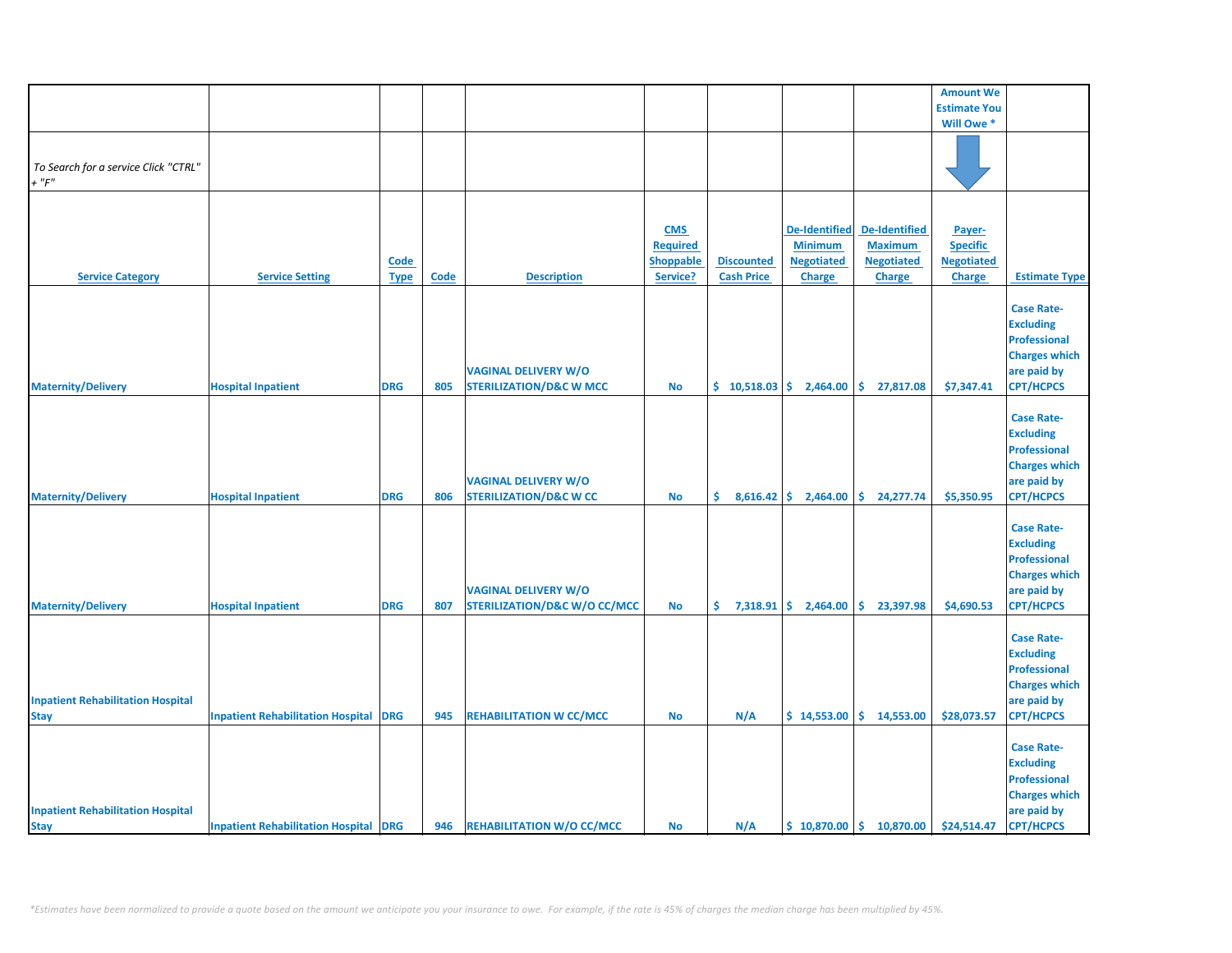|                                          |                                              |             |             |                                         |                 |                      |                                               |                                         | <b>Amount We</b>    |                      |
|------------------------------------------|----------------------------------------------|-------------|-------------|-----------------------------------------|-----------------|----------------------|-----------------------------------------------|-----------------------------------------|---------------------|----------------------|
|                                          |                                              |             |             |                                         |                 |                      |                                               |                                         | <b>Estimate You</b> |                      |
|                                          |                                              |             |             |                                         |                 |                      |                                               |                                         | Will Owe *          |                      |
|                                          |                                              |             |             |                                         |                 |                      |                                               |                                         |                     |                      |
| To Search for a service Click "CTRL"     |                                              |             |             |                                         |                 |                      |                                               |                                         |                     |                      |
| $+$ " $F$ "                              |                                              |             |             |                                         |                 |                      |                                               |                                         |                     |                      |
|                                          |                                              |             |             |                                         |                 |                      |                                               |                                         |                     |                      |
|                                          |                                              |             |             |                                         |                 |                      |                                               |                                         |                     |                      |
|                                          |                                              |             |             |                                         | <b>CMS</b>      |                      | <b>De-Identified</b>                          | <b>De-Identified</b>                    | Payer-              |                      |
|                                          |                                              |             |             |                                         | <b>Required</b> |                      | <b>Minimum</b>                                | <b>Maximum</b>                          | <b>Specific</b>     |                      |
|                                          |                                              | Code        |             |                                         | Shoppable       | <b>Discounted</b>    | <b>Negotiated</b>                             | <b>Negotiated</b>                       | <b>Negotiated</b>   |                      |
| <b>Service Category</b>                  | <b>Service Setting</b>                       | <b>Type</b> | <b>Code</b> | <b>Description</b>                      | Service?        | <b>Cash Price</b>    | Charge                                        | <b>Charge</b>                           | <b>Charge</b>       | <b>Estimate Type</b> |
|                                          |                                              |             |             |                                         |                 |                      |                                               |                                         |                     |                      |
|                                          |                                              |             |             |                                         |                 |                      |                                               |                                         |                     | <b>Case Rate-</b>    |
|                                          |                                              |             |             |                                         |                 |                      |                                               |                                         |                     | <b>Excluding</b>     |
|                                          |                                              |             |             |                                         |                 |                      |                                               |                                         |                     |                      |
|                                          |                                              |             |             |                                         |                 |                      |                                               |                                         |                     | <b>Professional</b>  |
|                                          |                                              |             |             |                                         |                 |                      |                                               |                                         |                     | <b>Charges which</b> |
|                                          |                                              |             |             | <b>VAGINAL DELIVERY W/O</b>             |                 |                      |                                               |                                         |                     | are paid by          |
| <b>Maternity/Delivery</b>                | <b>Hospital Inpatient</b>                    | <b>DRG</b>  | 805         | <b>STERILIZATION/D&amp;C W MCC</b>      | No              | \$10,518.03          | 2,464.00                                      | \$.<br>27,817.08                        | \$7,347.41          | <b>CPT/HCPCS</b>     |
|                                          |                                              |             |             |                                         |                 |                      |                                               |                                         |                     |                      |
|                                          |                                              |             |             |                                         |                 |                      |                                               |                                         |                     | <b>Case Rate-</b>    |
|                                          |                                              |             |             |                                         |                 |                      |                                               |                                         |                     | <b>Excluding</b>     |
|                                          |                                              |             |             |                                         |                 |                      |                                               |                                         |                     | <b>Professional</b>  |
|                                          |                                              |             |             |                                         |                 |                      |                                               |                                         |                     | <b>Charges which</b> |
|                                          |                                              |             |             | <b>VAGINAL DELIVERY W/O</b>             |                 |                      |                                               |                                         |                     | are paid by          |
| <b>Maternity/Delivery</b>                | <b>Hospital Inpatient</b>                    | <b>DRG</b>  | 806         | <b>STERILIZATION/D&amp;C W CC</b>       | <b>No</b>       |                      | $\frac{1}{2}$ 8,616.42 $\frac{1}{2}$ 2,464.00 | \$24,277.74                             | \$5,350.95          | <b>CPT/HCPCS</b>     |
|                                          |                                              |             |             |                                         |                 |                      |                                               |                                         |                     |                      |
|                                          |                                              |             |             |                                         |                 |                      |                                               |                                         |                     | <b>Case Rate-</b>    |
|                                          |                                              |             |             |                                         |                 |                      |                                               |                                         |                     | <b>Excluding</b>     |
|                                          |                                              |             |             |                                         |                 |                      |                                               |                                         |                     | <b>Professional</b>  |
|                                          |                                              |             |             |                                         |                 |                      |                                               |                                         |                     | <b>Charges which</b> |
|                                          |                                              |             |             | <b>VAGINAL DELIVERY W/O</b>             |                 |                      |                                               |                                         |                     | are paid by          |
| <b>Maternity/Delivery</b>                | <b>Hospital Inpatient</b>                    | <b>DRG</b>  | 807         | <b>STERILIZATION/D&amp;C W/O CC/MCC</b> | <b>No</b>       | \$.<br>$7,318.91$ \$ | 2,464.00                                      | \$<br>23,397.98                         | \$4,690.53          | <b>CPT/HCPCS</b>     |
|                                          |                                              |             |             |                                         |                 |                      |                                               |                                         |                     |                      |
|                                          |                                              |             |             |                                         |                 |                      |                                               |                                         |                     | <b>Case Rate-</b>    |
|                                          |                                              |             |             |                                         |                 |                      |                                               |                                         |                     | <b>Excluding</b>     |
|                                          |                                              |             |             |                                         |                 |                      |                                               |                                         |                     | <b>Professional</b>  |
|                                          |                                              |             |             |                                         |                 |                      |                                               |                                         |                     | <b>Charges which</b> |
| <b>Inpatient Rehabilitation Hospital</b> |                                              |             |             |                                         |                 |                      |                                               |                                         |                     |                      |
|                                          |                                              |             |             |                                         |                 |                      |                                               |                                         |                     | are paid by          |
| <b>Stay</b>                              | <b>Inpatient Rehabilitation Hospital</b>     | <b>DRG</b>  | 945         | <b>REHABILITATION W CC/MCC</b>          | <b>No</b>       | N/A                  |                                               | $$14,553.00 \mid $14,553.00$            | \$28,073.57         | <b>CPT/HCPCS</b>     |
|                                          |                                              |             |             |                                         |                 |                      |                                               |                                         |                     |                      |
|                                          |                                              |             |             |                                         |                 |                      |                                               |                                         |                     | <b>Case Rate-</b>    |
|                                          |                                              |             |             |                                         |                 |                      |                                               |                                         |                     | <b>Excluding</b>     |
|                                          |                                              |             |             |                                         |                 |                      |                                               |                                         |                     | <b>Professional</b>  |
|                                          |                                              |             |             |                                         |                 |                      |                                               |                                         |                     | <b>Charges which</b> |
| <b>Inpatient Rehabilitation Hospital</b> |                                              |             |             |                                         |                 |                      |                                               |                                         |                     | are paid by          |
| <b>Stay</b>                              | <b>Inpatient Rehabilitation Hospital DRG</b> |             | 946         | <b>REHABILITATION W/O CC/MCC</b>        | <b>No</b>       | N/A                  |                                               | $$10,870.00 \;   \; $10,870.00 \;   \;$ | \$24,514.47         | <b>CPT/HCPCS</b>     |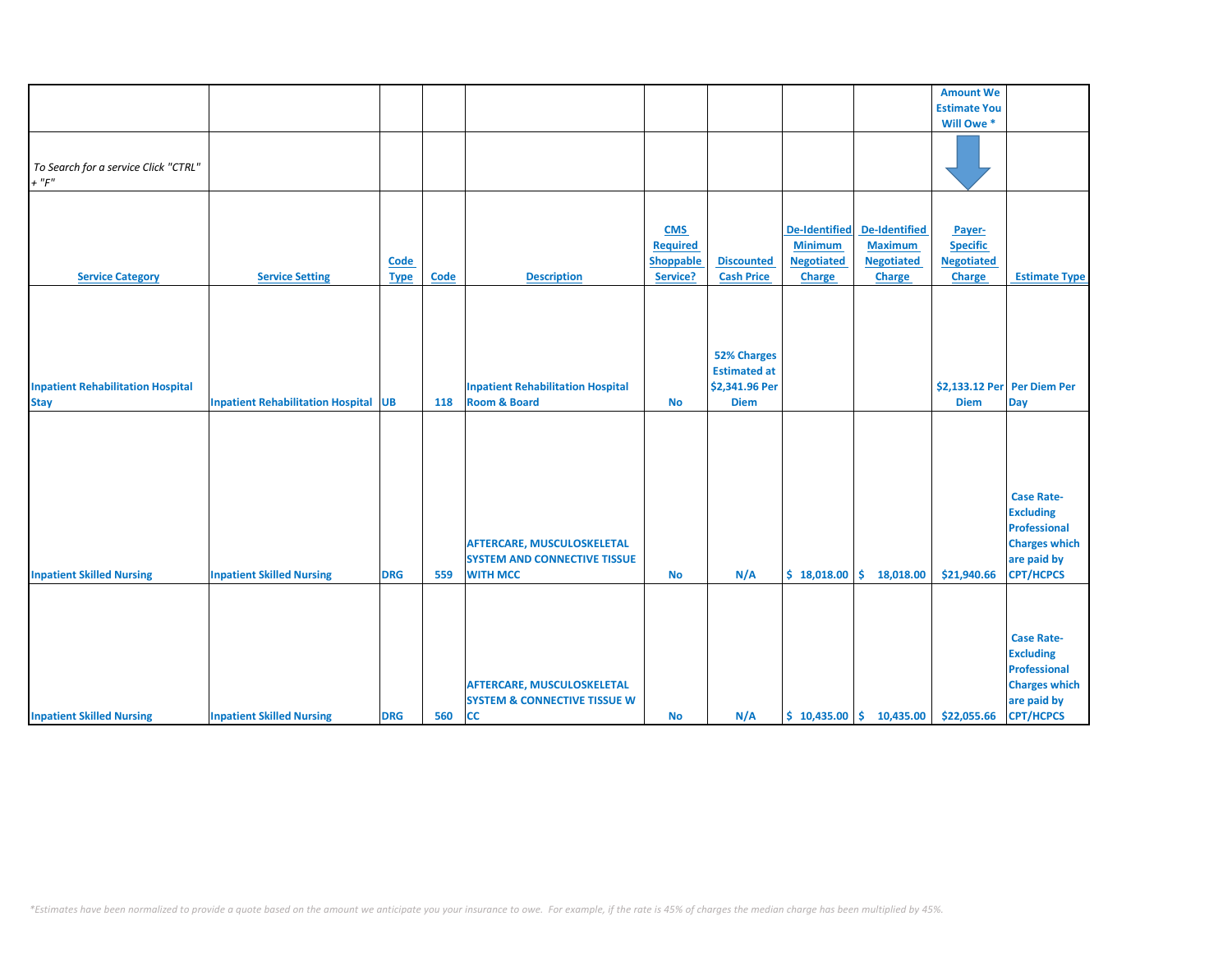|                                                         |                                             |                     |      |                                                                                             |                                                               |                                                                            |                                                                              |                                                                       | <b>Amount We</b>                                                |                                                                                                                         |
|---------------------------------------------------------|---------------------------------------------|---------------------|------|---------------------------------------------------------------------------------------------|---------------------------------------------------------------|----------------------------------------------------------------------------|------------------------------------------------------------------------------|-----------------------------------------------------------------------|-----------------------------------------------------------------|-------------------------------------------------------------------------------------------------------------------------|
|                                                         |                                             |                     |      |                                                                                             |                                                               |                                                                            |                                                                              |                                                                       | <b>Estimate You</b>                                             |                                                                                                                         |
|                                                         |                                             |                     |      |                                                                                             |                                                               |                                                                            |                                                                              |                                                                       | Will Owe*                                                       |                                                                                                                         |
| To Search for a service Click "CTRL"<br>$+$ " $F$ "     |                                             |                     |      |                                                                                             |                                                               |                                                                            |                                                                              |                                                                       |                                                                 |                                                                                                                         |
| <b>Service Category</b>                                 | <b>Service Setting</b>                      | Code<br><b>Type</b> | Code | <b>Description</b>                                                                          | <b>CMS</b><br><b>Required</b><br><b>Shoppable</b><br>Service? | <b>Discounted</b><br><b>Cash Price</b>                                     | <b>De-Identified</b><br><b>Minimum</b><br><b>Negotiated</b><br><b>Charge</b> | <b>De-Identified</b><br><b>Maximum</b><br><b>Negotiated</b><br>Charge | Payer-<br><b>Specific</b><br><b>Negotiated</b><br><b>Charge</b> | <b>Estimate Type</b>                                                                                                    |
| <b>Inpatient Rehabilitation Hospital</b><br><b>Stay</b> | <b>Inpatient Rehabilitation Hospital UB</b> |                     | 118  | <b>Inpatient Rehabilitation Hospital</b><br><b>Room &amp; Board</b>                         | <b>No</b>                                                     | <b>52% Charges</b><br><b>Estimated at</b><br>\$2,341.96 Per<br><b>Diem</b> |                                                                              |                                                                       | \$2,133.12 Per Per Diem Per<br><b>Diem</b>                      | Day                                                                                                                     |
| <b>Inpatient Skilled Nursing</b>                        | <b>Inpatient Skilled Nursing</b>            | <b>DRG</b>          | 559  | <b>AFTERCARE, MUSCULOSKELETAL</b><br><b>SYSTEM AND CONNECTIVE TISSUE</b><br><b>WITH MCC</b> | <b>No</b>                                                     | N/A                                                                        | \$18,018.00                                                                  | \$.<br>18,018.00                                                      | \$21,940.66                                                     | <b>Case Rate-</b><br><b>Excluding</b><br><b>Professional</b><br><b>Charges which</b><br>are paid by<br><b>CPT/HCPCS</b> |
| <b>Inpatient Skilled Nursing</b>                        | <b>Inpatient Skilled Nursing</b>            | <b>DRG</b>          | 560  | <b>AFTERCARE, MUSCULOSKELETAL</b><br><b>SYSTEM &amp; CONNECTIVE TISSUE W</b><br><b>CC</b>   | <b>No</b>                                                     | N/A                                                                        |                                                                              | $$10,435.00 \mid $10,435.00$                                          | \$22,055.66                                                     | <b>Case Rate-</b><br><b>Excluding</b><br><b>Professional</b><br><b>Charges which</b><br>are paid by<br><b>CPT/HCPCS</b> |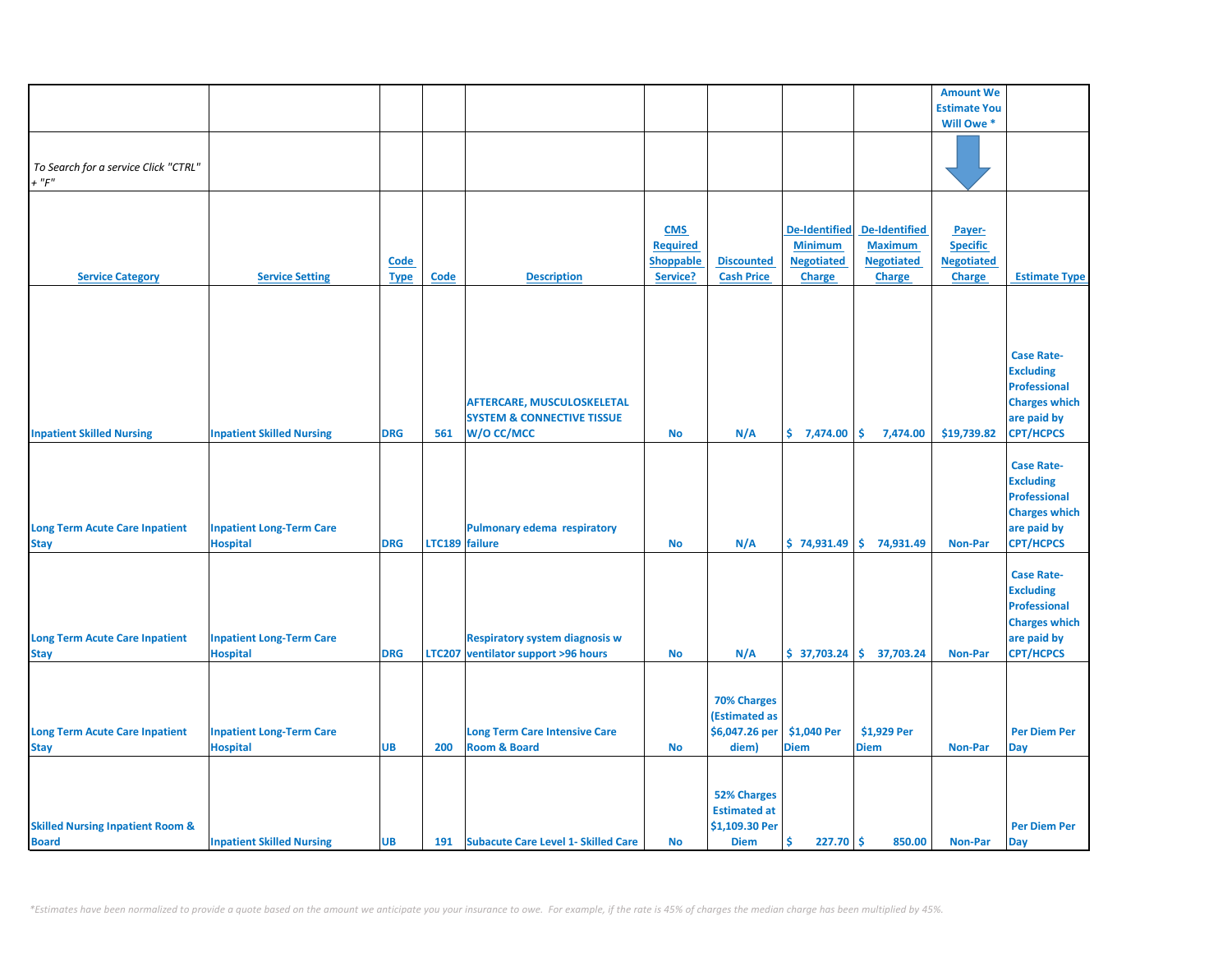|                                                             |                                                    |                     |                |                                                                                          |                                                               |                                                                            |                                                                              |                                                                              | <b>Amount We</b>                                                |                                                                                                                         |
|-------------------------------------------------------------|----------------------------------------------------|---------------------|----------------|------------------------------------------------------------------------------------------|---------------------------------------------------------------|----------------------------------------------------------------------------|------------------------------------------------------------------------------|------------------------------------------------------------------------------|-----------------------------------------------------------------|-------------------------------------------------------------------------------------------------------------------------|
|                                                             |                                                    |                     |                |                                                                                          |                                                               |                                                                            |                                                                              |                                                                              | <b>Estimate You</b>                                             |                                                                                                                         |
|                                                             |                                                    |                     |                |                                                                                          |                                                               |                                                                            |                                                                              |                                                                              | Will Owe *                                                      |                                                                                                                         |
| To Search for a service Click "CTRL"<br>$+$ " $F$ "         |                                                    |                     |                |                                                                                          |                                                               |                                                                            |                                                                              |                                                                              |                                                                 |                                                                                                                         |
| <b>Service Category</b>                                     | <b>Service Setting</b>                             | Code<br><b>Type</b> | <b>Code</b>    | <b>Description</b>                                                                       | <b>CMS</b><br><b>Required</b><br><b>Shoppable</b><br>Service? | <b>Discounted</b><br><b>Cash Price</b>                                     | <b>De-Identified</b><br><b>Minimum</b><br><b>Negotiated</b><br><b>Charge</b> | <b>De-Identified</b><br><b>Maximum</b><br><b>Negotiated</b><br><b>Charge</b> | Payer-<br><b>Specific</b><br><b>Negotiated</b><br><b>Charge</b> | <b>Estimate Type</b>                                                                                                    |
|                                                             |                                                    |                     |                |                                                                                          |                                                               |                                                                            |                                                                              |                                                                              |                                                                 |                                                                                                                         |
| <b>Inpatient Skilled Nursing</b>                            | <b>Inpatient Skilled Nursing</b>                   | <b>DRG</b>          | 561            | <b>AFTERCARE, MUSCULOSKELETAL</b><br><b>SYSTEM &amp; CONNECTIVE TISSUE</b><br>W/O CC/MCC | <b>No</b>                                                     | N/A                                                                        | \$7,474.00                                                                   | \$<br>7,474.00                                                               | \$19,739.82                                                     | <b>Case Rate-</b><br><b>Excluding</b><br><b>Professional</b><br><b>Charges which</b><br>are paid by<br><b>CPT/HCPCS</b> |
| <b>Long Term Acute Care Inpatient</b><br><b>Stay</b>        | <b>Inpatient Long-Term Care</b><br><b>Hospital</b> | <b>DRG</b>          | LTC189 failure | Pulmonary edema respiratory                                                              | No                                                            | N/A                                                                        |                                                                              | $$74,931.49$ $$74,931.49$                                                    | <b>Non-Par</b>                                                  | <b>Case Rate-</b><br><b>Excluding</b><br><b>Professional</b><br><b>Charges which</b><br>are paid by<br><b>CPT/HCPCS</b> |
| <b>Long Term Acute Care Inpatient</b><br><b>Stay</b>        | <b>Inpatient Long-Term Care</b><br><b>Hospital</b> | <b>DRG</b>          |                | <b>Respiratory system diagnosis w</b><br>LTC207 ventilator support >96 hours             | No                                                            | N/A                                                                        |                                                                              | $$37,703.24 \mid $37,703.24$$                                                | <b>Non-Par</b>                                                  | <b>Case Rate-</b><br><b>Excluding</b><br><b>Professional</b><br><b>Charges which</b><br>are paid by<br><b>CPT/HCPCS</b> |
| <b>Long Term Acute Care Inpatient</b><br><b>Stay</b>        | <b>Inpatient Long-Term Care</b><br><b>Hospital</b> | <b>UB</b>           | 200            | <b>Long Term Care Intensive Care</b><br><b>Room &amp; Board</b>                          | <b>No</b>                                                     | <b>70% Charges</b><br>(Estimated as<br>\$6,047.26 per<br>diem)             | \$1,040 Per<br><b>Diem</b>                                                   | \$1,929 Per<br><b>Diem</b>                                                   | <b>Non-Par</b>                                                  | <b>Per Diem Per</b><br>Day                                                                                              |
| <b>Skilled Nursing Inpatient Room &amp;</b><br><b>Board</b> | <b>Inpatient Skilled Nursing</b>                   | <b>UB</b>           |                | 191 Subacute Care Level 1- Skilled Care                                                  | <b>No</b>                                                     | <b>52% Charges</b><br><b>Estimated at</b><br>\$1,109.30 Per<br><b>Diem</b> | Ŝ<br>$227.70$ \$                                                             | 850.00                                                                       | <b>Non-Par</b>                                                  | <b>Per Diem Per</b><br>Day                                                                                              |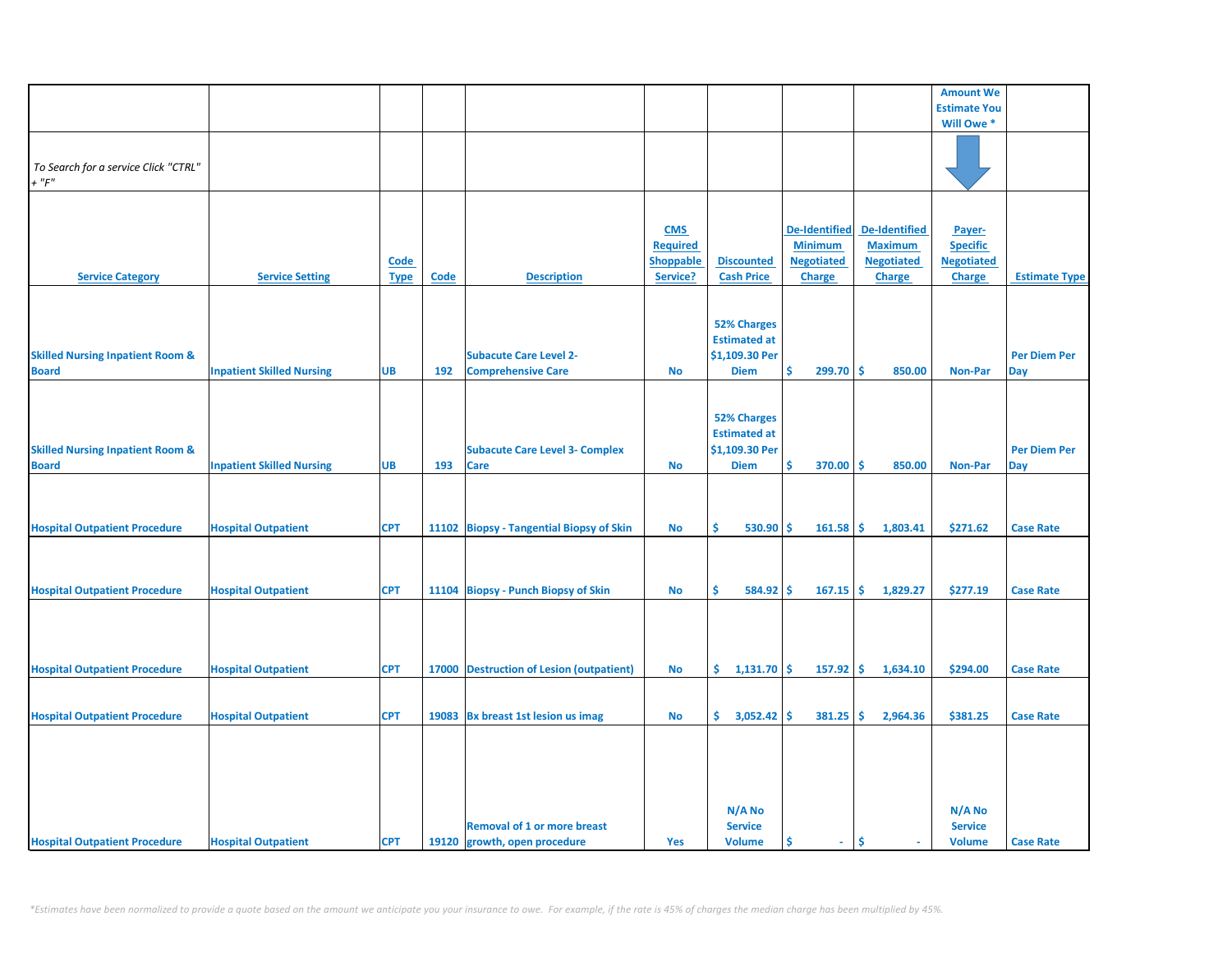|                                                             |                                  |                     |      |                                                                    |                                                               |                                                                            |                                                                              |                                                                              | <b>Amount We</b>                                                |                            |
|-------------------------------------------------------------|----------------------------------|---------------------|------|--------------------------------------------------------------------|---------------------------------------------------------------|----------------------------------------------------------------------------|------------------------------------------------------------------------------|------------------------------------------------------------------------------|-----------------------------------------------------------------|----------------------------|
|                                                             |                                  |                     |      |                                                                    |                                                               |                                                                            |                                                                              |                                                                              | <b>Estimate You</b>                                             |                            |
|                                                             |                                  |                     |      |                                                                    |                                                               |                                                                            |                                                                              |                                                                              | Will Owe *                                                      |                            |
| To Search for a service Click "CTRL"<br>$+$ " $F$ "         |                                  |                     |      |                                                                    |                                                               |                                                                            |                                                                              |                                                                              |                                                                 |                            |
| <b>Service Category</b>                                     | <b>Service Setting</b>           | Code<br><b>Type</b> | Code | <b>Description</b>                                                 | <b>CMS</b><br><b>Required</b><br><b>Shoppable</b><br>Service? | <b>Discounted</b><br><b>Cash Price</b>                                     | <b>De-Identified</b><br><b>Minimum</b><br><b>Negotiated</b><br><b>Charge</b> | <b>De-Identified</b><br><b>Maximum</b><br><b>Negotiated</b><br><b>Charge</b> | Payer-<br><b>Specific</b><br><b>Negotiated</b><br><b>Charge</b> | <b>Estimate Type</b>       |
| <b>Skilled Nursing Inpatient Room &amp;</b><br><b>Board</b> | <b>Inpatient Skilled Nursing</b> | <b>UB</b>           | 192  | <b>Subacute Care Level 2-</b><br><b>Comprehensive Care</b>         | <b>No</b>                                                     | <b>52% Charges</b><br><b>Estimated at</b><br>\$1,109.30 Per<br><b>Diem</b> | \$<br>$299.70$ \$                                                            | 850.00                                                                       | <b>Non-Par</b>                                                  | <b>Per Diem Per</b><br>Day |
| <b>Skilled Nursing Inpatient Room &amp;</b><br><b>Board</b> | <b>Inpatient Skilled Nursing</b> | <b>UB</b>           | 193  | <b>Subacute Care Level 3- Complex</b><br><b>Care</b>               | <b>No</b>                                                     | <b>52% Charges</b><br><b>Estimated at</b><br>\$1,109.30 Per<br><b>Diem</b> | \$<br>370.00                                                                 | ۱\$<br>850.00                                                                | <b>Non-Par</b>                                                  | <b>Per Diem Per</b><br>Day |
| <b>Hospital Outpatient Procedure</b>                        | <b>Hospital Outpatient</b>       | <b>CPT</b>          |      | 11102 Biopsy - Tangential Biopsy of Skin                           | <b>No</b>                                                     | 530.90<br>Ś.                                                               | -Ś<br>161.58                                                                 | l\$<br>1,803.41                                                              | \$271.62                                                        | <b>Case Rate</b>           |
| <b>Hospital Outpatient Procedure</b>                        | <b>Hospital Outpatient</b>       | <b>CPT</b>          |      | 11104 Biopsy - Punch Biopsy of Skin                                | <b>No</b>                                                     | Ś.<br>584.92                                                               | -Ś<br>$167.15$ \$                                                            | 1,829.27                                                                     | \$277.19                                                        | <b>Case Rate</b>           |
| <b>Hospital Outpatient Procedure</b>                        | <b>Hospital Outpatient</b>       | <b>CPT</b>          |      | 17000 Destruction of Lesion (outpatient)                           | No                                                            | $1,131.70$ \$<br>\$.                                                       | $157.92$ \$                                                                  | 1,634.10                                                                     | \$294.00                                                        | <b>Case Rate</b>           |
| <b>Hospital Outpatient Procedure</b>                        | <b>Hospital Outpatient</b>       | <b>CPT</b>          |      | 19083 Bx breast 1st lesion us imag                                 | No                                                            | $\frac{1}{2}$ 3,052.42 \$                                                  | $381.25$ \$                                                                  | 2,964.36                                                                     | \$381.25                                                        | <b>Case Rate</b>           |
| <b>Hospital Outpatient Procedure</b>                        | <b>Hospital Outpatient</b>       | <b>CPT</b>          |      | <b>Removal of 1 or more breast</b><br>19120 growth, open procedure | Yes                                                           | N/A No<br><b>Service</b><br><b>Volume</b>                                  | Ś<br>$\sim$                                                                  | Ŝ                                                                            | N/A No<br><b>Service</b><br><b>Volume</b>                       | <b>Case Rate</b>           |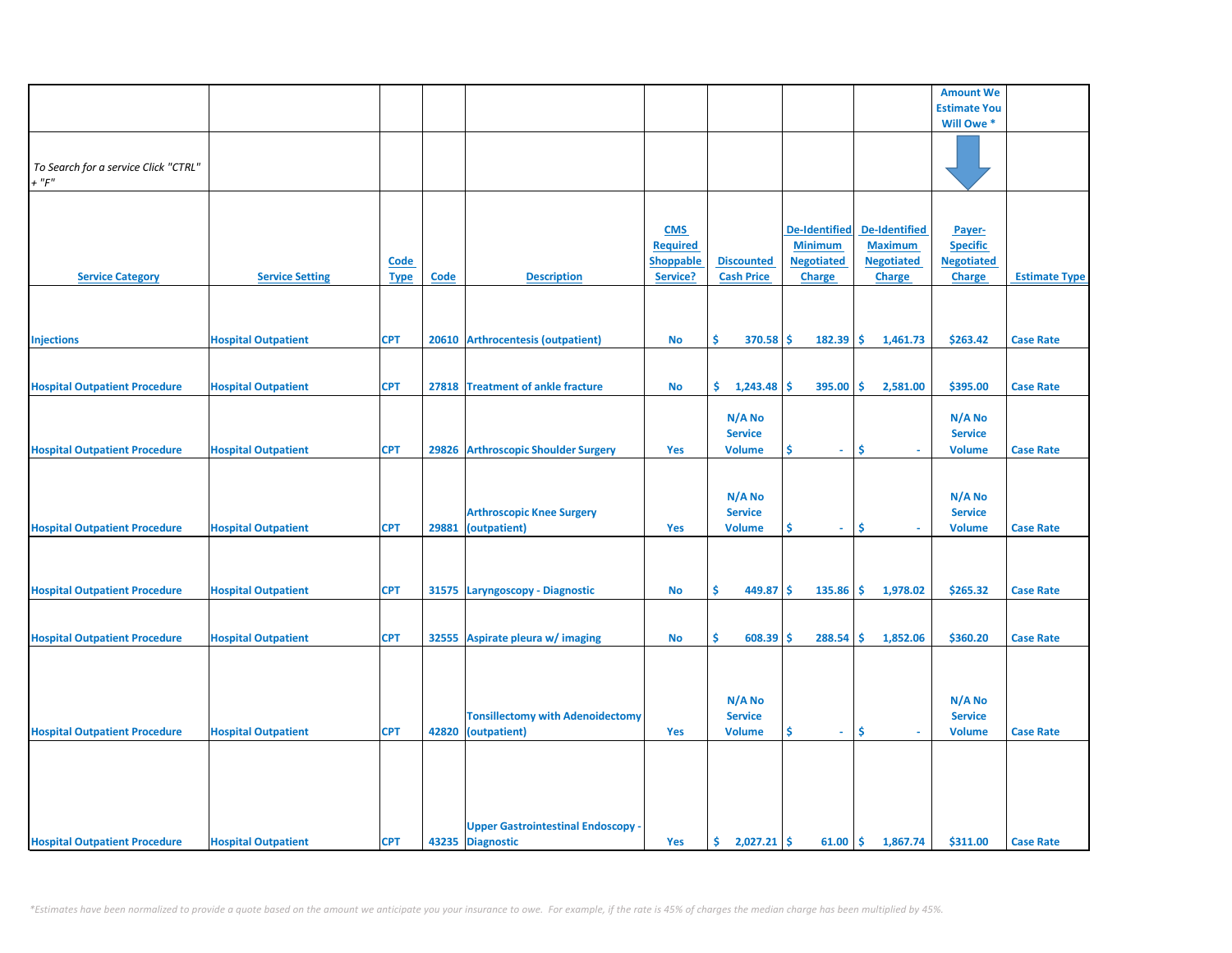|                                      |                            |             |             |                                           |                  |                   |                      |                      | <b>Amount We</b>    |                      |
|--------------------------------------|----------------------------|-------------|-------------|-------------------------------------------|------------------|-------------------|----------------------|----------------------|---------------------|----------------------|
|                                      |                            |             |             |                                           |                  |                   |                      |                      | <b>Estimate You</b> |                      |
|                                      |                            |             |             |                                           |                  |                   |                      |                      | Will Owe *          |                      |
|                                      |                            |             |             |                                           |                  |                   |                      |                      |                     |                      |
|                                      |                            |             |             |                                           |                  |                   |                      |                      |                     |                      |
| To Search for a service Click "CTRL" |                            |             |             |                                           |                  |                   |                      |                      |                     |                      |
| $+$ " $F$ "                          |                            |             |             |                                           |                  |                   |                      |                      |                     |                      |
|                                      |                            |             |             |                                           |                  |                   |                      |                      |                     |                      |
|                                      |                            |             |             |                                           |                  |                   |                      |                      |                     |                      |
|                                      |                            |             |             |                                           |                  |                   |                      |                      |                     |                      |
|                                      |                            |             |             |                                           | <b>CMS</b>       |                   | <b>De-Identified</b> | <b>De-Identified</b> | Payer-              |                      |
|                                      |                            |             |             |                                           | <b>Required</b>  |                   | <b>Minimum</b>       | <b>Maximum</b>       | <b>Specific</b>     |                      |
|                                      |                            |             |             |                                           |                  |                   |                      |                      |                     |                      |
|                                      |                            | <b>Code</b> |             |                                           | <b>Shoppable</b> | <b>Discounted</b> | <b>Negotiated</b>    | <b>Negotiated</b>    | <b>Negotiated</b>   |                      |
| <b>Service Category</b>              | <b>Service Setting</b>     | <b>Type</b> | <b>Code</b> | <b>Description</b>                        | Service?         | <b>Cash Price</b> | <b>Charge</b>        | <b>Charge</b>        | <b>Charge</b>       | <b>Estimate Type</b> |
|                                      |                            |             |             |                                           |                  |                   |                      |                      |                     |                      |
|                                      |                            |             |             |                                           |                  |                   |                      |                      |                     |                      |
|                                      |                            |             |             |                                           |                  |                   |                      |                      |                     |                      |
|                                      |                            |             |             |                                           |                  |                   |                      |                      |                     |                      |
| <b>Injections</b>                    | <b>Hospital Outpatient</b> | <b>CPT</b>  | 20610       | <b>Arthrocentesis (outpatient)</b>        | No               | \$<br>370.58      | Ŝ.<br>182.39         | \$<br>1,461.73       | \$263.42            | <b>Case Rate</b>     |
|                                      |                            |             |             |                                           |                  |                   |                      |                      |                     |                      |
|                                      |                            |             |             |                                           |                  |                   |                      |                      |                     |                      |
| <b>Hospital Outpatient Procedure</b> | <b>Hospital Outpatient</b> | <b>CPT</b>  |             | 27818 Treatment of ankle fracture         | <b>No</b>        | 1,243.48<br>\$.   | 395.00<br>\$.        | Ŝ.<br>2,581.00       | \$395.00            | <b>Case Rate</b>     |
|                                      |                            |             |             |                                           |                  |                   |                      |                      |                     |                      |
|                                      |                            |             |             |                                           |                  |                   |                      |                      |                     |                      |
|                                      |                            |             |             |                                           |                  | N/A No            |                      |                      | $N/A$ No            |                      |
|                                      |                            |             |             |                                           |                  | <b>Service</b>    |                      |                      | <b>Service</b>      |                      |
| <b>Hospital Outpatient Procedure</b> | <b>Hospital Outpatient</b> | <b>CPT</b>  |             | 29826 Arthroscopic Shoulder Surgery       | <b>Yes</b>       | <b>Volume</b>     | \$.<br>$\sim$        | \$                   | <b>Volume</b>       | <b>Case Rate</b>     |
|                                      |                            |             |             |                                           |                  |                   |                      |                      |                     |                      |
|                                      |                            |             |             |                                           |                  |                   |                      |                      |                     |                      |
|                                      |                            |             |             |                                           |                  |                   |                      |                      |                     |                      |
|                                      |                            |             |             |                                           |                  | N/A No            |                      |                      | N/A No              |                      |
|                                      |                            |             |             | <b>Arthroscopic Knee Surgery</b>          |                  | <b>Service</b>    |                      |                      | <b>Service</b>      |                      |
|                                      |                            | <b>CPT</b>  | 29881       |                                           | Yes              |                   | \$<br>$\omega$ .     | Ŝ                    |                     | <b>Case Rate</b>     |
| <b>Hospital Outpatient Procedure</b> | <b>Hospital Outpatient</b> |             |             | (outpatient)                              |                  | <b>Volume</b>     |                      |                      | <b>Volume</b>       |                      |
|                                      |                            |             |             |                                           |                  |                   |                      |                      |                     |                      |
|                                      |                            |             |             |                                           |                  |                   |                      |                      |                     |                      |
|                                      |                            |             |             |                                           |                  |                   |                      |                      |                     |                      |
| <b>Hospital Outpatient Procedure</b> | <b>Hospital Outpatient</b> | <b>CPT</b>  |             | 31575 Laryngoscopy - Diagnostic           | <b>No</b>        | \$<br>449.87      | \$<br>135.86         | \$<br>1,978.02       | \$265.32            | <b>Case Rate</b>     |
|                                      |                            |             |             |                                           |                  |                   |                      |                      |                     |                      |
|                                      |                            |             |             |                                           |                  |                   |                      |                      |                     |                      |
|                                      |                            |             |             |                                           |                  |                   |                      |                      |                     |                      |
| <b>Hospital Outpatient Procedure</b> | <b>Hospital Outpatient</b> | <b>CPT</b>  | 32555       | Aspirate pleura w/ imaging                | No               | \$<br>608.39      | 288.54<br>Ś          | Ś<br>1,852.06        | \$360.20            | <b>Case Rate</b>     |
|                                      |                            |             |             |                                           |                  |                   |                      |                      |                     |                      |
|                                      |                            |             |             |                                           |                  |                   |                      |                      |                     |                      |
|                                      |                            |             |             |                                           |                  |                   |                      |                      |                     |                      |
|                                      |                            |             |             |                                           |                  |                   |                      |                      |                     |                      |
|                                      |                            |             |             |                                           |                  | N/A No            |                      |                      | N/A No              |                      |
|                                      |                            |             |             | <b>Tonsillectomy with Adenoidectomy</b>   |                  | <b>Service</b>    |                      |                      | <b>Service</b>      |                      |
|                                      |                            |             |             |                                           |                  |                   |                      | \$<br>a.             |                     |                      |
| <b>Hospital Outpatient Procedure</b> | <b>Hospital Outpatient</b> | <b>CPT</b>  |             | 42820 (outpatient)                        | Yes              | <b>Volume</b>     | \$<br>$\sim$         |                      | <b>Volume</b>       | <b>Case Rate</b>     |
|                                      |                            |             |             |                                           |                  |                   |                      |                      |                     |                      |
|                                      |                            |             |             |                                           |                  |                   |                      |                      |                     |                      |
|                                      |                            |             |             |                                           |                  |                   |                      |                      |                     |                      |
|                                      |                            |             |             |                                           |                  |                   |                      |                      |                     |                      |
|                                      |                            |             |             |                                           |                  |                   |                      |                      |                     |                      |
|                                      |                            |             |             |                                           |                  |                   |                      |                      |                     |                      |
|                                      |                            |             |             | <b>Upper Gastrointestinal Endoscopy -</b> |                  |                   |                      |                      |                     |                      |
| <b>Hospital Outpatient Procedure</b> | <b>Hospital Outpatient</b> | <b>CPT</b>  |             | 43235 Diagnostic                          | Yes              | \$.<br>2,027.21   | -\$<br>61.00         | \$<br>1,867.74       | \$311.00            | <b>Case Rate</b>     |
|                                      |                            |             |             |                                           |                  |                   |                      |                      |                     |                      |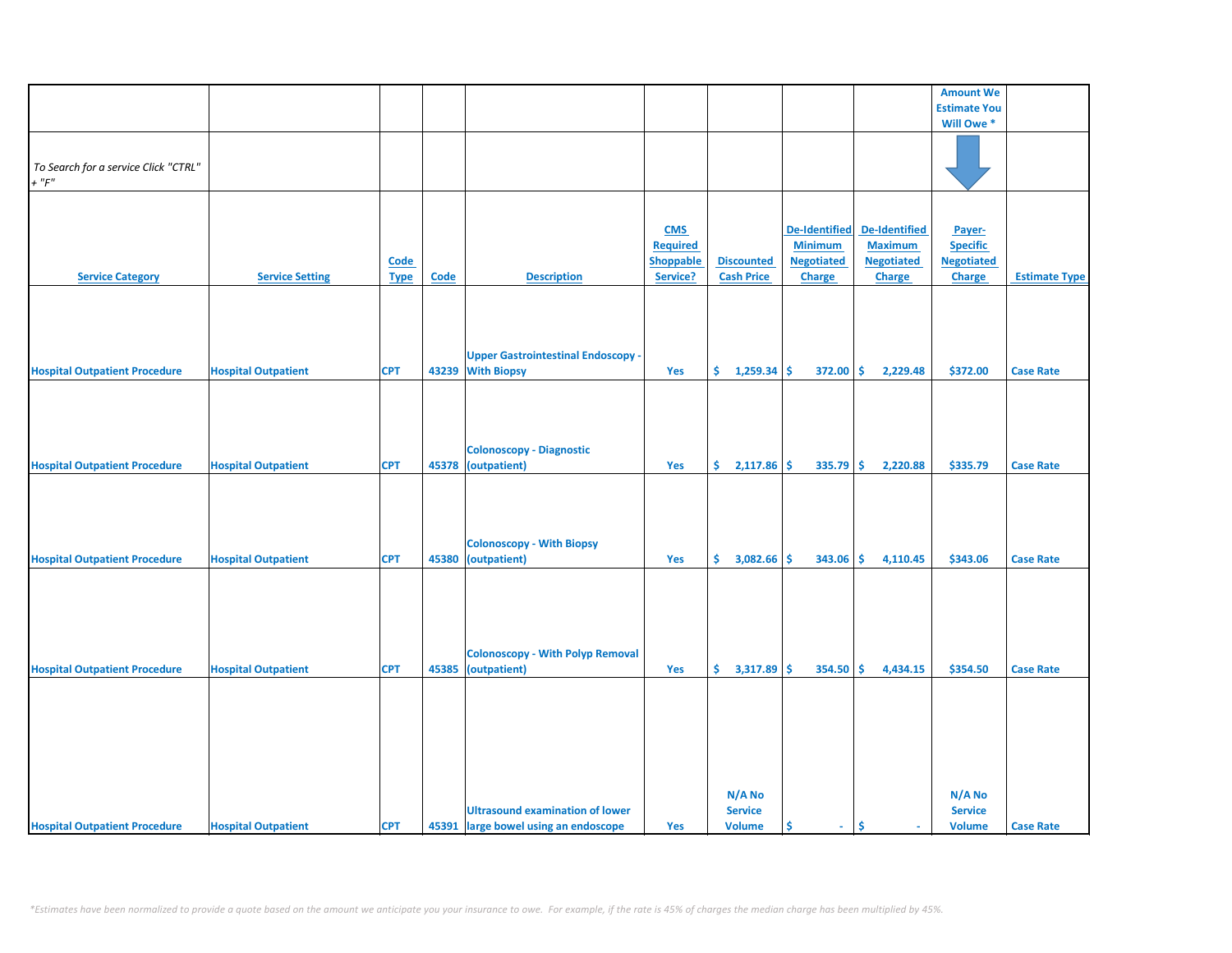|                                                    |                            |             |             |                                                         |                  |                                           |                      |                          | <b>Amount We</b>                          |                      |
|----------------------------------------------------|----------------------------|-------------|-------------|---------------------------------------------------------|------------------|-------------------------------------------|----------------------|--------------------------|-------------------------------------------|----------------------|
|                                                    |                            |             |             |                                                         |                  |                                           |                      |                          | <b>Estimate You</b>                       |                      |
|                                                    |                            |             |             |                                                         |                  |                                           |                      |                          | Will Owe *                                |                      |
|                                                    |                            |             |             |                                                         |                  |                                           |                      |                          |                                           |                      |
| To Search for a service Click "CTRL"<br>$+$ " $F"$ |                            |             |             |                                                         |                  |                                           |                      |                          |                                           |                      |
|                                                    |                            |             |             |                                                         |                  |                                           |                      |                          |                                           |                      |
|                                                    |                            |             |             |                                                         |                  |                                           |                      |                          |                                           |                      |
|                                                    |                            |             |             |                                                         | <b>CMS</b>       |                                           | <b>De-Identified</b> | <b>De-Identified</b>     | Payer-                                    |                      |
|                                                    |                            |             |             |                                                         | <b>Required</b>  |                                           | <b>Minimum</b>       | <b>Maximum</b>           | <b>Specific</b>                           |                      |
|                                                    |                            | <b>Code</b> |             |                                                         | <b>Shoppable</b> | <b>Discounted</b>                         | <b>Negotiated</b>    | <b>Negotiated</b>        | <b>Negotiated</b>                         |                      |
| <b>Service Category</b>                            | <b>Service Setting</b>     | <b>Type</b> | <b>Code</b> | <b>Description</b>                                      | Service?         | <b>Cash Price</b>                         | <b>Charge</b>        | <b>Charge</b>            | Charge                                    | <b>Estimate Type</b> |
|                                                    |                            |             |             |                                                         |                  |                                           |                      |                          |                                           |                      |
|                                                    |                            |             |             | <b>Upper Gastrointestinal Endoscopy -</b>               |                  |                                           |                      |                          |                                           |                      |
|                                                    | <b>Hospital Outpatient</b> | <b>CPT</b>  |             | 43239 With Biopsy                                       | Yes              | \$.<br>1,259.34                           | \$<br>372.00         | \$<br>2,229.48           | \$372.00                                  | <b>Case Rate</b>     |
| <b>Hospital Outpatient Procedure</b>               |                            |             |             |                                                         |                  |                                           |                      |                          |                                           |                      |
|                                                    |                            |             |             | <b>Colonoscopy - Diagnostic</b>                         |                  |                                           |                      |                          |                                           |                      |
| <b>Hospital Outpatient Procedure</b>               | <b>Hospital Outpatient</b> | <b>CPT</b>  | 45378       | (outpatient)                                            | Yes              | \$<br>2,117.86                            | \$<br>335.79         | \$<br>2,220.88           | \$335.79                                  | <b>Case Rate</b>     |
|                                                    |                            | <b>CPT</b>  |             | <b>Colonoscopy - With Biopsy</b>                        |                  |                                           |                      | Ś.                       |                                           |                      |
| <b>Hospital Outpatient Procedure</b>               | <b>Hospital Outpatient</b> |             |             | 45380 (outpatient)                                      | Yes              | \$.<br>3,082.66                           | Ŝ.<br>343.06         | 4,110.45                 | \$343.06                                  | <b>Case Rate</b>     |
| <b>Hospital Outpatient Procedure</b>               | <b>Hospital Outpatient</b> | <b>CPT</b>  | 45385       | <b>Colonoscopy - With Polyp Removal</b><br>(outpatient) | Yes              | \$.<br>3,317.89                           | \$<br>354.50         | \$<br>4,434.15           | \$354.50                                  | <b>Case Rate</b>     |
|                                                    |                            |             |             |                                                         |                  |                                           |                      |                          |                                           |                      |
|                                                    |                            | <b>CPT</b>  |             | <b>Ultrasound examination of lower</b>                  |                  | N/A No<br><b>Service</b><br><b>Volume</b> | \$<br>$\sim$         | \$.                      | N/A No<br><b>Service</b><br><b>Volume</b> |                      |
| <b>Hospital Outpatient Procedure</b>               | <b>Hospital Outpatient</b> |             |             | 45391 large bowel using an endoscope                    | Yes              |                                           |                      | $\overline{\phantom{a}}$ |                                           | <b>Case Rate</b>     |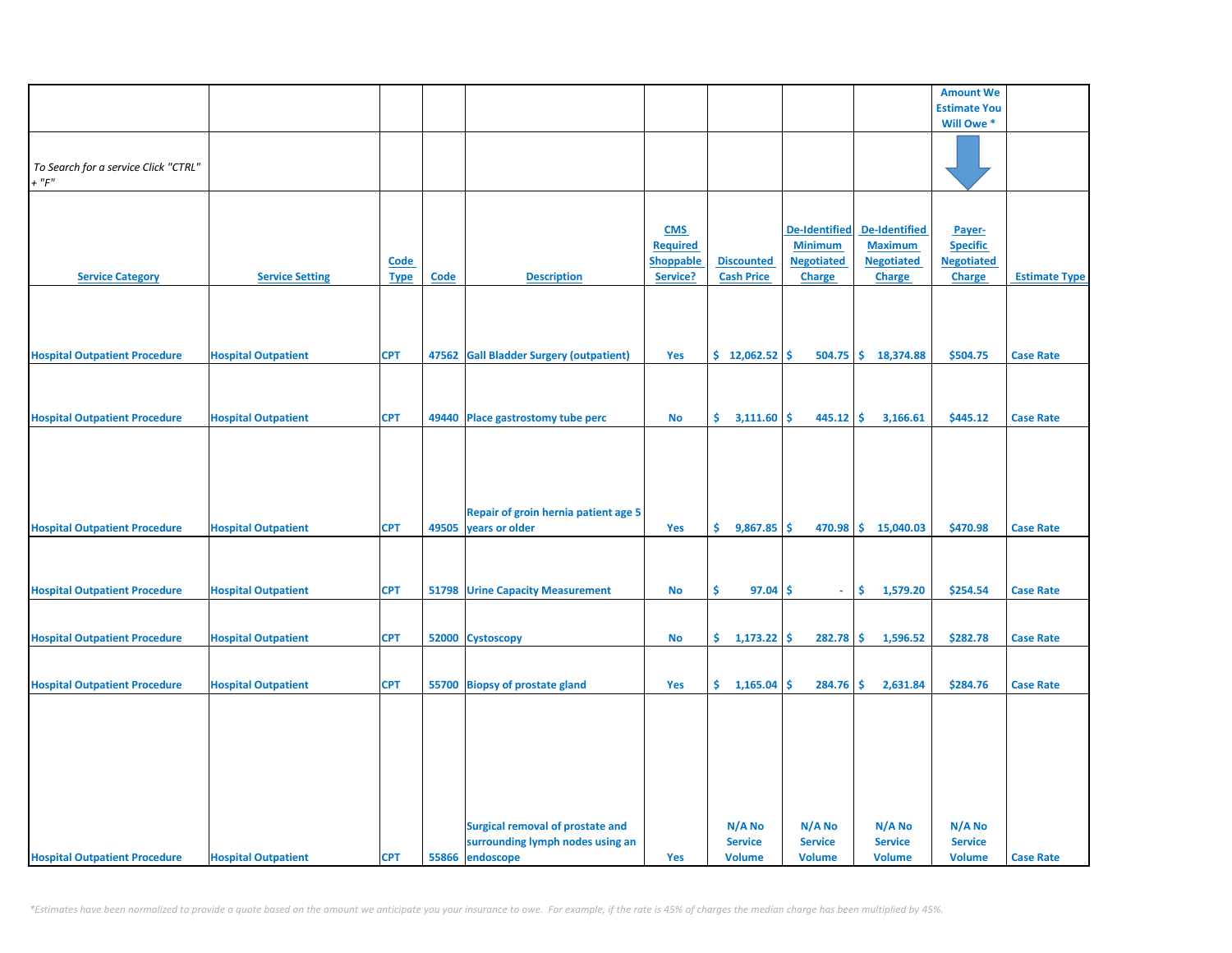|                                                     |                            |                            |       |                                                                                                |                                                               |                                           |                                                                       |                                                                       | <b>Amount We</b>                                                |                      |
|-----------------------------------------------------|----------------------------|----------------------------|-------|------------------------------------------------------------------------------------------------|---------------------------------------------------------------|-------------------------------------------|-----------------------------------------------------------------------|-----------------------------------------------------------------------|-----------------------------------------------------------------|----------------------|
|                                                     |                            |                            |       |                                                                                                |                                                               |                                           |                                                                       |                                                                       | <b>Estimate You</b>                                             |                      |
|                                                     |                            |                            |       |                                                                                                |                                                               |                                           |                                                                       |                                                                       | Will Owe *                                                      |                      |
| To Search for a service Click "CTRL"<br>$+$ " $F$ " |                            |                            |       |                                                                                                |                                                               |                                           |                                                                       |                                                                       |                                                                 |                      |
| <b>Service Category</b>                             | <b>Service Setting</b>     | <b>Code</b><br><b>Type</b> | Code  | <b>Description</b>                                                                             | <b>CMS</b><br><b>Required</b><br><b>Shoppable</b><br>Service? | <b>Discounted</b><br><b>Cash Price</b>    | <b>De-Identified</b><br><b>Minimum</b><br><b>Negotiated</b><br>Charge | <b>De-Identified</b><br><b>Maximum</b><br><b>Negotiated</b><br>Charge | Payer-<br><b>Specific</b><br><b>Negotiated</b><br><b>Charge</b> | <b>Estimate Type</b> |
| <b>Hospital Outpatient Procedure</b>                | <b>Hospital Outpatient</b> | <b>CPT</b>                 | 47562 | <b>Gall Bladder Surgery (outpatient)</b>                                                       | Yes                                                           | \$12,062.52                               | Ŝ<br>504.75                                                           | \$18,374.88                                                           | \$504.75                                                        | <b>Case Rate</b>     |
|                                                     |                            |                            |       |                                                                                                |                                                               |                                           |                                                                       |                                                                       |                                                                 |                      |
| <b>Hospital Outpatient Procedure</b>                | <b>Hospital Outpatient</b> | <b>CPT</b>                 |       | 49440 Place gastrostomy tube perc                                                              | No                                                            | \$.<br>3,111.60                           | \$<br>445.12                                                          | -\$<br>3,166.61                                                       | \$445.12                                                        | <b>Case Rate</b>     |
| <b>Hospital Outpatient Procedure</b>                | <b>Hospital Outpatient</b> | <b>CPT</b>                 | 49505 | Repair of groin hernia patient age 5<br>years or older                                         | Yes                                                           | \$.<br>$9,867.85$ \$                      |                                                                       | 470.98 \$ 15,040.03                                                   | \$470.98                                                        | <b>Case Rate</b>     |
| <b>Hospital Outpatient Procedure</b>                | <b>Hospital Outpatient</b> | <b>CPT</b>                 | 51798 | <b>Urine Capacity Measurement</b>                                                              | No                                                            | \$<br>97.04                               | \$<br>$\omega$                                                        | \$<br>1,579.20                                                        | \$254.54                                                        | <b>Case Rate</b>     |
| <b>Hospital Outpatient Procedure</b>                | <b>Hospital Outpatient</b> | <b>CPT</b>                 |       | 52000 Cystoscopy                                                                               | No                                                            | \$.<br>$1,173.22$ \$                      | 282.78                                                                | \$<br>1,596.52                                                        | \$282.78                                                        | <b>Case Rate</b>     |
| <b>Hospital Outpatient Procedure</b>                | <b>Hospital Outpatient</b> | <b>CPT</b>                 |       | 55700 Biopsy of prostate gland                                                                 | Yes                                                           | \$.<br>1,165.04                           | \$<br>284.76                                                          | \$<br>2,631.84                                                        | \$284.76                                                        | <b>Case Rate</b>     |
| <b>Hospital Outpatient Procedure</b>                | <b>Hospital Outpatient</b> | <b>CPT</b>                 |       | <b>Surgical removal of prostate and</b><br>surrounding lymph nodes using an<br>55866 endoscope | Yes                                                           | N/A No<br><b>Service</b><br><b>Volume</b> | N/A No<br><b>Service</b><br><b>Volume</b>                             | N/A No<br><b>Service</b><br><b>Volume</b>                             | $N/A$ No<br><b>Service</b><br><b>Volume</b>                     | <b>Case Rate</b>     |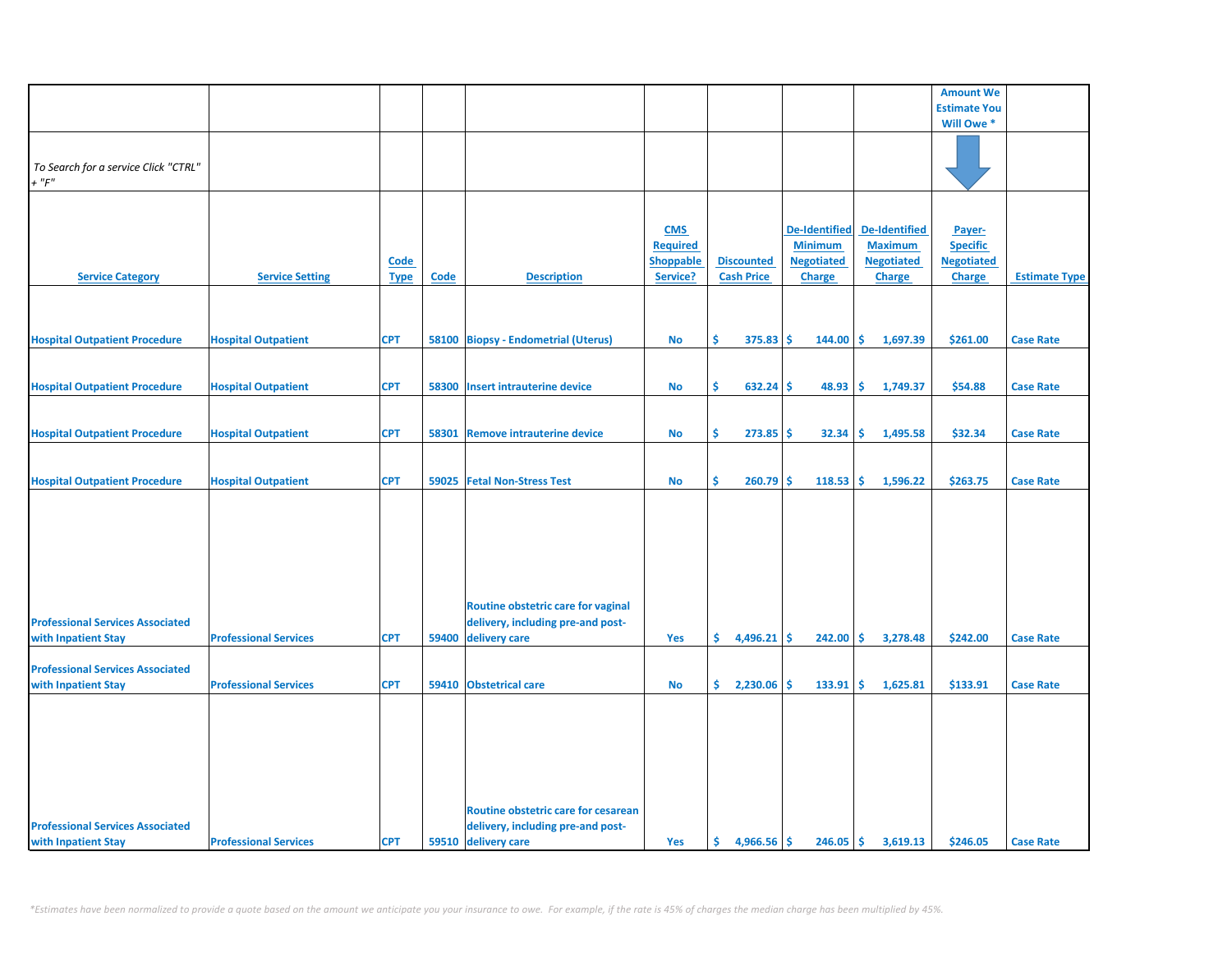|                                                     |                              |                     |       |                                                                          |                                                               |                                        |     |                                                                              |                                                                              | <b>Amount We</b>                                                |                      |
|-----------------------------------------------------|------------------------------|---------------------|-------|--------------------------------------------------------------------------|---------------------------------------------------------------|----------------------------------------|-----|------------------------------------------------------------------------------|------------------------------------------------------------------------------|-----------------------------------------------------------------|----------------------|
|                                                     |                              |                     |       |                                                                          |                                                               |                                        |     |                                                                              |                                                                              | <b>Estimate You</b>                                             |                      |
|                                                     |                              |                     |       |                                                                          |                                                               |                                        |     |                                                                              |                                                                              | Will Owe *                                                      |                      |
| To Search for a service Click "CTRL"<br>$+$ " $F$ " |                              |                     |       |                                                                          |                                                               |                                        |     |                                                                              |                                                                              |                                                                 |                      |
| <b>Service Category</b>                             | <b>Service Setting</b>       | Code<br><b>Type</b> | Code  | <b>Description</b>                                                       | <b>CMS</b><br><b>Required</b><br><b>Shoppable</b><br>Service? | <b>Discounted</b><br><b>Cash Price</b> |     | <b>De-Identified</b><br><b>Minimum</b><br><b>Negotiated</b><br><b>Charge</b> | <b>De-Identified</b><br><b>Maximum</b><br><b>Negotiated</b><br><b>Charge</b> | Payer-<br><b>Specific</b><br><b>Negotiated</b><br><b>Charge</b> | <b>Estimate Type</b> |
|                                                     |                              |                     |       |                                                                          |                                                               |                                        |     |                                                                              |                                                                              |                                                                 |                      |
| <b>Hospital Outpatient Procedure</b>                | <b>Hospital Outpatient</b>   | <b>CPT</b>          |       | 58100 Biopsy - Endometrial (Uterus)                                      | No                                                            | Ś.<br>$375.83$ \$                      |     | $144.00$ \$                                                                  | 1,697.39                                                                     | \$261.00                                                        | <b>Case Rate</b>     |
| <b>Hospital Outpatient Procedure</b>                | <b>Hospital Outpatient</b>   | <b>CPT</b>          | 58300 | <b>Insert intrauterine device</b>                                        | <b>No</b>                                                     | Ŝ.<br>632.24                           | -Ś  | 48.93                                                                        | ١Ś<br>1,749.37                                                               | \$54.88                                                         | <b>Case Rate</b>     |
| <b>Hospital Outpatient Procedure</b>                | <b>Hospital Outpatient</b>   | <b>CPT</b>          | 58301 | <b>Remove intrauterine device</b>                                        | <b>No</b>                                                     | Ŝ.<br>273.85                           | -Ś  | 32.34                                                                        | l\$<br>1,495.58                                                              | \$32.34                                                         | <b>Case Rate</b>     |
| <b>Hospital Outpatient Procedure</b>                | <b>Hospital Outpatient</b>   | <b>CPT</b>          |       | 59025 Fetal Non-Stress Test                                              | No                                                            | \$<br>260.79                           | -\$ | 118.53                                                                       | 1,596.22<br>١\$                                                              | \$263.75                                                        | <b>Case Rate</b>     |
|                                                     |                              |                     |       |                                                                          |                                                               |                                        |     |                                                                              |                                                                              |                                                                 |                      |
|                                                     |                              |                     |       | Routine obstetric care for vaginal                                       |                                                               |                                        |     |                                                                              |                                                                              |                                                                 |                      |
| <b>Professional Services Associated</b>             |                              |                     |       | delivery, including pre-and post-                                        |                                                               |                                        |     |                                                                              |                                                                              |                                                                 |                      |
| with Inpatient Stay                                 | <b>Professional Services</b> | <b>CPT</b>          | 59400 | delivery care                                                            | Yes                                                           | \$.<br>4,496.21                        | -\$ | 242.00                                                                       | 3,278.48<br>۱\$                                                              | \$242.00                                                        | <b>Case Rate</b>     |
| <b>Professional Services Associated</b>             |                              |                     |       |                                                                          |                                                               |                                        |     |                                                                              |                                                                              |                                                                 |                      |
| with Inpatient Stay                                 | <b>Professional Services</b> | <b>CPT</b>          |       | 59410 Obstetrical care                                                   | <b>No</b>                                                     | \$.<br>2,230.06                        | -Ś  | 133.91                                                                       | <b>S</b><br>1,625.81                                                         | \$133.91                                                        | <b>Case Rate</b>     |
| <b>Professional Services Associated</b>             |                              |                     |       | Routine obstetric care for cesarean<br>delivery, including pre-and post- |                                                               |                                        |     |                                                                              |                                                                              |                                                                 |                      |
| with Inpatient Stay                                 | <b>Professional Services</b> | <b>CPT</b>          |       | 59510 delivery care                                                      | Yes                                                           | Ś.<br>$4,966.56$ \$                    |     | $246.05$ \$                                                                  | 3,619.13                                                                     | \$246.05                                                        | <b>Case Rate</b>     |
|                                                     |                              |                     |       |                                                                          |                                                               |                                        |     |                                                                              |                                                                              |                                                                 |                      |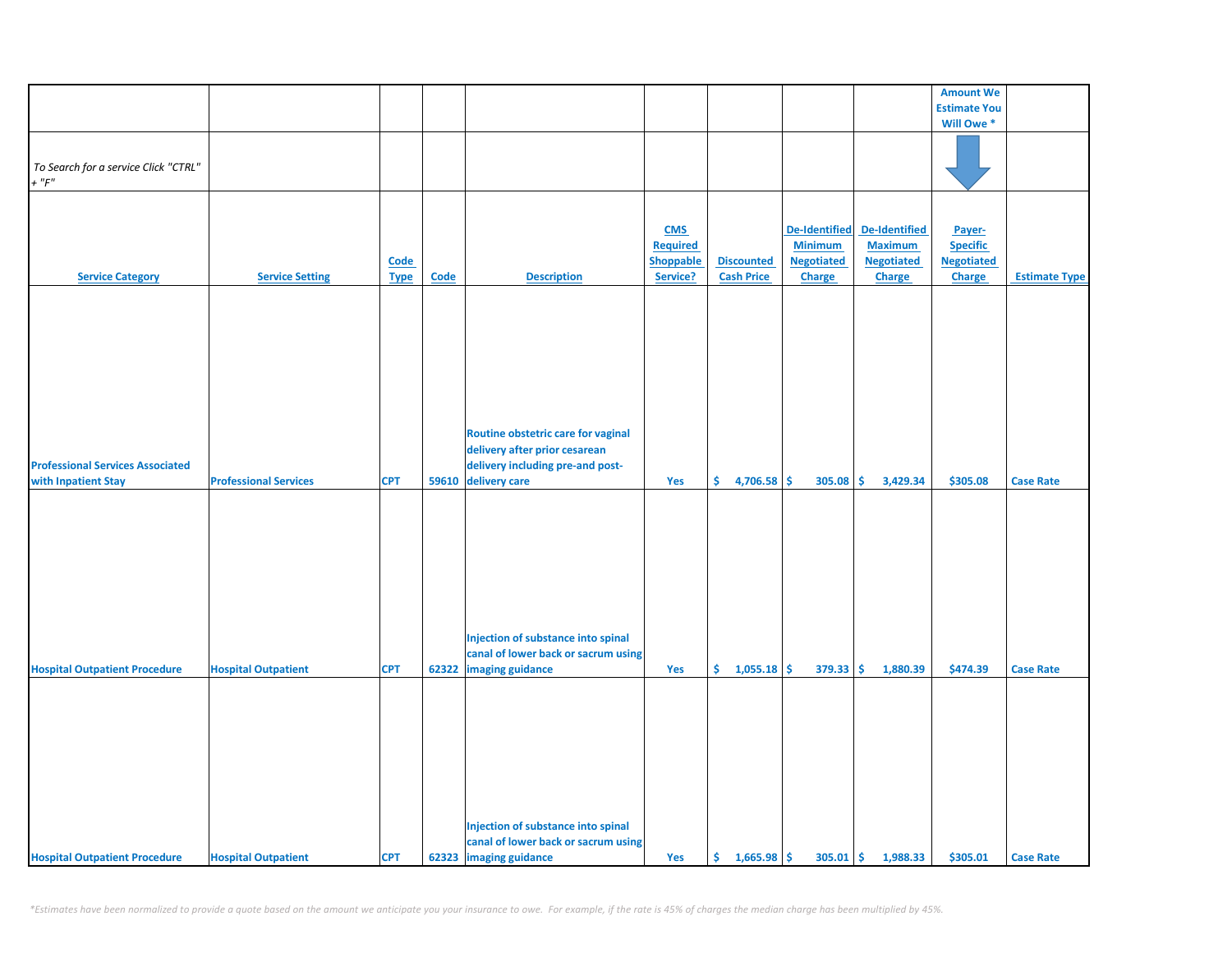|                                         |                              |             |       |                                     |                  |                   |                      |                      | <b>Amount We</b>    |                      |
|-----------------------------------------|------------------------------|-------------|-------|-------------------------------------|------------------|-------------------|----------------------|----------------------|---------------------|----------------------|
|                                         |                              |             |       |                                     |                  |                   |                      |                      |                     |                      |
|                                         |                              |             |       |                                     |                  |                   |                      |                      | <b>Estimate You</b> |                      |
|                                         |                              |             |       |                                     |                  |                   |                      |                      | Will Owe *          |                      |
|                                         |                              |             |       |                                     |                  |                   |                      |                      |                     |                      |
| To Search for a service Click "CTRL"    |                              |             |       |                                     |                  |                   |                      |                      |                     |                      |
| $+$ " $F$ "                             |                              |             |       |                                     |                  |                   |                      |                      |                     |                      |
|                                         |                              |             |       |                                     |                  |                   |                      |                      |                     |                      |
|                                         |                              |             |       |                                     |                  |                   |                      |                      |                     |                      |
|                                         |                              |             |       |                                     |                  |                   |                      |                      |                     |                      |
|                                         |                              |             |       |                                     | <b>CMS</b>       |                   | <b>De-Identified</b> | <b>De-Identified</b> | Payer-              |                      |
|                                         |                              |             |       |                                     | <b>Required</b>  |                   | <b>Minimum</b>       | <b>Maximum</b>       | <b>Specific</b>     |                      |
|                                         |                              | Code        |       |                                     | <b>Shoppable</b> | <b>Discounted</b> | <b>Negotiated</b>    | <b>Negotiated</b>    | <b>Negotiated</b>   |                      |
| <b>Service Category</b>                 | <b>Service Setting</b>       | <b>Type</b> | Code  | <b>Description</b>                  | Service?         | <b>Cash Price</b> | <b>Charge</b>        | Charge               | Charge              | <b>Estimate Type</b> |
|                                         |                              |             |       |                                     |                  |                   |                      |                      |                     |                      |
|                                         |                              |             |       |                                     |                  |                   |                      |                      |                     |                      |
|                                         |                              |             |       |                                     |                  |                   |                      |                      |                     |                      |
|                                         |                              |             |       |                                     |                  |                   |                      |                      |                     |                      |
|                                         |                              |             |       |                                     |                  |                   |                      |                      |                     |                      |
|                                         |                              |             |       |                                     |                  |                   |                      |                      |                     |                      |
|                                         |                              |             |       |                                     |                  |                   |                      |                      |                     |                      |
|                                         |                              |             |       |                                     |                  |                   |                      |                      |                     |                      |
|                                         |                              |             |       |                                     |                  |                   |                      |                      |                     |                      |
|                                         |                              |             |       |                                     |                  |                   |                      |                      |                     |                      |
|                                         |                              |             |       | Routine obstetric care for vaginal  |                  |                   |                      |                      |                     |                      |
|                                         |                              |             |       | delivery after prior cesarean       |                  |                   |                      |                      |                     |                      |
| <b>Professional Services Associated</b> |                              |             |       | delivery including pre-and post-    |                  |                   |                      |                      |                     |                      |
|                                         |                              |             |       |                                     |                  |                   |                      |                      |                     |                      |
| with Inpatient Stay                     | <b>Professional Services</b> | <b>CPT</b>  | 59610 | delivery care                       | Yes              | \$<br>4,706.58    | \$<br>305.08         | \$<br>3,429.34       | \$305.08            | <b>Case Rate</b>     |
|                                         |                              |             |       |                                     |                  |                   |                      |                      |                     |                      |
|                                         |                              |             |       |                                     |                  |                   |                      |                      |                     |                      |
|                                         |                              |             |       |                                     |                  |                   |                      |                      |                     |                      |
|                                         |                              |             |       |                                     |                  |                   |                      |                      |                     |                      |
|                                         |                              |             |       |                                     |                  |                   |                      |                      |                     |                      |
|                                         |                              |             |       |                                     |                  |                   |                      |                      |                     |                      |
|                                         |                              |             |       |                                     |                  |                   |                      |                      |                     |                      |
|                                         |                              |             |       |                                     |                  |                   |                      |                      |                     |                      |
|                                         |                              |             |       |                                     |                  |                   |                      |                      |                     |                      |
|                                         |                              |             |       |                                     |                  |                   |                      |                      |                     |                      |
|                                         |                              |             |       | Injection of substance into spinal  |                  |                   |                      |                      |                     |                      |
|                                         |                              |             |       | canal of lower back or sacrum using |                  |                   |                      |                      |                     |                      |
| <b>Hospital Outpatient Procedure</b>    | <b>Hospital Outpatient</b>   | <b>CPT</b>  | 62322 | imaging guidance                    | Yes              | \$.<br>1,055.18   | \$<br>379.33         | \$<br>1,880.39       | \$474.39            | <b>Case Rate</b>     |
|                                         |                              |             |       |                                     |                  |                   |                      |                      |                     |                      |
|                                         |                              |             |       |                                     |                  |                   |                      |                      |                     |                      |
|                                         |                              |             |       |                                     |                  |                   |                      |                      |                     |                      |
|                                         |                              |             |       |                                     |                  |                   |                      |                      |                     |                      |
|                                         |                              |             |       |                                     |                  |                   |                      |                      |                     |                      |
|                                         |                              |             |       |                                     |                  |                   |                      |                      |                     |                      |
|                                         |                              |             |       |                                     |                  |                   |                      |                      |                     |                      |
|                                         |                              |             |       |                                     |                  |                   |                      |                      |                     |                      |
|                                         |                              |             |       |                                     |                  |                   |                      |                      |                     |                      |
|                                         |                              |             |       |                                     |                  |                   |                      |                      |                     |                      |
|                                         |                              |             |       | Injection of substance into spinal  |                  |                   |                      |                      |                     |                      |
|                                         |                              |             |       | canal of lower back or sacrum using |                  |                   |                      |                      |                     |                      |
| <b>Hospital Outpatient Procedure</b>    | <b>Hospital Outpatient</b>   | <b>CPT</b>  |       | 62323 imaging guidance              | Yes              | \$1,665.98        | $305.01$ \$          | 1,988.33             | \$305.01            | <b>Case Rate</b>     |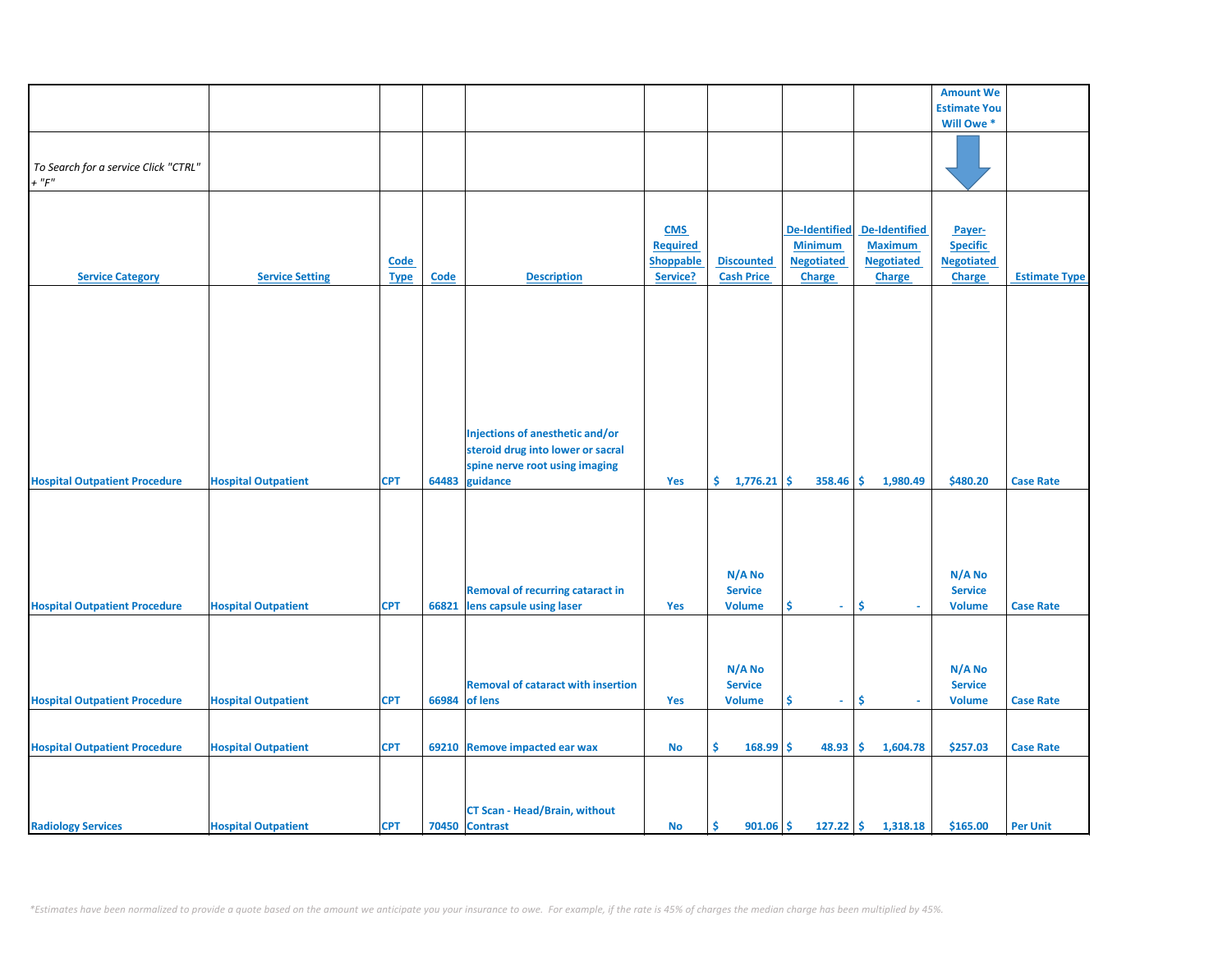|                                      |                            |             |             |                                           |                 |                      |                      |                   | <b>Amount We</b>    |                      |
|--------------------------------------|----------------------------|-------------|-------------|-------------------------------------------|-----------------|----------------------|----------------------|-------------------|---------------------|----------------------|
|                                      |                            |             |             |                                           |                 |                      |                      |                   | <b>Estimate You</b> |                      |
|                                      |                            |             |             |                                           |                 |                      |                      |                   | Will Owe *          |                      |
|                                      |                            |             |             |                                           |                 |                      |                      |                   |                     |                      |
|                                      |                            |             |             |                                           |                 |                      |                      |                   |                     |                      |
| To Search for a service Click "CTRL" |                            |             |             |                                           |                 |                      |                      |                   |                     |                      |
| $+$ " $F$ "                          |                            |             |             |                                           |                 |                      |                      |                   |                     |                      |
|                                      |                            |             |             |                                           |                 |                      |                      |                   |                     |                      |
|                                      |                            |             |             |                                           |                 |                      |                      |                   |                     |                      |
|                                      |                            |             |             |                                           |                 |                      |                      |                   |                     |                      |
|                                      |                            |             |             |                                           | <b>CMS</b>      |                      | <b>De-Identified</b> | De-Identified     | Payer-              |                      |
|                                      |                            |             |             |                                           | <b>Required</b> |                      | <b>Minimum</b>       | <b>Maximum</b>    | <b>Specific</b>     |                      |
|                                      |                            | <b>Code</b> |             |                                           | Shoppable       | <b>Discounted</b>    | <b>Negotiated</b>    | <b>Negotiated</b> | <b>Negotiated</b>   |                      |
| <b>Service Category</b>              | <b>Service Setting</b>     | <b>Type</b> | <b>Code</b> | <b>Description</b>                        | Service?        | <b>Cash Price</b>    | <b>Charge</b>        | <b>Charge</b>     | Charge              | <b>Estimate Type</b> |
|                                      |                            |             |             |                                           |                 |                      |                      |                   |                     |                      |
|                                      |                            |             |             |                                           |                 |                      |                      |                   |                     |                      |
|                                      |                            |             |             |                                           |                 |                      |                      |                   |                     |                      |
|                                      |                            |             |             |                                           |                 |                      |                      |                   |                     |                      |
|                                      |                            |             |             |                                           |                 |                      |                      |                   |                     |                      |
|                                      |                            |             |             |                                           |                 |                      |                      |                   |                     |                      |
|                                      |                            |             |             |                                           |                 |                      |                      |                   |                     |                      |
|                                      |                            |             |             |                                           |                 |                      |                      |                   |                     |                      |
|                                      |                            |             |             |                                           |                 |                      |                      |                   |                     |                      |
|                                      |                            |             |             |                                           |                 |                      |                      |                   |                     |                      |
|                                      |                            |             |             |                                           |                 |                      |                      |                   |                     |                      |
|                                      |                            |             |             | Injections of anesthetic and/or           |                 |                      |                      |                   |                     |                      |
|                                      |                            |             |             | steroid drug into lower or sacral         |                 |                      |                      |                   |                     |                      |
|                                      |                            |             |             | spine nerve root using imaging            |                 |                      |                      |                   |                     |                      |
| <b>Hospital Outpatient Procedure</b> | <b>Hospital Outpatient</b> | <b>CPT</b>  | 64483       | guidance                                  | Yes             | \$.<br>$1,776.21$ \$ | 358.46               | 1,980.49<br>-\$   | \$480.20            | <b>Case Rate</b>     |
|                                      |                            |             |             |                                           |                 |                      |                      |                   |                     |                      |
|                                      |                            |             |             |                                           |                 |                      |                      |                   |                     |                      |
|                                      |                            |             |             |                                           |                 |                      |                      |                   |                     |                      |
|                                      |                            |             |             |                                           |                 |                      |                      |                   |                     |                      |
|                                      |                            |             |             |                                           |                 |                      |                      |                   |                     |                      |
|                                      |                            |             |             |                                           |                 |                      |                      |                   |                     |                      |
|                                      |                            |             |             |                                           |                 | N/A No               |                      |                   | N/A No              |                      |
|                                      |                            |             |             | <b>Removal of recurring cataract in</b>   |                 | <b>Service</b>       |                      |                   | <b>Service</b>      |                      |
| <b>Hospital Outpatient Procedure</b> | <b>Hospital Outpatient</b> | <b>CPT</b>  | 66821       | lens capsule using laser                  | Yes             | <b>Volume</b>        | \$<br>$\omega$       | \$<br>$\sim$      | <b>Volume</b>       | <b>Case Rate</b>     |
|                                      |                            |             |             |                                           |                 |                      |                      |                   |                     |                      |
|                                      |                            |             |             |                                           |                 |                      |                      |                   |                     |                      |
|                                      |                            |             |             |                                           |                 |                      |                      |                   |                     |                      |
|                                      |                            |             |             |                                           |                 |                      |                      |                   |                     |                      |
|                                      |                            |             |             |                                           |                 | N/A No               |                      |                   | N/A No              |                      |
|                                      |                            |             |             | <b>Removal of cataract with insertion</b> |                 | <b>Service</b>       |                      |                   | <b>Service</b>      |                      |
| <b>Hospital Outpatient Procedure</b> | <b>Hospital Outpatient</b> | <b>CPT</b>  | 66984       | of lens                                   | Yes             | <b>Volume</b>        | \$<br>÷.             | \$                | <b>Volume</b>       | <b>Case Rate</b>     |
|                                      |                            |             |             |                                           |                 |                      |                      |                   |                     |                      |
|                                      |                            |             |             |                                           |                 |                      |                      |                   |                     |                      |
| <b>Hospital Outpatient Procedure</b> | <b>Hospital Outpatient</b> | <b>CPT</b>  |             | 69210 Remove impacted ear wax             | No              | \$<br>168.99         | \$<br>48.93          | \$.<br>1,604.78   | \$257.03            | <b>Case Rate</b>     |
|                                      |                            |             |             |                                           |                 |                      |                      |                   |                     |                      |
|                                      |                            |             |             |                                           |                 |                      |                      |                   |                     |                      |
|                                      |                            |             |             |                                           |                 |                      |                      |                   |                     |                      |
|                                      |                            |             |             |                                           |                 |                      |                      |                   |                     |                      |
|                                      |                            |             |             | <b>CT Scan - Head/Brain, without</b>      |                 |                      |                      |                   |                     |                      |
| <b>Radiology Services</b>            | <b>Hospital Outpatient</b> | <b>CPT</b>  |             | 70450 Contrast                            | No              | -\$<br>$901.06$ \$   | $127.22$ \$          | 1,318.18          | \$165.00            | <b>Per Unit</b>      |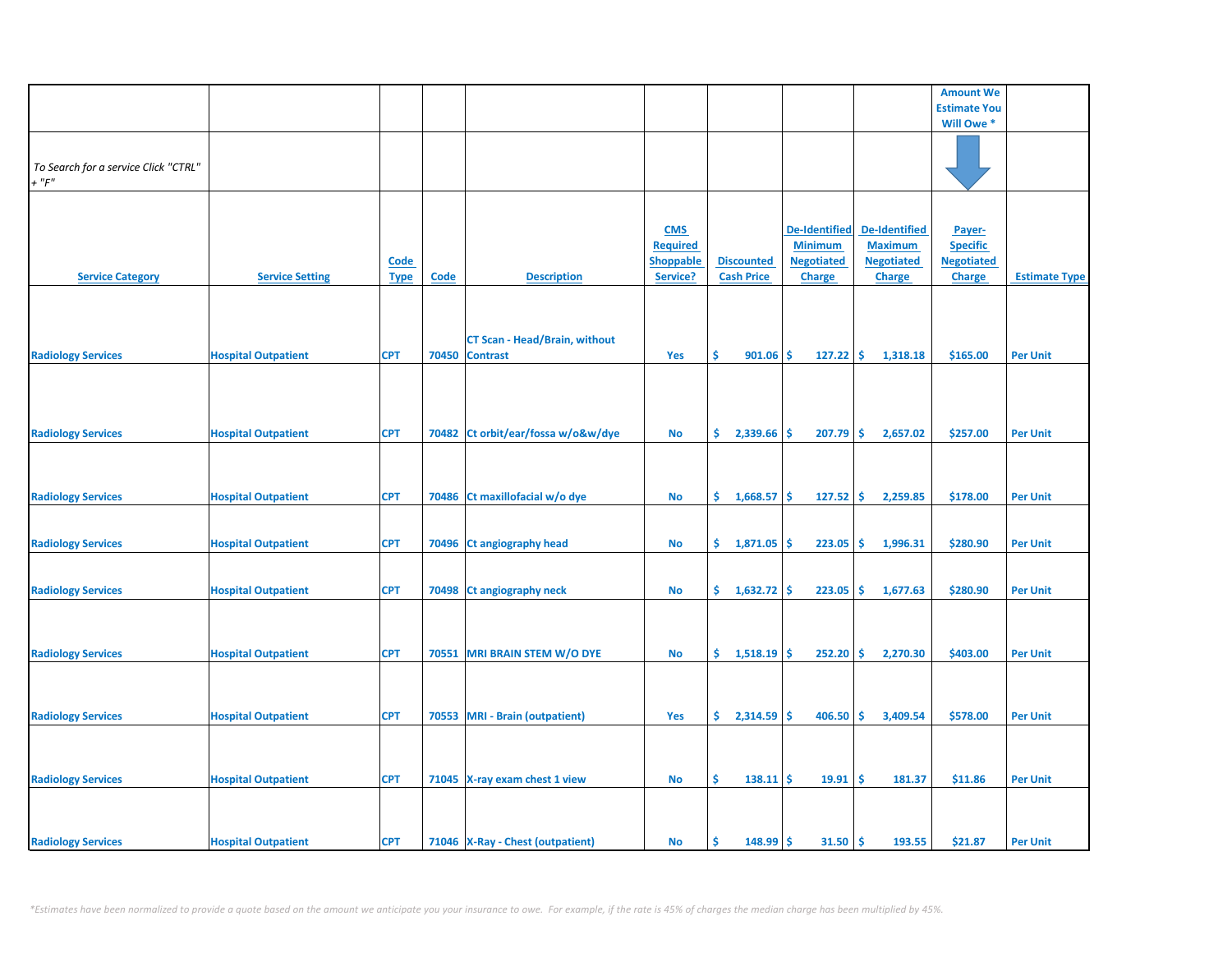|                                                     |                            |                            |       |                                                         |                                                               |                                        |                                                                              |                                                                              | <b>Amount We</b>                                                |                      |
|-----------------------------------------------------|----------------------------|----------------------------|-------|---------------------------------------------------------|---------------------------------------------------------------|----------------------------------------|------------------------------------------------------------------------------|------------------------------------------------------------------------------|-----------------------------------------------------------------|----------------------|
|                                                     |                            |                            |       |                                                         |                                                               |                                        |                                                                              |                                                                              | <b>Estimate You</b>                                             |                      |
|                                                     |                            |                            |       |                                                         |                                                               |                                        |                                                                              |                                                                              | Will Owe *                                                      |                      |
| To Search for a service Click "CTRL"<br>$+$ " $F$ " |                            |                            |       |                                                         |                                                               |                                        |                                                                              |                                                                              |                                                                 |                      |
| <b>Service Category</b>                             | <b>Service Setting</b>     | <b>Code</b><br><b>Type</b> | Code  | <b>Description</b>                                      | <b>CMS</b><br><b>Required</b><br><b>Shoppable</b><br>Service? | <b>Discounted</b><br><b>Cash Price</b> | <b>De-Identified</b><br><b>Minimum</b><br><b>Negotiated</b><br><b>Charge</b> | <b>De-Identified</b><br><b>Maximum</b><br><b>Negotiated</b><br><b>Charge</b> | Payer-<br><b>Specific</b><br><b>Negotiated</b><br><b>Charge</b> | <b>Estimate Type</b> |
| <b>Radiology Services</b>                           | <b>Hospital Outpatient</b> | <b>CPT</b>                 | 70450 | <b>CT Scan - Head/Brain, without</b><br><b>Contrast</b> | Yes                                                           | \$<br>901.06                           | 127.22<br>\$                                                                 | \$<br>1,318.18                                                               | \$165.00                                                        | <b>Per Unit</b>      |
| <b>Radiology Services</b>                           | <b>Hospital Outpatient</b> | <b>CPT</b>                 | 70482 | Ct orbit/ear/fossa w/o&w/dye                            | <b>No</b>                                                     | \$.<br>2,339.66                        | \$<br>207.79                                                                 | Ŝ.<br>2,657.02                                                               | \$257.00                                                        | <b>Per Unit</b>      |
| <b>Radiology Services</b>                           | <b>Hospital Outpatient</b> | <b>CPT</b>                 |       | 70486 Ct maxillofacial w/o dye                          | No                                                            | \$.<br>1,668.57                        | \$<br>127.52                                                                 | \$.<br>2,259.85                                                              | \$178.00                                                        | <b>Per Unit</b>      |
| <b>Radiology Services</b>                           | <b>Hospital Outpatient</b> | <b>CPT</b>                 | 70496 | Ct angiography head                                     | <b>No</b>                                                     | \$.<br>1,871.05                        | 223.05<br>\$                                                                 | \$<br>1,996.31                                                               | \$280.90                                                        | <b>Per Unit</b>      |
| <b>Radiology Services</b>                           | <b>Hospital Outpatient</b> | <b>CPT</b>                 |       | 70498 Ct angiography neck                               | No                                                            | \$.<br>1,632.72                        | \$<br>223.05                                                                 | \$<br>1,677.63                                                               | \$280.90                                                        | <b>Per Unit</b>      |
| <b>Radiology Services</b>                           | <b>Hospital Outpatient</b> | <b>CPT</b>                 |       | 70551 MRI BRAIN STEM W/O DYE                            | <b>No</b>                                                     | \$.<br>1,518.19                        | Ŝ.<br>252.20                                                                 | \$<br>2,270.30                                                               | \$403.00                                                        | <b>Per Unit</b>      |
| <b>Radiology Services</b>                           | <b>Hospital Outpatient</b> | <b>CPT</b>                 |       | 70553 MRI - Brain (outpatient)                          | Yes                                                           | \$.<br>2,314.59                        | 406.50<br>\$.                                                                | Ŝ.<br>3,409.54                                                               | \$578.00                                                        | <b>Per Unit</b>      |
| <b>Radiology Services</b>                           | <b>Hospital Outpatient</b> | <b>CPT</b>                 |       | 71045 X-ray exam chest 1 view                           | No                                                            | \$<br>$138.11$ \$                      | 19.91                                                                        | \$<br>181.37                                                                 | \$11.86                                                         | <b>Per Unit</b>      |
| <b>Radiology Services</b>                           | <b>Hospital Outpatient</b> | <b>CPT</b>                 |       | 71046 X-Ray - Chest (outpatient)                        | No                                                            | Ś<br>148.99                            | 31.50<br>\$                                                                  | \$<br>193.55                                                                 | \$21.87                                                         | <b>Per Unit</b>      |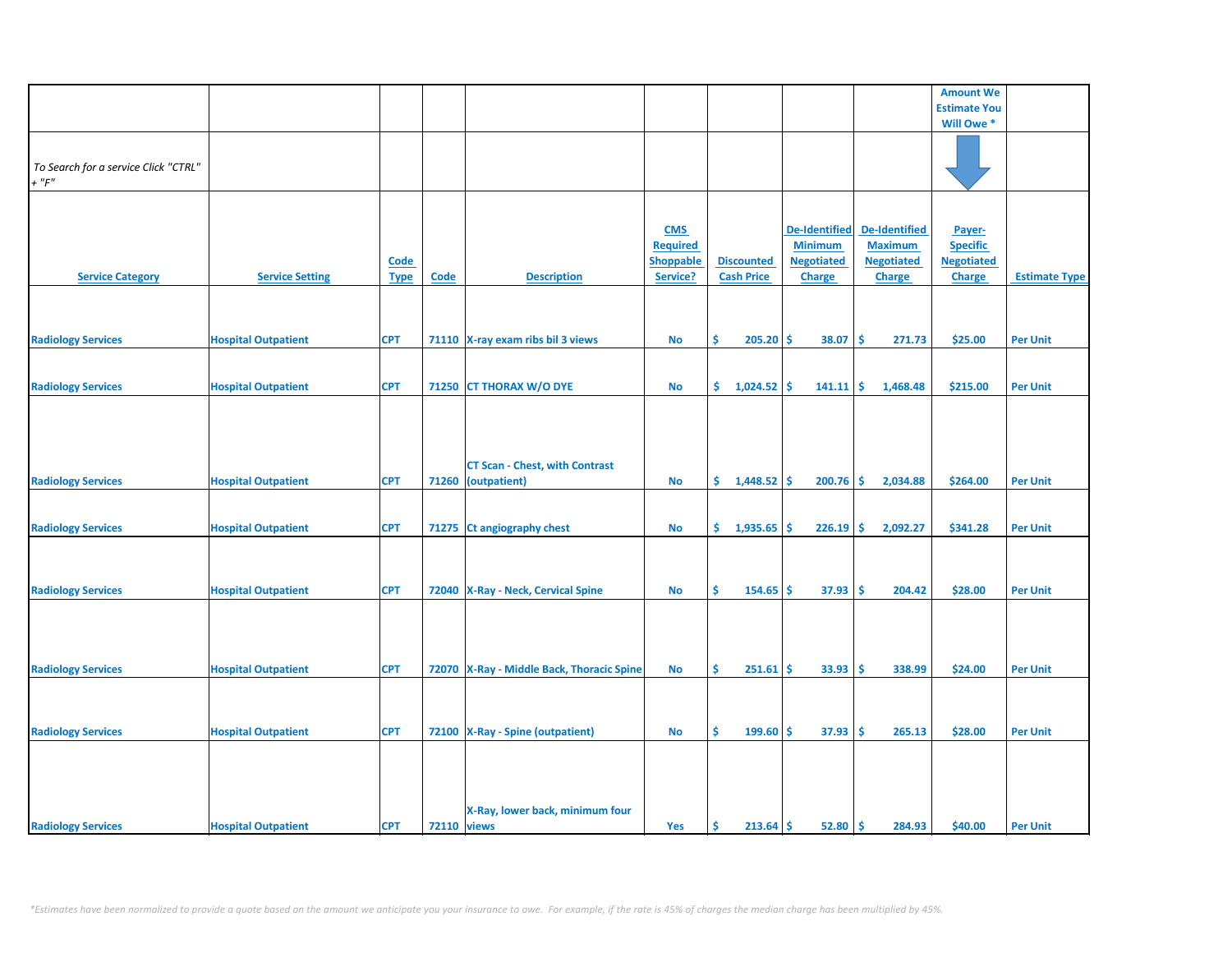|                                      |                            |             |                    |                                           |                  |                      |                      |                   | <b>Amount We</b>    |                      |
|--------------------------------------|----------------------------|-------------|--------------------|-------------------------------------------|------------------|----------------------|----------------------|-------------------|---------------------|----------------------|
|                                      |                            |             |                    |                                           |                  |                      |                      |                   | <b>Estimate You</b> |                      |
|                                      |                            |             |                    |                                           |                  |                      |                      |                   | Will Owe*           |                      |
|                                      |                            |             |                    |                                           |                  |                      |                      |                   |                     |                      |
|                                      |                            |             |                    |                                           |                  |                      |                      |                   |                     |                      |
| To Search for a service Click "CTRL" |                            |             |                    |                                           |                  |                      |                      |                   |                     |                      |
| $+$ " $F$ "                          |                            |             |                    |                                           |                  |                      |                      |                   |                     |                      |
|                                      |                            |             |                    |                                           |                  |                      |                      |                   |                     |                      |
|                                      |                            |             |                    |                                           |                  |                      |                      |                   |                     |                      |
|                                      |                            |             |                    |                                           |                  |                      |                      |                   |                     |                      |
|                                      |                            |             |                    |                                           | <b>CMS</b>       |                      | <b>De-Identified</b> | De-Identified     | Payer-              |                      |
|                                      |                            |             |                    |                                           | <b>Required</b>  |                      | <b>Minimum</b>       | <b>Maximum</b>    | <b>Specific</b>     |                      |
|                                      |                            | <b>Code</b> |                    |                                           | <b>Shoppable</b> | <b>Discounted</b>    | <b>Negotiated</b>    | <b>Negotiated</b> | <b>Negotiated</b>   |                      |
|                                      |                            |             |                    |                                           |                  | <b>Cash Price</b>    |                      |                   |                     |                      |
| <b>Service Category</b>              | <b>Service Setting</b>     | <b>Type</b> | <b>Code</b>        | <b>Description</b>                        | Service?         |                      | Charge               | <b>Charge</b>     | <b>Charge</b>       | <b>Estimate Type</b> |
|                                      |                            |             |                    |                                           |                  |                      |                      |                   |                     |                      |
|                                      |                            |             |                    |                                           |                  |                      |                      |                   |                     |                      |
|                                      |                            |             |                    |                                           |                  |                      |                      |                   |                     |                      |
| <b>Radiology Services</b>            | <b>Hospital Outpatient</b> | <b>CPT</b>  |                    | 71110 X-ray exam ribs bil 3 views         | <b>No</b>        | Ŝ.<br>205.20         | 38.07<br>-S          | -\$<br>271.73     | \$25.00             | <b>Per Unit</b>      |
|                                      |                            |             |                    |                                           |                  |                      |                      |                   |                     |                      |
|                                      |                            |             |                    |                                           |                  |                      |                      |                   |                     |                      |
|                                      |                            |             |                    |                                           |                  |                      |                      |                   |                     |                      |
| <b>Radiology Services</b>            | <b>Hospital Outpatient</b> | <b>CPT</b>  |                    | 71250 CT THORAX W/O DYE                   | <b>No</b>        | \$.<br>1,024.52      | -\$<br>141.11        | -\$<br>1,468.48   | \$215.00            | <b>Per Unit</b>      |
|                                      |                            |             |                    |                                           |                  |                      |                      |                   |                     |                      |
|                                      |                            |             |                    |                                           |                  |                      |                      |                   |                     |                      |
|                                      |                            |             |                    |                                           |                  |                      |                      |                   |                     |                      |
|                                      |                            |             |                    |                                           |                  |                      |                      |                   |                     |                      |
|                                      |                            |             |                    |                                           |                  |                      |                      |                   |                     |                      |
|                                      |                            |             |                    | <b>CT Scan - Chest, with Contrast</b>     |                  |                      |                      |                   |                     |                      |
| <b>Radiology Services</b>            | <b>Hospital Outpatient</b> | <b>CPT</b>  | 71260              | (outpatient)                              | <b>No</b>        | \$.<br>$1,448.52$ \$ | 200.76               | -\$<br>2,034.88   | \$264.00            | <b>Per Unit</b>      |
|                                      |                            |             |                    |                                           |                  |                      |                      |                   |                     |                      |
|                                      |                            |             |                    |                                           |                  |                      |                      |                   |                     |                      |
|                                      |                            |             |                    |                                           |                  |                      |                      |                   |                     |                      |
| <b>Radiology Services</b>            | <b>Hospital Outpatient</b> | <b>CPT</b>  |                    | 71275 Ct angiography chest                | <b>No</b>        | \$.<br>1,935.65      | Ŝ.<br>226.19         | -\$<br>2,092.27   | \$341.28            | <b>Per Unit</b>      |
|                                      |                            |             |                    |                                           |                  |                      |                      |                   |                     |                      |
|                                      |                            |             |                    |                                           |                  |                      |                      |                   |                     |                      |
|                                      |                            |             |                    |                                           |                  |                      |                      |                   |                     |                      |
| <b>Radiology Services</b>            | <b>Hospital Outpatient</b> | <b>CPT</b>  |                    | 72040 X-Ray - Neck, Cervical Spine        | <b>No</b>        | Ŝ.<br>154.65         | Ŝ.<br>37.93          | -\$<br>204.42     | \$28.00             | <b>Per Unit</b>      |
|                                      |                            |             |                    |                                           |                  |                      |                      |                   |                     |                      |
|                                      |                            |             |                    |                                           |                  |                      |                      |                   |                     |                      |
|                                      |                            |             |                    |                                           |                  |                      |                      |                   |                     |                      |
|                                      |                            |             |                    |                                           |                  |                      |                      |                   |                     |                      |
|                                      |                            |             |                    |                                           |                  |                      |                      |                   |                     |                      |
| <b>Radiology Services</b>            | <b>Hospital Outpatient</b> | <b>CPT</b>  |                    | 72070 X-Ray - Middle Back, Thoracic Spine | <b>No</b>        | Ŝ.<br>$251.61$ \$    | 33.93                | -\$<br>338.99     | \$24.00             | <b>Per Unit</b>      |
|                                      |                            |             |                    |                                           |                  |                      |                      |                   |                     |                      |
|                                      |                            |             |                    |                                           |                  |                      |                      |                   |                     |                      |
|                                      |                            |             |                    |                                           |                  |                      |                      |                   |                     |                      |
|                                      |                            |             |                    |                                           |                  |                      |                      |                   |                     |                      |
| <b>Radiology Services</b>            | <b>Hospital Outpatient</b> | <b>CPT</b>  |                    | 72100 X-Ray - Spine (outpatient)          | <b>No</b>        | \$.<br>199.60        | 37.93<br>Ŝ.          | \$<br>265.13      | \$28.00             | <b>Per Unit</b>      |
|                                      |                            |             |                    |                                           |                  |                      |                      |                   |                     |                      |
|                                      |                            |             |                    |                                           |                  |                      |                      |                   |                     |                      |
|                                      |                            |             |                    |                                           |                  |                      |                      |                   |                     |                      |
|                                      |                            |             |                    |                                           |                  |                      |                      |                   |                     |                      |
|                                      |                            |             |                    |                                           |                  |                      |                      |                   |                     |                      |
|                                      |                            |             |                    | X-Ray, lower back, minimum four           |                  |                      |                      |                   |                     |                      |
| <b>Radiology Services</b>            | <b>Hospital Outpatient</b> | <b>CPT</b>  | <b>72110</b> views |                                           | Yes              | Ŝ<br>$213.64$ \$     | 52.80                | ١\$<br>284.93     | \$40.00             | <b>Per Unit</b>      |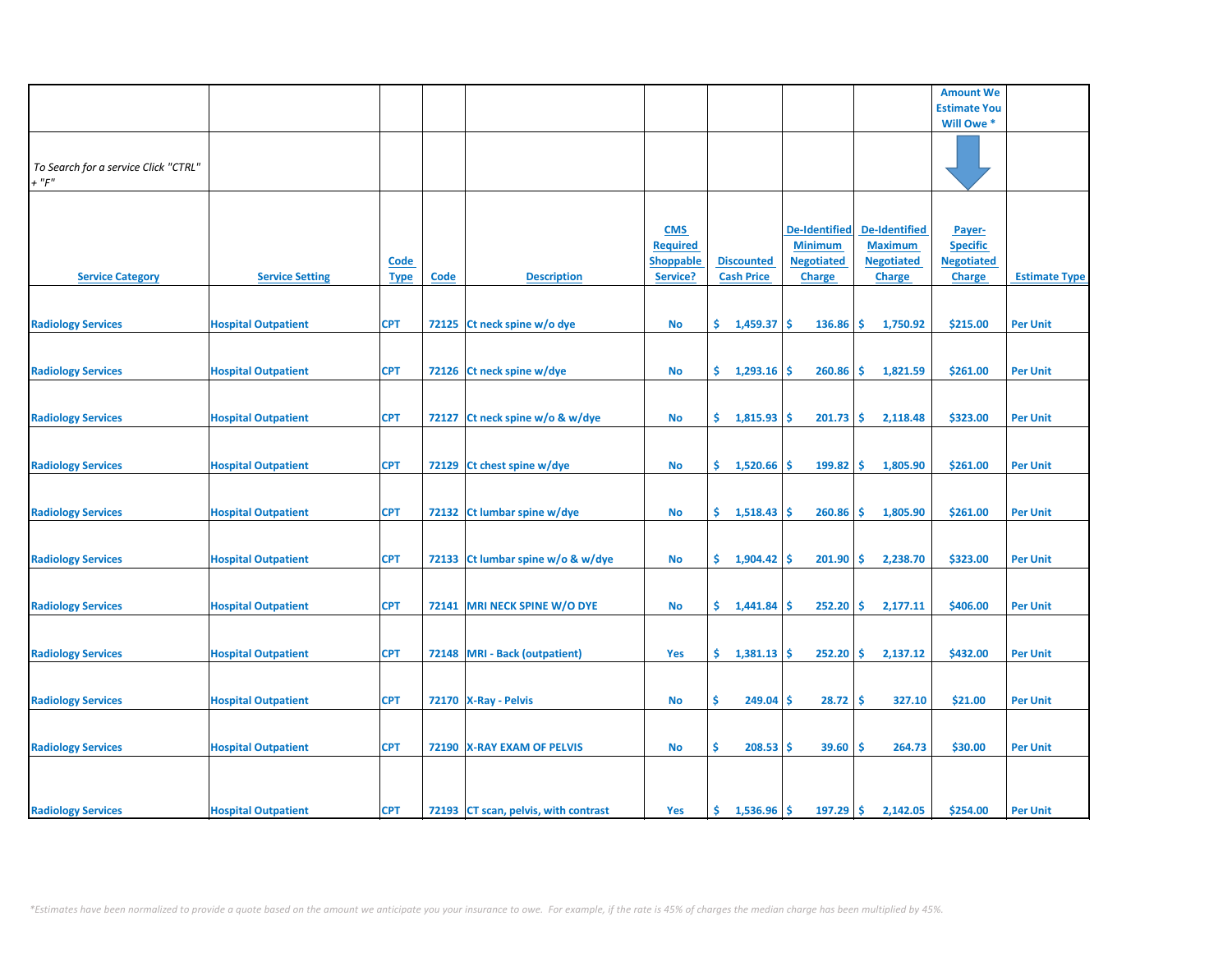|                                      |                            |             |       |                                      |                              |                      |                      |                                 | <b>Amount We</b>    |                      |
|--------------------------------------|----------------------------|-------------|-------|--------------------------------------|------------------------------|----------------------|----------------------|---------------------------------|---------------------|----------------------|
|                                      |                            |             |       |                                      |                              |                      |                      |                                 | <b>Estimate You</b> |                      |
|                                      |                            |             |       |                                      |                              |                      |                      |                                 | Will Owe *          |                      |
|                                      |                            |             |       |                                      |                              |                      |                      |                                 |                     |                      |
|                                      |                            |             |       |                                      |                              |                      |                      |                                 |                     |                      |
| To Search for a service Click "CTRL" |                            |             |       |                                      |                              |                      |                      |                                 |                     |                      |
| $+$ " $F$ "                          |                            |             |       |                                      |                              |                      |                      |                                 |                     |                      |
|                                      |                            |             |       |                                      |                              |                      |                      |                                 |                     |                      |
|                                      |                            |             |       |                                      |                              |                      |                      |                                 |                     |                      |
|                                      |                            |             |       |                                      | <b>CMS</b>                   |                      | <b>De-Identified</b> | <b>De-Identified</b>            | Payer-              |                      |
|                                      |                            |             |       |                                      | <b>Required</b>              |                      | <b>Minimum</b>       | <b>Maximum</b>                  | <b>Specific</b>     |                      |
|                                      |                            |             |       |                                      |                              | <b>Discounted</b>    | <b>Negotiated</b>    | <b>Negotiated</b>               | <b>Negotiated</b>   |                      |
|                                      | <b>Service Setting</b>     | <b>Code</b> |       | <b>Description</b>                   | <b>Shoppable</b><br>Service? | <b>Cash Price</b>    |                      |                                 |                     |                      |
| <b>Service Category</b>              |                            | <b>Type</b> | Code  |                                      |                              |                      | <b>Charge</b>        | <b>Charge</b>                   | <b>Charge</b>       | <b>Estimate Type</b> |
|                                      |                            |             |       |                                      |                              |                      |                      |                                 |                     |                      |
|                                      |                            |             |       |                                      |                              |                      |                      |                                 |                     |                      |
| <b>Radiology Services</b>            | <b>Hospital Outpatient</b> | <b>CPT</b>  |       | 72125 Ct neck spine w/o dye          | No                           | \$.<br>1,459.37      | <b>S</b><br>136.86   | -\$<br>1,750.92                 | \$215.00            | <b>Per Unit</b>      |
|                                      |                            |             |       |                                      |                              |                      |                      |                                 |                     |                      |
|                                      |                            |             |       |                                      |                              |                      |                      |                                 |                     |                      |
| <b>Radiology Services</b>            | <b>Hospital Outpatient</b> | <b>CPT</b>  |       | 72126 Ct neck spine w/dye            | No                           | \$.<br>$1,293.16$ \$ | 260.86               | ۱\$.<br>1,821.59                | \$261.00            | <b>Per Unit</b>      |
|                                      |                            |             |       |                                      |                              |                      |                      |                                 |                     |                      |
|                                      |                            |             |       |                                      |                              |                      |                      |                                 |                     |                      |
| <b>Radiology Services</b>            | <b>Hospital Outpatient</b> | <b>CPT</b>  | 72127 | Ct neck spine w/o & w/dye            | No                           | \$.<br>1,815.93      | 201.73<br><b>S</b>   | -\$<br>2,118.48                 | \$323.00            | <b>Per Unit</b>      |
|                                      |                            |             |       |                                      |                              |                      |                      |                                 |                     |                      |
|                                      |                            |             |       |                                      |                              |                      |                      |                                 |                     |                      |
| <b>Radiology Services</b>            | <b>Hospital Outpatient</b> | <b>CPT</b>  |       | 72129 Ct chest spine w/dye           | <b>No</b>                    | \$.<br>1,520.66      | 199.82<br>\$.        | \$<br>1,805.90                  | \$261.00            | <b>Per Unit</b>      |
|                                      |                            |             |       |                                      |                              |                      |                      |                                 |                     |                      |
|                                      |                            |             |       |                                      |                              |                      |                      |                                 |                     |                      |
| <b>Radiology Services</b>            | <b>Hospital Outpatient</b> | <b>CPT</b>  |       | 72132 Ct lumbar spine w/dye          | <b>No</b>                    | \$.<br>1,518.43      | 260.86<br><b>S</b>   | -\$<br>1,805.90                 | \$261.00            | <b>Per Unit</b>      |
|                                      |                            |             |       |                                      |                              |                      |                      |                                 |                     |                      |
|                                      |                            |             |       |                                      |                              |                      |                      |                                 |                     |                      |
| <b>Radiology Services</b>            | <b>Hospital Outpatient</b> | <b>CPT</b>  |       | 72133 Ct lumbar spine w/o & w/dye    | <b>No</b>                    | \$.<br>1,904.42      | 201.90<br>-\$        | -\$<br>2,238.70                 | \$323.00            | <b>Per Unit</b>      |
|                                      |                            |             |       |                                      |                              |                      |                      |                                 |                     |                      |
|                                      |                            |             |       |                                      |                              |                      |                      |                                 |                     |                      |
| <b>Radiology Services</b>            | <b>Hospital Outpatient</b> | <b>CPT</b>  |       | 72141 MRI NECK SPINE W/O DYE         | No                           | \$1,441.84           | $252.20$ \$<br>-S    | 2,177.11                        | \$406.00            | <b>Per Unit</b>      |
|                                      |                            |             |       |                                      |                              |                      |                      |                                 |                     |                      |
|                                      |                            |             |       |                                      |                              |                      |                      |                                 |                     |                      |
| <b>Radiology Services</b>            | <b>Hospital Outpatient</b> | <b>CPT</b>  |       | 72148 MRI - Back (outpatient)        | Yes                          | \$.<br>1,381.13      | <b>S</b><br>252.20   | \$<br>2,137.12                  | \$432.00            | <b>Per Unit</b>      |
|                                      |                            |             |       |                                      |                              |                      |                      |                                 |                     |                      |
|                                      |                            |             |       |                                      |                              |                      |                      |                                 |                     |                      |
| <b>Radiology Services</b>            | <b>Hospital Outpatient</b> | <b>CPT</b>  |       | 72170 X-Ray - Pelvis                 | No                           | \$<br>$249.04$ \$    | 28.72                | -\$<br>327.10                   | \$21.00             | <b>Per Unit</b>      |
|                                      |                            |             |       |                                      |                              |                      |                      |                                 |                     |                      |
|                                      |                            |             |       |                                      |                              |                      |                      |                                 |                     |                      |
| <b>Radiology Services</b>            | <b>Hospital Outpatient</b> | <b>CPT</b>  |       | 72190   X-RAY EXAM OF PELVIS         | <b>No</b>                    | \$<br>$208.53$ \$    | 39.60                | 264.73<br>-\$                   | \$30.00             | <b>Per Unit</b>      |
|                                      |                            |             |       |                                      |                              |                      |                      |                                 |                     |                      |
|                                      |                            |             |       |                                      |                              |                      |                      |                                 |                     |                      |
|                                      |                            |             |       |                                      |                              |                      |                      |                                 |                     |                      |
| <b>Radiology Services</b>            | <b>Hospital Outpatient</b> | <b>CPT</b>  |       | 72193 CT scan, pelvis, with contrast | Yes                          | \$.<br>1,536.96      | 197.29<br>Ŝ.         | $\ddot{\mathsf{s}}$<br>2,142.05 | \$254.00            | <b>Per Unit</b>      |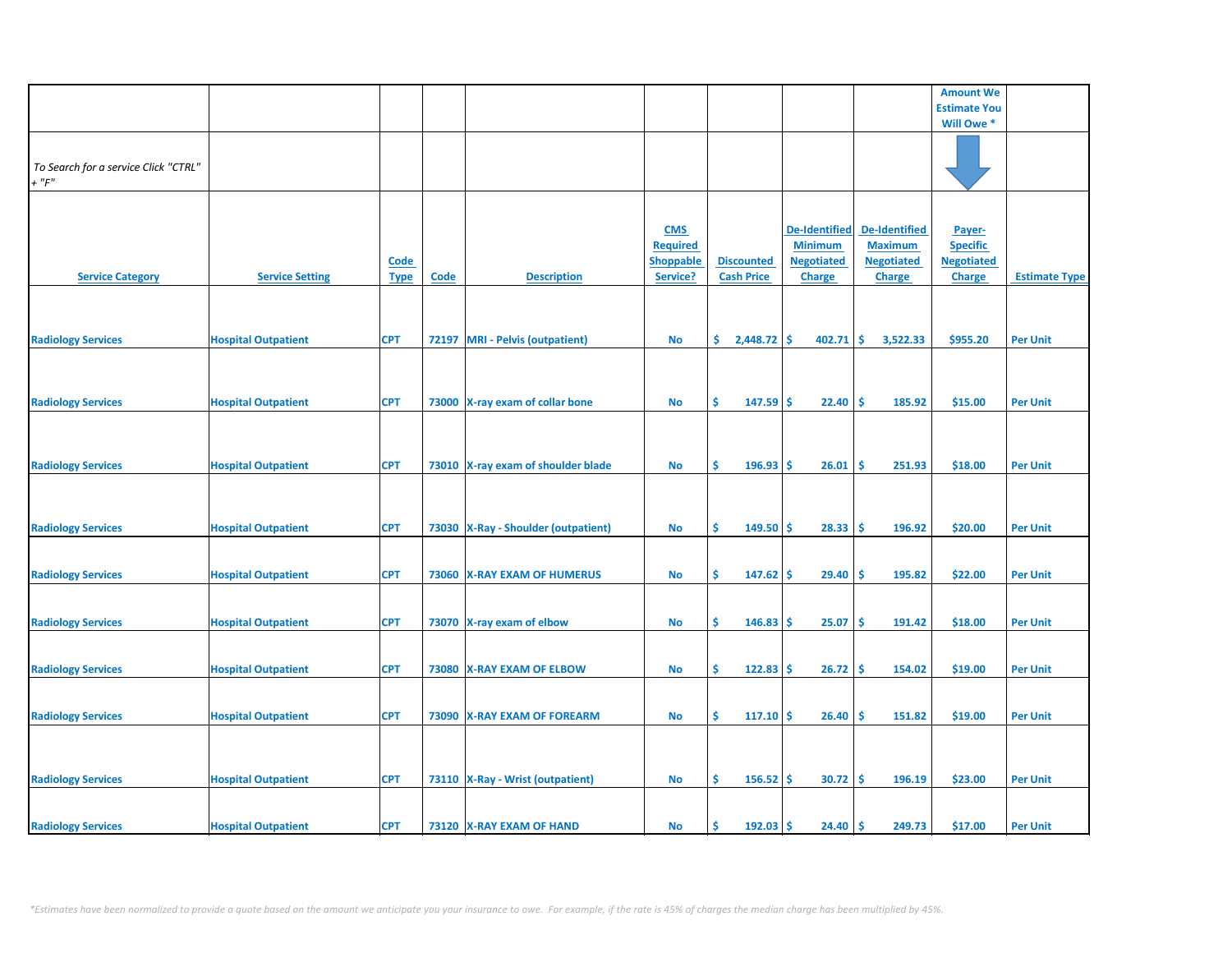|                                      |                            |             |             |                                       |                  |                      |                   |                      | <b>Amount We</b>    |                      |
|--------------------------------------|----------------------------|-------------|-------------|---------------------------------------|------------------|----------------------|-------------------|----------------------|---------------------|----------------------|
|                                      |                            |             |             |                                       |                  |                      |                   |                      | <b>Estimate You</b> |                      |
|                                      |                            |             |             |                                       |                  |                      |                   |                      | Will Owe *          |                      |
|                                      |                            |             |             |                                       |                  |                      |                   |                      |                     |                      |
|                                      |                            |             |             |                                       |                  |                      |                   |                      |                     |                      |
|                                      |                            |             |             |                                       |                  |                      |                   |                      |                     |                      |
| To Search for a service Click "CTRL" |                            |             |             |                                       |                  |                      |                   |                      |                     |                      |
| $+$ " $F$ "                          |                            |             |             |                                       |                  |                      |                   |                      |                     |                      |
|                                      |                            |             |             |                                       |                  |                      |                   |                      |                     |                      |
|                                      |                            |             |             |                                       |                  |                      |                   |                      |                     |                      |
|                                      |                            |             |             |                                       |                  |                      |                   |                      |                     |                      |
|                                      |                            |             |             |                                       | <b>CMS</b>       |                      | De-Identified     | <b>De-Identified</b> | Payer-              |                      |
|                                      |                            |             |             |                                       | <b>Required</b>  |                      | <b>Minimum</b>    | <b>Maximum</b>       | <b>Specific</b>     |                      |
|                                      |                            |             |             |                                       |                  | <b>Discounted</b>    | <b>Negotiated</b> | <b>Negotiated</b>    | <b>Negotiated</b>   |                      |
|                                      |                            | <b>Code</b> |             |                                       | <b>Shoppable</b> |                      |                   |                      |                     |                      |
| <b>Service Category</b>              | <b>Service Setting</b>     | <b>Type</b> | <b>Code</b> | <b>Description</b>                    | Service?         | <b>Cash Price</b>    | <b>Charge</b>     | <b>Charge</b>        | <b>Charge</b>       | <b>Estimate Type</b> |
|                                      |                            |             |             |                                       |                  |                      |                   |                      |                     |                      |
|                                      |                            |             |             |                                       |                  |                      |                   |                      |                     |                      |
|                                      |                            |             |             |                                       |                  |                      |                   |                      |                     |                      |
|                                      |                            |             |             |                                       |                  |                      |                   |                      |                     |                      |
| <b>Radiology Services</b>            | <b>Hospital Outpatient</b> | <b>CPT</b>  |             | 72197 MRI - Pelvis (outpatient)       | <b>No</b>        | \$.<br>$2,448.72$ \$ | 402.71            | -\$<br>3,522.33      | \$955.20            | <b>Per Unit</b>      |
|                                      |                            |             |             |                                       |                  |                      |                   |                      |                     |                      |
|                                      |                            |             |             |                                       |                  |                      |                   |                      |                     |                      |
|                                      |                            |             |             |                                       |                  |                      |                   |                      |                     |                      |
|                                      |                            |             |             |                                       |                  |                      |                   |                      |                     |                      |
| <b>Radiology Services</b>            | <b>Hospital Outpatient</b> | <b>CPT</b>  |             | 73000 X-ray exam of collar bone       | <b>No</b>        | \$<br>$147.59$ \$    | 22.40             | \$ ا<br>185.92       | \$15.00             | <b>Per Unit</b>      |
|                                      |                            |             |             |                                       |                  |                      |                   |                      |                     |                      |
|                                      |                            |             |             |                                       |                  |                      |                   |                      |                     |                      |
|                                      |                            |             |             |                                       |                  |                      |                   |                      |                     |                      |
|                                      |                            |             |             |                                       |                  |                      |                   |                      |                     |                      |
| <b>Radiology Services</b>            | <b>Hospital Outpatient</b> | <b>CPT</b>  |             | 73010 X-ray exam of shoulder blade    | <b>No</b>        | \$<br>196.93         | -Ś<br>26.01       | \$.<br>251.93        | \$18.00             | <b>Per Unit</b>      |
|                                      |                            |             |             |                                       |                  |                      |                   |                      |                     |                      |
|                                      |                            |             |             |                                       |                  |                      |                   |                      |                     |                      |
|                                      |                            |             |             |                                       |                  |                      |                   |                      |                     |                      |
|                                      |                            |             |             |                                       |                  |                      |                   |                      |                     |                      |
| <b>Radiology Services</b>            | <b>Hospital Outpatient</b> | <b>CPT</b>  |             | 73030   X-Ray - Shoulder (outpatient) | No               | \$<br>149.50         | 28.33<br>-S       | -\$<br>196.92        | \$20.00             | <b>Per Unit</b>      |
|                                      |                            |             |             |                                       |                  |                      |                   |                      |                     |                      |
|                                      |                            |             |             |                                       |                  |                      |                   |                      |                     |                      |
|                                      |                            |             |             |                                       |                  |                      |                   |                      |                     |                      |
| <b>Radiology Services</b>            | <b>Hospital Outpatient</b> | <b>CPT</b>  |             | 73060 X-RAY EXAM OF HUMERUS           | <b>No</b>        | \$<br>$147.62$ \$    | 29.40             | -\$<br>195.82        | \$22.00             | <b>Per Unit</b>      |
|                                      |                            |             |             |                                       |                  |                      |                   |                      |                     |                      |
|                                      |                            |             |             |                                       |                  |                      |                   |                      |                     |                      |
|                                      |                            |             |             |                                       |                  |                      |                   |                      |                     |                      |
| <b>Radiology Services</b>            | <b>Hospital Outpatient</b> | <b>CPT</b>  |             | 73070 X-ray exam of elbow             | No               | \$<br>146.83         | 25.07<br>-S       | -\$<br>191.42        | \$18.00             | <b>Per Unit</b>      |
|                                      |                            |             |             |                                       |                  |                      |                   |                      |                     |                      |
|                                      |                            |             |             |                                       |                  |                      |                   |                      |                     |                      |
|                                      |                            |             |             |                                       |                  |                      |                   |                      |                     |                      |
| <b>Radiology Services</b>            | <b>Hospital Outpatient</b> | <b>CPT</b>  |             | 73080 X-RAY EXAM OF ELBOW             | No               | \$<br>122.83         | 26.72<br><b>S</b> | -\$<br>154.02        | \$19.00             | <b>Per Unit</b>      |
|                                      |                            |             |             |                                       |                  |                      |                   |                      |                     |                      |
|                                      |                            |             |             |                                       |                  |                      |                   |                      |                     |                      |
|                                      |                            |             |             |                                       |                  |                      |                   |                      |                     |                      |
| <b>Radiology Services</b>            | <b>Hospital Outpatient</b> | <b>CPT</b>  |             | 73090 X-RAY EXAM OF FOREARM           | No               | \$<br>$117.10$ \$    | 26.40             | -\$<br>151.82        | \$19.00             | <b>Per Unit</b>      |
|                                      |                            |             |             |                                       |                  |                      |                   |                      |                     |                      |
|                                      |                            |             |             |                                       |                  |                      |                   |                      |                     |                      |
|                                      |                            |             |             |                                       |                  |                      |                   |                      |                     |                      |
|                                      |                            |             |             |                                       |                  |                      |                   |                      |                     |                      |
| <b>Radiology Services</b>            | <b>Hospital Outpatient</b> | <b>CPT</b>  |             | 73110   X-Ray - Wrist (outpatient)    | No               | Ŝ.<br>$156.52$ \$    | 30.72             | -\$<br>196.19        | \$23.00             | <b>Per Unit</b>      |
|                                      |                            |             |             |                                       |                  |                      |                   |                      |                     |                      |
|                                      |                            |             |             |                                       |                  |                      |                   |                      |                     |                      |
|                                      |                            |             |             |                                       |                  |                      |                   |                      |                     |                      |
| <b>Radiology Services</b>            | <b>Hospital Outpatient</b> | <b>CPT</b>  |             | 73120 X-RAY EXAM OF HAND              | No               | 192.03<br>\$.        | -Ś<br>24.40       | -\$<br>249.73        | \$17.00             | <b>Per Unit</b>      |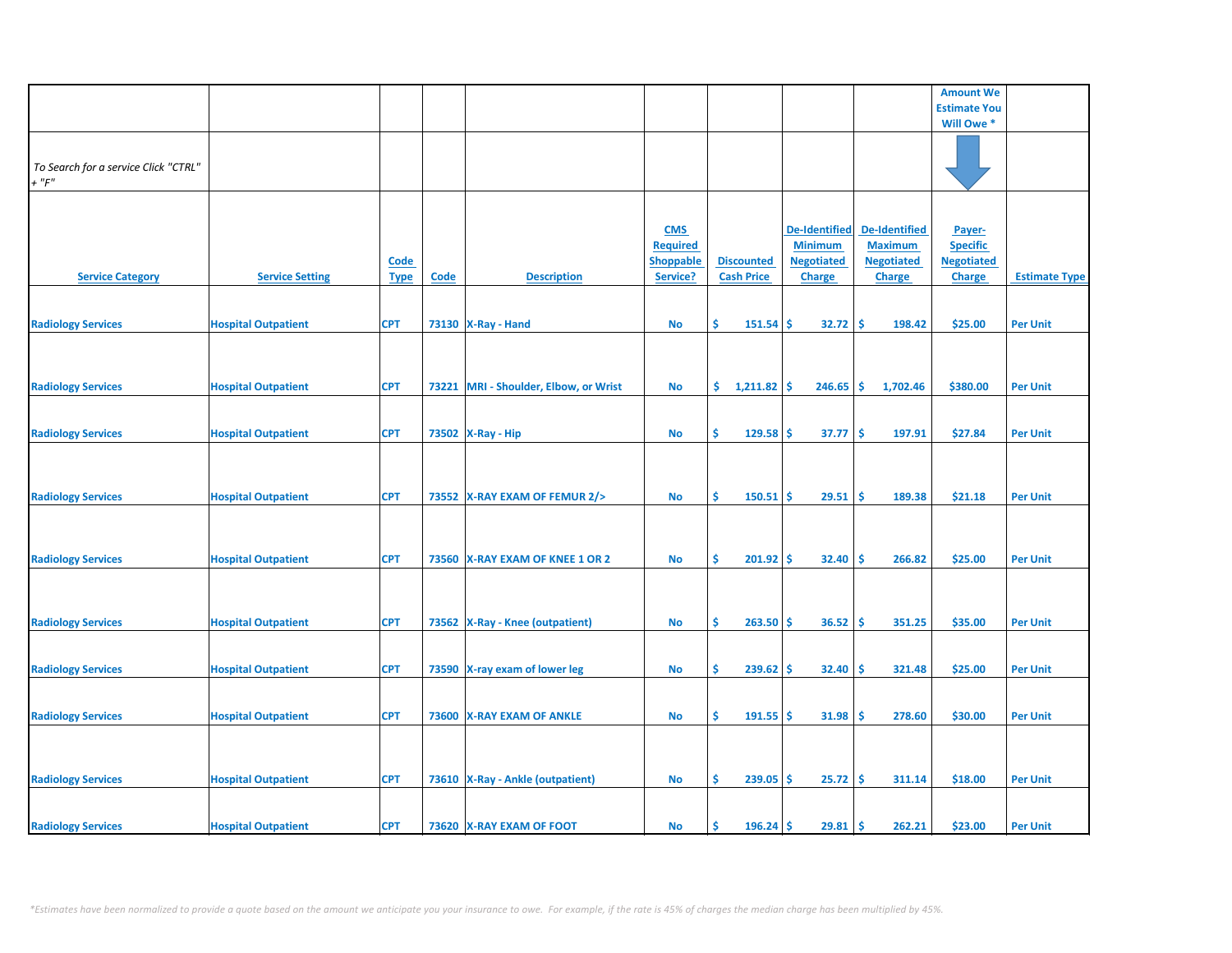|                                      |                            |             |      |                                       |                  |                   |                      |                      | <b>Amount We</b>    |                      |
|--------------------------------------|----------------------------|-------------|------|---------------------------------------|------------------|-------------------|----------------------|----------------------|---------------------|----------------------|
|                                      |                            |             |      |                                       |                  |                   |                      |                      | <b>Estimate You</b> |                      |
|                                      |                            |             |      |                                       |                  |                   |                      |                      | Will Owe *          |                      |
|                                      |                            |             |      |                                       |                  |                   |                      |                      |                     |                      |
|                                      |                            |             |      |                                       |                  |                   |                      |                      |                     |                      |
| To Search for a service Click "CTRL" |                            |             |      |                                       |                  |                   |                      |                      |                     |                      |
| $+$ " $F$ "                          |                            |             |      |                                       |                  |                   |                      |                      |                     |                      |
|                                      |                            |             |      |                                       |                  |                   |                      |                      |                     |                      |
|                                      |                            |             |      |                                       |                  |                   |                      |                      |                     |                      |
|                                      |                            |             |      |                                       | <b>CMS</b>       |                   | <b>De-Identified</b> | <b>De-Identified</b> | Payer-              |                      |
|                                      |                            |             |      |                                       | <b>Required</b>  |                   | <b>Minimum</b>       | <b>Maximum</b>       | <b>Specific</b>     |                      |
|                                      |                            | <b>Code</b> |      | <b>Description</b>                    | <b>Shoppable</b> | <b>Discounted</b> | <b>Negotiated</b>    | <b>Negotiated</b>    | <b>Negotiated</b>   |                      |
| <b>Service Category</b>              | <b>Service Setting</b>     | <b>Type</b> | Code |                                       | Service?         | <b>Cash Price</b> | <b>Charge</b>        | <b>Charge</b>        | <b>Charge</b>       | <b>Estimate Type</b> |
|                                      |                            |             |      |                                       |                  |                   |                      |                      |                     |                      |
| <b>Radiology Services</b>            | <b>Hospital Outpatient</b> | <b>CPT</b>  |      | 73130   X-Ray - Hand                  | No               | Ŝ<br>151.54       | 32.72<br>Ŝ           | -Ś<br>198.42         | \$25.00             | <b>Per Unit</b>      |
|                                      |                            |             |      |                                       |                  |                   |                      |                      |                     |                      |
|                                      |                            |             |      |                                       |                  |                   |                      |                      |                     |                      |
|                                      |                            |             |      |                                       |                  |                   |                      |                      |                     |                      |
| <b>Radiology Services</b>            | <b>Hospital Outpatient</b> | <b>CPT</b>  |      | 73221 MRI - Shoulder, Elbow, or Wrist | No               | \$1,211.82        | <b>S</b><br>246.65   | \$<br>1,702.46       | \$380.00            | <b>Per Unit</b>      |
|                                      |                            |             |      |                                       |                  |                   |                      |                      |                     |                      |
|                                      |                            |             |      |                                       |                  |                   |                      |                      |                     |                      |
| <b>Radiology Services</b>            | <b>Hospital Outpatient</b> | <b>CPT</b>  |      | 73502   X-Ray - Hip                   | No               | \$<br>$129.58$ \$ | 37.77                | ۱\$<br>197.91        | \$27.84             | <b>Per Unit</b>      |
|                                      |                            |             |      |                                       |                  |                   |                      |                      |                     |                      |
|                                      |                            |             |      |                                       |                  |                   |                      |                      |                     |                      |
|                                      |                            |             |      |                                       |                  |                   |                      |                      |                     |                      |
| <b>Radiology Services</b>            | <b>Hospital Outpatient</b> | <b>CPT</b>  |      | 73552 X-RAY EXAM OF FEMUR 2/>         | No               | Ŝ.<br>$150.51$ \$ | 29.51                | -\$<br>189.38        | \$21.18             | <b>Per Unit</b>      |
|                                      |                            |             |      |                                       |                  |                   |                      |                      |                     |                      |
|                                      |                            |             |      |                                       |                  |                   |                      |                      |                     |                      |
|                                      |                            |             |      |                                       |                  |                   |                      |                      |                     |                      |
| <b>Radiology Services</b>            | <b>Hospital Outpatient</b> | <b>CPT</b>  |      | 73560 X-RAY EXAM OF KNEE 1 OR 2       | No               | $201.92$ \$<br>\$ | 32.40                | ١\$<br>266.82        | \$25.00             | <b>Per Unit</b>      |
|                                      |                            |             |      |                                       |                  |                   |                      |                      |                     |                      |
|                                      |                            |             |      |                                       |                  |                   |                      |                      |                     |                      |
|                                      |                            |             |      |                                       |                  |                   |                      |                      |                     |                      |
| <b>Radiology Services</b>            | <b>Hospital Outpatient</b> | <b>CPT</b>  |      | 73562 X-Ray - Knee (outpatient)       | No               | \$<br>$263.50$ \$ | 36.52                | -\$<br>351.25        | \$35.00             | <b>Per Unit</b>      |
|                                      |                            |             |      |                                       |                  |                   |                      |                      |                     |                      |
|                                      |                            |             |      |                                       |                  |                   |                      |                      |                     |                      |
| <b>Radiology Services</b>            | <b>Hospital Outpatient</b> | <b>CPT</b>  |      | 73590 X-ray exam of lower leg         | No               | \$<br>239.62      | 32.40<br><b>S</b>    | \$,<br>321.48        | \$25.00             | <b>Per Unit</b>      |
|                                      |                            |             |      |                                       |                  |                   |                      |                      |                     |                      |
|                                      |                            |             |      |                                       |                  |                   |                      |                      |                     |                      |
| <b>Radiology Services</b>            | <b>Hospital Outpatient</b> | <b>CPT</b>  |      | 73600 X-RAY EXAM OF ANKLE             | No               | \$<br>$191.55$ \$ | 31.98                | -\$<br>278.60        | \$30.00             | <b>Per Unit</b>      |
|                                      |                            |             |      |                                       |                  |                   |                      |                      |                     |                      |
|                                      |                            |             |      |                                       |                  |                   |                      |                      |                     |                      |
|                                      |                            |             |      |                                       |                  |                   |                      |                      |                     |                      |
| <b>Radiology Services</b>            | <b>Hospital Outpatient</b> | <b>CPT</b>  |      | 73610   X-Ray - Ankle (outpatient)    | No               | Ŝ.<br>$239.05$ \$ | 25.72                | -\$<br>311.14        | \$18.00             | <b>Per Unit</b>      |
|                                      |                            |             |      |                                       |                  |                   |                      |                      |                     |                      |
|                                      |                            |             |      |                                       |                  |                   |                      |                      |                     |                      |
| <b>Radiology Services</b>            | <b>Hospital Outpatient</b> | <b>CPT</b>  |      | 73620 X-RAY EXAM OF FOOT              | No               | Ś<br>$196.24$ \$  | 29.81                | -\$<br>262.21        | \$23.00             | <b>Per Unit</b>      |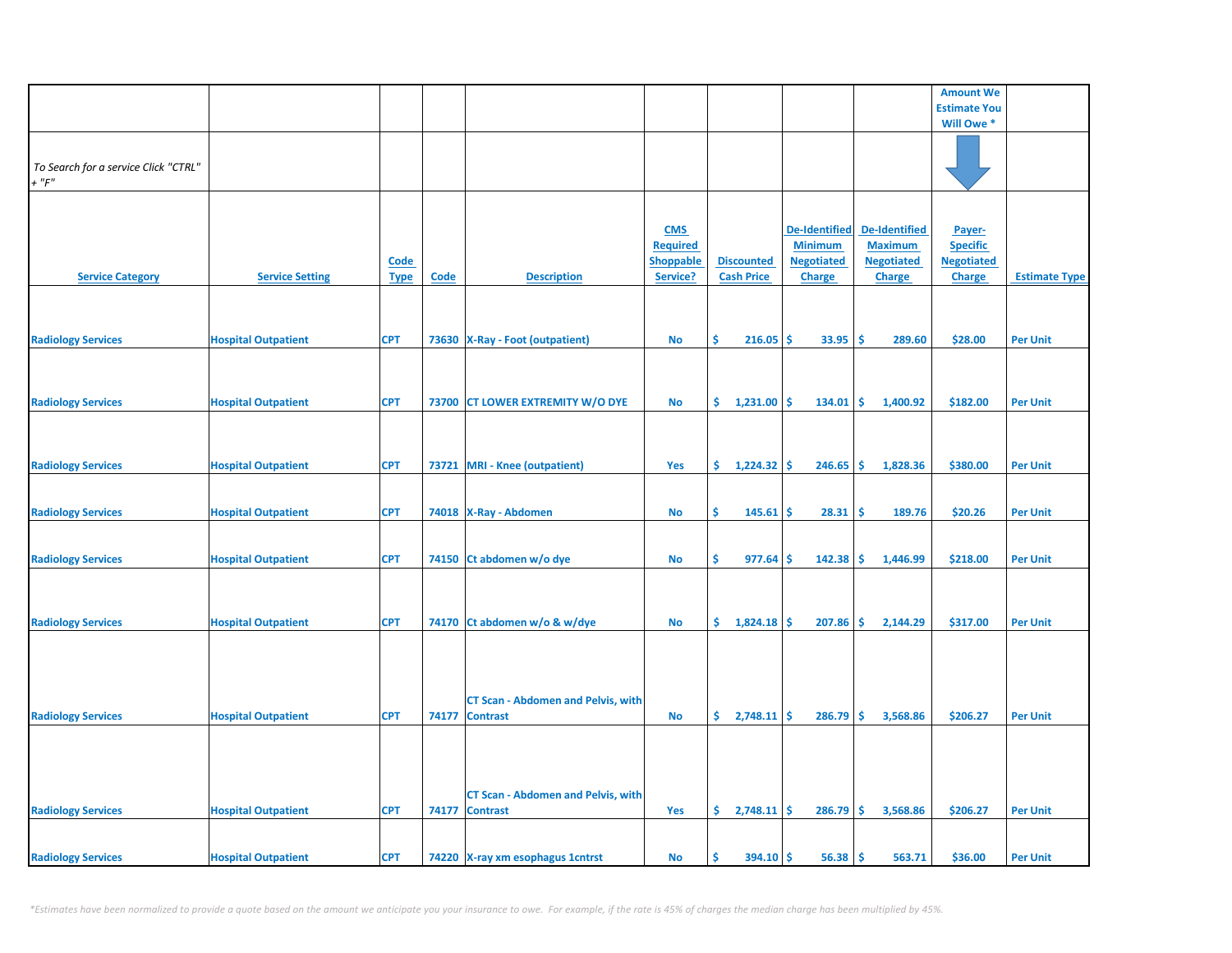|                                      |                            |             |       |                                           |                  |                             |                      |                       | <b>Amount We</b>    |                      |
|--------------------------------------|----------------------------|-------------|-------|-------------------------------------------|------------------|-----------------------------|----------------------|-----------------------|---------------------|----------------------|
|                                      |                            |             |       |                                           |                  |                             |                      |                       | <b>Estimate You</b> |                      |
|                                      |                            |             |       |                                           |                  |                             |                      |                       | Will Owe *          |                      |
|                                      |                            |             |       |                                           |                  |                             |                      |                       |                     |                      |
|                                      |                            |             |       |                                           |                  |                             |                      |                       |                     |                      |
| To Search for a service Click "CTRL" |                            |             |       |                                           |                  |                             |                      |                       |                     |                      |
| $+$ " $F$ "                          |                            |             |       |                                           |                  |                             |                      |                       |                     |                      |
|                                      |                            |             |       |                                           |                  |                             |                      |                       |                     |                      |
|                                      |                            |             |       |                                           |                  |                             |                      |                       |                     |                      |
|                                      |                            |             |       |                                           | <b>CMS</b>       |                             | <b>De-Identified</b> | <b>De-Identified</b>  | Payer-              |                      |
|                                      |                            |             |       |                                           | <b>Required</b>  |                             | <b>Minimum</b>       | <b>Maximum</b>        | <b>Specific</b>     |                      |
|                                      |                            | <b>Code</b> |       |                                           | <b>Shoppable</b> | <b>Discounted</b>           | <b>Negotiated</b>    | <b>Negotiated</b>     | <b>Negotiated</b>   |                      |
| <b>Service Category</b>              | <b>Service Setting</b>     |             | Code  | <b>Description</b>                        | Service?         | <b>Cash Price</b>           | <b>Charge</b>        | <b>Charge</b>         |                     | <b>Estimate Type</b> |
|                                      |                            | <b>Type</b> |       |                                           |                  |                             |                      |                       | <b>Charge</b>       |                      |
|                                      |                            |             |       |                                           |                  |                             |                      |                       |                     |                      |
|                                      |                            |             |       |                                           |                  |                             |                      |                       |                     |                      |
|                                      |                            |             |       |                                           |                  |                             |                      |                       |                     |                      |
| <b>Radiology Services</b>            | <b>Hospital Outpatient</b> | <b>CPT</b>  |       | 73630 X-Ray - Foot (outpatient)           | <b>No</b>        | \$<br>216.05                | \$<br>33.95          | -\$<br>289.60         | \$28.00             | <b>Per Unit</b>      |
|                                      |                            |             |       |                                           |                  |                             |                      |                       |                     |                      |
|                                      |                            |             |       |                                           |                  |                             |                      |                       |                     |                      |
|                                      |                            |             |       |                                           |                  |                             |                      |                       |                     |                      |
| <b>Radiology Services</b>            | <b>Hospital Outpatient</b> | <b>CPT</b>  |       | 73700 CT LOWER EXTREMITY W/O DYE          | <b>No</b>        | \$.<br>1,231.00             | -\$<br>134.01        | \$<br>1,400.92        | \$182.00            | <b>Per Unit</b>      |
|                                      |                            |             |       |                                           |                  |                             |                      |                       |                     |                      |
|                                      |                            |             |       |                                           |                  |                             |                      |                       |                     |                      |
|                                      |                            |             |       |                                           |                  |                             |                      |                       |                     |                      |
| <b>Radiology Services</b>            | <b>Hospital Outpatient</b> | <b>CPT</b>  |       | 73721 MRI - Knee (outpatient)             | Yes              | \$1,224.32                  | -Ś<br>246.65         | \$<br>1,828.36        | \$380.00            | <b>Per Unit</b>      |
|                                      |                            |             |       |                                           |                  |                             |                      |                       |                     |                      |
|                                      |                            |             |       |                                           |                  |                             |                      |                       |                     |                      |
| <b>Radiology Services</b>            | <b>Hospital Outpatient</b> | <b>CPT</b>  |       | 74018 X-Ray - Abdomen                     | <b>No</b>        | Š.<br>145.61                | -Ś<br>28.31          | -Ś<br>189.76          | \$20.26             | <b>Per Unit</b>      |
|                                      |                            |             |       |                                           |                  |                             |                      |                       |                     |                      |
|                                      |                            |             |       |                                           |                  |                             |                      |                       |                     |                      |
| <b>Radiology Services</b>            | <b>Hospital Outpatient</b> | <b>CPT</b>  |       | 74150 Ct abdomen w/o dye                  | <b>No</b>        | \$<br>977.64                | -Ś<br>142.38         | ا\$<br>1,446.99       | \$218.00            | <b>Per Unit</b>      |
|                                      |                            |             |       |                                           |                  |                             |                      |                       |                     |                      |
|                                      |                            |             |       |                                           |                  |                             |                      |                       |                     |                      |
|                                      |                            |             |       |                                           |                  |                             |                      |                       |                     |                      |
| <b>Radiology Services</b>            | <b>Hospital Outpatient</b> | <b>CPT</b>  |       | 74170 Ct abdomen w/o & w/dye              | <b>No</b>        | \$1,824.18                  | 207.86               | ا\$<br>2,144.29       | \$317.00            | <b>Per Unit</b>      |
|                                      |                            |             |       |                                           |                  |                             |                      |                       |                     |                      |
|                                      |                            |             |       |                                           |                  |                             |                      |                       |                     |                      |
|                                      |                            |             |       |                                           |                  |                             |                      |                       |                     |                      |
|                                      |                            |             |       |                                           |                  |                             |                      |                       |                     |                      |
|                                      |                            |             |       |                                           |                  |                             |                      |                       |                     |                      |
|                                      |                            |             |       | <b>CT Scan - Abdomen and Pelvis, with</b> |                  |                             |                      |                       |                     |                      |
| <b>Radiology Services</b>            | <b>Hospital Outpatient</b> | <b>CPT</b>  | 74177 | <b>Contrast</b>                           | <b>No</b>        | $\frac{1}{2}$ , 2,748.11 \$ | 286.79               | l\$<br>3,568.86       | \$206.27            | <b>Per Unit</b>      |
|                                      |                            |             |       |                                           |                  |                             |                      |                       |                     |                      |
|                                      |                            |             |       |                                           |                  |                             |                      |                       |                     |                      |
|                                      |                            |             |       |                                           |                  |                             |                      |                       |                     |                      |
|                                      |                            |             |       |                                           |                  |                             |                      |                       |                     |                      |
|                                      |                            |             |       | <b>CT Scan - Abdomen and Pelvis, with</b> |                  |                             |                      |                       |                     |                      |
| <b>Radiology Services</b>            | <b>Hospital Outpatient</b> | <b>CPT</b>  | 74177 | <b>Contrast</b>                           | Yes              | $\frac{2}{748.11}$ \$       | 286.79               | <b>\$</b><br>3,568.86 | \$206.27            | <b>Per Unit</b>      |
|                                      |                            |             |       |                                           |                  |                             |                      |                       |                     |                      |
|                                      |                            |             |       |                                           |                  |                             |                      |                       |                     |                      |
| <b>Radiology Services</b>            | <b>Hospital Outpatient</b> | <b>CPT</b>  |       | 74220 X-ray xm esophagus 1 cntrst         | <b>No</b>        | Ś<br>394.10                 | -\$<br>56.38         | \$<br>563.71          | \$36.00             | <b>Per Unit</b>      |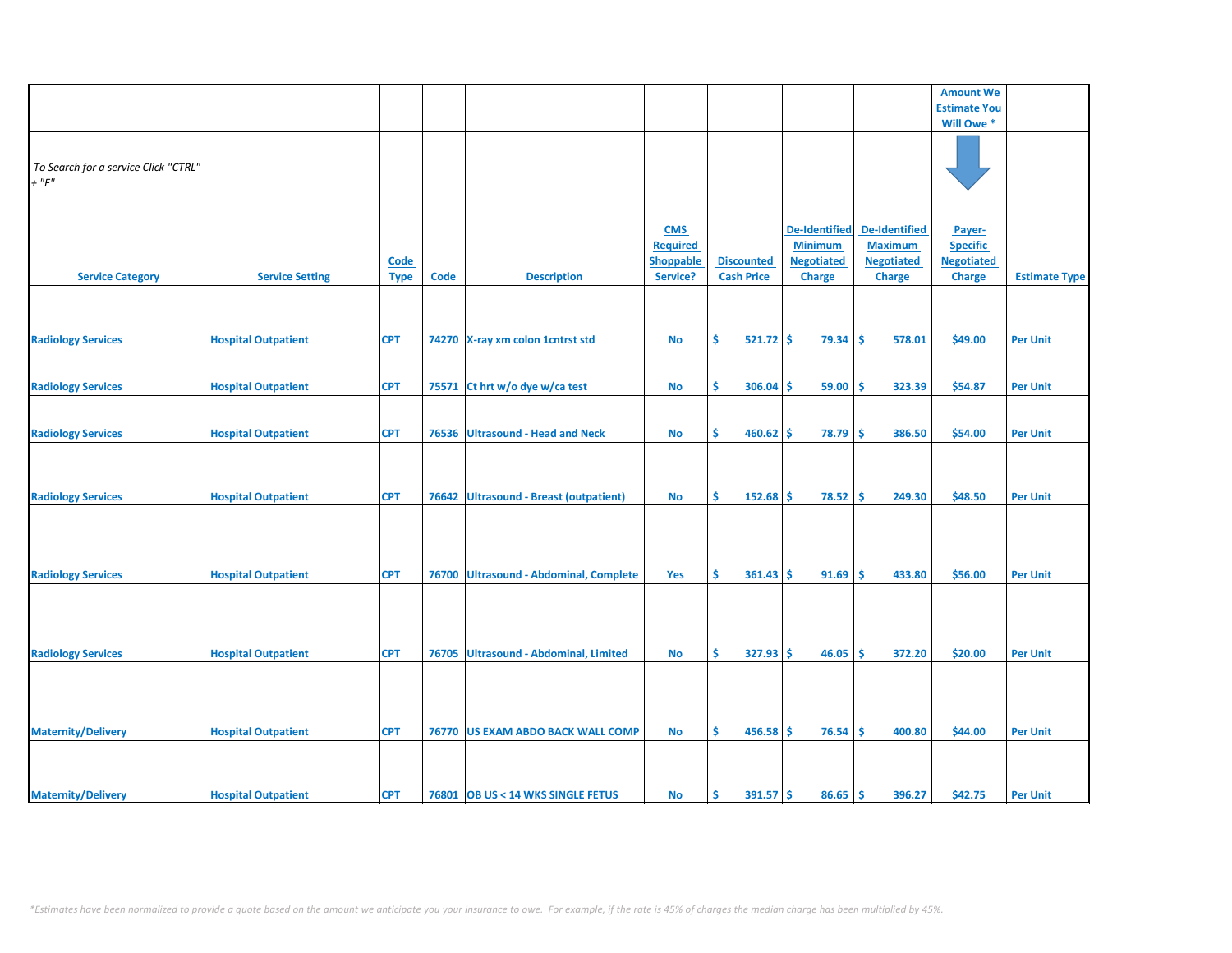|                                                     |                            |                     |             |                                         |                                                               |                                        |                                                                              |                                                                              | <b>Amount We</b>                                                |                      |
|-----------------------------------------------------|----------------------------|---------------------|-------------|-----------------------------------------|---------------------------------------------------------------|----------------------------------------|------------------------------------------------------------------------------|------------------------------------------------------------------------------|-----------------------------------------------------------------|----------------------|
|                                                     |                            |                     |             |                                         |                                                               |                                        |                                                                              |                                                                              |                                                                 |                      |
|                                                     |                            |                     |             |                                         |                                                               |                                        |                                                                              |                                                                              | <b>Estimate You</b>                                             |                      |
|                                                     |                            |                     |             |                                         |                                                               |                                        |                                                                              |                                                                              | Will Owe *                                                      |                      |
| To Search for a service Click "CTRL"<br>$+$ " $F$ " |                            |                     |             |                                         |                                                               |                                        |                                                                              |                                                                              |                                                                 |                      |
|                                                     |                            |                     |             |                                         |                                                               |                                        |                                                                              |                                                                              |                                                                 |                      |
| <b>Service Category</b>                             | <b>Service Setting</b>     | Code<br><b>Type</b> | <b>Code</b> | <b>Description</b>                      | <b>CMS</b><br><b>Required</b><br><b>Shoppable</b><br>Service? | <b>Discounted</b><br><b>Cash Price</b> | <b>De-Identified</b><br><b>Minimum</b><br><b>Negotiated</b><br><b>Charge</b> | <b>De-Identified</b><br><b>Maximum</b><br><b>Negotiated</b><br><b>Charge</b> | Payer-<br><b>Specific</b><br><b>Negotiated</b><br><b>Charge</b> | <b>Estimate Type</b> |
|                                                     |                            |                     |             |                                         |                                                               |                                        |                                                                              |                                                                              |                                                                 |                      |
| <b>Radiology Services</b>                           | <b>Hospital Outpatient</b> | <b>CPT</b>          |             | 74270 X-ray xm colon 1 cntrst std       | No                                                            | \$<br>$521.72$ \$                      | 79.34                                                                        | \$.<br>578.01                                                                | \$49.00                                                         | <b>Per Unit</b>      |
|                                                     |                            |                     |             |                                         |                                                               |                                        |                                                                              |                                                                              |                                                                 |                      |
|                                                     |                            |                     |             |                                         |                                                               |                                        |                                                                              |                                                                              |                                                                 |                      |
| <b>Radiology Services</b>                           | <b>Hospital Outpatient</b> | <b>CPT</b>          | 75571       | Ct hrt w/o dye w/ca test                | No                                                            | \$<br>306.04                           | 59.00<br>\$.                                                                 | \$.<br>323.39                                                                | \$54.87                                                         | <b>Per Unit</b>      |
| <b>Radiology Services</b>                           | <b>Hospital Outpatient</b> | <b>CPT</b>          | 76536       | <b>Ultrasound - Head and Neck</b>       | <b>No</b>                                                     | \$<br>460.62                           | \$<br>78.79                                                                  | Ŝ<br>386.50                                                                  | \$54.00                                                         | <b>Per Unit</b>      |
| <b>Radiology Services</b>                           | <b>Hospital Outpatient</b> | <b>CPT</b>          | 76642       | <b>Ultrasound - Breast (outpatient)</b> | <b>No</b>                                                     | Ś<br>152.68                            | \$<br>78.52                                                                  | Ŝ<br>249.30                                                                  | \$48.50                                                         | <b>Per Unit</b>      |
| <b>Radiology Services</b>                           | <b>Hospital Outpatient</b> | <b>CPT</b>          | 76700       | <b>Ultrasound - Abdominal, Complete</b> | Yes                                                           | \$<br>361.43                           | 91.69<br>-S                                                                  | Ŝ<br>433.80                                                                  | \$56.00                                                         | <b>Per Unit</b>      |
| <b>Radiology Services</b>                           | <b>Hospital Outpatient</b> | <b>CPT</b>          | 76705       | Ultrasound - Abdominal, Limited         | No                                                            | \$<br>327.93                           | Ŝ<br>46.05                                                                   | Ś<br>372.20                                                                  | \$20.00                                                         | <b>Per Unit</b>      |
| <b>Maternity/Delivery</b>                           | <b>Hospital Outpatient</b> | <b>CPT</b>          |             | 76770 US EXAM ABDO BACK WALL COMP       | No                                                            | \$<br>$456.58$ \$                      | 76.54                                                                        | Ŝ<br>400.80                                                                  | \$44.00                                                         | <b>Per Unit</b>      |
| <b>Maternity/Delivery</b>                           | <b>Hospital Outpatient</b> | <b>CPT</b>          |             | 76801 OB US < 14 WKS SINGLE FETUS       | <b>No</b>                                                     | Ŝ<br>$391.57$ \$                       | 86.65                                                                        | Ŝ.<br>396.27                                                                 | \$42.75                                                         | <b>Per Unit</b>      |
|                                                     |                            |                     |             |                                         |                                                               |                                        |                                                                              |                                                                              |                                                                 |                      |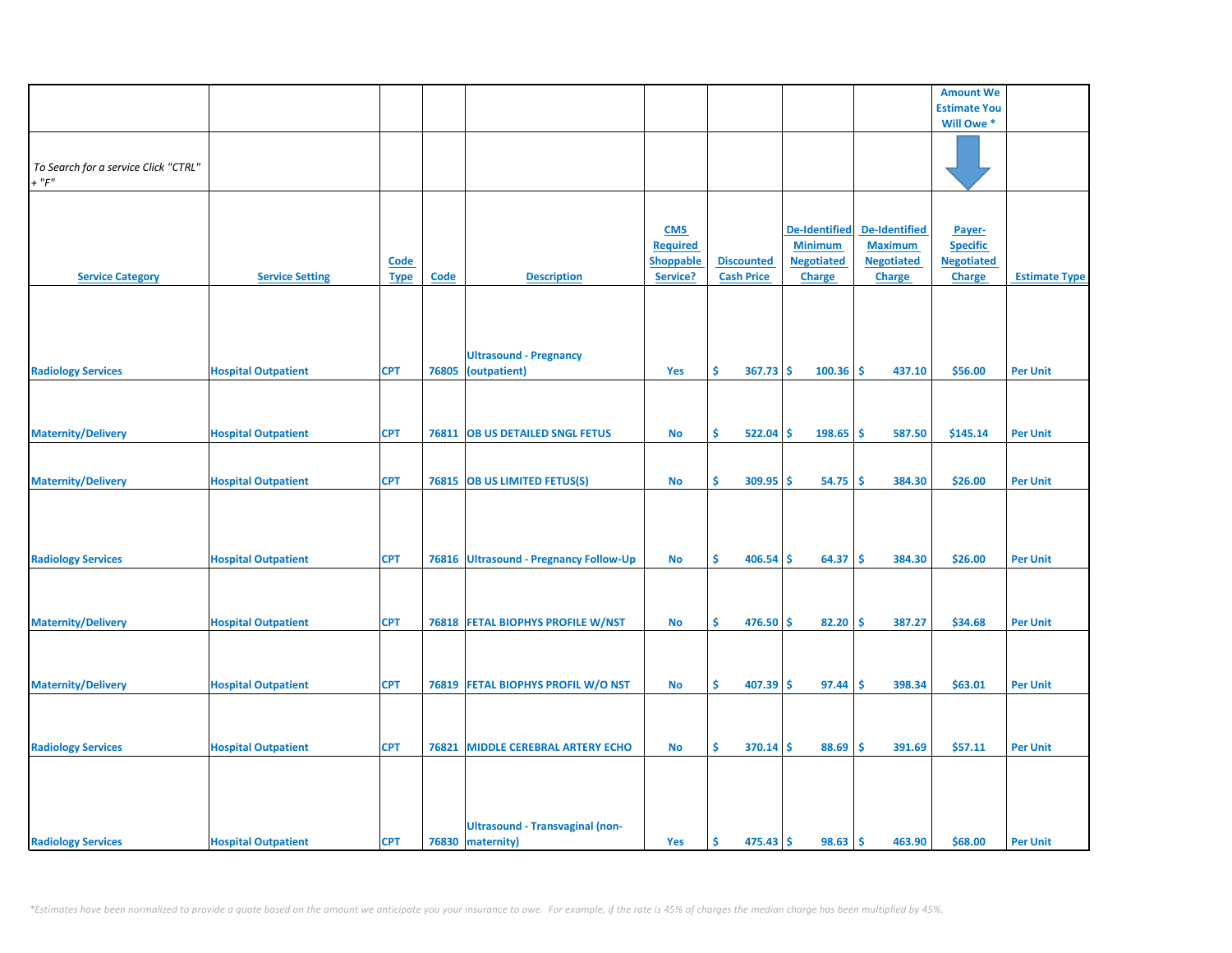|                                      |                            |             |       |                                        |                  |                   |                      |                      | <b>Amount We</b>    |                      |
|--------------------------------------|----------------------------|-------------|-------|----------------------------------------|------------------|-------------------|----------------------|----------------------|---------------------|----------------------|
|                                      |                            |             |       |                                        |                  |                   |                      |                      | <b>Estimate You</b> |                      |
|                                      |                            |             |       |                                        |                  |                   |                      |                      | Will Owe *          |                      |
|                                      |                            |             |       |                                        |                  |                   |                      |                      |                     |                      |
|                                      |                            |             |       |                                        |                  |                   |                      |                      |                     |                      |
| To Search for a service Click "CTRL" |                            |             |       |                                        |                  |                   |                      |                      |                     |                      |
| $+$ " $F$ "                          |                            |             |       |                                        |                  |                   |                      |                      |                     |                      |
|                                      |                            |             |       |                                        |                  |                   |                      |                      |                     |                      |
|                                      |                            |             |       |                                        |                  |                   |                      |                      |                     |                      |
|                                      |                            |             |       |                                        | <b>CMS</b>       |                   | <b>De-Identified</b> | <b>De-Identified</b> | Payer-              |                      |
|                                      |                            |             |       |                                        | <b>Required</b>  |                   | <b>Minimum</b>       | <b>Maximum</b>       |                     |                      |
|                                      |                            |             |       |                                        |                  |                   |                      |                      | <b>Specific</b>     |                      |
|                                      |                            | <b>Code</b> |       |                                        | <b>Shoppable</b> | <b>Discounted</b> | <b>Negotiated</b>    | <b>Negotiated</b>    | <b>Negotiated</b>   |                      |
| <b>Service Category</b>              | <b>Service Setting</b>     | <b>Type</b> | Code  | <b>Description</b>                     | Service?         | <b>Cash Price</b> | <b>Charge</b>        | <b>Charge</b>        | <b>Charge</b>       | <b>Estimate Type</b> |
|                                      |                            |             |       |                                        |                  |                   |                      |                      |                     |                      |
|                                      |                            |             |       |                                        |                  |                   |                      |                      |                     |                      |
|                                      |                            |             |       |                                        |                  |                   |                      |                      |                     |                      |
|                                      |                            |             |       |                                        |                  |                   |                      |                      |                     |                      |
|                                      |                            |             |       | <b>Ultrasound - Pregnancy</b>          |                  |                   |                      |                      |                     |                      |
| <b>Radiology Services</b>            | <b>Hospital Outpatient</b> | <b>CPT</b>  | 76805 | (outpatient)                           | Yes              | \$<br>367.73      | -Ś<br>100.36         | <b>S</b><br>437.10   | \$56.00             | <b>Per Unit</b>      |
|                                      |                            |             |       |                                        |                  |                   |                      |                      |                     |                      |
|                                      |                            |             |       |                                        |                  |                   |                      |                      |                     |                      |
|                                      |                            |             |       |                                        |                  |                   |                      |                      |                     |                      |
|                                      |                            |             |       |                                        |                  |                   |                      |                      |                     |                      |
| <b>Maternity/Delivery</b>            | <b>Hospital Outpatient</b> | <b>CPT</b>  | 76811 | <b>OB US DETAILED SNGL FETUS</b>       | No               | \$<br>522.04      | \$<br>198.65         | ١\$<br>587.50        | \$145.14            | <b>Per Unit</b>      |
|                                      |                            |             |       |                                        |                  |                   |                      |                      |                     |                      |
|                                      |                            |             |       |                                        |                  |                   |                      |                      |                     |                      |
| <b>Maternity/Delivery</b>            | <b>Hospital Outpatient</b> | <b>CPT</b>  |       | 76815 OB US LIMITED FETUS(S)           | <b>No</b>        | \$<br>$309.95$ \$ | 54.75                | -\$<br>384.30        | \$26.00             | <b>Per Unit</b>      |
|                                      |                            |             |       |                                        |                  |                   |                      |                      |                     |                      |
|                                      |                            |             |       |                                        |                  |                   |                      |                      |                     |                      |
|                                      |                            |             |       |                                        |                  |                   |                      |                      |                     |                      |
|                                      |                            |             |       |                                        |                  |                   |                      |                      |                     |                      |
| <b>Radiology Services</b>            | <b>Hospital Outpatient</b> | <b>CPT</b>  |       | 76816 Ultrasound - Pregnancy Follow-Up | <b>No</b>        | Ŝ.<br>406.54      | -Ś<br>64.37          | -\$<br>384.30        | \$26.00             | <b>Per Unit</b>      |
|                                      |                            |             |       |                                        |                  |                   |                      |                      |                     |                      |
|                                      |                            |             |       |                                        |                  |                   |                      |                      |                     |                      |
|                                      |                            |             |       |                                        |                  |                   |                      |                      |                     |                      |
|                                      |                            |             |       |                                        |                  |                   |                      |                      |                     |                      |
| <b>Maternity/Delivery</b>            | <b>Hospital Outpatient</b> | <b>CPT</b>  |       | 76818 FETAL BIOPHYS PROFILE W/NST      | <b>No</b>        | \$<br>$476.50$ \$ | 82.20                | -\$<br>387.27        | \$34.68             | <b>Per Unit</b>      |
|                                      |                            |             |       |                                        |                  |                   |                      |                      |                     |                      |
|                                      |                            |             |       |                                        |                  |                   |                      |                      |                     |                      |
|                                      |                            |             |       |                                        |                  |                   |                      |                      |                     |                      |
| <b>Maternity/Delivery</b>            | <b>Hospital Outpatient</b> | <b>CPT</b>  |       | 76819 FETAL BIOPHYS PROFIL W/O NST     | No               | \$<br>407.39      | <b>S</b><br>97.44    | -\$<br>398.34        | \$63.01             | <b>Per Unit</b>      |
|                                      |                            |             |       |                                        |                  |                   |                      |                      |                     |                      |
|                                      |                            |             |       |                                        |                  |                   |                      |                      |                     |                      |
|                                      |                            |             |       |                                        |                  |                   |                      |                      |                     |                      |
|                                      | <b>Hospital Outpatient</b> | <b>CPT</b>  | 76821 | <b>MIDDLE CEREBRAL ARTERY ECHO</b>     | <b>No</b>        | \$<br>$370.14$ \$ | 88.69                | -\$<br>391.69        | \$57.11             | <b>Per Unit</b>      |
| <b>Radiology Services</b>            |                            |             |       |                                        |                  |                   |                      |                      |                     |                      |
|                                      |                            |             |       |                                        |                  |                   |                      |                      |                     |                      |
|                                      |                            |             |       |                                        |                  |                   |                      |                      |                     |                      |
|                                      |                            |             |       |                                        |                  |                   |                      |                      |                     |                      |
|                                      |                            |             |       |                                        |                  |                   |                      |                      |                     |                      |
|                                      |                            |             |       | <b>Ultrasound - Transvaginal (non-</b> |                  |                   |                      |                      |                     |                      |
| <b>Radiology Services</b>            | <b>Hospital Outpatient</b> | <b>CPT</b>  |       | 76830 maternity)                       | Yes              | \$<br>$475.43$ \$ | 98.63                | ۱\$.<br>463.90       | \$68.00             | <b>Per Unit</b>      |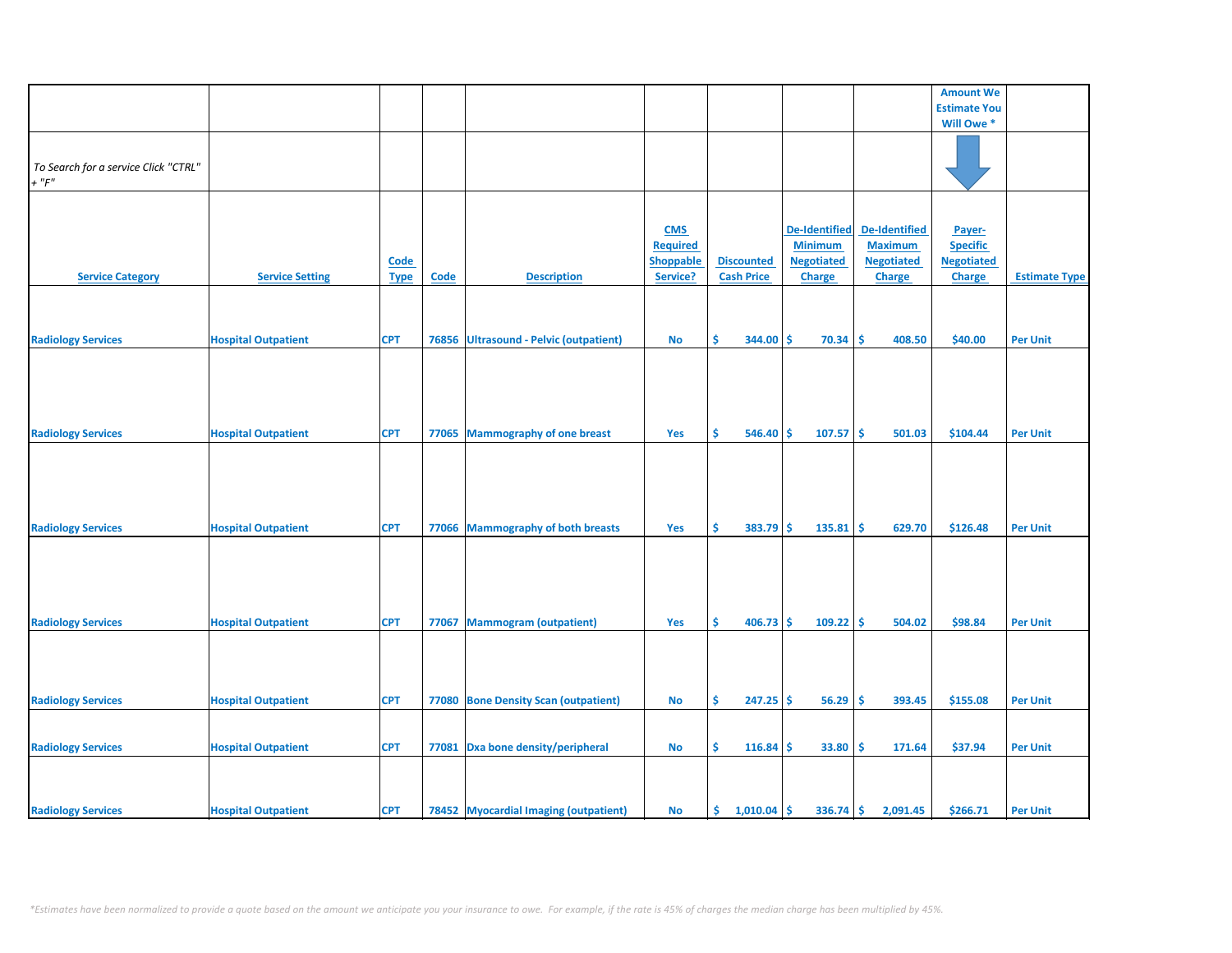|                                      |                            |             |       |                                        |                 |                   |    |                      |                      | <b>Amount We</b>    |                      |
|--------------------------------------|----------------------------|-------------|-------|----------------------------------------|-----------------|-------------------|----|----------------------|----------------------|---------------------|----------------------|
|                                      |                            |             |       |                                        |                 |                   |    |                      |                      | <b>Estimate You</b> |                      |
|                                      |                            |             |       |                                        |                 |                   |    |                      |                      | Will Owe *          |                      |
|                                      |                            |             |       |                                        |                 |                   |    |                      |                      |                     |                      |
|                                      |                            |             |       |                                        |                 |                   |    |                      |                      |                     |                      |
|                                      |                            |             |       |                                        |                 |                   |    |                      |                      |                     |                      |
| To Search for a service Click "CTRL" |                            |             |       |                                        |                 |                   |    |                      |                      |                     |                      |
| $+$ " $F"$                           |                            |             |       |                                        |                 |                   |    |                      |                      |                     |                      |
|                                      |                            |             |       |                                        |                 |                   |    |                      |                      |                     |                      |
|                                      |                            |             |       |                                        |                 |                   |    |                      |                      |                     |                      |
|                                      |                            |             |       |                                        |                 |                   |    |                      |                      |                     |                      |
|                                      |                            |             |       |                                        | <b>CMS</b>      |                   |    | <b>De-Identified</b> | <b>De-Identified</b> | Payer-              |                      |
|                                      |                            |             |       |                                        |                 |                   |    |                      |                      |                     |                      |
|                                      |                            |             |       |                                        | <b>Required</b> |                   |    | <b>Minimum</b>       | <b>Maximum</b>       | <b>Specific</b>     |                      |
|                                      |                            | <b>Code</b> |       |                                        | Shoppable       | <b>Discounted</b> |    | <b>Negotiated</b>    | <b>Negotiated</b>    | <b>Negotiated</b>   |                      |
| <b>Service Category</b>              | <b>Service Setting</b>     | <b>Type</b> | Code  | <b>Description</b>                     | Service?        | <b>Cash Price</b> |    | Charge               | Charge               | <b>Charge</b>       | <b>Estimate Type</b> |
|                                      |                            |             |       |                                        |                 |                   |    |                      |                      |                     |                      |
|                                      |                            |             |       |                                        |                 |                   |    |                      |                      |                     |                      |
|                                      |                            |             |       |                                        |                 |                   |    |                      |                      |                     |                      |
|                                      |                            |             |       |                                        |                 |                   |    |                      |                      |                     |                      |
| <b>Radiology Services</b>            | <b>Hospital Outpatient</b> | <b>CPT</b>  |       | 76856 Ultrasound - Pelvic (outpatient) | <b>No</b>       | Ŝ<br>344.00       | Ŝ  | 70.34                | Ŝ.<br>408.50         | \$40.00             | <b>Per Unit</b>      |
|                                      |                            |             |       |                                        |                 |                   |    |                      |                      |                     |                      |
|                                      |                            |             |       |                                        |                 |                   |    |                      |                      |                     |                      |
|                                      |                            |             |       |                                        |                 |                   |    |                      |                      |                     |                      |
|                                      |                            |             |       |                                        |                 |                   |    |                      |                      |                     |                      |
|                                      |                            |             |       |                                        |                 |                   |    |                      |                      |                     |                      |
|                                      |                            |             |       |                                        |                 |                   |    |                      |                      |                     |                      |
|                                      |                            |             |       |                                        |                 |                   |    |                      |                      |                     |                      |
| <b>Radiology Services</b>            | <b>Hospital Outpatient</b> | <b>CPT</b>  |       | 77065 Mammography of one breast        | Yes             | \$<br>$546.40$ \$ |    | 107.57               | ∣\$<br>501.03        | \$104.44            | <b>Per Unit</b>      |
|                                      |                            |             |       |                                        |                 |                   |    |                      |                      |                     |                      |
|                                      |                            |             |       |                                        |                 |                   |    |                      |                      |                     |                      |
|                                      |                            |             |       |                                        |                 |                   |    |                      |                      |                     |                      |
|                                      |                            |             |       |                                        |                 |                   |    |                      |                      |                     |                      |
|                                      |                            |             |       |                                        |                 |                   |    |                      |                      |                     |                      |
|                                      |                            |             |       |                                        |                 |                   |    |                      |                      |                     |                      |
|                                      |                            |             |       |                                        |                 |                   |    |                      |                      |                     |                      |
| <b>Radiology Services</b>            | <b>Hospital Outpatient</b> | <b>CPT</b>  |       | 77066 Mammography of both breasts      | Yes             | \$<br>$383.79$ \$ |    | 135.81               | ١ś<br>629.70         | \$126.48            | <b>Per Unit</b>      |
|                                      |                            |             |       |                                        |                 |                   |    |                      |                      |                     |                      |
|                                      |                            |             |       |                                        |                 |                   |    |                      |                      |                     |                      |
|                                      |                            |             |       |                                        |                 |                   |    |                      |                      |                     |                      |
|                                      |                            |             |       |                                        |                 |                   |    |                      |                      |                     |                      |
|                                      |                            |             |       |                                        |                 |                   |    |                      |                      |                     |                      |
|                                      |                            |             |       |                                        |                 |                   |    |                      |                      |                     |                      |
|                                      |                            |             |       |                                        |                 |                   |    |                      |                      |                     |                      |
| <b>Radiology Services</b>            | <b>Hospital Outpatient</b> | <b>CPT</b>  | 77067 | <b>Mammogram (outpatient)</b>          | Yes             | Ŝ<br>$406.73$ \$  |    | $109.22$ \$          | 504.02               | \$98.84             | <b>Per Unit</b>      |
|                                      |                            |             |       |                                        |                 |                   |    |                      |                      |                     |                      |
|                                      |                            |             |       |                                        |                 |                   |    |                      |                      |                     |                      |
|                                      |                            |             |       |                                        |                 |                   |    |                      |                      |                     |                      |
|                                      |                            |             |       |                                        |                 |                   |    |                      |                      |                     |                      |
|                                      |                            |             |       |                                        |                 |                   |    |                      |                      |                     |                      |
| <b>Radiology Services</b>            | <b>Hospital Outpatient</b> | <b>CPT</b>  |       | 77080 Bone Density Scan (outpatient)   | No              | \$<br>$247.25$ \$ |    | 56.29                | ۱\$<br>393.45        | \$155.08            | <b>Per Unit</b>      |
|                                      |                            |             |       |                                        |                 |                   |    |                      |                      |                     |                      |
|                                      |                            |             |       |                                        |                 |                   |    |                      |                      |                     |                      |
|                                      |                            |             |       |                                        |                 |                   |    |                      |                      |                     |                      |
| <b>Radiology Services</b>            | <b>Hospital Outpatient</b> | <b>CPT</b>  |       | 77081 Dxa bone density/peripheral      | <b>No</b>       | \$<br>116.84      | -Ś | 33.80                | -\$<br>171.64        | \$37.94             | <b>Per Unit</b>      |
|                                      |                            |             |       |                                        |                 |                   |    |                      |                      |                     |                      |
|                                      |                            |             |       |                                        |                 |                   |    |                      |                      |                     |                      |
|                                      |                            |             |       |                                        |                 |                   |    |                      |                      |                     |                      |
|                                      |                            |             |       |                                        |                 |                   |    |                      |                      |                     |                      |
|                                      |                            |             |       |                                        |                 |                   |    |                      |                      |                     |                      |
| <b>Radiology Services</b>            | <b>Hospital Outpatient</b> | <b>CPT</b>  |       | 78452 Myocardial Imaging (outpatient)  | <b>No</b>       | \$<br>1,010.04    | -Ś | $336.74$ \$          | 2,091.45             | \$266.71            | <b>Per Unit</b>      |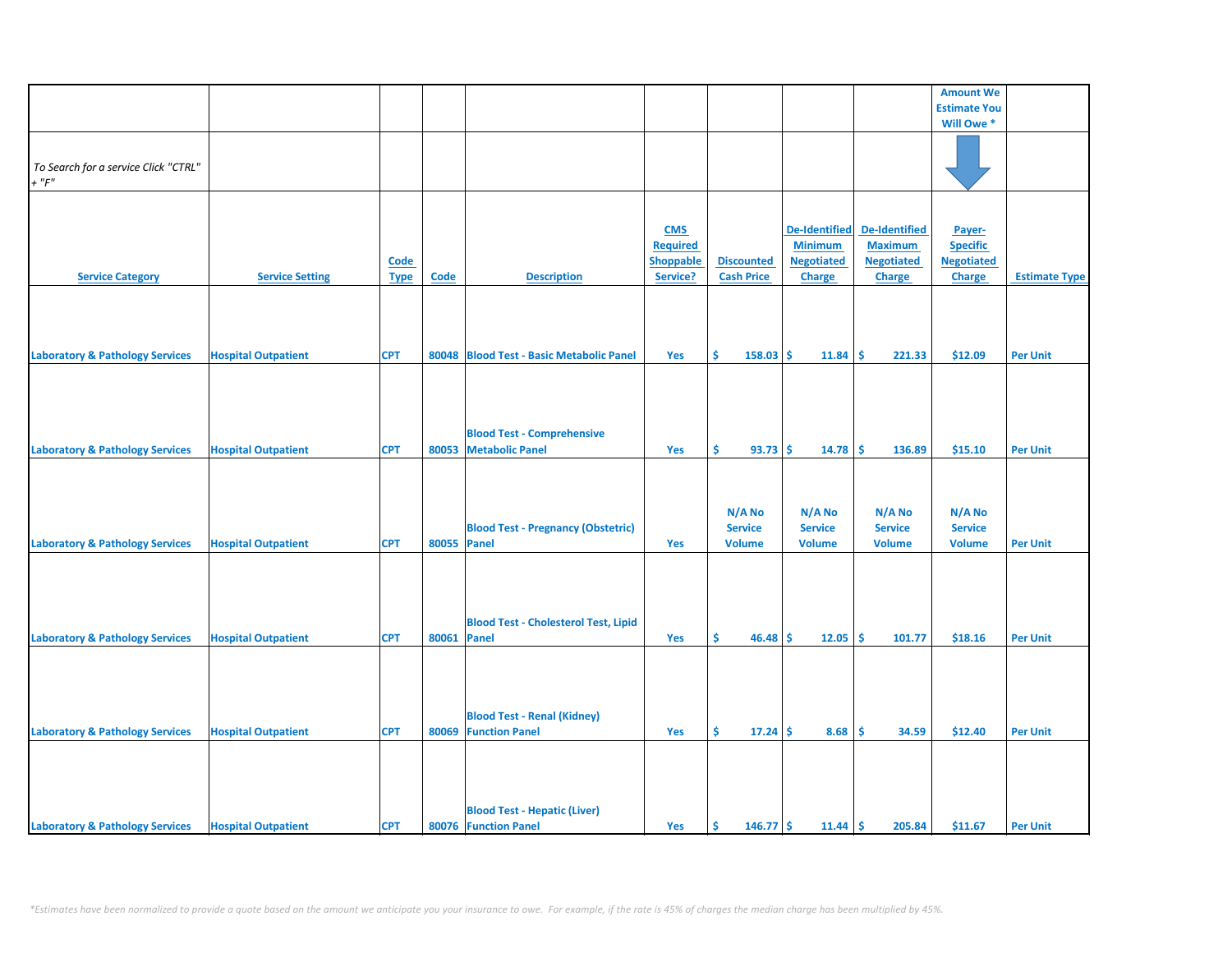|                                            |                            |             |             |                                             |                  |                   |                      |                   | <b>Amount We</b>    |                      |
|--------------------------------------------|----------------------------|-------------|-------------|---------------------------------------------|------------------|-------------------|----------------------|-------------------|---------------------|----------------------|
|                                            |                            |             |             |                                             |                  |                   |                      |                   | <b>Estimate You</b> |                      |
|                                            |                            |             |             |                                             |                  |                   |                      |                   | Will Owe *          |                      |
|                                            |                            |             |             |                                             |                  |                   |                      |                   |                     |                      |
|                                            |                            |             |             |                                             |                  |                   |                      |                   |                     |                      |
| To Search for a service Click "CTRL"       |                            |             |             |                                             |                  |                   |                      |                   |                     |                      |
| $+$ " $F$ "                                |                            |             |             |                                             |                  |                   |                      |                   |                     |                      |
|                                            |                            |             |             |                                             |                  |                   |                      |                   |                     |                      |
|                                            |                            |             |             |                                             |                  |                   |                      |                   |                     |                      |
|                                            |                            |             |             |                                             | <b>CMS</b>       |                   | <b>De-Identified</b> | De-Identified     | Payer-              |                      |
|                                            |                            |             |             |                                             | <b>Required</b>  |                   | <b>Minimum</b>       | <b>Maximum</b>    | <b>Specific</b>     |                      |
|                                            |                            | <b>Code</b> |             |                                             | <b>Shoppable</b> | <b>Discounted</b> | <b>Negotiated</b>    | <b>Negotiated</b> | <b>Negotiated</b>   |                      |
| <b>Service Category</b>                    | <b>Service Setting</b>     |             | <b>Code</b> | <b>Description</b>                          | Service?         | <b>Cash Price</b> | Charge               |                   | <b>Charge</b>       | <b>Estimate Type</b> |
|                                            |                            | <b>Type</b> |             |                                             |                  |                   |                      | Charge            |                     |                      |
|                                            |                            |             |             |                                             |                  |                   |                      |                   |                     |                      |
|                                            |                            |             |             |                                             |                  |                   |                      |                   |                     |                      |
|                                            |                            |             |             |                                             |                  |                   |                      |                   |                     |                      |
|                                            |                            |             |             |                                             |                  |                   |                      |                   |                     |                      |
| <b>Laboratory &amp; Pathology Services</b> | <b>Hospital Outpatient</b> | <b>CPT</b>  |             | 80048 Blood Test - Basic Metabolic Panel    | Yes              | Ŝ.<br>$158.03$ \$ | 11.84                | -\$<br>221.33     | \$12.09             | <b>Per Unit</b>      |
|                                            |                            |             |             |                                             |                  |                   |                      |                   |                     |                      |
|                                            |                            |             |             |                                             |                  |                   |                      |                   |                     |                      |
|                                            |                            |             |             |                                             |                  |                   |                      |                   |                     |                      |
|                                            |                            |             |             |                                             |                  |                   |                      |                   |                     |                      |
|                                            |                            |             |             | <b>Blood Test - Comprehensive</b>           |                  |                   |                      |                   |                     |                      |
| <b>Laboratory &amp; Pathology Services</b> | <b>Hospital Outpatient</b> | <b>CPT</b>  |             | 80053 Metabolic Panel                       | Yes              | \$<br>93.73       | -Ś<br>14.78          | -\$<br>136.89     | \$15.10             | <b>Per Unit</b>      |
|                                            |                            |             |             |                                             |                  |                   |                      |                   |                     |                      |
|                                            |                            |             |             |                                             |                  |                   |                      |                   |                     |                      |
|                                            |                            |             |             |                                             |                  |                   |                      |                   |                     |                      |
|                                            |                            |             |             |                                             |                  |                   |                      |                   |                     |                      |
|                                            |                            |             |             |                                             |                  | N/A No            | N/A No               | N/A No            | N/A No              |                      |
|                                            |                            |             |             | <b>Blood Test - Pregnancy (Obstetric)</b>   |                  | <b>Service</b>    | <b>Service</b>       | <b>Service</b>    | <b>Service</b>      |                      |
| <b>Laboratory &amp; Pathology Services</b> | <b>Hospital Outpatient</b> | <b>CPT</b>  | 80055 Panel |                                             | Yes              | <b>Volume</b>     | <b>Volume</b>        | <b>Volume</b>     | <b>Volume</b>       | <b>Per Unit</b>      |
|                                            |                            |             |             |                                             |                  |                   |                      |                   |                     |                      |
|                                            |                            |             |             |                                             |                  |                   |                      |                   |                     |                      |
|                                            |                            |             |             |                                             |                  |                   |                      |                   |                     |                      |
|                                            |                            |             |             |                                             |                  |                   |                      |                   |                     |                      |
|                                            |                            |             |             | <b>Blood Test - Cholesterol Test, Lipid</b> |                  |                   |                      |                   |                     |                      |
| <b>Laboratory &amp; Pathology Services</b> | <b>Hospital Outpatient</b> | <b>CPT</b>  | 80061 Panel |                                             | Yes              | Ŝ.<br>$46.48$ \$  | 12.05                | ١\$<br>101.77     | \$18.16             | <b>Per Unit</b>      |
|                                            |                            |             |             |                                             |                  |                   |                      |                   |                     |                      |
|                                            |                            |             |             |                                             |                  |                   |                      |                   |                     |                      |
|                                            |                            |             |             |                                             |                  |                   |                      |                   |                     |                      |
|                                            |                            |             |             |                                             |                  |                   |                      |                   |                     |                      |
|                                            |                            |             |             |                                             |                  |                   |                      |                   |                     |                      |
|                                            |                            |             |             | <b>Blood Test - Renal (Kidney)</b>          |                  |                   |                      |                   |                     |                      |
| <b>Laboratory &amp; Pathology Services</b> | <b>Hospital Outpatient</b> | <b>CPT</b>  |             | 80069 Function Panel                        | Yes              | \$.<br>17.24      | 8.68<br>-\$          | -\$<br>34.59      | \$12.40             | <b>Per Unit</b>      |
|                                            |                            |             |             |                                             |                  |                   |                      |                   |                     |                      |
|                                            |                            |             |             |                                             |                  |                   |                      |                   |                     |                      |
|                                            |                            |             |             |                                             |                  |                   |                      |                   |                     |                      |
|                                            |                            |             |             |                                             |                  |                   |                      |                   |                     |                      |
|                                            |                            |             |             | <b>Blood Test - Hepatic (Liver)</b>         |                  |                   |                      |                   |                     |                      |
| <b>Laboratory &amp; Pathology Services</b> | <b>Hospital Outpatient</b> | <b>CPT</b>  |             | 80076 Function Panel                        | Yes              | \$<br>$146.77$ \$ | 11.44                | l\$<br>205.84     | \$11.67             | <b>Per Unit</b>      |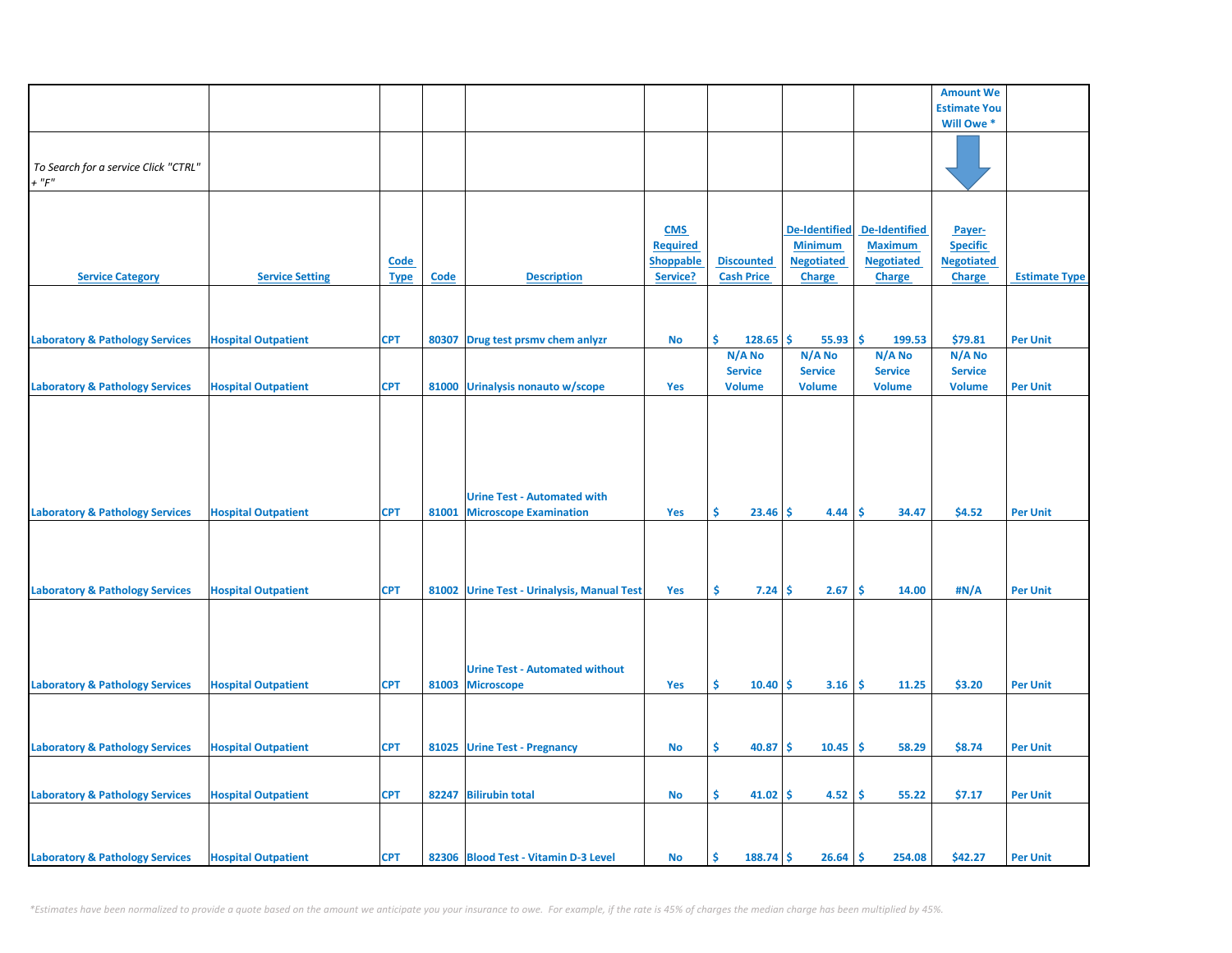|                                                     |                            |             |       |                                            |                  |                     |                      |                      | <b>Amount We</b>    |                      |
|-----------------------------------------------------|----------------------------|-------------|-------|--------------------------------------------|------------------|---------------------|----------------------|----------------------|---------------------|----------------------|
|                                                     |                            |             |       |                                            |                  |                     |                      |                      | <b>Estimate You</b> |                      |
|                                                     |                            |             |       |                                            |                  |                     |                      |                      | Will Owe *          |                      |
|                                                     |                            |             |       |                                            |                  |                     |                      |                      |                     |                      |
|                                                     |                            |             |       |                                            |                  |                     |                      |                      |                     |                      |
| To Search for a service Click "CTRL"<br>$+$ " $F$ " |                            |             |       |                                            |                  |                     |                      |                      |                     |                      |
|                                                     |                            |             |       |                                            |                  |                     |                      |                      |                     |                      |
|                                                     |                            |             |       |                                            |                  |                     |                      |                      |                     |                      |
|                                                     |                            |             |       |                                            | <b>CMS</b>       |                     | <b>De-Identified</b> | <b>De-Identified</b> | Payer-              |                      |
|                                                     |                            |             |       |                                            | <b>Required</b>  |                     | <b>Minimum</b>       | <b>Maximum</b>       | <b>Specific</b>     |                      |
|                                                     |                            | <b>Code</b> |       |                                            | <b>Shoppable</b> | <b>Discounted</b>   | <b>Negotiated</b>    | <b>Negotiated</b>    | <b>Negotiated</b>   |                      |
| <b>Service Category</b>                             | <b>Service Setting</b>     | <b>Type</b> | Code  | <b>Description</b>                         | Service?         | <b>Cash Price</b>   | Charge               | Charge               | <b>Charge</b>       | <b>Estimate Type</b> |
|                                                     |                            |             |       |                                            |                  |                     |                      |                      |                     |                      |
|                                                     |                            |             |       |                                            |                  |                     |                      |                      |                     |                      |
|                                                     |                            |             |       |                                            |                  |                     |                      |                      |                     |                      |
| <b>Laboratory &amp; Pathology Services</b>          | <b>Hospital Outpatient</b> | <b>CPT</b>  | 80307 | Drug test prsmv chem anlyzr                | No               | Ś.<br>128.65        | \$.<br>55.93         | -\$<br>199.53        | \$79.81             | <b>Per Unit</b>      |
|                                                     |                            |             |       |                                            |                  | N/A No              | N/A No               | N/A No               | N/A No              |                      |
|                                                     |                            |             |       |                                            |                  | <b>Service</b>      | <b>Service</b>       | <b>Service</b>       | <b>Service</b>      |                      |
| <b>Laboratory &amp; Pathology Services</b>          | <b>Hospital Outpatient</b> | <b>CPT</b>  |       | 81000 Urinalysis nonauto w/scope           | Yes              | <b>Volume</b>       | <b>Volume</b>        | <b>Volume</b>        | <b>Volume</b>       | <b>Per Unit</b>      |
|                                                     |                            |             |       |                                            |                  |                     |                      |                      |                     |                      |
|                                                     |                            |             |       |                                            |                  |                     |                      |                      |                     |                      |
|                                                     |                            |             |       |                                            |                  |                     |                      |                      |                     |                      |
|                                                     |                            |             |       |                                            |                  |                     |                      |                      |                     |                      |
|                                                     |                            |             |       |                                            |                  |                     |                      |                      |                     |                      |
|                                                     |                            |             |       |                                            |                  |                     |                      |                      |                     |                      |
|                                                     |                            |             |       | <b>Urine Test - Automated with</b>         |                  |                     |                      |                      |                     |                      |
| <b>Laboratory &amp; Pathology Services</b>          | <b>Hospital Outpatient</b> | <b>CPT</b>  | 81001 | <b>Microscope Examination</b>              | Yes              | \$<br>23.46         | Ŝ.<br>4.44           | <b>S</b><br>34.47    | \$4.52              | <b>Per Unit</b>      |
|                                                     |                            |             |       |                                            |                  |                     |                      |                      |                     |                      |
|                                                     |                            |             |       |                                            |                  |                     |                      |                      |                     |                      |
|                                                     |                            |             |       |                                            |                  |                     |                      |                      |                     |                      |
|                                                     |                            |             |       |                                            |                  |                     |                      |                      |                     |                      |
| <b>Laboratory &amp; Pathology Services</b>          | <b>Hospital Outpatient</b> | <b>CPT</b>  |       | 81002 Urine Test - Urinalysis, Manual Test | Yes              | \$.<br>$7.24 \,$ \$ | 2.67                 | <b>S</b><br>14.00    | #N/A                | <b>Per Unit</b>      |
|                                                     |                            |             |       |                                            |                  |                     |                      |                      |                     |                      |
|                                                     |                            |             |       |                                            |                  |                     |                      |                      |                     |                      |
|                                                     |                            |             |       |                                            |                  |                     |                      |                      |                     |                      |
|                                                     |                            |             |       |                                            |                  |                     |                      |                      |                     |                      |
|                                                     |                            |             |       | <b>Urine Test - Automated without</b>      |                  |                     |                      |                      |                     |                      |
| <b>Laboratory &amp; Pathology Services</b>          | <b>Hospital Outpatient</b> | <b>CPT</b>  |       | 81003 Microscope                           | Yes              | Ŝ.<br>10.40         | -Ś<br>3.16           | Ŝ.<br>11.25          | \$3.20              | <b>Per Unit</b>      |
|                                                     |                            |             |       |                                            |                  |                     |                      |                      |                     |                      |
|                                                     |                            |             |       |                                            |                  |                     |                      |                      |                     |                      |
| <b>Laboratory &amp; Pathology Services</b>          | <b>Hospital Outpatient</b> | <b>CPT</b>  |       | 81025 Urine Test - Pregnancy               | <b>No</b>        | \$<br>40.87         | -Ś<br>10.45          | ۱\$.<br>58.29        | \$8.74              | <b>Per Unit</b>      |
|                                                     |                            |             |       |                                            |                  |                     |                      |                      |                     |                      |
|                                                     |                            |             |       |                                            |                  |                     |                      |                      |                     |                      |
| <b>Laboratory &amp; Pathology Services</b>          | <b>Hospital Outpatient</b> | <b>CPT</b>  |       | 82247 Bilirubin total                      | <b>No</b>        | \$<br>$41.02$ \$    | 4.52                 | ١\$<br>55.22         | \$7.17              | <b>Per Unit</b>      |
|                                                     |                            |             |       |                                            |                  |                     |                      |                      |                     |                      |
|                                                     |                            |             |       |                                            |                  |                     |                      |                      |                     |                      |
|                                                     |                            |             |       |                                            |                  |                     |                      |                      |                     |                      |
| <b>Laboratory &amp; Pathology Services</b>          | <b>Hospital Outpatient</b> | <b>CPT</b>  |       | 82306 Blood Test - Vitamin D-3 Level       | No               | \$<br>$188.74$ \$   | $26.64$ \$           | 254.08               | \$42.27             | <b>Per Unit</b>      |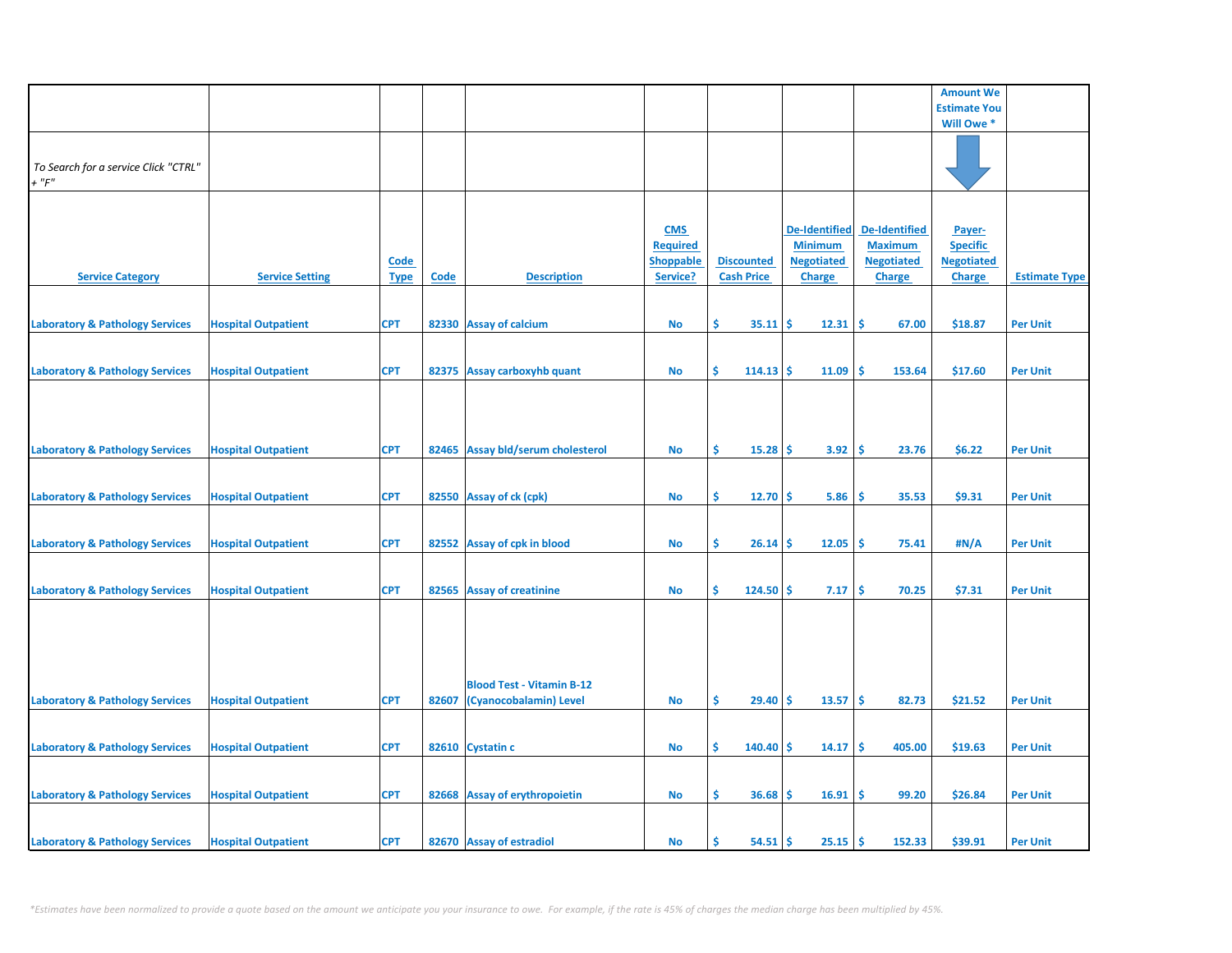|                                                     |                            |                            |       |                                                            |                                                               |                                        |                                                                              |                                                                              | <b>Amount We</b>                                                |                      |
|-----------------------------------------------------|----------------------------|----------------------------|-------|------------------------------------------------------------|---------------------------------------------------------------|----------------------------------------|------------------------------------------------------------------------------|------------------------------------------------------------------------------|-----------------------------------------------------------------|----------------------|
|                                                     |                            |                            |       |                                                            |                                                               |                                        |                                                                              |                                                                              | <b>Estimate You</b>                                             |                      |
|                                                     |                            |                            |       |                                                            |                                                               |                                        |                                                                              |                                                                              | Will Owe *                                                      |                      |
| To Search for a service Click "CTRL"<br>$+$ " $F$ " |                            |                            |       |                                                            |                                                               |                                        |                                                                              |                                                                              |                                                                 |                      |
| <b>Service Category</b>                             | <b>Service Setting</b>     | <b>Code</b><br><b>Type</b> | Code  | <b>Description</b>                                         | <b>CMS</b><br><b>Required</b><br><b>Shoppable</b><br>Service? | <b>Discounted</b><br><b>Cash Price</b> | <b>De-Identified</b><br><b>Minimum</b><br><b>Negotiated</b><br><b>Charge</b> | <b>De-Identified</b><br><b>Maximum</b><br><b>Negotiated</b><br><b>Charge</b> | Payer-<br><b>Specific</b><br><b>Negotiated</b><br><b>Charge</b> | <b>Estimate Type</b> |
|                                                     |                            |                            |       |                                                            |                                                               | \$<br>35.11                            | -Ś                                                                           | \$                                                                           |                                                                 |                      |
| <b>Laboratory &amp; Pathology Services</b>          | <b>Hospital Outpatient</b> | <b>CPT</b>                 |       | 82330 Assay of calcium                                     | <b>No</b>                                                     |                                        | 12.31                                                                        | 67.00                                                                        | \$18.87                                                         | <b>Per Unit</b>      |
| <b>Laboratory &amp; Pathology Services</b>          | <b>Hospital Outpatient</b> | <b>CPT</b>                 |       | 82375 Assay carboxyhb quant                                | <b>No</b>                                                     | \$<br>114.13                           | Ŝ<br>11.09                                                                   | Ś<br>153.64                                                                  | \$17.60                                                         | <b>Per Unit</b>      |
| <b>Laboratory &amp; Pathology Services</b>          | <b>Hospital Outpatient</b> | <b>CPT</b>                 |       | 82465 Assay bld/serum cholesterol                          | <b>No</b>                                                     | \$<br>15.28                            | 3.92<br>-Ś                                                                   | -\$<br>23.76                                                                 | \$6.22                                                          | <b>Per Unit</b>      |
| <b>Laboratory &amp; Pathology Services</b>          | <b>Hospital Outpatient</b> | <b>CPT</b>                 |       | 82550 Assay of ck (cpk)                                    | <b>No</b>                                                     | \$<br>12.70                            | -Ś<br>5.86                                                                   | -\$<br>35.53                                                                 | \$9.31                                                          | <b>Per Unit</b>      |
| <b>Laboratory &amp; Pathology Services</b>          | <b>Hospital Outpatient</b> | <b>CPT</b>                 |       | 82552 Assay of cpk in blood                                | No                                                            | \$.<br>26.14                           | 12.05<br>-\$                                                                 | -\$<br>75.41                                                                 | #N/A                                                            | <b>Per Unit</b>      |
| <b>Laboratory &amp; Pathology Services</b>          | <b>Hospital Outpatient</b> | <b>CPT</b>                 |       | 82565 Assay of creatinine                                  | <b>No</b>                                                     | Š.<br>124.50                           | Ŝ<br>7.17                                                                    | Ŝ.<br>70.25                                                                  | \$7.31                                                          | <b>Per Unit</b>      |
| <b>Laboratory &amp; Pathology Services</b>          | <b>Hospital Outpatient</b> | <b>CPT</b>                 | 82607 | <b>Blood Test - Vitamin B-12</b><br>(Cyanocobalamin) Level | <b>No</b>                                                     | \$<br>29.40                            | <b>S</b><br>13.57                                                            | ۱\$<br>82.73                                                                 | \$21.52                                                         | <b>Per Unit</b>      |
|                                                     |                            |                            |       |                                                            |                                                               |                                        |                                                                              |                                                                              |                                                                 |                      |
| <b>Laboratory &amp; Pathology Services</b>          | <b>Hospital Outpatient</b> | <b>CPT</b>                 |       | 82610 Cystatin c                                           | No                                                            | \$<br>140.40                           | -S<br>14.17                                                                  | -\$<br>405.00                                                                | \$19.63                                                         | <b>Per Unit</b>      |
| <b>Laboratory &amp; Pathology Services</b>          | <b>Hospital Outpatient</b> | <b>CPT</b>                 |       | 82668 Assay of erythropoietin                              | <b>No</b>                                                     | \$.<br>36.68                           | 16.91<br>-Ś                                                                  | -\$<br>99.20                                                                 | \$26.84                                                         | <b>Per Unit</b>      |
| <b>Laboratory &amp; Pathology Services</b>          | <b>Hospital Outpatient</b> | <b>CPT</b>                 |       | 82670 Assay of estradiol                                   | <b>No</b>                                                     | Ś<br>54.51                             | 25.15<br>-Ś                                                                  | l \$<br>152.33                                                               | \$39.91                                                         | <b>Per Unit</b>      |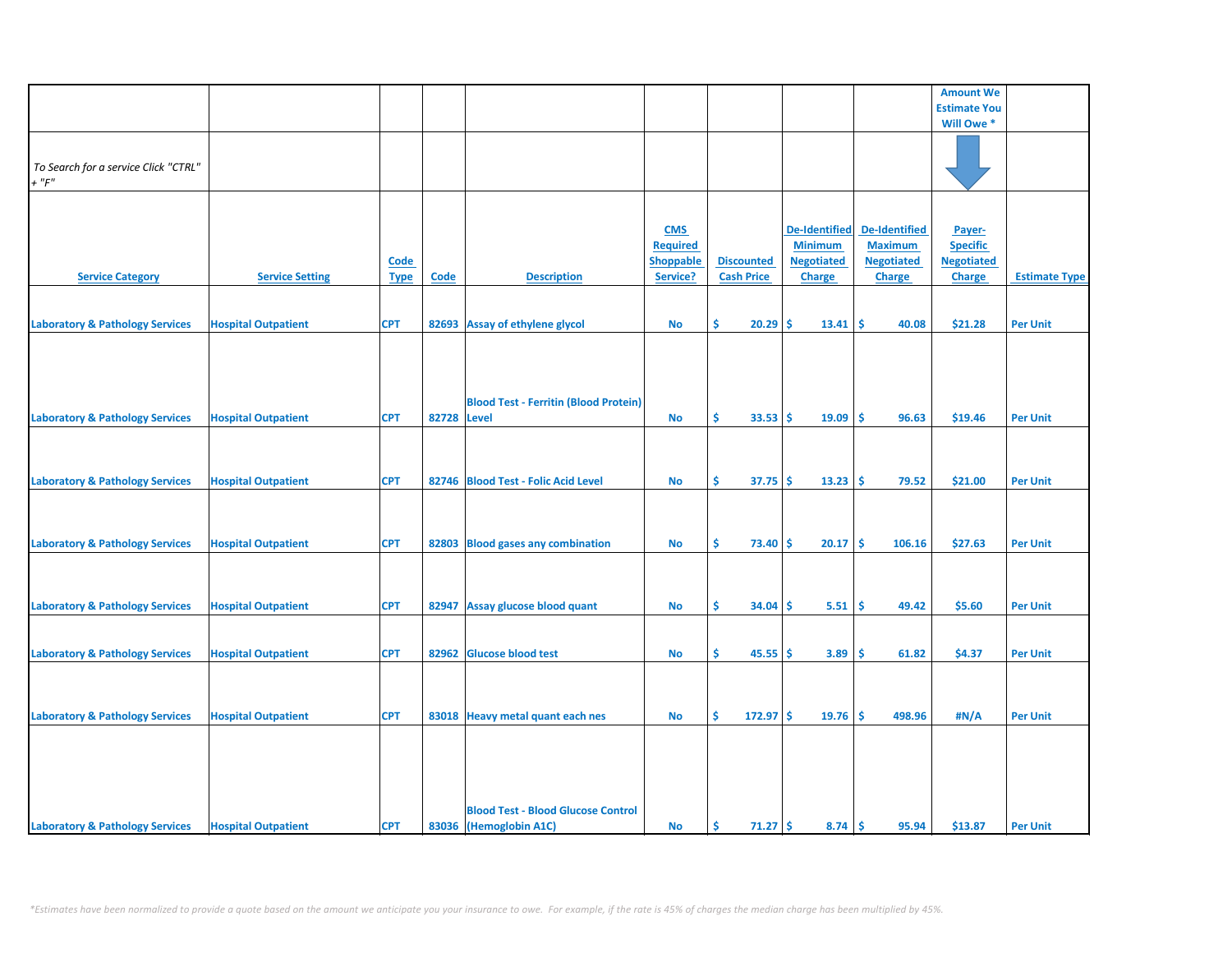|                                            |                            |             |       |                                              |                  |                   |                      |                   | <b>Amount We</b>    |                      |
|--------------------------------------------|----------------------------|-------------|-------|----------------------------------------------|------------------|-------------------|----------------------|-------------------|---------------------|----------------------|
|                                            |                            |             |       |                                              |                  |                   |                      |                   | <b>Estimate You</b> |                      |
|                                            |                            |             |       |                                              |                  |                   |                      |                   | Will Owe*           |                      |
|                                            |                            |             |       |                                              |                  |                   |                      |                   |                     |                      |
|                                            |                            |             |       |                                              |                  |                   |                      |                   |                     |                      |
| To Search for a service Click "CTRL"       |                            |             |       |                                              |                  |                   |                      |                   |                     |                      |
| $+$ " $F$ "                                |                            |             |       |                                              |                  |                   |                      |                   |                     |                      |
|                                            |                            |             |       |                                              |                  |                   |                      |                   |                     |                      |
|                                            |                            |             |       |                                              |                  |                   |                      |                   |                     |                      |
|                                            |                            |             |       |                                              | <b>CMS</b>       |                   | <b>De-Identified</b> | De-Identified     | Payer-              |                      |
|                                            |                            |             |       |                                              | <b>Required</b>  |                   | <b>Minimum</b>       | <b>Maximum</b>    | <b>Specific</b>     |                      |
|                                            |                            | Code        |       |                                              | <b>Shoppable</b> | <b>Discounted</b> | <b>Negotiated</b>    | <b>Negotiated</b> | <b>Negotiated</b>   |                      |
| <b>Service Category</b>                    | <b>Service Setting</b>     | <b>Type</b> | Code  | <b>Description</b>                           | Service?         | <b>Cash Price</b> | <b>Charge</b>        | <b>Charge</b>     | <b>Charge</b>       | <b>Estimate Type</b> |
|                                            |                            |             |       |                                              |                  |                   |                      |                   |                     |                      |
|                                            |                            |             |       |                                              |                  |                   |                      |                   |                     |                      |
| <b>Laboratory &amp; Pathology Services</b> | <b>Hospital Outpatient</b> | <b>CPT</b>  | 82693 | Assay of ethylene glycol                     | No               | Ŝ.<br>20.29       | Ŝ.<br>13.41          | \$.<br>40.08      | \$21.28             | <b>Per Unit</b>      |
|                                            |                            |             |       |                                              |                  |                   |                      |                   |                     |                      |
|                                            |                            |             |       |                                              |                  |                   |                      |                   |                     |                      |
|                                            |                            |             |       |                                              |                  |                   |                      |                   |                     |                      |
|                                            |                            |             |       |                                              |                  |                   |                      |                   |                     |                      |
|                                            |                            |             |       | <b>Blood Test - Ferritin (Blood Protein)</b> |                  |                   |                      |                   |                     |                      |
| <b>Laboratory &amp; Pathology Services</b> | <b>Hospital Outpatient</b> | <b>CPT</b>  | 82728 | Level                                        | <b>No</b>        | Ŝ.<br>$33.53$ \$  | 19.09                | <b>S</b><br>96.63 | \$19.46             | <b>Per Unit</b>      |
|                                            |                            |             |       |                                              |                  |                   |                      |                   |                     |                      |
|                                            |                            |             |       |                                              |                  |                   |                      |                   |                     |                      |
|                                            |                            |             |       |                                              |                  |                   |                      |                   |                     |                      |
| <b>Laboratory &amp; Pathology Services</b> | <b>Hospital Outpatient</b> | <b>CPT</b>  |       | 82746 Blood Test - Folic Acid Level          | No               | \$.<br>37.75      | 13.23<br>\$.         | -\$<br>79.52      | \$21.00             | <b>Per Unit</b>      |
|                                            |                            |             |       |                                              |                  |                   |                      |                   |                     |                      |
|                                            |                            |             |       |                                              |                  |                   |                      |                   |                     |                      |
|                                            |                            |             |       |                                              |                  |                   |                      |                   |                     |                      |
| <b>Laboratory &amp; Pathology Services</b> | <b>Hospital Outpatient</b> | <b>CPT</b>  | 82803 | <b>Blood gases any combination</b>           | No               | \$<br>73.40       | -S<br>20.17          | -\$<br>106.16     | \$27.63             | <b>Per Unit</b>      |
|                                            |                            |             |       |                                              |                  |                   |                      |                   |                     |                      |
|                                            |                            |             |       |                                              |                  |                   |                      |                   |                     |                      |
|                                            |                            |             |       |                                              |                  |                   |                      |                   |                     |                      |
| <b>Laboratory &amp; Pathology Services</b> | <b>Hospital Outpatient</b> | <b>CPT</b>  | 82947 | Assay glucose blood quant                    | No               | \$<br>34.04       | 5.51<br><b>S</b>     | \$<br>49.42       | \$5.60              | <b>Per Unit</b>      |
|                                            |                            |             |       |                                              |                  |                   |                      |                   |                     |                      |
|                                            |                            |             |       |                                              |                  |                   |                      |                   |                     |                      |
| <b>Laboratory &amp; Pathology Services</b> | <b>Hospital Outpatient</b> | <b>CPT</b>  | 82962 | <b>Glucose blood test</b>                    | No               | \$<br>$45.55$ \$  | 3.89                 | -\$<br>61.82      | \$4.37              | <b>Per Unit</b>      |
|                                            |                            |             |       |                                              |                  |                   |                      |                   |                     |                      |
|                                            |                            |             |       |                                              |                  |                   |                      |                   |                     |                      |
| <b>Laboratory &amp; Pathology Services</b> | <b>Hospital Outpatient</b> | <b>CPT</b>  | 83018 | <b>Heavy metal quant each nes</b>            | No               | Ŝ.<br>$172.97$ \$ | 19.76                | -\$<br>498.96     | #N/A                | <b>Per Unit</b>      |
|                                            |                            |             |       |                                              |                  |                   |                      |                   |                     |                      |
|                                            |                            |             |       |                                              |                  |                   |                      |                   |                     |                      |
|                                            |                            |             |       |                                              |                  |                   |                      |                   |                     |                      |
|                                            |                            |             |       |                                              |                  |                   |                      |                   |                     |                      |
|                                            |                            |             |       |                                              |                  |                   |                      |                   |                     |                      |
|                                            |                            |             |       | <b>Blood Test - Blood Glucose Control</b>    |                  |                   |                      |                   |                     |                      |
| <b>Laboratory &amp; Pathology Services</b> | <b>Hospital Outpatient</b> | <b>CPT</b>  |       | 83036 (Hemoglobin A1C)                       | <b>No</b>        | \$<br>$71.27$ \$  | 8.74                 | l\$<br>95.94      | \$13.87             | <b>Per Unit</b>      |
|                                            |                            |             |       |                                              |                  |                   |                      |                   |                     |                      |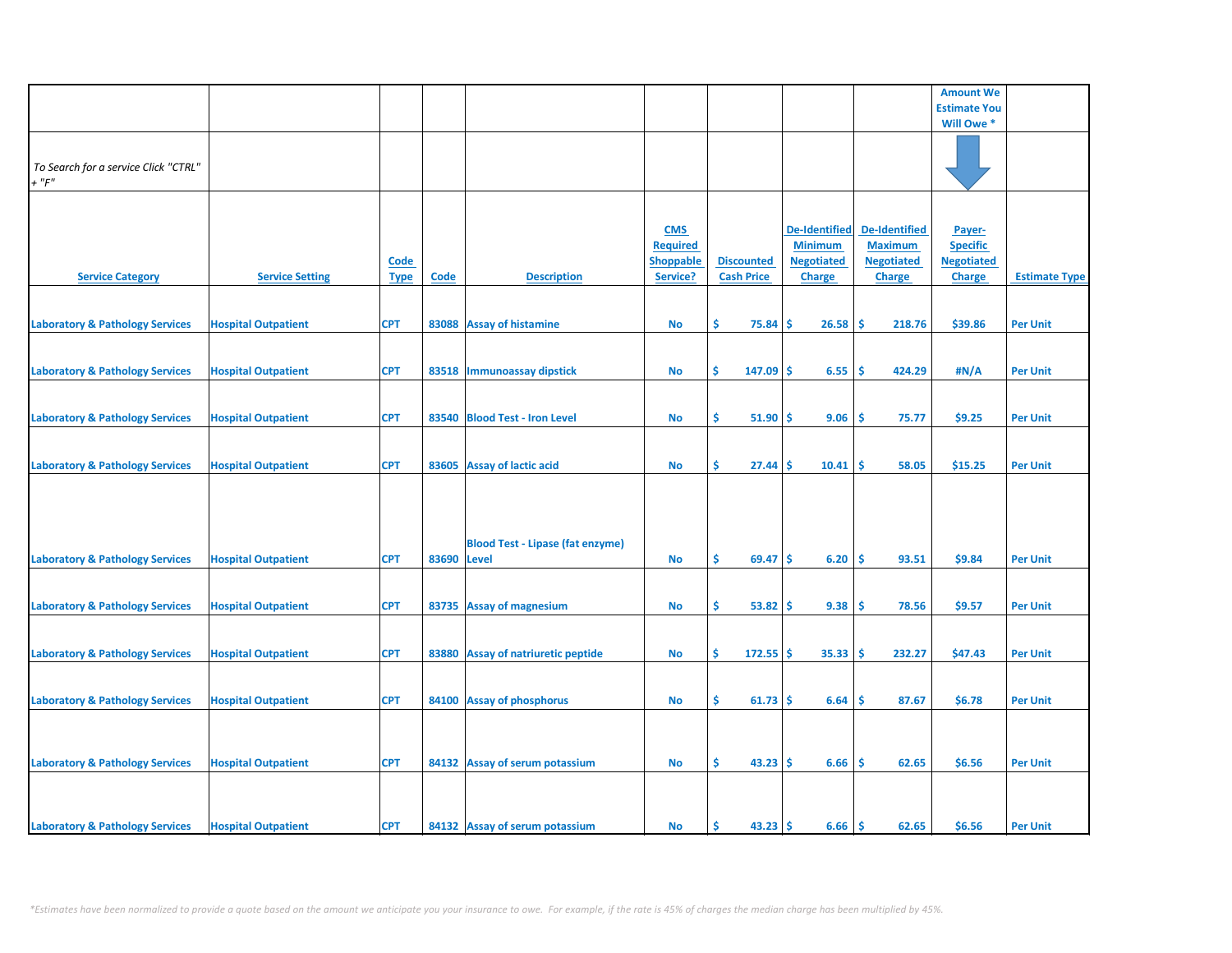|                                            |                            |             |       |                                         |                  |                   |                      |                      | <b>Amount We</b>    |                      |
|--------------------------------------------|----------------------------|-------------|-------|-----------------------------------------|------------------|-------------------|----------------------|----------------------|---------------------|----------------------|
|                                            |                            |             |       |                                         |                  |                   |                      |                      | <b>Estimate You</b> |                      |
|                                            |                            |             |       |                                         |                  |                   |                      |                      | Will Owe *          |                      |
|                                            |                            |             |       |                                         |                  |                   |                      |                      |                     |                      |
|                                            |                            |             |       |                                         |                  |                   |                      |                      |                     |                      |
| To Search for a service Click "CTRL"       |                            |             |       |                                         |                  |                   |                      |                      |                     |                      |
|                                            |                            |             |       |                                         |                  |                   |                      |                      |                     |                      |
| $+$ " $F$ "                                |                            |             |       |                                         |                  |                   |                      |                      |                     |                      |
|                                            |                            |             |       |                                         |                  |                   |                      |                      |                     |                      |
|                                            |                            |             |       |                                         |                  |                   |                      |                      |                     |                      |
|                                            |                            |             |       |                                         | <b>CMS</b>       |                   | <b>De-Identified</b> | <b>De-Identified</b> | Payer-              |                      |
|                                            |                            |             |       |                                         | <b>Required</b>  |                   | <b>Minimum</b>       | <b>Maximum</b>       | <b>Specific</b>     |                      |
|                                            |                            | <b>Code</b> |       |                                         | <b>Shoppable</b> | <b>Discounted</b> | <b>Negotiated</b>    | <b>Negotiated</b>    | <b>Negotiated</b>   |                      |
|                                            |                            |             |       |                                         |                  |                   |                      |                      |                     |                      |
| <b>Service Category</b>                    | <b>Service Setting</b>     | <b>Type</b> | Code  | <b>Description</b>                      | Service?         | <b>Cash Price</b> | Charge               | Charge               | <b>Charge</b>       | <b>Estimate Type</b> |
|                                            |                            |             |       |                                         |                  |                   |                      |                      |                     |                      |
|                                            |                            |             |       |                                         |                  |                   |                      |                      |                     |                      |
| <b>Laboratory &amp; Pathology Services</b> | <b>Hospital Outpatient</b> | <b>CPT</b>  |       | 83088 Assay of histamine                | <b>No</b>        | \$<br>75.84       | 26.58<br>Ŝ           | -Ś<br>218.76         | \$39.86             | <b>Per Unit</b>      |
|                                            |                            |             |       |                                         |                  |                   |                      |                      |                     |                      |
|                                            |                            |             |       |                                         |                  |                   |                      |                      |                     |                      |
| <b>Laboratory &amp; Pathology Services</b> | <b>Hospital Outpatient</b> | <b>CPT</b>  |       | 83518   Immunoassay dipstick            | No               | \$<br>$147.09$ \$ | 6.55                 | -\$<br>424.29        | #N/A                | <b>Per Unit</b>      |
|                                            |                            |             |       |                                         |                  |                   |                      |                      |                     |                      |
|                                            |                            |             |       |                                         |                  |                   |                      |                      |                     |                      |
|                                            |                            |             |       |                                         |                  |                   |                      |                      |                     |                      |
| <b>Laboratory &amp; Pathology Services</b> | <b>Hospital Outpatient</b> | <b>CPT</b>  |       | 83540 Blood Test - Iron Level           | No               | \$.<br>51.90      | 9.06<br>-Ś           | -\$<br>75.77         | \$9.25              | <b>Per Unit</b>      |
|                                            |                            |             |       |                                         |                  |                   |                      |                      |                     |                      |
|                                            |                            |             |       |                                         |                  |                   |                      |                      |                     |                      |
| <b>Laboratory &amp; Pathology Services</b> | <b>Hospital Outpatient</b> | <b>CPT</b>  |       | 83605 Assay of lactic acid              | No               | \$<br>27.44       | 10.41<br>Ŝ           | \$.<br>58.05         | \$15.25             | <b>Per Unit</b>      |
|                                            |                            |             |       |                                         |                  |                   |                      |                      |                     |                      |
|                                            |                            |             |       |                                         |                  |                   |                      |                      |                     |                      |
|                                            |                            |             |       |                                         |                  |                   |                      |                      |                     |                      |
|                                            |                            |             |       |                                         |                  |                   |                      |                      |                     |                      |
|                                            |                            |             |       |                                         |                  |                   |                      |                      |                     |                      |
|                                            |                            |             |       | <b>Blood Test - Lipase (fat enzyme)</b> |                  |                   |                      |                      |                     |                      |
| <b>Laboratory &amp; Pathology Services</b> | <b>Hospital Outpatient</b> | <b>CPT</b>  | 83690 | <b>Level</b>                            | <b>No</b>        | \$<br>69.47       | 6.20<br>Ŝ.           | Ŝ.<br>93.51          | \$9.84              | <b>Per Unit</b>      |
|                                            |                            |             |       |                                         |                  |                   |                      |                      |                     |                      |
|                                            |                            |             |       |                                         |                  |                   |                      |                      |                     |                      |
|                                            |                            |             |       |                                         |                  |                   |                      |                      |                     |                      |
| <b>Laboratory &amp; Pathology Services</b> | <b>Hospital Outpatient</b> | <b>CPT</b>  |       | 83735 Assay of magnesium                | No               | \$<br>53.82       | 9.38<br><b>S</b>     | -\$<br>78.56         | \$9.57              | <b>Per Unit</b>      |
|                                            |                            |             |       |                                         |                  |                   |                      |                      |                     |                      |
|                                            |                            |             |       |                                         |                  |                   |                      |                      |                     |                      |
| <b>Laboratory &amp; Pathology Services</b> | <b>Hospital Outpatient</b> | <b>CPT</b>  |       | 83880 Assay of natriuretic peptide      | No               | Ŝ.<br>$172.55$ \$ | 35.33                | -\$<br>232.27        | \$47.43             | <b>Per Unit</b>      |
|                                            |                            |             |       |                                         |                  |                   |                      |                      |                     |                      |
|                                            |                            |             |       |                                         |                  |                   |                      |                      |                     |                      |
| <b>Laboratory &amp; Pathology Services</b> | <b>Hospital Outpatient</b> | <b>CPT</b>  |       | 84100 Assay of phosphorus               | No               | \$<br>$61.73$ \$  | 6.64                 | \$.<br>87.67         | \$6.78              | <b>Per Unit</b>      |
|                                            |                            |             |       |                                         |                  |                   |                      |                      |                     |                      |
|                                            |                            |             |       |                                         |                  |                   |                      |                      |                     |                      |
|                                            |                            |             |       |                                         |                  |                   |                      |                      |                     |                      |
|                                            |                            |             |       |                                         |                  |                   |                      |                      |                     |                      |
| <b>Laboratory &amp; Pathology Services</b> | <b>Hospital Outpatient</b> | <b>CPT</b>  |       | 84132 Assay of serum potassium          | <b>No</b>        | \$<br>$43.23$ \$  | 6.66                 | \$<br>62.65          | \$6.56              | <b>Per Unit</b>      |
|                                            |                            |             |       |                                         |                  |                   |                      |                      |                     |                      |
|                                            |                            |             |       |                                         |                  |                   |                      |                      |                     |                      |
|                                            |                            |             |       |                                         |                  |                   |                      |                      |                     |                      |
|                                            |                            |             |       |                                         |                  |                   |                      |                      |                     |                      |
| <b>Laboratory &amp; Pathology Services</b> | <b>Hospital Outpatient</b> | <b>CPT</b>  |       | 84132 Assay of serum potassium          | <b>No</b>        | \$.<br>43.23      | Ŝ.<br>6.66           | ١\$<br>62.65         | \$6.56              | <b>Per Unit</b>      |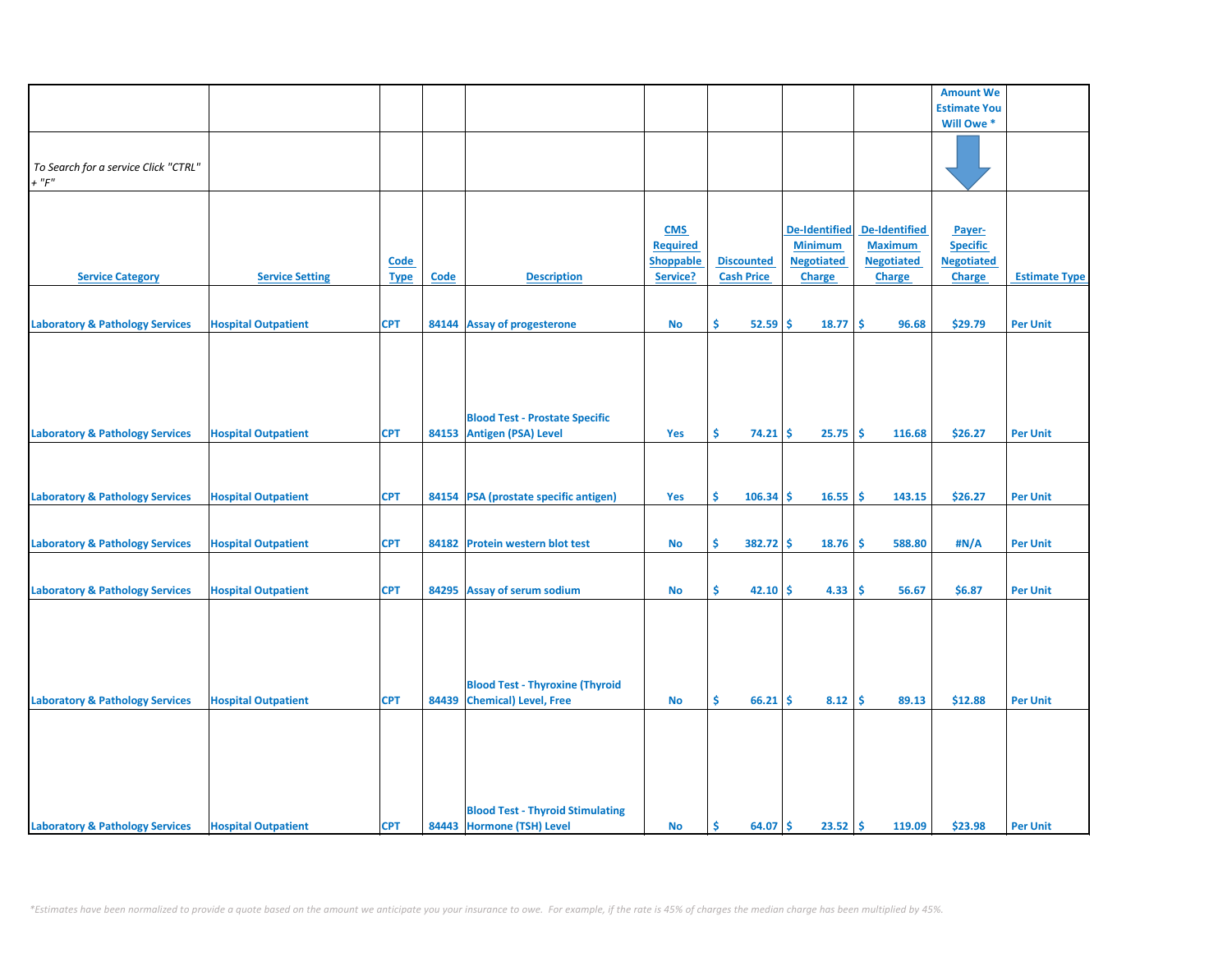|                                            |                            |             |       |                                                                       |                               |                   |                                        |                      | <b>Amount We</b>                     |                      |
|--------------------------------------------|----------------------------|-------------|-------|-----------------------------------------------------------------------|-------------------------------|-------------------|----------------------------------------|----------------------|--------------------------------------|----------------------|
|                                            |                            |             |       |                                                                       |                               |                   |                                        |                      | <b>Estimate You</b>                  |                      |
|                                            |                            |             |       |                                                                       |                               |                   |                                        |                      | Will Owe*                            |                      |
|                                            |                            |             |       |                                                                       |                               |                   |                                        |                      |                                      |                      |
|                                            |                            |             |       |                                                                       |                               |                   |                                        |                      |                                      |                      |
| To Search for a service Click "CTRL"       |                            |             |       |                                                                       |                               |                   |                                        |                      |                                      |                      |
| $+$ " $F$ "                                |                            |             |       |                                                                       |                               |                   |                                        |                      |                                      |                      |
|                                            |                            |             |       |                                                                       |                               |                   |                                        |                      |                                      |                      |
|                                            |                            |             |       |                                                                       |                               |                   |                                        | <b>De-Identified</b> |                                      |                      |
|                                            |                            |             |       |                                                                       | <b>CMS</b><br><b>Required</b> |                   | <b>De-Identified</b><br><b>Minimum</b> | <b>Maximum</b>       | Payer-                               |                      |
|                                            |                            |             |       |                                                                       | <b>Shoppable</b>              | <b>Discounted</b> | <b>Negotiated</b>                      | <b>Negotiated</b>    | <b>Specific</b><br><b>Negotiated</b> |                      |
|                                            | <b>Service Setting</b>     | <b>Code</b> | Code  | <b>Description</b>                                                    | Service?                      | <b>Cash Price</b> |                                        |                      |                                      | <b>Estimate Type</b> |
| <b>Service Category</b>                    |                            | <b>Type</b> |       |                                                                       |                               |                   | <b>Charge</b>                          | <b>Charge</b>        | <b>Charge</b>                        |                      |
|                                            |                            |             |       |                                                                       |                               |                   |                                        |                      |                                      |                      |
| <b>Laboratory &amp; Pathology Services</b> | <b>Hospital Outpatient</b> | <b>CPT</b>  |       | 84144 Assay of progesterone                                           | No                            | \$<br>$52.59$ \$  | 18.77                                  | \$<br>96.68          | \$29.79                              | <b>Per Unit</b>      |
|                                            |                            |             |       |                                                                       |                               |                   |                                        |                      |                                      |                      |
|                                            |                            |             |       |                                                                       |                               |                   |                                        |                      |                                      |                      |
|                                            |                            |             |       |                                                                       |                               |                   |                                        |                      |                                      |                      |
|                                            |                            |             |       |                                                                       |                               |                   |                                        |                      |                                      |                      |
|                                            |                            |             |       |                                                                       |                               |                   |                                        |                      |                                      |                      |
|                                            |                            |             |       | <b>Blood Test - Prostate Specific</b>                                 |                               |                   |                                        |                      |                                      |                      |
| <b>Laboratory &amp; Pathology Services</b> | <b>Hospital Outpatient</b> | <b>CPT</b>  |       | 84153 Antigen (PSA) Level                                             | Yes                           | \$.<br>$74.21$ \$ | 25.75                                  | -\$<br>116.68        | \$26.27                              | <b>Per Unit</b>      |
|                                            |                            |             |       |                                                                       |                               |                   |                                        |                      |                                      |                      |
|                                            |                            |             |       |                                                                       |                               |                   |                                        |                      |                                      |                      |
|                                            |                            |             |       |                                                                       |                               |                   |                                        |                      |                                      |                      |
| <b>Laboratory &amp; Pathology Services</b> | <b>Hospital Outpatient</b> | <b>CPT</b>  |       | 84154 PSA (prostate specific antigen)                                 | Yes                           | \$<br>$106.34$ \$ | 16.55                                  | ١\$<br>143.15        | \$26.27                              | <b>Per Unit</b>      |
|                                            |                            |             |       |                                                                       |                               |                   |                                        |                      |                                      |                      |
|                                            |                            |             |       |                                                                       |                               |                   |                                        |                      |                                      |                      |
| <b>Laboratory &amp; Pathology Services</b> | <b>Hospital Outpatient</b> | <b>CPT</b>  | 84182 | <b>Protein western blot test</b>                                      | No                            | \$<br>$382.72$ \$ | 18.76                                  | -\$<br>588.80        | #N/A                                 | <b>Per Unit</b>      |
|                                            |                            |             |       |                                                                       |                               |                   |                                        |                      |                                      |                      |
|                                            |                            |             |       |                                                                       |                               |                   |                                        |                      |                                      |                      |
| <b>Laboratory &amp; Pathology Services</b> | <b>Hospital Outpatient</b> | <b>CPT</b>  |       | 84295 Assay of serum sodium                                           | <b>No</b>                     | \$<br>$42.10$ \$  | 4.33                                   | -\$<br>56.67         | \$6.87                               | <b>Per Unit</b>      |
|                                            |                            |             |       |                                                                       |                               |                   |                                        |                      |                                      |                      |
|                                            |                            |             |       |                                                                       |                               |                   |                                        |                      |                                      |                      |
|                                            |                            |             |       |                                                                       |                               |                   |                                        |                      |                                      |                      |
|                                            |                            |             |       |                                                                       |                               |                   |                                        |                      |                                      |                      |
|                                            |                            |             |       |                                                                       |                               |                   |                                        |                      |                                      |                      |
|                                            |                            | <b>CPT</b>  |       | <b>Blood Test - Thyroxine (Thyroid</b><br>84439 Chemical) Level, Free | <b>No</b>                     | \$.<br>66.21      | 8.12<br>Ŝ                              | -\$<br>89.13         | \$12.88                              | <b>Per Unit</b>      |
| <b>Laboratory &amp; Pathology Services</b> | <b>Hospital Outpatient</b> |             |       |                                                                       |                               |                   |                                        |                      |                                      |                      |
|                                            |                            |             |       |                                                                       |                               |                   |                                        |                      |                                      |                      |
|                                            |                            |             |       |                                                                       |                               |                   |                                        |                      |                                      |                      |
|                                            |                            |             |       |                                                                       |                               |                   |                                        |                      |                                      |                      |
|                                            |                            |             |       |                                                                       |                               |                   |                                        |                      |                                      |                      |
|                                            |                            |             |       |                                                                       |                               |                   |                                        |                      |                                      |                      |
|                                            |                            |             |       | <b>Blood Test - Thyroid Stimulating</b>                               |                               |                   |                                        |                      |                                      |                      |
| <b>Laboratory &amp; Pathology Services</b> | <b>Hospital Outpatient</b> | <b>CPT</b>  |       | 84443 Hormone (TSH) Level                                             | <b>No</b>                     | 64.07 \$<br>\$    | $23.52 \, \text{S}$                    | 119.09               | \$23.98                              | <b>Per Unit</b>      |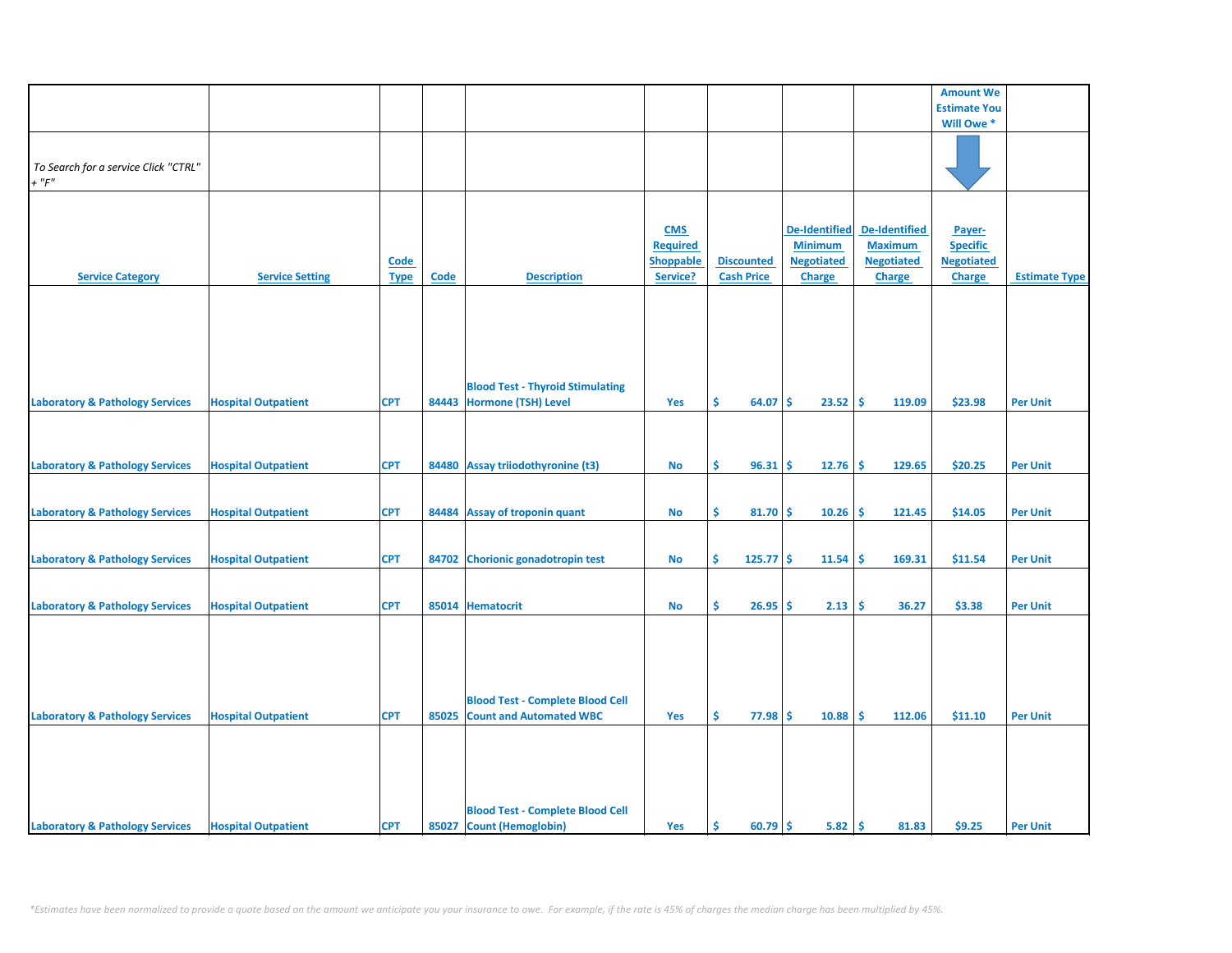|                                            |                            |             |             |                                         |                  |                   |                      |                      | <b>Amount We</b>    |                      |
|--------------------------------------------|----------------------------|-------------|-------------|-----------------------------------------|------------------|-------------------|----------------------|----------------------|---------------------|----------------------|
|                                            |                            |             |             |                                         |                  |                   |                      |                      | <b>Estimate You</b> |                      |
|                                            |                            |             |             |                                         |                  |                   |                      |                      | Will Owe*           |                      |
|                                            |                            |             |             |                                         |                  |                   |                      |                      |                     |                      |
|                                            |                            |             |             |                                         |                  |                   |                      |                      |                     |                      |
| To Search for a service Click "CTRL"       |                            |             |             |                                         |                  |                   |                      |                      |                     |                      |
| $+$ " $F$ "                                |                            |             |             |                                         |                  |                   |                      |                      |                     |                      |
|                                            |                            |             |             |                                         |                  |                   |                      |                      |                     |                      |
|                                            |                            |             |             |                                         |                  |                   |                      |                      |                     |                      |
|                                            |                            |             |             |                                         | <b>CMS</b>       |                   | <b>De-Identified</b> | <b>De-Identified</b> | Payer-              |                      |
|                                            |                            |             |             |                                         | <b>Required</b>  |                   | <b>Minimum</b>       | <b>Maximum</b>       | <b>Specific</b>     |                      |
|                                            |                            | <b>Code</b> |             |                                         | <b>Shoppable</b> | <b>Discounted</b> | <b>Negotiated</b>    | <b>Negotiated</b>    | <b>Negotiated</b>   |                      |
| <b>Service Category</b>                    | <b>Service Setting</b>     | <b>Type</b> | <b>Code</b> | <b>Description</b>                      | Service?         | <b>Cash Price</b> | Charge               | <b>Charge</b>        | <b>Charge</b>       | <b>Estimate Type</b> |
|                                            |                            |             |             |                                         |                  |                   |                      |                      |                     |                      |
|                                            |                            |             |             |                                         |                  |                   |                      |                      |                     |                      |
|                                            |                            |             |             |                                         |                  |                   |                      |                      |                     |                      |
|                                            |                            |             |             |                                         |                  |                   |                      |                      |                     |                      |
|                                            |                            |             |             |                                         |                  |                   |                      |                      |                     |                      |
|                                            |                            |             |             |                                         |                  |                   |                      |                      |                     |                      |
|                                            |                            |             |             | <b>Blood Test - Thyroid Stimulating</b> |                  |                   |                      |                      |                     |                      |
| <b>Laboratory &amp; Pathology Services</b> | <b>Hospital Outpatient</b> | <b>CPT</b>  |             | 84443 Hormone (TSH) Level               | Yes              | Ś.<br>64.07       | 23.52<br><b>S</b>    | ۱\$<br>119.09        | \$23.98             | <b>Per Unit</b>      |
|                                            |                            |             |             |                                         |                  |                   |                      |                      |                     |                      |
|                                            |                            |             |             |                                         |                  |                   |                      |                      |                     |                      |
|                                            |                            |             |             |                                         |                  |                   |                      |                      |                     |                      |
| <b>Laboratory &amp; Pathology Services</b> | <b>Hospital Outpatient</b> | <b>CPT</b>  |             | 84480 Assay triiodothyronine (t3)       | No               | \$.<br>96.31      | 12.76<br><b>S</b>    | -\$<br>129.65        | \$20.25             | <b>Per Unit</b>      |
|                                            |                            |             |             |                                         |                  |                   |                      |                      |                     |                      |
|                                            |                            |             |             |                                         |                  |                   |                      |                      |                     |                      |
| <b>Laboratory &amp; Pathology Services</b> | <b>Hospital Outpatient</b> | <b>CPT</b>  |             | 84484 Assay of troponin quant           | <b>No</b>        | \$<br>$81.70$ \$  | 10.26                | ۱\$<br>121.45        | \$14.05             | <b>Per Unit</b>      |
|                                            |                            |             |             |                                         |                  |                   |                      |                      |                     |                      |
|                                            |                            |             |             |                                         |                  |                   |                      |                      |                     |                      |
| <b>Laboratory &amp; Pathology Services</b> | <b>Hospital Outpatient</b> | <b>CPT</b>  |             | 84702 Chorionic gonadotropin test       | No               | \$<br>$125.77$ \$ | 11.54                | -\$<br>169.31        | \$11.54             | <b>Per Unit</b>      |
|                                            |                            |             |             |                                         |                  |                   |                      |                      |                     |                      |
|                                            |                            |             |             |                                         |                  |                   |                      |                      |                     |                      |
| <b>Laboratory &amp; Pathology Services</b> | <b>Hospital Outpatient</b> | <b>CPT</b>  |             | 85014 Hematocrit                        | No               | \$<br>26.95       | 2.13<br><b>S</b>     | \$<br>36.27          | \$3.38              | <b>Per Unit</b>      |
|                                            |                            |             |             |                                         |                  |                   |                      |                      |                     |                      |
|                                            |                            |             |             |                                         |                  |                   |                      |                      |                     |                      |
|                                            |                            |             |             |                                         |                  |                   |                      |                      |                     |                      |
|                                            |                            |             |             |                                         |                  |                   |                      |                      |                     |                      |
|                                            |                            |             |             |                                         |                  |                   |                      |                      |                     |                      |
|                                            |                            |             |             | <b>Blood Test - Complete Blood Cell</b> |                  |                   |                      |                      |                     |                      |
| <b>Laboratory &amp; Pathology Services</b> | <b>Hospital Outpatient</b> | <b>CPT</b>  | 85025       | <b>Count and Automated WBC</b>          | Yes              | \$.<br>77.98      | -Ś<br>10.88          | -\$<br>112.06        | \$11.10             | <b>Per Unit</b>      |
|                                            |                            |             |             |                                         |                  |                   |                      |                      |                     |                      |
|                                            |                            |             |             |                                         |                  |                   |                      |                      |                     |                      |
|                                            |                            |             |             |                                         |                  |                   |                      |                      |                     |                      |
|                                            |                            |             |             |                                         |                  |                   |                      |                      |                     |                      |
|                                            |                            |             |             |                                         |                  |                   |                      |                      |                     |                      |
|                                            |                            |             |             | <b>Blood Test - Complete Blood Cell</b> |                  |                   |                      |                      |                     |                      |
| <b>Laboratory &amp; Pathology Services</b> | <b>Hospital Outpatient</b> | <b>CPT</b>  |             | 85027 Count (Hemoglobin)                | Yes              | \$<br>$60.79$ \$  | $5.82 \, \text{S}$   | 81.83                | \$9.25              | <b>Per Unit</b>      |
|                                            |                            |             |             |                                         |                  |                   |                      |                      |                     |                      |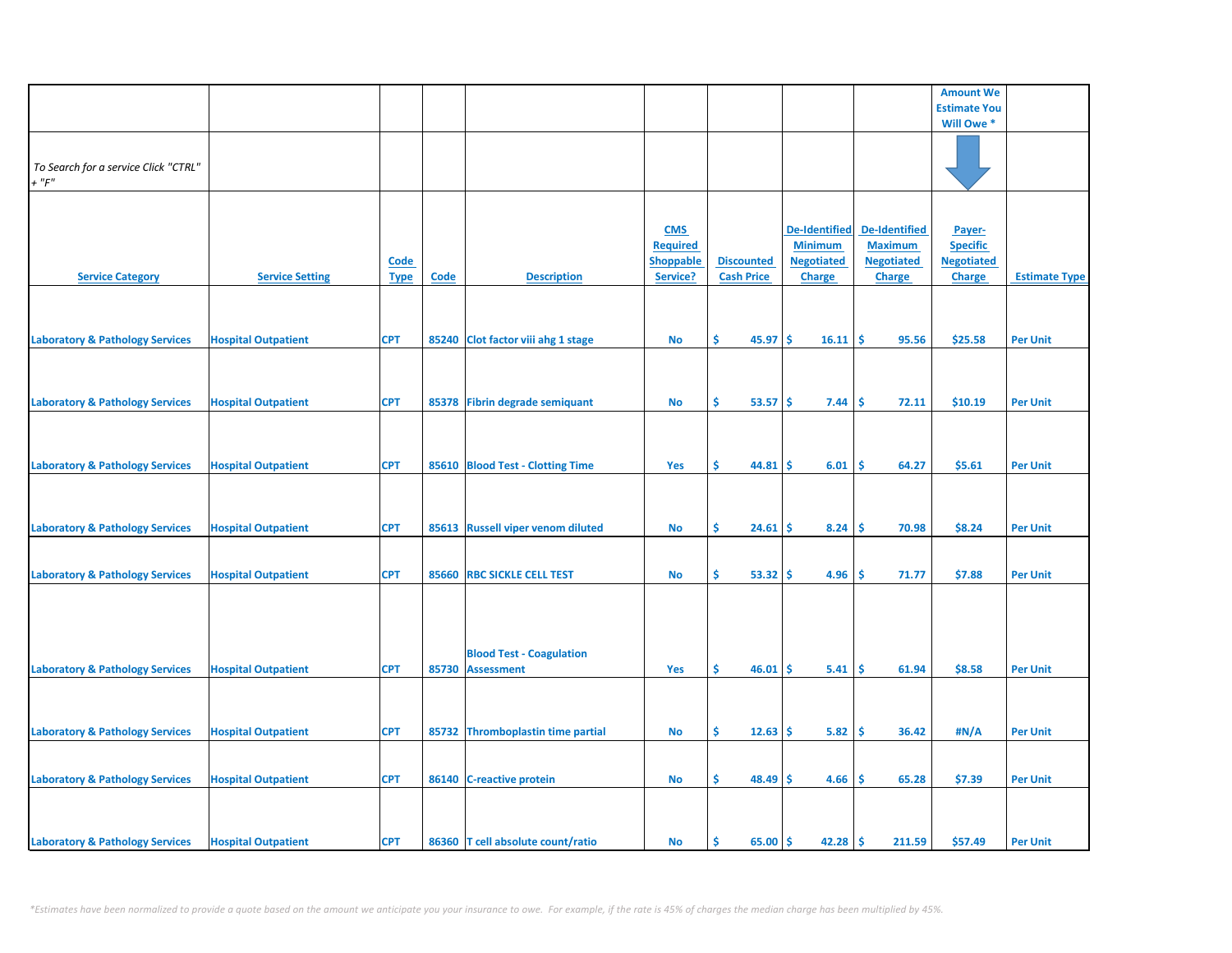|                                                     |                            |                            |       |                                                      |                                                               |                                        |                                                                              |                                                                              | <b>Amount We</b>                                                |                      |
|-----------------------------------------------------|----------------------------|----------------------------|-------|------------------------------------------------------|---------------------------------------------------------------|----------------------------------------|------------------------------------------------------------------------------|------------------------------------------------------------------------------|-----------------------------------------------------------------|----------------------|
|                                                     |                            |                            |       |                                                      |                                                               |                                        |                                                                              |                                                                              | <b>Estimate You</b>                                             |                      |
|                                                     |                            |                            |       |                                                      |                                                               |                                        |                                                                              |                                                                              | Will Owe *                                                      |                      |
| To Search for a service Click "CTRL"<br>$+$ " $F$ " |                            |                            |       |                                                      |                                                               |                                        |                                                                              |                                                                              |                                                                 |                      |
| <b>Service Category</b>                             | <b>Service Setting</b>     | <b>Code</b><br><b>Type</b> | Code  | <b>Description</b>                                   | <b>CMS</b><br><b>Required</b><br><b>Shoppable</b><br>Service? | <b>Discounted</b><br><b>Cash Price</b> | <b>De-Identified</b><br><b>Minimum</b><br><b>Negotiated</b><br><b>Charge</b> | <b>De-Identified</b><br><b>Maximum</b><br><b>Negotiated</b><br><b>Charge</b> | Payer-<br><b>Specific</b><br><b>Negotiated</b><br><b>Charge</b> | <b>Estimate Type</b> |
| <b>Laboratory &amp; Pathology Services</b>          | <b>Hospital Outpatient</b> | <b>CPT</b>                 |       | 85240 Clot factor viii ahg 1 stage                   | <b>No</b>                                                     | \$<br>45.97                            | \$<br>16.11                                                                  | \$.<br>95.56                                                                 | \$25.58                                                         | <b>Per Unit</b>      |
| <b>Laboratory &amp; Pathology Services</b>          | <b>Hospital Outpatient</b> | <b>CPT</b>                 |       | 85378 Fibrin degrade semiquant                       | <b>No</b>                                                     | \$<br>53.57                            | -\$<br>7.44                                                                  | \$<br>72.11                                                                  | \$10.19                                                         | <b>Per Unit</b>      |
| <b>Laboratory &amp; Pathology Services</b>          | <b>Hospital Outpatient</b> | <b>CPT</b>                 |       | 85610 Blood Test - Clotting Time                     | <b>Yes</b>                                                    | \$.<br>44.81                           | \$<br>6.01                                                                   | \$<br>64.27                                                                  | \$5.61                                                          | <b>Per Unit</b>      |
| <b>Laboratory &amp; Pathology Services</b>          | <b>Hospital Outpatient</b> | <b>CPT</b>                 |       | 85613 Russell viper venom diluted                    | <b>No</b>                                                     | \$<br>24.61                            | \$<br>8.24                                                                   | -\$<br>70.98                                                                 | \$8.24                                                          | <b>Per Unit</b>      |
| <b>Laboratory &amp; Pathology Services</b>          | <b>Hospital Outpatient</b> | <b>CPT</b>                 |       | 85660 RBC SICKLE CELL TEST                           | No                                                            | \$.<br>53.32                           | 4.96<br>\$.                                                                  | -\$<br>71.77                                                                 | \$7.88                                                          | <b>Per Unit</b>      |
| <b>Laboratory &amp; Pathology Services</b>          | <b>Hospital Outpatient</b> | <b>CPT</b>                 | 85730 | <b>Blood Test - Coagulation</b><br><b>Assessment</b> | Yes                                                           | \$<br>46.01                            | \$.<br>5.41                                                                  | -\$<br>61.94                                                                 | \$8.58                                                          | <b>Per Unit</b>      |
|                                                     |                            |                            |       |                                                      |                                                               |                                        |                                                                              |                                                                              |                                                                 |                      |
| <b>Laboratory &amp; Pathology Services</b>          | <b>Hospital Outpatient</b> | <b>CPT</b>                 |       | 85732 Thromboplastin time partial                    | No                                                            | Ŝ.<br>12.63                            | 5.82<br>\$.                                                                  | \$<br>36.42                                                                  | #N/A                                                            | <b>Per Unit</b>      |
| <b>Laboratory &amp; Pathology Services</b>          | <b>Hospital Outpatient</b> | <b>CPT</b>                 |       | 86140 C-reactive protein                             | <b>No</b>                                                     | \$<br>48.49                            | 4.66<br>Ś                                                                    | \$<br>65.28                                                                  | \$7.39                                                          | <b>Per Unit</b>      |
| <b>Laboratory &amp; Pathology Services</b>          | <b>Hospital Outpatient</b> | <b>CPT</b>                 |       | 86360 T cell absolute count/ratio                    | <b>No</b>                                                     | \$<br>65.00                            | \$<br>42.28                                                                  | -\$<br>211.59                                                                | \$57.49                                                         | <b>Per Unit</b>      |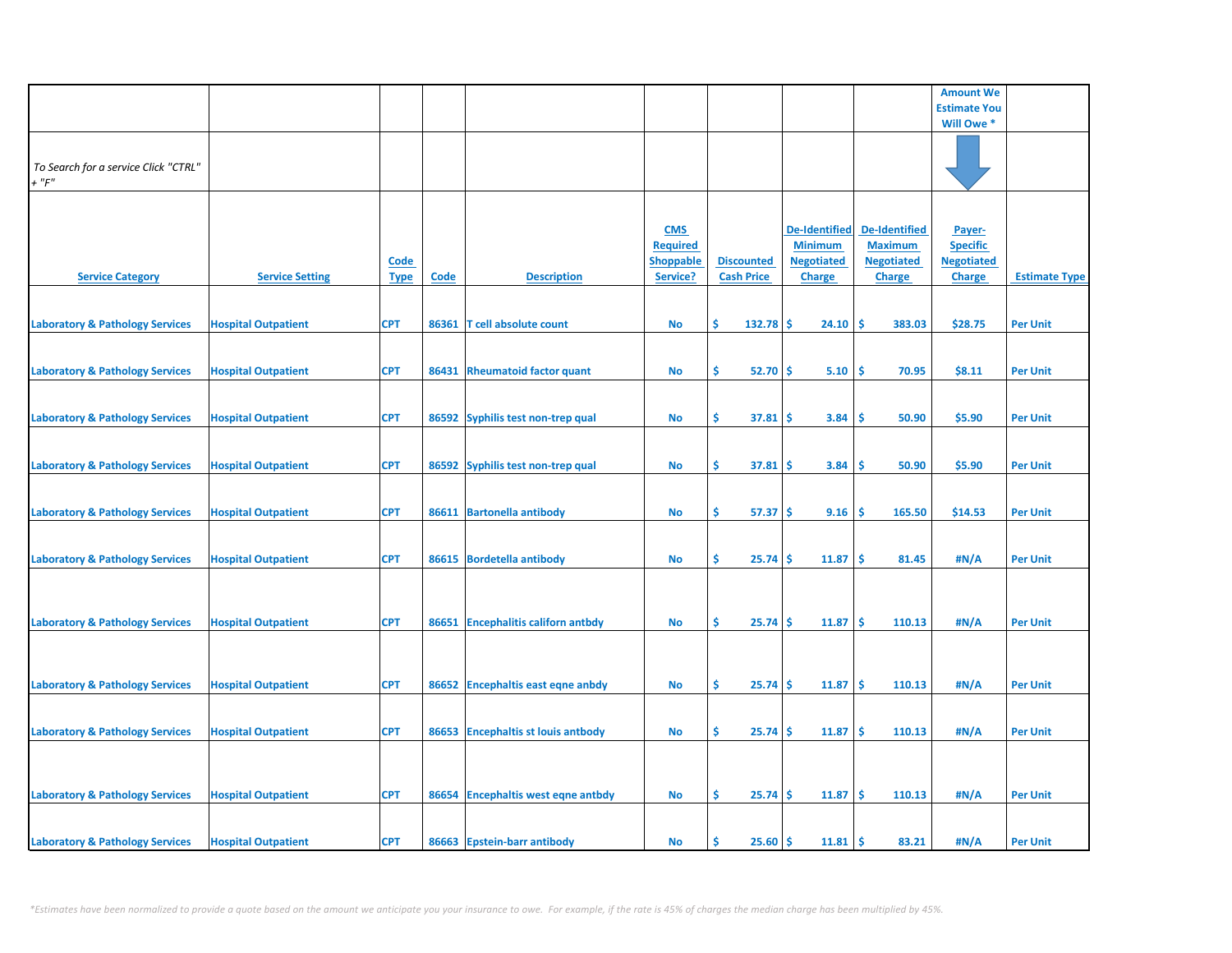|                                                     |                            |                            |       |                                     |                                                               |                                        |                                                                              |                                                                              | <b>Amount We</b>                                                |                      |
|-----------------------------------------------------|----------------------------|----------------------------|-------|-------------------------------------|---------------------------------------------------------------|----------------------------------------|------------------------------------------------------------------------------|------------------------------------------------------------------------------|-----------------------------------------------------------------|----------------------|
|                                                     |                            |                            |       |                                     |                                                               |                                        |                                                                              |                                                                              | <b>Estimate You</b>                                             |                      |
|                                                     |                            |                            |       |                                     |                                                               |                                        |                                                                              |                                                                              | Will Owe *                                                      |                      |
| To Search for a service Click "CTRL"<br>$+$ " $F$ " |                            |                            |       |                                     |                                                               |                                        |                                                                              |                                                                              |                                                                 |                      |
| <b>Service Category</b>                             | <b>Service Setting</b>     | <u>Code</u><br><b>Type</b> | Code  | <b>Description</b>                  | <b>CMS</b><br><b>Required</b><br><b>Shoppable</b><br>Service? | <b>Discounted</b><br><b>Cash Price</b> | <b>De-Identified</b><br><b>Minimum</b><br><b>Negotiated</b><br><b>Charge</b> | <b>De-Identified</b><br><b>Maximum</b><br><b>Negotiated</b><br><b>Charge</b> | Payer-<br><b>Specific</b><br><b>Negotiated</b><br><b>Charge</b> | <b>Estimate Type</b> |
| <b>Laboratory &amp; Pathology Services</b>          | <b>Hospital Outpatient</b> | <b>CPT</b>                 | 86361 | T cell absolute count               | No                                                            | Ŝ.<br>132.78                           | \$.<br>24.10                                                                 | \$.<br>383.03                                                                | \$28.75                                                         | <b>Per Unit</b>      |
| <b>Laboratory &amp; Pathology Services</b>          | <b>Hospital Outpatient</b> | <b>CPT</b>                 | 86431 | <b>Rheumatoid factor quant</b>      | <b>No</b>                                                     | \$<br>52.70                            | \$<br>5.10                                                                   | \$<br>70.95                                                                  | \$8.11                                                          | <b>Per Unit</b>      |
| <b>Laboratory &amp; Pathology Services</b>          | <b>Hospital Outpatient</b> | <b>CPT</b>                 |       | 86592 Syphilis test non-trep qual   | No                                                            | \$<br>37.81                            | 3.84<br>s                                                                    | 50.90<br><b>S</b>                                                            | \$5.90                                                          | <b>Per Unit</b>      |
| <b>Laboratory &amp; Pathology Services</b>          | <b>Hospital Outpatient</b> | <b>CPT</b>                 |       | 86592 Syphilis test non-trep qual   | No                                                            | \$<br>37.81                            | 3.84<br>\$                                                                   | Ś<br>50.90                                                                   | \$5.90                                                          | <b>Per Unit</b>      |
| <b>Laboratory &amp; Pathology Services</b>          | <b>Hospital Outpatient</b> | <b>CPT</b>                 |       | 86611 Bartonella antibody           | No                                                            | \$<br>57.37                            | \$.<br>9.16                                                                  | \$<br>165.50                                                                 | \$14.53                                                         | <b>Per Unit</b>      |
| <b>Laboratory &amp; Pathology Services</b>          | <b>Hospital Outpatient</b> | <b>CPT</b>                 |       | 86615 Bordetella antibody           | No                                                            | \$<br>25.74                            | Ś<br>11.87                                                                   | \$<br>81.45                                                                  | #N/A                                                            | <b>Per Unit</b>      |
| <b>Laboratory &amp; Pathology Services</b>          | <b>Hospital Outpatient</b> | <b>CPT</b>                 |       | 86651 Encephalitis californ antbdy  | <b>No</b>                                                     | \$<br>25.74                            | Ŝ.<br>11.87                                                                  | Ŝ.<br>110.13                                                                 | #N/A                                                            | <b>Per Unit</b>      |
|                                                     |                            |                            |       |                                     |                                                               |                                        |                                                                              |                                                                              |                                                                 |                      |
| <b>Laboratory &amp; Pathology Services</b>          | <b>Hospital Outpatient</b> | <b>CPT</b>                 |       | 86652 Encephaltis east eqne anbdy   | <b>No</b>                                                     | \$<br>25.74                            | \$<br>11.87                                                                  | -\$<br>110.13                                                                | #N/A                                                            | <b>Per Unit</b>      |
| <b>Laboratory &amp; Pathology Services</b>          | <b>Hospital Outpatient</b> | <b>CPT</b>                 | 86653 | <b>Encephaltis st louis antbody</b> | No                                                            | \$.<br>25.74                           | 11.87<br>\$.                                                                 | \$.<br>110.13                                                                | #N/A                                                            | <b>Per Unit</b>      |
|                                                     |                            |                            |       |                                     |                                                               |                                        |                                                                              |                                                                              |                                                                 |                      |
| <b>Laboratory &amp; Pathology Services</b>          | <b>Hospital Outpatient</b> | <b>CPT</b>                 | 86654 | <b>Encephaltis west eqne antbdy</b> | No                                                            | \$<br>25.74                            | 11.87<br>\$.                                                                 | \$.<br>110.13                                                                | #N/A                                                            | <b>Per Unit</b>      |
| <b>Laboratory &amp; Pathology Services</b>          | <b>Hospital Outpatient</b> | <b>CPT</b>                 |       | 86663 Epstein-barr antibody         | No                                                            | \$<br>25.60                            | 11.81<br>\$                                                                  | -\$<br>83.21                                                                 | #N/A                                                            | <b>Per Unit</b>      |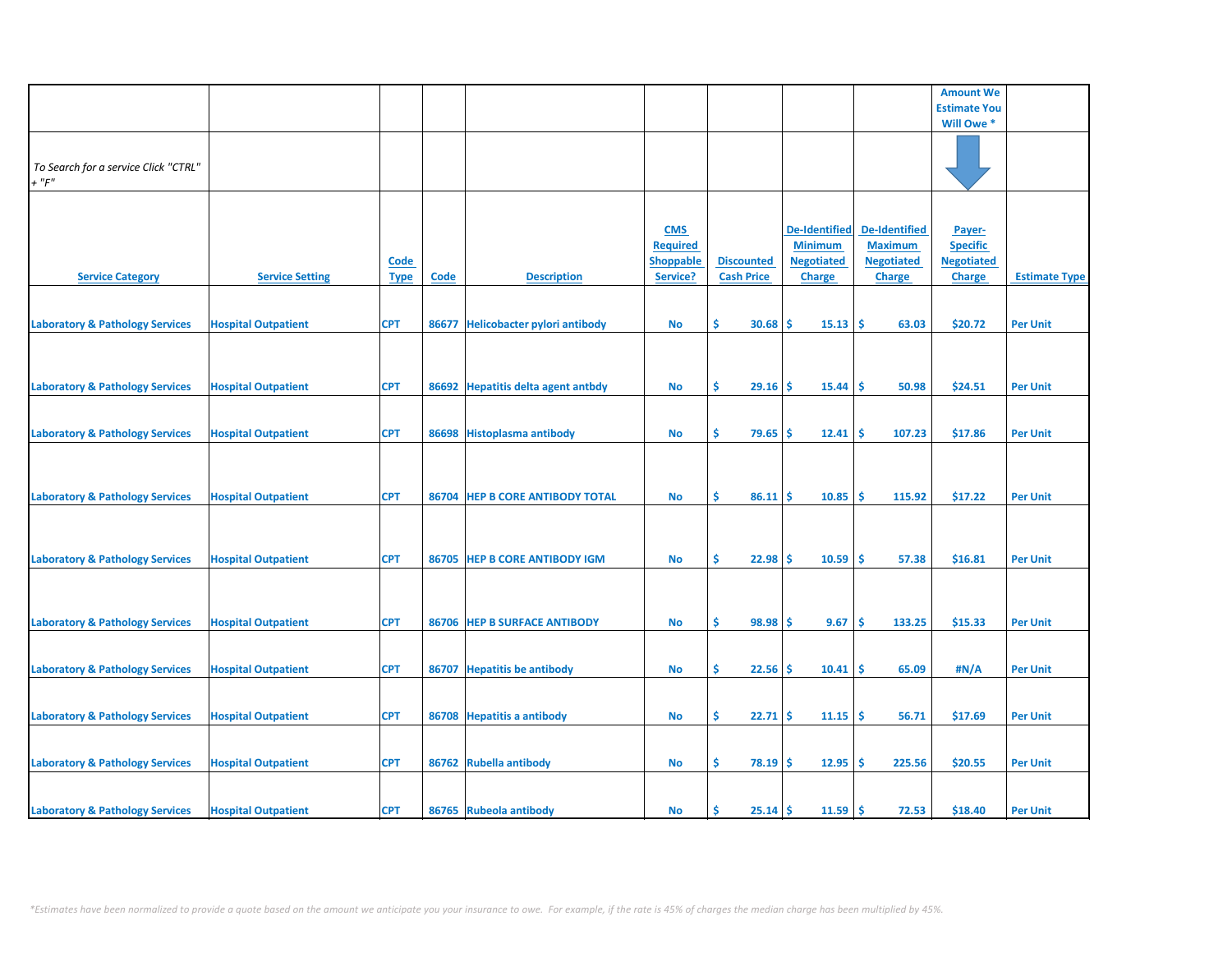|                                            |                            |             |             |                                     |                  |                   |                      |                      | <b>Amount We</b>    |                      |
|--------------------------------------------|----------------------------|-------------|-------------|-------------------------------------|------------------|-------------------|----------------------|----------------------|---------------------|----------------------|
|                                            |                            |             |             |                                     |                  |                   |                      |                      | <b>Estimate You</b> |                      |
|                                            |                            |             |             |                                     |                  |                   |                      |                      | Will Owe *          |                      |
|                                            |                            |             |             |                                     |                  |                   |                      |                      |                     |                      |
|                                            |                            |             |             |                                     |                  |                   |                      |                      |                     |                      |
| To Search for a service Click "CTRL"       |                            |             |             |                                     |                  |                   |                      |                      |                     |                      |
| $+$ " $F$ "                                |                            |             |             |                                     |                  |                   |                      |                      |                     |                      |
|                                            |                            |             |             |                                     |                  |                   |                      |                      |                     |                      |
|                                            |                            |             |             |                                     |                  |                   |                      |                      |                     |                      |
|                                            |                            |             |             |                                     |                  |                   |                      |                      |                     |                      |
|                                            |                            |             |             |                                     | <b>CMS</b>       |                   | <b>De-Identified</b> | <b>De-Identified</b> | Payer-              |                      |
|                                            |                            |             |             |                                     | <b>Required</b>  |                   | <b>Minimum</b>       | <b>Maximum</b>       | <b>Specific</b>     |                      |
|                                            |                            | <b>Code</b> |             |                                     | <b>Shoppable</b> | <b>Discounted</b> | <b>Negotiated</b>    | <b>Negotiated</b>    | <b>Negotiated</b>   |                      |
| <b>Service Category</b>                    | <b>Service Setting</b>     | <b>Type</b> | <b>Code</b> | <b>Description</b>                  | Service?         | <b>Cash Price</b> | Charge               | Charge               | <b>Charge</b>       | <b>Estimate Type</b> |
|                                            |                            |             |             |                                     |                  |                   |                      |                      |                     |                      |
|                                            |                            |             |             |                                     |                  |                   |                      |                      |                     |                      |
|                                            |                            |             |             |                                     |                  |                   |                      |                      |                     |                      |
| <b>Laboratory &amp; Pathology Services</b> | <b>Hospital Outpatient</b> | <b>CPT</b>  | 86677       | <b>Helicobacter pylori antibody</b> | No               | \$<br>30.68       | 15.13<br><b>S</b>    | ۱\$<br>63.03         | \$20.72             | <b>Per Unit</b>      |
|                                            |                            |             |             |                                     |                  |                   |                      |                      |                     |                      |
|                                            |                            |             |             |                                     |                  |                   |                      |                      |                     |                      |
|                                            |                            |             |             |                                     |                  |                   |                      |                      |                     |                      |
|                                            |                            | <b>CPT</b>  |             |                                     |                  | \$<br>$29.16$ \$  | 15.44                | l\$<br>50.98         | \$24.51             |                      |
| <b>Laboratory &amp; Pathology Services</b> | <b>Hospital Outpatient</b> |             |             | 86692 Hepatitis delta agent antbdy  | No               |                   |                      |                      |                     | <b>Per Unit</b>      |
|                                            |                            |             |             |                                     |                  |                   |                      |                      |                     |                      |
|                                            |                            |             |             |                                     |                  |                   |                      |                      |                     |                      |
| <b>Laboratory &amp; Pathology Services</b> | <b>Hospital Outpatient</b> | <b>CPT</b>  |             | 86698 Histoplasma antibody          | No               | \$.<br>79.65      | 12.41<br><b>S</b>    | 107.23<br>-Ś         | \$17.86             | <b>Per Unit</b>      |
|                                            |                            |             |             |                                     |                  |                   |                      |                      |                     |                      |
|                                            |                            |             |             |                                     |                  |                   |                      |                      |                     |                      |
|                                            |                            |             |             |                                     |                  |                   |                      |                      |                     |                      |
|                                            |                            |             |             |                                     |                  |                   |                      |                      |                     |                      |
| <b>Laboratory &amp; Pathology Services</b> | <b>Hospital Outpatient</b> | <b>CPT</b>  |             | 86704 HEP B CORE ANTIBODY TOTAL     | No               | \$<br>86.11       | -Ś<br>10.85          | <b>S</b><br>115.92   | \$17.22             | <b>Per Unit</b>      |
|                                            |                            |             |             |                                     |                  |                   |                      |                      |                     |                      |
|                                            |                            |             |             |                                     |                  |                   |                      |                      |                     |                      |
|                                            |                            |             |             |                                     |                  |                   |                      |                      |                     |                      |
| <b>Laboratory &amp; Pathology Services</b> | <b>Hospital Outpatient</b> | <b>CPT</b>  |             | 86705 HEP B CORE ANTIBODY IGM       | <b>No</b>        | \$<br>22.98       | Ŝ<br>10.59           | <b>S</b><br>57.38    | \$16.81             | <b>Per Unit</b>      |
|                                            |                            |             |             |                                     |                  |                   |                      |                      |                     |                      |
|                                            |                            |             |             |                                     |                  |                   |                      |                      |                     |                      |
|                                            |                            |             |             |                                     |                  |                   |                      |                      |                     |                      |
|                                            |                            |             |             |                                     |                  |                   |                      |                      |                     |                      |
| <b>Laboratory &amp; Pathology Services</b> | <b>Hospital Outpatient</b> | <b>CPT</b>  |             | 86706 HEP B SURFACE ANTIBODY        | <b>No</b>        | \$<br>98.98       | Ŝ.<br>9.67           | -\$<br>133.25        | \$15.33             | <b>Per Unit</b>      |
|                                            |                            |             |             |                                     |                  |                   |                      |                      |                     |                      |
|                                            |                            |             |             |                                     |                  |                   |                      |                      |                     |                      |
| <b>Laboratory &amp; Pathology Services</b> | <b>Hospital Outpatient</b> | <b>CPT</b>  | 86707       | <b>Hepatitis be antibody</b>        | No               | \$.<br>22.56      | 10.41<br>-S          | -\$<br>65.09         | #N/A                | <b>Per Unit</b>      |
|                                            |                            |             |             |                                     |                  |                   |                      |                      |                     |                      |
|                                            |                            |             |             |                                     |                  |                   |                      |                      |                     |                      |
|                                            |                            |             |             |                                     |                  |                   |                      |                      |                     |                      |
| <b>Laboratory &amp; Pathology Services</b> | <b>Hospital Outpatient</b> | <b>CPT</b>  |             | 86708 Hepatitis a antibody          | <b>No</b>        | \$<br>22.71       | 11.15<br><b>S</b>    | -\$<br>56.71         | \$17.69             | <b>Per Unit</b>      |
|                                            |                            |             |             |                                     |                  |                   |                      |                      |                     |                      |
|                                            |                            |             |             |                                     |                  |                   |                      |                      |                     |                      |
| <b>Laboratory &amp; Pathology Services</b> | <b>Hospital Outpatient</b> | <b>CPT</b>  |             | 86762 Rubella antibody              | No               | \$.<br>$78.19$ \$ | 12.95                | -\$<br>225.56        | \$20.55             | <b>Per Unit</b>      |
|                                            |                            |             |             |                                     |                  |                   |                      |                      |                     |                      |
|                                            |                            |             |             |                                     |                  |                   |                      |                      |                     |                      |
|                                            |                            |             |             |                                     |                  |                   |                      |                      |                     |                      |
| <b>Laboratory &amp; Pathology Services</b> | <b>Hospital Outpatient</b> | <b>CPT</b>  |             | 86765 Rubeola antibody              | No               | 25.14<br>Ś        | 11.59<br><b>S</b>    | <b>S</b><br>72.53    | \$18.40             | <b>Per Unit</b>      |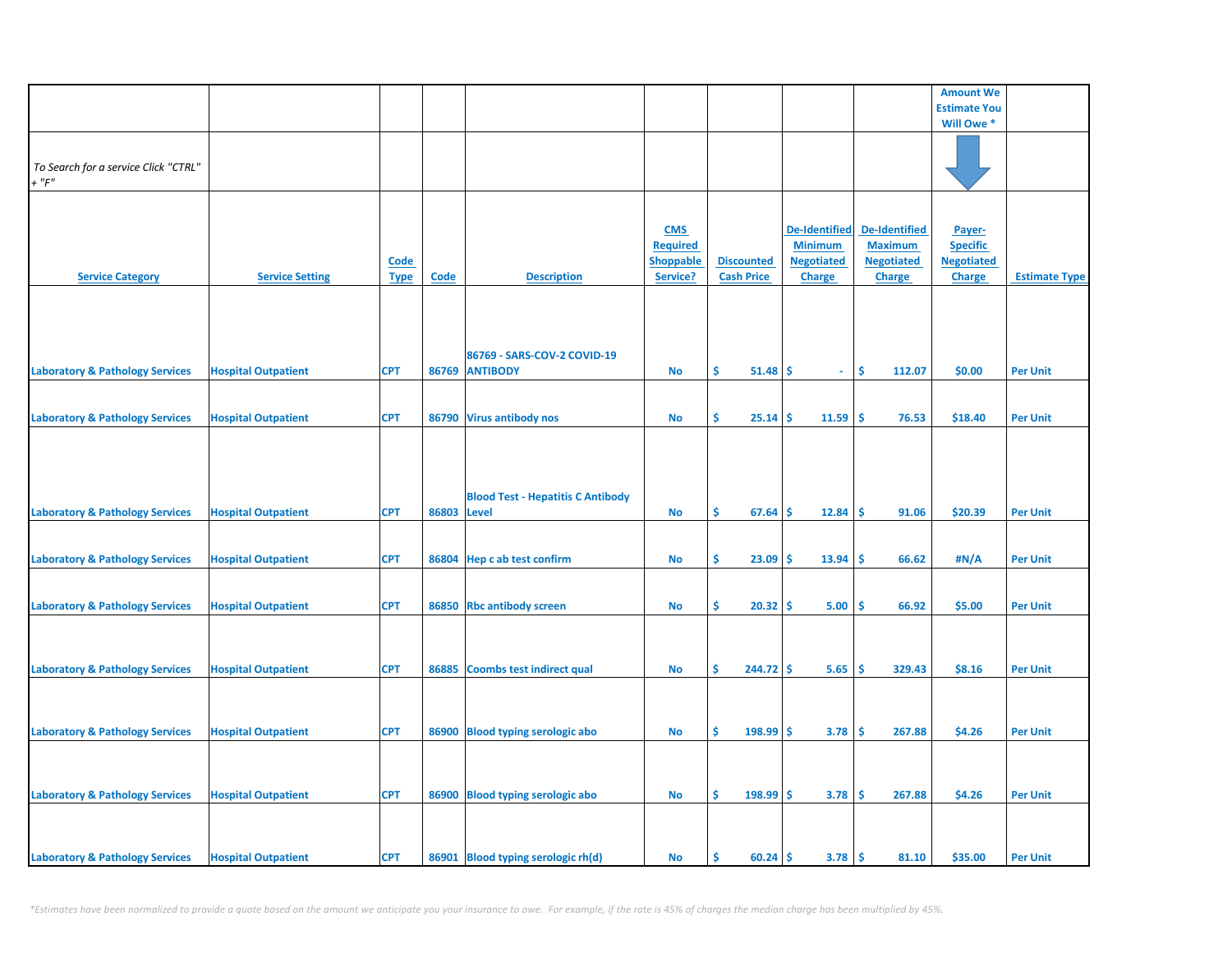|                                            |                            |             |             |                                          |                  |                   |                   |                      | <b>Amount We</b>    |                      |
|--------------------------------------------|----------------------------|-------------|-------------|------------------------------------------|------------------|-------------------|-------------------|----------------------|---------------------|----------------------|
|                                            |                            |             |             |                                          |                  |                   |                   |                      | <b>Estimate You</b> |                      |
|                                            |                            |             |             |                                          |                  |                   |                   |                      | Will Owe *          |                      |
|                                            |                            |             |             |                                          |                  |                   |                   |                      |                     |                      |
|                                            |                            |             |             |                                          |                  |                   |                   |                      |                     |                      |
| To Search for a service Click "CTRL"       |                            |             |             |                                          |                  |                   |                   |                      |                     |                      |
| $+$ " $F$ "                                |                            |             |             |                                          |                  |                   |                   |                      |                     |                      |
|                                            |                            |             |             |                                          |                  |                   |                   |                      |                     |                      |
|                                            |                            |             |             |                                          |                  |                   |                   |                      |                     |                      |
|                                            |                            |             |             |                                          | <b>CMS</b>       |                   | De-Identified     | <b>De-Identified</b> | Payer-              |                      |
|                                            |                            |             |             |                                          | <b>Required</b>  |                   | <b>Minimum</b>    | <b>Maximum</b>       | <b>Specific</b>     |                      |
|                                            |                            | <b>Code</b> |             |                                          | <b>Shoppable</b> | <b>Discounted</b> | <b>Negotiated</b> | <b>Negotiated</b>    | <b>Negotiated</b>   |                      |
| <b>Service Category</b>                    | <b>Service Setting</b>     | <b>Type</b> | <b>Code</b> | <b>Description</b>                       | Service?         | <b>Cash Price</b> | <b>Charge</b>     | Charge               | <b>Charge</b>       | <b>Estimate Type</b> |
|                                            |                            |             |             |                                          |                  |                   |                   |                      |                     |                      |
|                                            |                            |             |             |                                          |                  |                   |                   |                      |                     |                      |
|                                            |                            |             |             |                                          |                  |                   |                   |                      |                     |                      |
|                                            |                            |             |             |                                          |                  |                   |                   |                      |                     |                      |
|                                            |                            |             |             | 86769 - SARS-COV-2 COVID-19              |                  |                   |                   |                      |                     |                      |
| <b>Laboratory &amp; Pathology Services</b> | <b>Hospital Outpatient</b> | <b>CPT</b>  |             | 86769 ANTIBODY                           | <b>No</b>        | Ŝ.<br>51.48       | -\$<br>$\omega$   | Ŝ.<br>112.07         | \$0.00              | <b>Per Unit</b>      |
|                                            |                            |             |             |                                          |                  |                   |                   |                      |                     |                      |
|                                            |                            |             |             |                                          |                  |                   |                   |                      |                     |                      |
| <b>Laboratory &amp; Pathology Services</b> | <b>Hospital Outpatient</b> | <b>CPT</b>  |             | 86790 Virus antibody nos                 | No               | \$<br>25.14       | 11.59<br>\$       | \$.<br>76.53         | \$18.40             | <b>Per Unit</b>      |
|                                            |                            |             |             |                                          |                  |                   |                   |                      |                     |                      |
|                                            |                            |             |             |                                          |                  |                   |                   |                      |                     |                      |
|                                            |                            |             |             |                                          |                  |                   |                   |                      |                     |                      |
|                                            |                            |             |             |                                          |                  |                   |                   |                      |                     |                      |
|                                            |                            |             |             | <b>Blood Test - Hepatitis C Antibody</b> |                  |                   |                   |                      |                     |                      |
|                                            |                            |             | 86803       |                                          |                  | \$                |                   | \$.                  | \$20.39             |                      |
| <b>Laboratory &amp; Pathology Services</b> | <b>Hospital Outpatient</b> | <b>CPT</b>  |             | <b>Level</b>                             | No               | 67.64             | \$<br>12.84       | 91.06                |                     | <b>Per Unit</b>      |
|                                            |                            |             |             |                                          |                  |                   |                   |                      |                     |                      |
|                                            |                            |             |             |                                          |                  |                   |                   |                      |                     |                      |
| <b>Laboratory &amp; Pathology Services</b> | <b>Hospital Outpatient</b> | <b>CPT</b>  |             | 86804 Hep c ab test confirm              | No               | \$<br>23.09       | 13.94<br>\$       | <b>S</b><br>66.62    | #N/A                | <b>Per Unit</b>      |
|                                            |                            |             |             |                                          |                  |                   |                   |                      |                     |                      |
|                                            |                            |             |             |                                          |                  |                   |                   |                      |                     |                      |
| <b>Laboratory &amp; Pathology Services</b> | <b>Hospital Outpatient</b> | <b>CPT</b>  |             | 86850 Rbc antibody screen                | <b>No</b>        | \$<br>20.32       | 5.00<br>\$.       | \$.<br>66.92         | \$5.00              | <b>Per Unit</b>      |
|                                            |                            |             |             |                                          |                  |                   |                   |                      |                     |                      |
|                                            |                            |             |             |                                          |                  |                   |                   |                      |                     |                      |
|                                            |                            |             |             |                                          |                  |                   |                   |                      |                     |                      |
| <b>Laboratory &amp; Pathology Services</b> | <b>Hospital Outpatient</b> | <b>CPT</b>  | 86885       | <b>Coombs test indirect qual</b>         | No               | \$<br>244.72      | 5.65<br>\$.       | -\$<br>329.43        | \$8.16              | <b>Per Unit</b>      |
|                                            |                            |             |             |                                          |                  |                   |                   |                      |                     |                      |
|                                            |                            |             |             |                                          |                  |                   |                   |                      |                     |                      |
|                                            |                            |             |             |                                          |                  |                   |                   |                      |                     |                      |
| <b>Laboratory &amp; Pathology Services</b> | <b>Hospital Outpatient</b> | <b>CPT</b>  |             | 86900 Blood typing serologic abo         | <b>No</b>        | \$<br>198.99      | 3.78<br>\$.       | \$<br>267.88         | \$4.26              | <b>Per Unit</b>      |
|                                            |                            |             |             |                                          |                  |                   |                   |                      |                     |                      |
|                                            |                            |             |             |                                          |                  |                   |                   |                      |                     |                      |
|                                            |                            |             |             |                                          |                  |                   |                   |                      |                     |                      |
| <b>Laboratory &amp; Pathology Services</b> | <b>Hospital Outpatient</b> | <b>CPT</b>  |             | 86900 Blood typing serologic abo         | <b>No</b>        | \$<br>198.99      | 3.78<br>\$        | \$<br>267.88         | \$4.26              | <b>Per Unit</b>      |
|                                            |                            |             |             |                                          |                  |                   |                   |                      |                     |                      |
|                                            |                            |             |             |                                          |                  |                   |                   |                      |                     |                      |
|                                            |                            |             |             |                                          |                  |                   |                   |                      |                     |                      |
| <b>Laboratory &amp; Pathology Services</b> | <b>Hospital Outpatient</b> | <b>CPT</b>  |             | 86901 Blood typing serologic rh(d)       | No               | Ŝ.<br>60.24       | 3.78<br>\$        | \$<br>81.10          | \$35.00             | <b>Per Unit</b>      |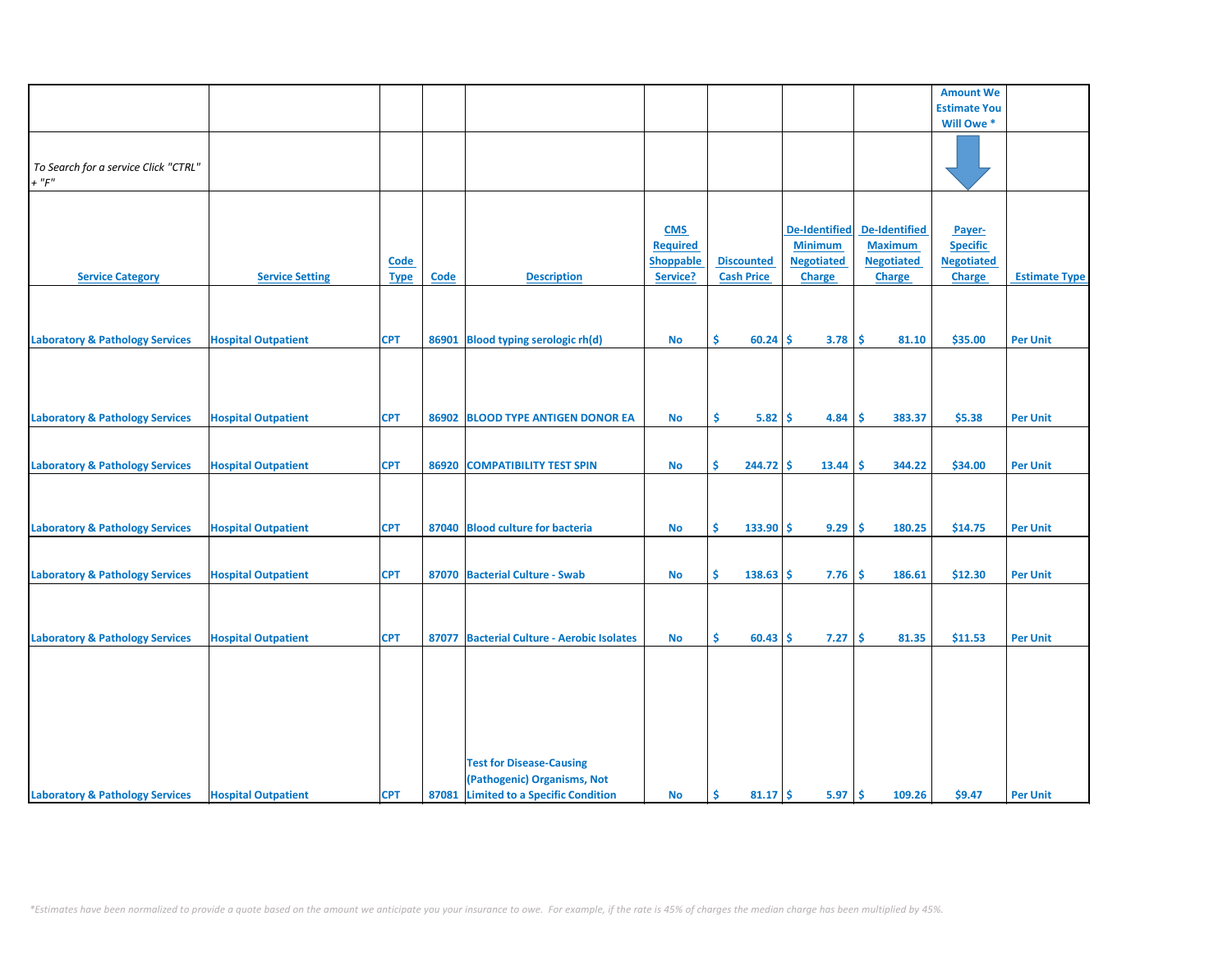|                                            |                            |             |       |                                            |                 |                   |                      |                      | <b>Amount We</b>    |                      |
|--------------------------------------------|----------------------------|-------------|-------|--------------------------------------------|-----------------|-------------------|----------------------|----------------------|---------------------|----------------------|
|                                            |                            |             |       |                                            |                 |                   |                      |                      | <b>Estimate You</b> |                      |
|                                            |                            |             |       |                                            |                 |                   |                      |                      | Will Owe *          |                      |
|                                            |                            |             |       |                                            |                 |                   |                      |                      |                     |                      |
|                                            |                            |             |       |                                            |                 |                   |                      |                      |                     |                      |
| To Search for a service Click "CTRL"       |                            |             |       |                                            |                 |                   |                      |                      |                     |                      |
| $+$ " $F$ "                                |                            |             |       |                                            |                 |                   |                      |                      |                     |                      |
|                                            |                            |             |       |                                            |                 |                   |                      |                      |                     |                      |
|                                            |                            |             |       |                                            |                 |                   |                      |                      |                     |                      |
|                                            |                            |             |       |                                            |                 |                   |                      |                      |                     |                      |
|                                            |                            |             |       |                                            | <b>CMS</b>      |                   | <b>De-Identified</b> | <b>De-Identified</b> | Payer-              |                      |
|                                            |                            |             |       |                                            | <b>Required</b> |                   | <b>Minimum</b>       | <b>Maximum</b>       | <b>Specific</b>     |                      |
|                                            |                            | Code        |       |                                            | Shoppable       | <b>Discounted</b> | <b>Negotiated</b>    | <b>Negotiated</b>    | <b>Negotiated</b>   |                      |
| <b>Service Category</b>                    | <b>Service Setting</b>     | <b>Type</b> | Code  | <b>Description</b>                         | Service?        | <b>Cash Price</b> | <b>Charge</b>        | <b>Charge</b>        | <b>Charge</b>       | <b>Estimate Type</b> |
|                                            |                            |             |       |                                            |                 |                   |                      |                      |                     |                      |
|                                            |                            |             |       |                                            |                 |                   |                      |                      |                     |                      |
|                                            |                            |             |       |                                            |                 |                   |                      |                      |                     |                      |
|                                            |                            |             |       |                                            |                 |                   |                      |                      |                     |                      |
| <b>Laboratory &amp; Pathology Services</b> | <b>Hospital Outpatient</b> | <b>CPT</b>  | 86901 | <b>Blood typing serologic rh(d)</b>        | No              | \$<br>$60.24$ \$  | 3.78                 | <b>S</b><br>81.10    | \$35.00             | <b>Per Unit</b>      |
|                                            |                            |             |       |                                            |                 |                   |                      |                      |                     |                      |
|                                            |                            |             |       |                                            |                 |                   |                      |                      |                     |                      |
|                                            |                            |             |       |                                            |                 |                   |                      |                      |                     |                      |
|                                            |                            |             |       |                                            |                 |                   |                      |                      |                     |                      |
|                                            |                            |             |       |                                            |                 |                   |                      |                      |                     |                      |
| <b>Laboratory &amp; Pathology Services</b> | <b>Hospital Outpatient</b> | <b>CPT</b>  | 86902 | <b>BLOOD TYPE ANTIGEN DONOR EA</b>         | No              | \$<br>5.82        | -\$<br>4.84          | -\$<br>383.37        | \$5.38              | <b>Per Unit</b>      |
|                                            |                            |             |       |                                            |                 |                   |                      |                      |                     |                      |
|                                            |                            |             |       |                                            |                 |                   |                      |                      |                     |                      |
| <b>Laboratory &amp; Pathology Services</b> | <b>Hospital Outpatient</b> | <b>CPT</b>  |       | 86920 COMPATIBILITY TEST SPIN              | No              | Ŝ.<br>$244.72$ \$ | 13.44                | <b>S</b><br>344.22   | \$34.00             | <b>Per Unit</b>      |
|                                            |                            |             |       |                                            |                 |                   |                      |                      |                     |                      |
|                                            |                            |             |       |                                            |                 |                   |                      |                      |                     |                      |
|                                            |                            |             |       |                                            |                 |                   |                      |                      |                     |                      |
|                                            |                            |             |       |                                            |                 |                   |                      |                      |                     |                      |
| <b>Laboratory &amp; Pathology Services</b> | <b>Hospital Outpatient</b> | <b>CPT</b>  |       | 87040 Blood culture for bacteria           | <b>No</b>       | Ŝ<br>$133.90$ \$  | 9.29                 | -Ś<br>180.25         | \$14.75             | <b>Per Unit</b>      |
|                                            |                            |             |       |                                            |                 |                   |                      |                      |                     |                      |
|                                            |                            |             |       |                                            |                 |                   |                      |                      |                     |                      |
| <b>Laboratory &amp; Pathology Services</b> | <b>Hospital Outpatient</b> | <b>CPT</b>  |       | 87070 Bacterial Culture - Swab             | <b>No</b>       | \$.<br>138.63     | -\$<br>7.76          | <b>S</b><br>186.61   | \$12.30             | <b>Per Unit</b>      |
|                                            |                            |             |       |                                            |                 |                   |                      |                      |                     |                      |
|                                            |                            |             |       |                                            |                 |                   |                      |                      |                     |                      |
|                                            |                            |             |       |                                            |                 |                   |                      |                      |                     |                      |
|                                            |                            |             |       |                                            |                 |                   |                      |                      |                     |                      |
| <b>Laboratory &amp; Pathology Services</b> | <b>Hospital Outpatient</b> | <b>CPT</b>  |       | 87077 Bacterial Culture - Aerobic Isolates | No              | \$<br>$60.43$ \$  | 7.27                 | \$<br>81.35          | \$11.53             | <b>Per Unit</b>      |
|                                            |                            |             |       |                                            |                 |                   |                      |                      |                     |                      |
|                                            |                            |             |       |                                            |                 |                   |                      |                      |                     |                      |
|                                            |                            |             |       |                                            |                 |                   |                      |                      |                     |                      |
|                                            |                            |             |       |                                            |                 |                   |                      |                      |                     |                      |
|                                            |                            |             |       |                                            |                 |                   |                      |                      |                     |                      |
|                                            |                            |             |       |                                            |                 |                   |                      |                      |                     |                      |
|                                            |                            |             |       |                                            |                 |                   |                      |                      |                     |                      |
|                                            |                            |             |       |                                            |                 |                   |                      |                      |                     |                      |
|                                            |                            |             |       | <b>Test for Disease-Causing</b>            |                 |                   |                      |                      |                     |                      |
|                                            |                            |             |       | (Pathogenic) Organisms, Not                |                 |                   |                      |                      |                     |                      |
| <b>Laboratory &amp; Pathology Services</b> | <b>Hospital Outpatient</b> | <b>CPT</b>  |       | 87081 Limited to a Specific Condition      | <b>No</b>       | -\$<br>$81.17$ \$ | 5.97                 | -\$<br>109.26        | \$9.47              | <b>Per Unit</b>      |
|                                            |                            |             |       |                                            |                 |                   |                      |                      |                     |                      |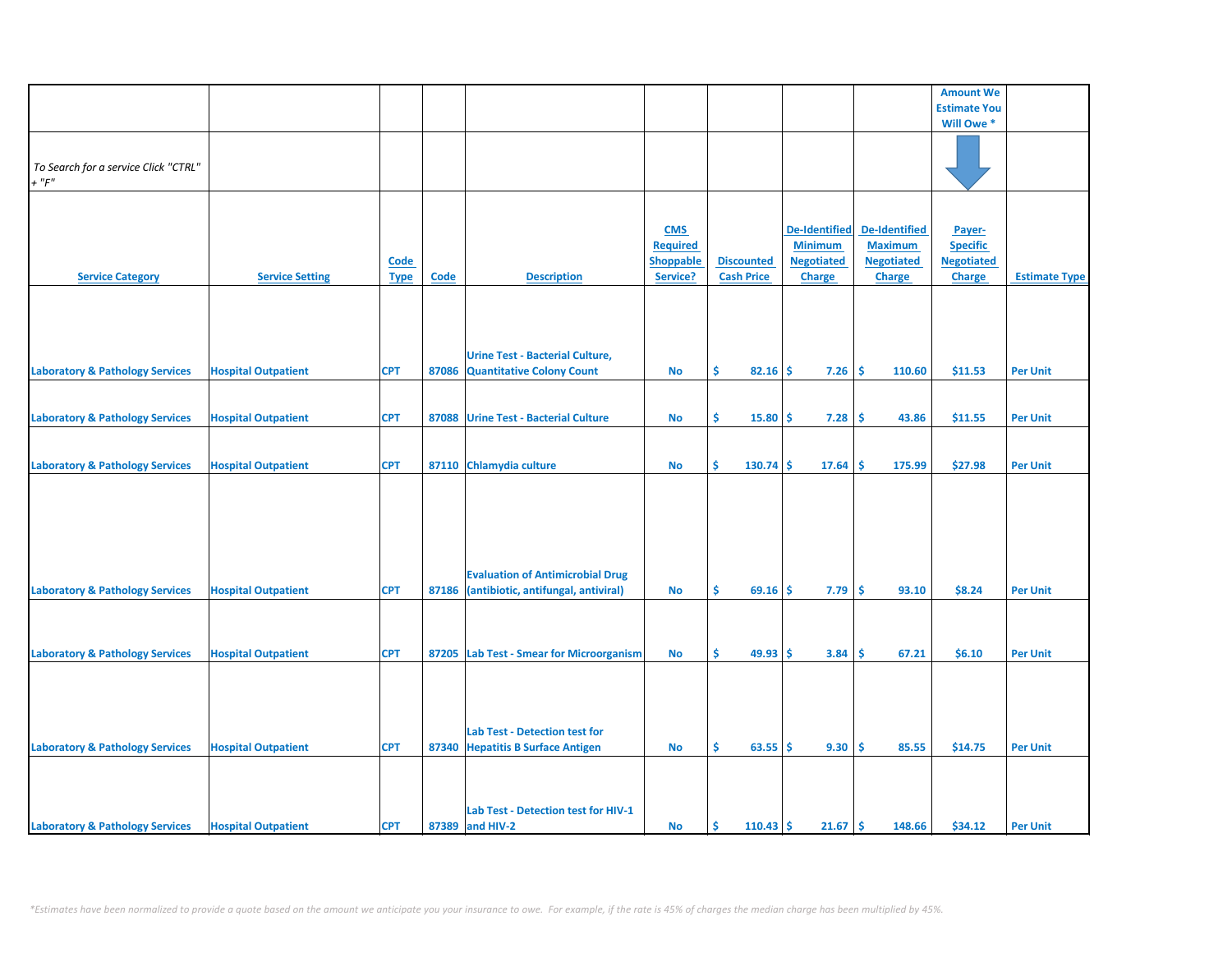|                                            |                            |             |             |                                          |                  |                         |                      |                   | <b>Amount We</b>    |                      |
|--------------------------------------------|----------------------------|-------------|-------------|------------------------------------------|------------------|-------------------------|----------------------|-------------------|---------------------|----------------------|
|                                            |                            |             |             |                                          |                  |                         |                      |                   |                     |                      |
|                                            |                            |             |             |                                          |                  |                         |                      |                   | <b>Estimate You</b> |                      |
|                                            |                            |             |             |                                          |                  |                         |                      |                   | Will Owe *          |                      |
|                                            |                            |             |             |                                          |                  |                         |                      |                   |                     |                      |
|                                            |                            |             |             |                                          |                  |                         |                      |                   |                     |                      |
| To Search for a service Click "CTRL"       |                            |             |             |                                          |                  |                         |                      |                   |                     |                      |
| $+$ " $F$ "                                |                            |             |             |                                          |                  |                         |                      |                   |                     |                      |
|                                            |                            |             |             |                                          |                  |                         |                      |                   |                     |                      |
|                                            |                            |             |             |                                          |                  |                         |                      |                   |                     |                      |
|                                            |                            |             |             |                                          | <b>CMS</b>       |                         | <b>De-Identified</b> | De-Identified     | Payer-              |                      |
|                                            |                            |             |             |                                          | <b>Required</b>  |                         | <b>Minimum</b>       | <b>Maximum</b>    | <b>Specific</b>     |                      |
|                                            |                            | <b>Code</b> |             |                                          | <b>Shoppable</b> | <b>Discounted</b>       | <b>Negotiated</b>    | <b>Negotiated</b> | <b>Negotiated</b>   |                      |
| <b>Service Category</b>                    | <b>Service Setting</b>     | <b>Type</b> | <b>Code</b> | <b>Description</b>                       | Service?         | <b>Cash Price</b>       | <b>Charge</b>        | <b>Charge</b>     | <b>Charge</b>       | <b>Estimate Type</b> |
|                                            |                            |             |             |                                          |                  |                         |                      |                   |                     |                      |
|                                            |                            |             |             |                                          |                  |                         |                      |                   |                     |                      |
|                                            |                            |             |             |                                          |                  |                         |                      |                   |                     |                      |
|                                            |                            |             |             |                                          |                  |                         |                      |                   |                     |                      |
|                                            |                            |             |             |                                          |                  |                         |                      |                   |                     |                      |
|                                            |                            |             |             | <b>Urine Test - Bacterial Culture,</b>   |                  |                         |                      |                   |                     |                      |
| <b>Laboratory &amp; Pathology Services</b> | <b>Hospital Outpatient</b> | <b>CPT</b>  | 87086       | <b>Quantitative Colony Count</b>         | No               | \$<br>82.16             | 7.26<br>\$           | \$.<br>110.60     | \$11.53             | <b>Per Unit</b>      |
|                                            |                            |             |             |                                          |                  |                         |                      |                   |                     |                      |
|                                            |                            |             |             |                                          |                  |                         |                      |                   |                     |                      |
| <b>Laboratory &amp; Pathology Services</b> | <b>Hospital Outpatient</b> | <b>CPT</b>  | 87088       | <b>Urine Test - Bacterial Culture</b>    | No               | \$<br>15.80             | \$.<br>7.28          | -\$<br>43.86      | \$11.55             | <b>Per Unit</b>      |
|                                            |                            |             |             |                                          |                  |                         |                      |                   |                     |                      |
|                                            |                            |             |             |                                          |                  |                         |                      |                   |                     |                      |
| <b>Laboratory &amp; Pathology Services</b> | <b>Hospital Outpatient</b> | <b>CPT</b>  |             | 87110 Chlamydia culture                  | <b>No</b>        | \$<br>130.74            | \$<br>17.64          | \$<br>175.99      | \$27.98             | <b>Per Unit</b>      |
|                                            |                            |             |             |                                          |                  |                         |                      |                   |                     |                      |
|                                            |                            |             |             |                                          |                  |                         |                      |                   |                     |                      |
|                                            |                            |             |             |                                          |                  |                         |                      |                   |                     |                      |
|                                            |                            |             |             |                                          |                  |                         |                      |                   |                     |                      |
|                                            |                            |             |             |                                          |                  |                         |                      |                   |                     |                      |
|                                            |                            |             |             |                                          |                  |                         |                      |                   |                     |                      |
|                                            |                            |             |             |                                          |                  |                         |                      |                   |                     |                      |
|                                            |                            |             |             | <b>Evaluation of Antimicrobial Drug</b>  |                  |                         |                      |                   |                     |                      |
| <b>Laboratory &amp; Pathology Services</b> | <b>Hospital Outpatient</b> | <b>CPT</b>  | 87186       | (antibiotic, antifungal, antiviral)      | <b>No</b>        | \$<br>69.16             | 7.79<br>-S           | \$.<br>93.10      | \$8.24              | <b>Per Unit</b>      |
|                                            |                            |             |             |                                          |                  |                         |                      |                   |                     |                      |
|                                            |                            |             |             |                                          |                  |                         |                      |                   |                     |                      |
|                                            |                            |             |             |                                          |                  |                         |                      |                   |                     |                      |
|                                            |                            |             |             |                                          |                  |                         |                      |                   |                     |                      |
| <b>Laboratory &amp; Pathology Services</b> | <b>Hospital Outpatient</b> | <b>CPT</b>  |             | 87205 Lab Test - Smear for Microorganism | No               | \$<br>49.93             | -\$<br>3.84          | \$.<br>67.21      | \$6.10              | <b>Per Unit</b>      |
|                                            |                            |             |             |                                          |                  |                         |                      |                   |                     |                      |
|                                            |                            |             |             |                                          |                  |                         |                      |                   |                     |                      |
|                                            |                            |             |             |                                          |                  |                         |                      |                   |                     |                      |
|                                            |                            |             |             |                                          |                  |                         |                      |                   |                     |                      |
|                                            |                            |             |             | <b>Lab Test - Detection test for</b>     |                  |                         |                      |                   |                     |                      |
| <b>Laboratory &amp; Pathology Services</b> | <b>Hospital Outpatient</b> | <b>CPT</b>  |             | 87340 Hepatitis B Surface Antigen        | <b>No</b>        | Ŝ.<br>63.55             | 9.30<br>Ŝ.           | Ś<br>85.55        | \$14.75             | <b>Per Unit</b>      |
|                                            |                            |             |             |                                          |                  |                         |                      |                   |                     |                      |
|                                            |                            |             |             |                                          |                  |                         |                      |                   |                     |                      |
|                                            |                            |             |             |                                          |                  |                         |                      |                   |                     |                      |
|                                            |                            |             |             |                                          |                  |                         |                      |                   |                     |                      |
|                                            |                            |             |             | Lab Test - Detection test for HIV-1      |                  |                         |                      |                   |                     |                      |
| <b>Laboratory &amp; Pathology Services</b> | <b>Hospital Outpatient</b> | <b>CPT</b>  |             | 87389 and HIV-2                          | No               | <b>S</b><br>$110.43$ \$ | 21.67                | \$.<br>148.66     | \$34.12             | <b>Per Unit</b>      |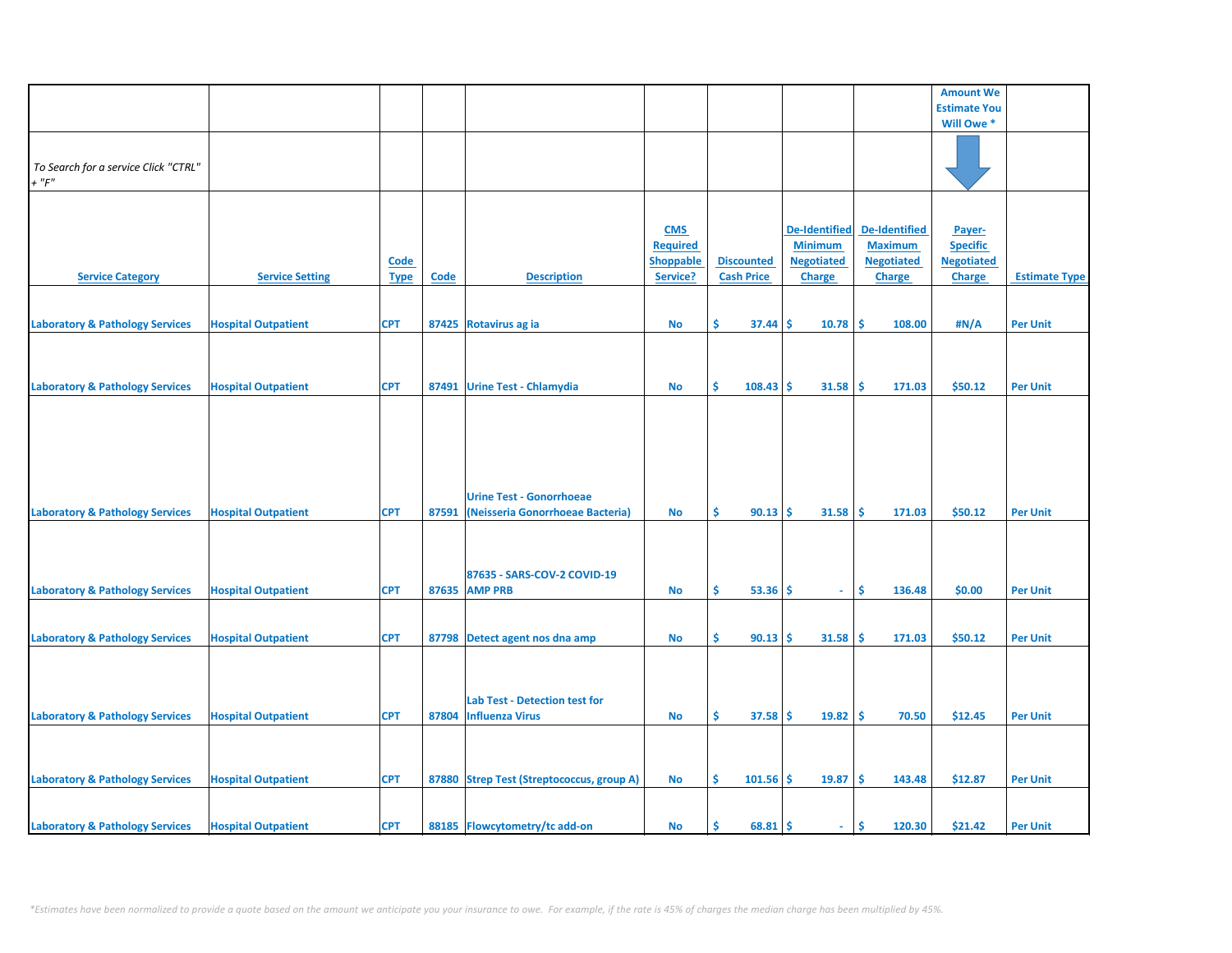|                                            |                            |             |             |                                           |                  |                   |                      |                   | <b>Amount We</b>    |                      |
|--------------------------------------------|----------------------------|-------------|-------------|-------------------------------------------|------------------|-------------------|----------------------|-------------------|---------------------|----------------------|
|                                            |                            |             |             |                                           |                  |                   |                      |                   | <b>Estimate You</b> |                      |
|                                            |                            |             |             |                                           |                  |                   |                      |                   | Will Owe *          |                      |
|                                            |                            |             |             |                                           |                  |                   |                      |                   |                     |                      |
|                                            |                            |             |             |                                           |                  |                   |                      |                   |                     |                      |
|                                            |                            |             |             |                                           |                  |                   |                      |                   |                     |                      |
| To Search for a service Click "CTRL"       |                            |             |             |                                           |                  |                   |                      |                   |                     |                      |
| $+$ " $F$ "                                |                            |             |             |                                           |                  |                   |                      |                   |                     |                      |
|                                            |                            |             |             |                                           |                  |                   |                      |                   |                     |                      |
|                                            |                            |             |             |                                           |                  |                   |                      |                   |                     |                      |
|                                            |                            |             |             |                                           |                  |                   | <b>De-Identified</b> | De-Identified     |                     |                      |
|                                            |                            |             |             |                                           | <b>CMS</b>       |                   |                      |                   | Payer-              |                      |
|                                            |                            |             |             |                                           | <b>Required</b>  |                   | <b>Minimum</b>       | <b>Maximum</b>    | <b>Specific</b>     |                      |
|                                            |                            | <b>Code</b> |             |                                           | <b>Shoppable</b> | <b>Discounted</b> | <b>Negotiated</b>    | <b>Negotiated</b> | <b>Negotiated</b>   |                      |
| <b>Service Category</b>                    | <b>Service Setting</b>     | <b>Type</b> | <b>Code</b> | <b>Description</b>                        | Service?         | <b>Cash Price</b> | <b>Charge</b>        | <b>Charge</b>     | <b>Charge</b>       | <b>Estimate Type</b> |
|                                            |                            |             |             |                                           |                  |                   |                      |                   |                     |                      |
|                                            |                            |             |             |                                           |                  |                   |                      |                   |                     |                      |
|                                            |                            |             |             |                                           |                  |                   |                      |                   |                     |                      |
| <b>Laboratory &amp; Pathology Services</b> | <b>Hospital Outpatient</b> | <b>CPT</b>  |             | 87425 Rotavirus ag ia                     | No               | \$.<br>37.44      | 10.78<br>Ŝ           | -\$<br>108.00     | #N/A                | <b>Per Unit</b>      |
|                                            |                            |             |             |                                           |                  |                   |                      |                   |                     |                      |
|                                            |                            |             |             |                                           |                  |                   |                      |                   |                     |                      |
|                                            |                            |             |             |                                           |                  |                   |                      |                   |                     |                      |
|                                            |                            |             |             |                                           |                  |                   |                      |                   |                     |                      |
| <b>Laboratory &amp; Pathology Services</b> | <b>Hospital Outpatient</b> | <b>CPT</b>  |             | 87491 Urine Test - Chlamydia              | <b>No</b>        | Ŝ.<br>108.43      | Ŝ.<br>31.58          | -\$<br>171.03     | \$50.12             | <b>Per Unit</b>      |
|                                            |                            |             |             |                                           |                  |                   |                      |                   |                     |                      |
|                                            |                            |             |             |                                           |                  |                   |                      |                   |                     |                      |
|                                            |                            |             |             |                                           |                  |                   |                      |                   |                     |                      |
|                                            |                            |             |             |                                           |                  |                   |                      |                   |                     |                      |
|                                            |                            |             |             |                                           |                  |                   |                      |                   |                     |                      |
|                                            |                            |             |             |                                           |                  |                   |                      |                   |                     |                      |
|                                            |                            |             |             |                                           |                  |                   |                      |                   |                     |                      |
|                                            |                            |             |             | <b>Urine Test - Gonorrhoeae</b>           |                  |                   |                      |                   |                     |                      |
|                                            |                            |             |             |                                           |                  |                   |                      |                   |                     |                      |
| <b>Laboratory &amp; Pathology Services</b> | <b>Hospital Outpatient</b> | <b>CPT</b>  | 87591       | (Neisseria Gonorrhoeae Bacteria)          | <b>No</b>        | \$<br>$90.13$ \$  | 31.58                | -\$<br>171.03     | \$50.12             | <b>Per Unit</b>      |
|                                            |                            |             |             |                                           |                  |                   |                      |                   |                     |                      |
|                                            |                            |             |             |                                           |                  |                   |                      |                   |                     |                      |
|                                            |                            |             |             |                                           |                  |                   |                      |                   |                     |                      |
|                                            |                            |             |             | 87635 - SARS-COV-2 COVID-19               |                  |                   |                      |                   |                     |                      |
|                                            |                            |             |             |                                           |                  |                   |                      |                   |                     |                      |
| <b>Laboratory &amp; Pathology Services</b> | <b>Hospital Outpatient</b> | <b>CPT</b>  |             | 87635 AMP PRB                             | <b>No</b>        | Ŝ.<br>$53.36$ \$  | $\sim$               | Ŝ.<br>136.48      | \$0.00              | <b>Per Unit</b>      |
|                                            |                            |             |             |                                           |                  |                   |                      |                   |                     |                      |
|                                            |                            |             |             |                                           |                  |                   |                      |                   |                     |                      |
| <b>Laboratory &amp; Pathology Services</b> | <b>Hospital Outpatient</b> | <b>CPT</b>  |             | 87798 Detect agent nos dna amp            | <b>No</b>        | \$<br>90.13       | 31.58<br>Ŝ.          | -Ś<br>171.03      | \$50.12             | <b>Per Unit</b>      |
|                                            |                            |             |             |                                           |                  |                   |                      |                   |                     |                      |
|                                            |                            |             |             |                                           |                  |                   |                      |                   |                     |                      |
|                                            |                            |             |             |                                           |                  |                   |                      |                   |                     |                      |
|                                            |                            |             |             |                                           |                  |                   |                      |                   |                     |                      |
|                                            |                            |             |             | Lab Test - Detection test for             |                  |                   |                      |                   |                     |                      |
| <b>Laboratory &amp; Pathology Services</b> | <b>Hospital Outpatient</b> | <b>CPT</b>  |             | 87804 Influenza Virus                     | <b>No</b>        | \$<br>$37.58$ \$  | $19.82 \mid$ \$      | 70.50             | \$12.45             | <b>Per Unit</b>      |
|                                            |                            |             |             |                                           |                  |                   |                      |                   |                     |                      |
|                                            |                            |             |             |                                           |                  |                   |                      |                   |                     |                      |
|                                            |                            |             |             |                                           |                  |                   |                      |                   |                     |                      |
|                                            |                            |             |             |                                           |                  |                   |                      |                   |                     |                      |
| <b>Laboratory &amp; Pathology Services</b> | <b>Hospital Outpatient</b> | <b>CPT</b>  |             | 87880 Strep Test (Streptococcus, group A) | <b>No</b>        | \$<br>101.56      | -\$<br>19.87         | -\$<br>143.48     | \$12.87             | <b>Per Unit</b>      |
|                                            |                            |             |             |                                           |                  |                   |                      |                   |                     |                      |
|                                            |                            |             |             |                                           |                  |                   |                      |                   |                     |                      |
|                                            |                            |             |             |                                           |                  |                   |                      |                   |                     |                      |
| <b>Laboratory &amp; Pathology Services</b> | <b>Hospital Outpatient</b> | <b>CPT</b>  |             | 88185 Flowcytometry/tc add-on             | No               | $68.81$ \$<br>\$. | ÷.                   | \$<br>120.30      | \$21.42             | <b>Per Unit</b>      |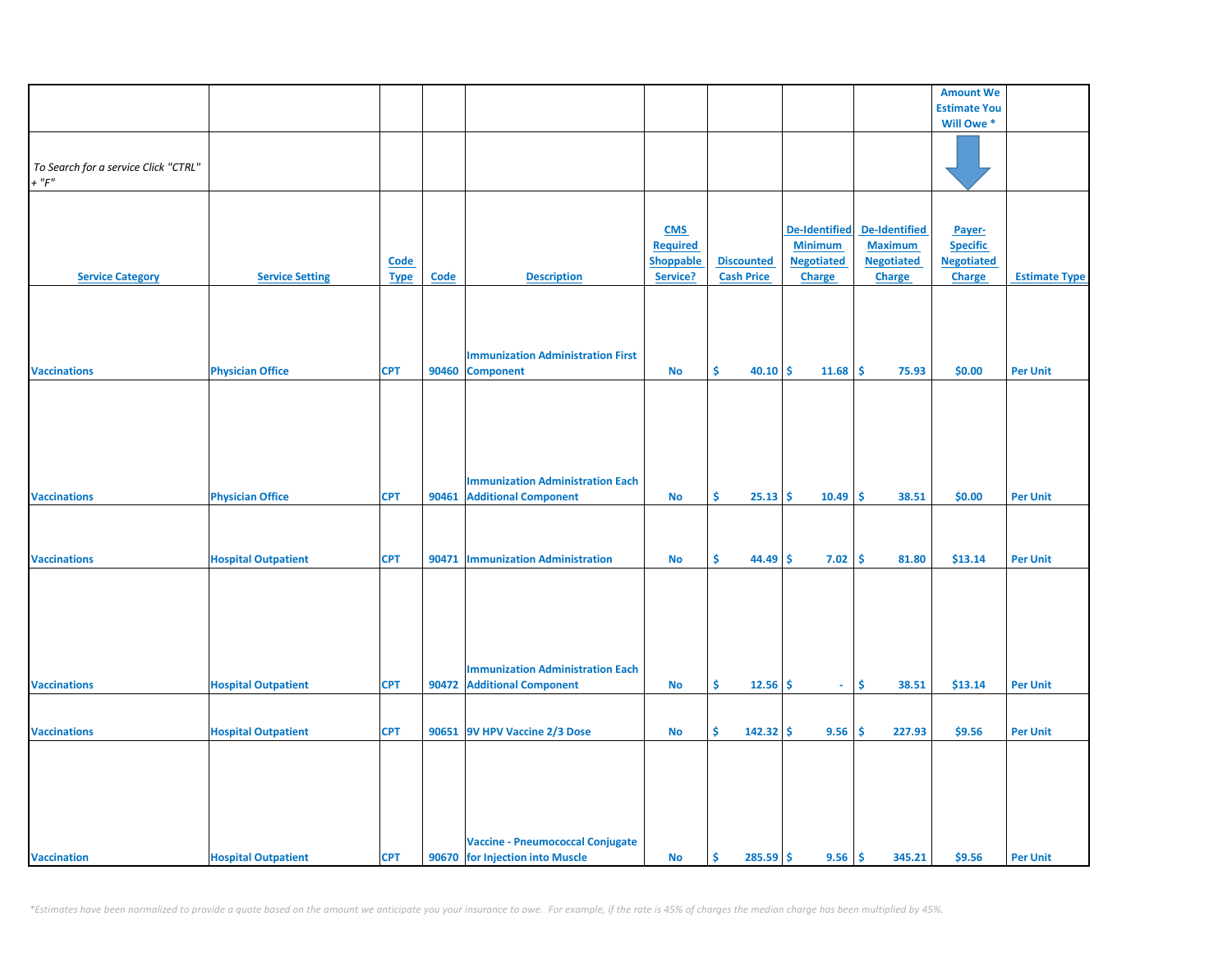|                                      |                            |             |       |                                          |                  |                    |                      |                      | <b>Amount We</b>      |                      |
|--------------------------------------|----------------------------|-------------|-------|------------------------------------------|------------------|--------------------|----------------------|----------------------|-----------------------|----------------------|
|                                      |                            |             |       |                                          |                  |                    |                      |                      | <b>Estimate You</b>   |                      |
|                                      |                            |             |       |                                          |                  |                    |                      |                      | Will Owe <sup>*</sup> |                      |
|                                      |                            |             |       |                                          |                  |                    |                      |                      |                       |                      |
| To Search for a service Click "CTRL" |                            |             |       |                                          |                  |                    |                      |                      |                       |                      |
| $+$ " $F$ "                          |                            |             |       |                                          |                  |                    |                      |                      |                       |                      |
|                                      |                            |             |       |                                          |                  |                    |                      |                      |                       |                      |
|                                      |                            |             |       |                                          |                  |                    |                      |                      |                       |                      |
|                                      |                            |             |       |                                          |                  |                    |                      |                      |                       |                      |
|                                      |                            |             |       |                                          | <b>CMS</b>       |                    | <b>De-Identified</b> | <b>De-Identified</b> | Payer-                |                      |
|                                      |                            |             |       |                                          | <b>Required</b>  |                    | <b>Minimum</b>       | <b>Maximum</b>       | <b>Specific</b>       |                      |
|                                      |                            | <b>Code</b> |       |                                          | <b>Shoppable</b> | <b>Discounted</b>  | <b>Negotiated</b>    | <b>Negotiated</b>    | <b>Negotiated</b>     |                      |
| <b>Service Category</b>              | <b>Service Setting</b>     | <b>Type</b> | Code  | <b>Description</b>                       | Service?         | <b>Cash Price</b>  | <b>Charge</b>        | Charge               | <b>Charge</b>         | <b>Estimate Type</b> |
|                                      |                            |             |       |                                          |                  |                    |                      |                      |                       |                      |
|                                      |                            |             |       |                                          |                  |                    |                      |                      |                       |                      |
|                                      |                            |             |       |                                          |                  |                    |                      |                      |                       |                      |
|                                      |                            |             |       |                                          |                  |                    |                      |                      |                       |                      |
|                                      |                            |             |       | <b>Immunization Administration First</b> |                  |                    |                      |                      |                       |                      |
| <b>Vaccinations</b>                  | <b>Physician Office</b>    | <b>CPT</b>  | 90460 | <b>Component</b>                         | <b>No</b>        | \$<br>40.10        | -\$<br>11.68         | \$<br>75.93          | \$0.00                | <b>Per Unit</b>      |
|                                      |                            |             |       |                                          |                  |                    |                      |                      |                       |                      |
|                                      |                            |             |       |                                          |                  |                    |                      |                      |                       |                      |
|                                      |                            |             |       |                                          |                  |                    |                      |                      |                       |                      |
|                                      |                            |             |       |                                          |                  |                    |                      |                      |                       |                      |
|                                      |                            |             |       |                                          |                  |                    |                      |                      |                       |                      |
|                                      |                            |             |       |                                          |                  |                    |                      |                      |                       |                      |
|                                      |                            |             |       |                                          |                  |                    |                      |                      |                       |                      |
|                                      |                            |             |       | <b>Immunization Administration Each</b>  |                  |                    |                      |                      |                       |                      |
| <b>Vaccinations</b>                  | <b>Physician Office</b>    | <b>CPT</b>  | 90461 | <b>Additional Component</b>              | No               | Ŝ.<br>25.13        | 10.49<br>-S          | Ŝ.<br>38.51          | \$0.00                | <b>Per Unit</b>      |
|                                      |                            |             |       |                                          |                  |                    |                      |                      |                       |                      |
|                                      |                            |             |       |                                          |                  |                    |                      |                      |                       |                      |
|                                      |                            |             |       |                                          |                  |                    |                      |                      |                       |                      |
| <b>Vaccinations</b>                  | <b>Hospital Outpatient</b> | <b>CPT</b>  |       | 90471   Immunization Administration      | <b>No</b>        | Ś.<br>44.49        | \$<br>7.02           | \$<br>81.80          | \$13.14               | <b>Per Unit</b>      |
|                                      |                            |             |       |                                          |                  |                    |                      |                      |                       |                      |
|                                      |                            |             |       |                                          |                  |                    |                      |                      |                       |                      |
|                                      |                            |             |       |                                          |                  |                    |                      |                      |                       |                      |
|                                      |                            |             |       |                                          |                  |                    |                      |                      |                       |                      |
|                                      |                            |             |       |                                          |                  |                    |                      |                      |                       |                      |
|                                      |                            |             |       |                                          |                  |                    |                      |                      |                       |                      |
|                                      |                            |             |       |                                          |                  |                    |                      |                      |                       |                      |
|                                      |                            |             |       | <b>Immunization Administration Each</b>  |                  |                    |                      |                      |                       |                      |
| <b>Vaccinations</b>                  | <b>Hospital Outpatient</b> | <b>CPT</b>  |       | 90472 Additional Component               | No               | Ŝ.<br>12.56        | -\$<br>$\omega$      | \$<br>38.51          | \$13.14               | <b>Per Unit</b>      |
|                                      |                            |             |       |                                          |                  |                    |                      |                      |                       |                      |
|                                      |                            |             |       |                                          |                  |                    |                      |                      |                       |                      |
| <b>Vaccinations</b>                  | <b>Hospital Outpatient</b> | <b>CPT</b>  |       | 90651 9V HPV Vaccine 2/3 Dose            | <b>No</b>        | \$<br>142.32       | \$<br>9.56           | \$<br>227.93         | \$9.56                | <b>Per Unit</b>      |
|                                      |                            |             |       |                                          |                  |                    |                      |                      |                       |                      |
|                                      |                            |             |       |                                          |                  |                    |                      |                      |                       |                      |
|                                      |                            |             |       |                                          |                  |                    |                      |                      |                       |                      |
|                                      |                            |             |       |                                          |                  |                    |                      |                      |                       |                      |
|                                      |                            |             |       |                                          |                  |                    |                      |                      |                       |                      |
|                                      |                            |             |       |                                          |                  |                    |                      |                      |                       |                      |
|                                      |                            |             |       |                                          |                  |                    |                      |                      |                       |                      |
|                                      |                            |             |       | <b>Vaccine - Pneumococcal Conjugate</b>  |                  |                    |                      |                      |                       |                      |
| <b>Vaccination</b>                   | <b>Hospital Outpatient</b> | <b>CPT</b>  |       | 90670 for Injection into Muscle          | <b>No</b>        | -\$<br>$285.59$ \$ | 9.56                 | \$<br>345.21         | \$9.56                | <b>Per Unit</b>      |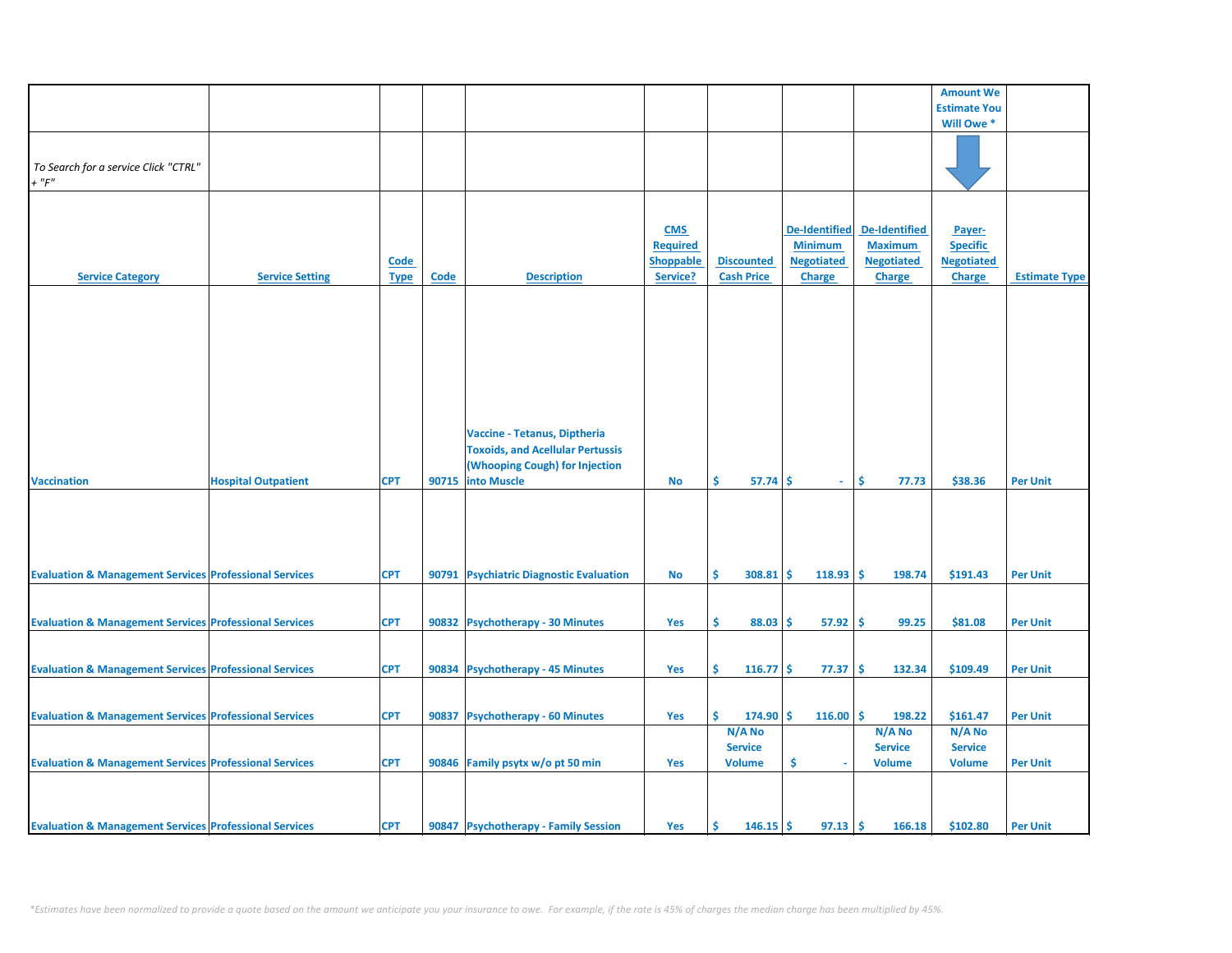|                                                                   |                            |             |       |                                         |                  |                   |                      |                      | <b>Amount We</b>    |                      |
|-------------------------------------------------------------------|----------------------------|-------------|-------|-----------------------------------------|------------------|-------------------|----------------------|----------------------|---------------------|----------------------|
|                                                                   |                            |             |       |                                         |                  |                   |                      |                      | <b>Estimate You</b> |                      |
|                                                                   |                            |             |       |                                         |                  |                   |                      |                      | Will Owe *          |                      |
|                                                                   |                            |             |       |                                         |                  |                   |                      |                      |                     |                      |
|                                                                   |                            |             |       |                                         |                  |                   |                      |                      |                     |                      |
|                                                                   |                            |             |       |                                         |                  |                   |                      |                      |                     |                      |
| To Search for a service Click "CTRL"                              |                            |             |       |                                         |                  |                   |                      |                      |                     |                      |
| $+$ " $F$ "                                                       |                            |             |       |                                         |                  |                   |                      |                      |                     |                      |
|                                                                   |                            |             |       |                                         |                  |                   |                      |                      |                     |                      |
|                                                                   |                            |             |       |                                         |                  |                   |                      |                      |                     |                      |
|                                                                   |                            |             |       |                                         | <b>CMS</b>       |                   | <b>De-Identified</b> | <b>De-Identified</b> | Payer-              |                      |
|                                                                   |                            |             |       |                                         |                  |                   |                      |                      |                     |                      |
|                                                                   |                            |             |       |                                         | <b>Required</b>  |                   | <b>Minimum</b>       | <b>Maximum</b>       | <b>Specific</b>     |                      |
|                                                                   |                            | <b>Code</b> |       |                                         | <b>Shoppable</b> | <b>Discounted</b> | <b>Negotiated</b>    | <b>Negotiated</b>    | <b>Negotiated</b>   |                      |
| <b>Service Category</b>                                           | <b>Service Setting</b>     | <b>Type</b> | Code  | <b>Description</b>                      | Service?         | <b>Cash Price</b> | <b>Charge</b>        | <b>Charge</b>        | <b>Charge</b>       | <b>Estimate Type</b> |
|                                                                   |                            |             |       |                                         |                  |                   |                      |                      |                     |                      |
|                                                                   |                            |             |       |                                         |                  |                   |                      |                      |                     |                      |
|                                                                   |                            |             |       |                                         |                  |                   |                      |                      |                     |                      |
|                                                                   |                            |             |       |                                         |                  |                   |                      |                      |                     |                      |
|                                                                   |                            |             |       |                                         |                  |                   |                      |                      |                     |                      |
|                                                                   |                            |             |       |                                         |                  |                   |                      |                      |                     |                      |
|                                                                   |                            |             |       |                                         |                  |                   |                      |                      |                     |                      |
|                                                                   |                            |             |       |                                         |                  |                   |                      |                      |                     |                      |
|                                                                   |                            |             |       |                                         |                  |                   |                      |                      |                     |                      |
|                                                                   |                            |             |       |                                         |                  |                   |                      |                      |                     |                      |
|                                                                   |                            |             |       |                                         |                  |                   |                      |                      |                     |                      |
|                                                                   |                            |             |       | Vaccine - Tetanus, Diptheria            |                  |                   |                      |                      |                     |                      |
|                                                                   |                            |             |       |                                         |                  |                   |                      |                      |                     |                      |
|                                                                   |                            |             |       | <b>Toxoids, and Acellular Pertussis</b> |                  |                   |                      |                      |                     |                      |
|                                                                   |                            |             |       | (Whooping Cough) for Injection          |                  |                   |                      |                      |                     |                      |
| <b>Vaccination</b>                                                | <b>Hospital Outpatient</b> | <b>CPT</b>  | 90715 | <b>into Muscle</b>                      | No               | Ŝ.<br>57.74       | Ŝ.<br>$\sim$         | Ŝ.<br>77.73          | \$38.36             | <b>Per Unit</b>      |
|                                                                   |                            |             |       |                                         |                  |                   |                      |                      |                     |                      |
|                                                                   |                            |             |       |                                         |                  |                   |                      |                      |                     |                      |
|                                                                   |                            |             |       |                                         |                  |                   |                      |                      |                     |                      |
|                                                                   |                            |             |       |                                         |                  |                   |                      |                      |                     |                      |
|                                                                   |                            |             |       |                                         |                  |                   |                      |                      |                     |                      |
|                                                                   |                            |             |       |                                         |                  |                   |                      |                      |                     |                      |
|                                                                   |                            |             |       |                                         |                  | Ŝ.                |                      | Ŝ.                   |                     |                      |
| <b>Evaluation &amp; Management Services Professional Services</b> |                            | <b>CPT</b>  |       | 90791 Psychiatric Diagnostic Evaluation | No               | $308.81$ \$       | 118.93               | 198.74               | \$191.43            | <b>Per Unit</b>      |
|                                                                   |                            |             |       |                                         |                  |                   |                      |                      |                     |                      |
|                                                                   |                            |             |       |                                         |                  |                   |                      |                      |                     |                      |
| <b>Evaluation &amp; Management Services Professional Services</b> |                            | <b>CPT</b>  |       | 90832 Psychotherapy - 30 Minutes        | Yes              | Ŝ.<br>88.03       | 57.92<br>\$          | Ŝ<br>99.25           | \$81.08             | <b>Per Unit</b>      |
|                                                                   |                            |             |       |                                         |                  |                   |                      |                      |                     |                      |
|                                                                   |                            |             |       |                                         |                  |                   |                      |                      |                     |                      |
|                                                                   |                            |             |       |                                         |                  |                   |                      |                      |                     |                      |
| <b>Evaluation &amp; Management Services Professional Services</b> |                            | <b>CPT</b>  |       | 90834 Psychotherapy - 45 Minutes        | Yes              | Š.<br>$116.77$ \$ | 77.37                | \$<br>132.34         | \$109.49            | <b>Per Unit</b>      |
|                                                                   |                            |             |       |                                         |                  |                   |                      |                      |                     |                      |
|                                                                   |                            |             |       |                                         |                  |                   |                      |                      |                     |                      |
|                                                                   |                            |             |       |                                         |                  | Ś.                |                      | l\$                  |                     |                      |
| <b>Evaluation &amp; Management Services Professional Services</b> |                            | <b>CPT</b>  | 90837 | <b>Psychotherapy - 60 Minutes</b>       | Yes              | $174.90$ \$       | 116.00               | 198.22               | \$161.47            | <b>Per Unit</b>      |
|                                                                   |                            |             |       |                                         |                  | N/A No            |                      | N/A No               | N/A No              |                      |
|                                                                   |                            |             |       |                                         |                  | <b>Service</b>    |                      | <b>Service</b>       | <b>Service</b>      |                      |
| <b>Evaluation &amp; Management Services Professional Services</b> |                            | <b>CPT</b>  |       | 90846 Family psytx w/o pt 50 min        | Yes              | <b>Volume</b>     | \$                   | <b>Volume</b>        | <b>Volume</b>       | <b>Per Unit</b>      |
|                                                                   |                            |             |       |                                         |                  |                   |                      |                      |                     |                      |
|                                                                   |                            |             |       |                                         |                  |                   |                      |                      |                     |                      |
|                                                                   |                            |             |       |                                         |                  |                   |                      |                      |                     |                      |
|                                                                   |                            |             |       |                                         |                  |                   |                      |                      |                     |                      |
| <b>Evaluation &amp; Management Services Professional Services</b> |                            | <b>CPT</b>  |       | 90847 Psychotherapy - Family Session    | Yes              | Ŝ<br>$146.15$ \$  | 97.13                | -\$<br>166.18        | \$102.80            | <b>Per Unit</b>      |
|                                                                   |                            |             |       |                                         |                  |                   |                      |                      |                     |                      |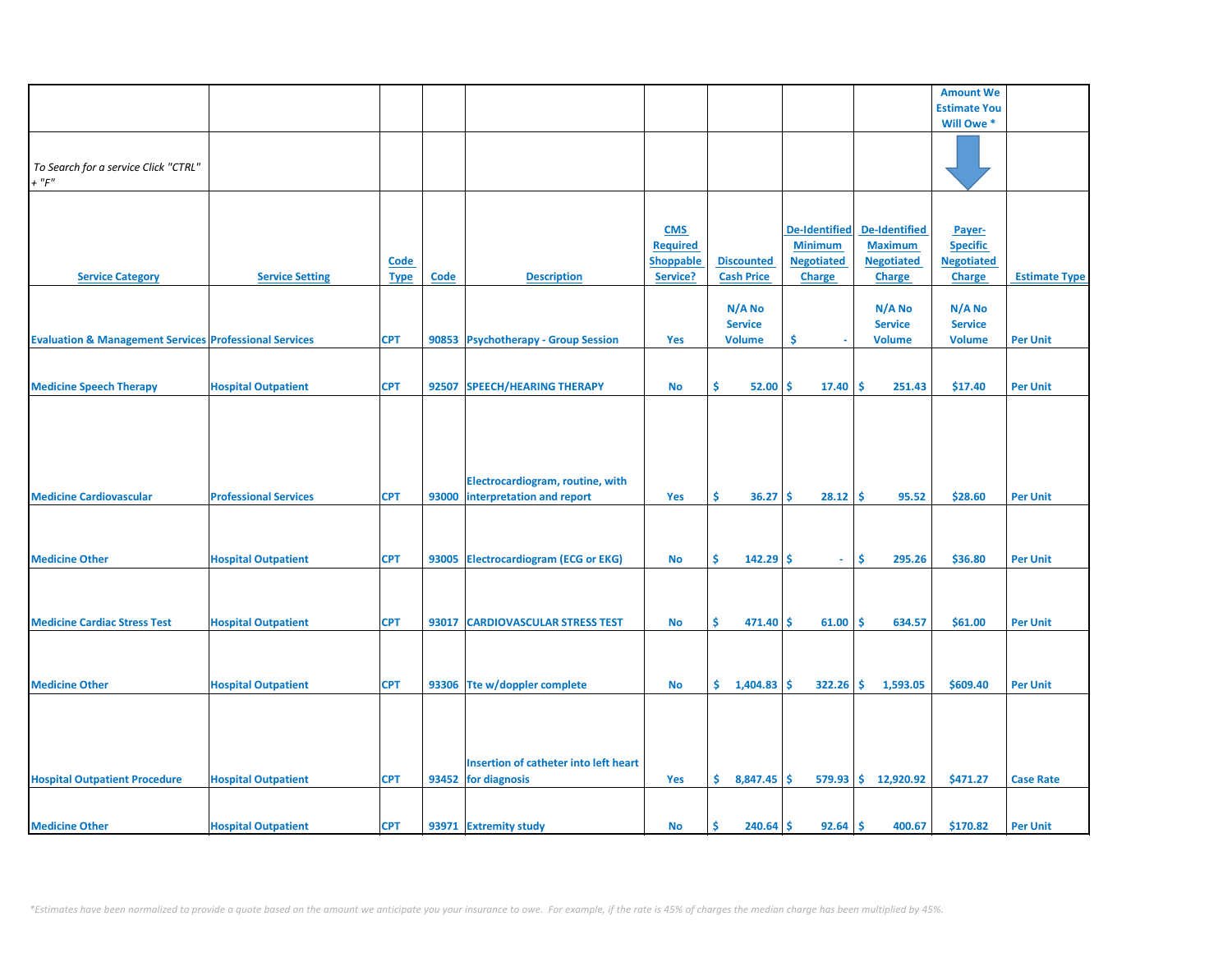|                                                                   |                              |             |             |                                       |                  |                   |                      |                       | <b>Amount We</b>    |                      |
|-------------------------------------------------------------------|------------------------------|-------------|-------------|---------------------------------------|------------------|-------------------|----------------------|-----------------------|---------------------|----------------------|
|                                                                   |                              |             |             |                                       |                  |                   |                      |                       | <b>Estimate You</b> |                      |
|                                                                   |                              |             |             |                                       |                  |                   |                      |                       | Will Owe *          |                      |
|                                                                   |                              |             |             |                                       |                  |                   |                      |                       |                     |                      |
|                                                                   |                              |             |             |                                       |                  |                   |                      |                       |                     |                      |
|                                                                   |                              |             |             |                                       |                  |                   |                      |                       |                     |                      |
| To Search for a service Click "CTRL"                              |                              |             |             |                                       |                  |                   |                      |                       |                     |                      |
| $+$ " $F$ "                                                       |                              |             |             |                                       |                  |                   |                      |                       |                     |                      |
|                                                                   |                              |             |             |                                       |                  |                   |                      |                       |                     |                      |
|                                                                   |                              |             |             |                                       |                  |                   |                      |                       |                     |                      |
|                                                                   |                              |             |             |                                       |                  |                   |                      |                       |                     |                      |
|                                                                   |                              |             |             |                                       | <b>CMS</b>       |                   | <b>De-Identified</b> | <b>De-Identified</b>  | Payer-              |                      |
|                                                                   |                              |             |             |                                       | <b>Required</b>  |                   | <b>Minimum</b>       | <b>Maximum</b>        | <b>Specific</b>     |                      |
|                                                                   |                              | <b>Code</b> |             |                                       | <b>Shoppable</b> | <b>Discounted</b> | <b>Negotiated</b>    | <b>Negotiated</b>     | <b>Negotiated</b>   |                      |
|                                                                   |                              |             |             |                                       |                  |                   |                      |                       |                     |                      |
| <b>Service Category</b>                                           | <b>Service Setting</b>       | <b>Type</b> | <b>Code</b> | <b>Description</b>                    | Service?         | <b>Cash Price</b> | <b>Charge</b>        | <b>Charge</b>         | <b>Charge</b>       | <b>Estimate Type</b> |
|                                                                   |                              |             |             |                                       |                  |                   |                      |                       |                     |                      |
|                                                                   |                              |             |             |                                       |                  | N/A No            |                      | N/A No                | N/A No              |                      |
|                                                                   |                              |             |             |                                       |                  |                   |                      |                       |                     |                      |
|                                                                   |                              |             |             |                                       |                  | <b>Service</b>    |                      | <b>Service</b>        | <b>Service</b>      |                      |
| <b>Evaluation &amp; Management Services Professional Services</b> |                              | <b>CPT</b>  |             | 90853 Psychotherapy - Group Session   | Yes              | <b>Volume</b>     | \$.                  | <b>Volume</b>         | <b>Volume</b>       | <b>Per Unit</b>      |
|                                                                   |                              |             |             |                                       |                  |                   |                      |                       |                     |                      |
|                                                                   |                              |             |             |                                       |                  |                   |                      |                       |                     |                      |
|                                                                   |                              |             |             |                                       |                  |                   |                      |                       |                     |                      |
| <b>Medicine Speech Therapy</b>                                    | <b>Hospital Outpatient</b>   | <b>CPT</b>  | 92507       | <b>SPEECH/HEARING THERAPY</b>         | No               | \$.<br>52.00      | 17.40<br>\$.         | -\$<br>251.43         | \$17.40             | <b>Per Unit</b>      |
|                                                                   |                              |             |             |                                       |                  |                   |                      |                       |                     |                      |
|                                                                   |                              |             |             |                                       |                  |                   |                      |                       |                     |                      |
|                                                                   |                              |             |             |                                       |                  |                   |                      |                       |                     |                      |
|                                                                   |                              |             |             |                                       |                  |                   |                      |                       |                     |                      |
|                                                                   |                              |             |             |                                       |                  |                   |                      |                       |                     |                      |
|                                                                   |                              |             |             |                                       |                  |                   |                      |                       |                     |                      |
|                                                                   |                              |             |             |                                       |                  |                   |                      |                       |                     |                      |
|                                                                   |                              |             |             | Electrocardiogram, routine, with      |                  |                   |                      |                       |                     |                      |
| <b>Medicine Cardiovascular</b>                                    | <b>Professional Services</b> | <b>CPT</b>  | 93000       | interpretation and report             | Yes              | \$.<br>36.27      | 28.12<br>s           | -\$<br>95.52          | \$28.60             | <b>Per Unit</b>      |
|                                                                   |                              |             |             |                                       |                  |                   |                      |                       |                     |                      |
|                                                                   |                              |             |             |                                       |                  |                   |                      |                       |                     |                      |
|                                                                   |                              |             |             |                                       |                  |                   |                      |                       |                     |                      |
|                                                                   |                              |             |             |                                       |                  |                   |                      |                       |                     |                      |
| <b>Medicine Other</b>                                             | <b>Hospital Outpatient</b>   | <b>CPT</b>  |             | 93005 Electrocardiogram (ECG or EKG)  | <b>No</b>        | Ŝ.<br>$142.29$ \$ | $\sim$               | Ŝ.<br>295.26          | \$36.80             | <b>Per Unit</b>      |
|                                                                   |                              |             |             |                                       |                  |                   |                      |                       |                     |                      |
|                                                                   |                              |             |             |                                       |                  |                   |                      |                       |                     |                      |
|                                                                   |                              |             |             |                                       |                  |                   |                      |                       |                     |                      |
|                                                                   |                              |             |             |                                       |                  |                   |                      |                       |                     |                      |
| <b>Medicine Cardiac Stress Test</b>                               | <b>Hospital Outpatient</b>   | <b>CPT</b>  | 93017       | <b>CARDIOVASCULAR STRESS TEST</b>     | <b>No</b>        | Ś.<br>$471.40$ \$ | 61.00                | -Ś<br>634.57          | \$61.00             | <b>Per Unit</b>      |
|                                                                   |                              |             |             |                                       |                  |                   |                      |                       |                     |                      |
|                                                                   |                              |             |             |                                       |                  |                   |                      |                       |                     |                      |
|                                                                   |                              |             |             |                                       |                  |                   |                      |                       |                     |                      |
|                                                                   |                              |             |             |                                       |                  |                   |                      |                       |                     |                      |
| <b>Medicine Other</b>                                             | <b>Hospital Outpatient</b>   | <b>CPT</b>  |             | 93306 Tte w/doppler complete          | <b>No</b>        | \$.<br>1,404.83   | $322.26$ \$<br>Ŝ.    | 1,593.05              | \$609.40            | <b>Per Unit</b>      |
|                                                                   |                              |             |             |                                       |                  |                   |                      |                       |                     |                      |
|                                                                   |                              |             |             |                                       |                  |                   |                      |                       |                     |                      |
|                                                                   |                              |             |             |                                       |                  |                   |                      |                       |                     |                      |
|                                                                   |                              |             |             |                                       |                  |                   |                      |                       |                     |                      |
|                                                                   |                              |             |             |                                       |                  |                   |                      |                       |                     |                      |
|                                                                   |                              |             |             |                                       |                  |                   |                      |                       |                     |                      |
|                                                                   |                              |             |             | Insertion of catheter into left heart |                  |                   |                      |                       |                     |                      |
| <b>Hospital Outpatient Procedure</b>                              | <b>Hospital Outpatient</b>   | <b>CPT</b>  |             | 93452 for diagnosis                   | Yes              | \$3,847.45        | <b>S</b>             | $579.93$ \$ 12,920.92 | \$471.27            | <b>Case Rate</b>     |
|                                                                   |                              |             |             |                                       |                  |                   |                      |                       |                     |                      |
|                                                                   |                              |             |             |                                       |                  |                   |                      |                       |                     |                      |
|                                                                   |                              |             |             |                                       |                  |                   |                      |                       |                     |                      |
| <b>Medicine Other</b>                                             | <b>Hospital Outpatient</b>   | <b>CPT</b>  |             | 93971 Extremity study                 | No               | Ŝ<br>$240.64$ \$  | $92.64$ \$           | 400.67                | \$170.82            | <b>Per Unit</b>      |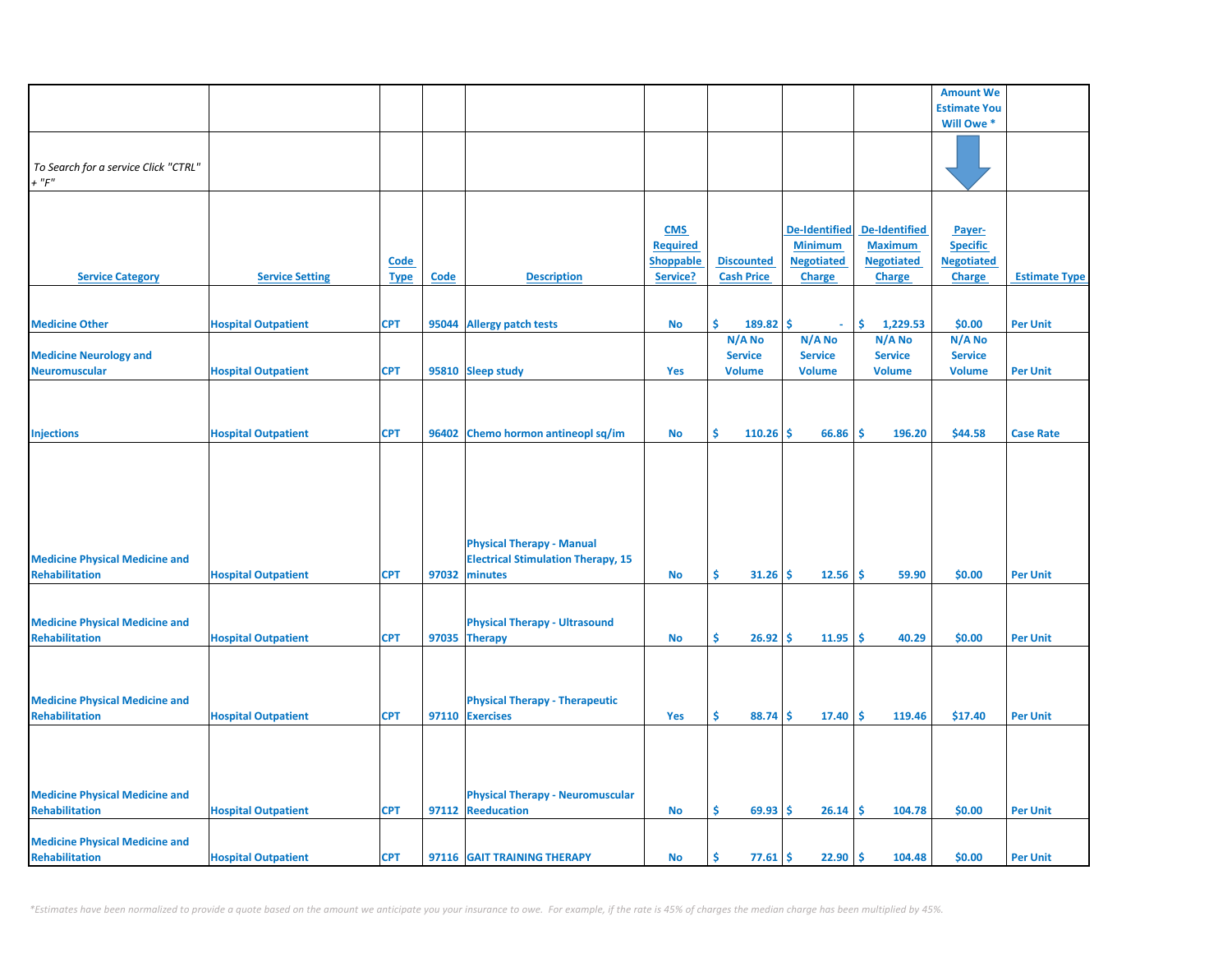|                                                                |                            |             |       |                                                          |                  |                   |                      |                      | <b>Amount We</b>          |                      |
|----------------------------------------------------------------|----------------------------|-------------|-------|----------------------------------------------------------|------------------|-------------------|----------------------|----------------------|---------------------------|----------------------|
|                                                                |                            |             |       |                                                          |                  |                   |                      |                      | <b>Estimate You</b>       |                      |
|                                                                |                            |             |       |                                                          |                  |                   |                      |                      | Will Owe *                |                      |
|                                                                |                            |             |       |                                                          |                  |                   |                      |                      |                           |                      |
|                                                                |                            |             |       |                                                          |                  |                   |                      |                      |                           |                      |
| To Search for a service Click "CTRL"                           |                            |             |       |                                                          |                  |                   |                      |                      |                           |                      |
| $+$ " $F$ "                                                    |                            |             |       |                                                          |                  |                   |                      |                      |                           |                      |
|                                                                |                            |             |       |                                                          |                  |                   |                      |                      |                           |                      |
|                                                                |                            |             |       |                                                          | <b>CMS</b>       |                   | <b>De-Identified</b> | <b>De-Identified</b> |                           |                      |
|                                                                |                            |             |       |                                                          | <b>Required</b>  |                   | <b>Minimum</b>       | <b>Maximum</b>       | Payer-<br><b>Specific</b> |                      |
|                                                                |                            | Code        |       |                                                          | <b>Shoppable</b> | <b>Discounted</b> | <b>Negotiated</b>    | <b>Negotiated</b>    | <b>Negotiated</b>         |                      |
| <b>Service Category</b>                                        | <b>Service Setting</b>     | <b>Type</b> | Code  | <b>Description</b>                                       | Service?         | <b>Cash Price</b> | Charge               | <b>Charge</b>        | <b>Charge</b>             | <b>Estimate Type</b> |
|                                                                |                            |             |       |                                                          |                  |                   |                      |                      |                           |                      |
|                                                                |                            |             |       |                                                          |                  |                   |                      |                      |                           |                      |
| <b>Medicine Other</b>                                          | <b>Hospital Outpatient</b> | <b>CPT</b>  | 95044 | <b>Allergy patch tests</b>                               | <b>No</b>        | Ś.<br>189.82      | .S                   | \$<br>1,229.53       | \$0.00                    | <b>Per Unit</b>      |
|                                                                |                            |             |       |                                                          |                  | N/A No            | N/A No               | N/A No               | $N/A$ No                  |                      |
| <b>Medicine Neurology and</b>                                  |                            |             |       |                                                          |                  | <b>Service</b>    | <b>Service</b>       | <b>Service</b>       | <b>Service</b>            |                      |
| <b>Neuromuscular</b>                                           | <b>Hospital Outpatient</b> | <b>CPT</b>  |       | 95810 Sleep study                                        | Yes              | <b>Volume</b>     | <b>Volume</b>        | <b>Volume</b>        | <b>Volume</b>             | <b>Per Unit</b>      |
|                                                                |                            |             |       |                                                          |                  |                   |                      |                      |                           |                      |
|                                                                |                            |             |       |                                                          |                  |                   |                      |                      |                           |                      |
|                                                                |                            |             |       |                                                          |                  |                   |                      |                      |                           |                      |
| <b>Injections</b>                                              | <b>Hospital Outpatient</b> | <b>CPT</b>  |       | 96402 Chemo hormon antineopl sq/im                       | <b>No</b>        | Ś.<br>110.26      | Ŝ<br>66.86           | -Ś<br>196.20         | \$44.58                   | <b>Case Rate</b>     |
|                                                                |                            |             |       |                                                          |                  |                   |                      |                      |                           |                      |
|                                                                |                            |             |       |                                                          |                  |                   |                      |                      |                           |                      |
|                                                                |                            |             |       |                                                          |                  |                   |                      |                      |                           |                      |
|                                                                |                            |             |       |                                                          |                  |                   |                      |                      |                           |                      |
|                                                                |                            |             |       |                                                          |                  |                   |                      |                      |                           |                      |
|                                                                |                            |             |       | <b>Physical Therapy - Manual</b>                         |                  |                   |                      |                      |                           |                      |
| <b>Medicine Physical Medicine and</b>                          |                            |             |       | <b>Electrical Stimulation Therapy, 15</b>                |                  |                   |                      |                      |                           |                      |
| <b>Rehabilitation</b>                                          | <b>Hospital Outpatient</b> | <b>CPT</b>  | 97032 | minutes                                                  | <b>No</b>        | Ś.<br>31.26       | 12.56<br>Ŝ.          | -\$<br>59.90         | \$0.00                    | <b>Per Unit</b>      |
|                                                                |                            |             |       |                                                          |                  |                   |                      |                      |                           |                      |
|                                                                |                            |             |       |                                                          |                  |                   |                      |                      |                           |                      |
| <b>Medicine Physical Medicine and</b>                          |                            |             |       | <b>Physical Therapy - Ultrasound</b>                     |                  |                   |                      |                      |                           |                      |
| <b>Rehabilitation</b>                                          | <b>Hospital Outpatient</b> | <b>CPT</b>  | 97035 | Therapy                                                  | <b>No</b>        | \$.<br>26.92      | 11.95<br>Ŝ.          | <b>S</b><br>40.29    | \$0.00                    | <b>Per Unit</b>      |
|                                                                |                            |             |       |                                                          |                  |                   |                      |                      |                           |                      |
|                                                                |                            |             |       |                                                          |                  |                   |                      |                      |                           |                      |
|                                                                |                            |             |       |                                                          |                  |                   |                      |                      |                           |                      |
| <b>Medicine Physical Medicine and</b><br><b>Rehabilitation</b> |                            | <b>CPT</b>  |       | <b>Physical Therapy - Therapeutic</b><br>97110 Exercises | Yes              | \$<br>88.74       | \$.<br>17.40         | <b>S</b><br>119.46   | \$17.40                   | <b>Per Unit</b>      |
|                                                                | <b>Hospital Outpatient</b> |             |       |                                                          |                  |                   |                      |                      |                           |                      |
|                                                                |                            |             |       |                                                          |                  |                   |                      |                      |                           |                      |
|                                                                |                            |             |       |                                                          |                  |                   |                      |                      |                           |                      |
|                                                                |                            |             |       |                                                          |                  |                   |                      |                      |                           |                      |
| <b>Medicine Physical Medicine and</b>                          |                            |             |       | <b>Physical Therapy - Neuromuscular</b>                  |                  |                   |                      |                      |                           |                      |
| <b>Rehabilitation</b>                                          | <b>Hospital Outpatient</b> | <b>CPT</b>  |       | 97112 Reeducation                                        | <b>No</b>        | \$.<br>69.93      | Ŝ.<br>26.14          | Ŝ.<br>104.78         | \$0.00                    | <b>Per Unit</b>      |
|                                                                |                            |             |       |                                                          |                  |                   |                      |                      |                           |                      |
| <b>Medicine Physical Medicine and</b>                          |                            |             |       |                                                          |                  |                   |                      |                      |                           |                      |
| Rehabilitation                                                 | <b>Hospital Outpatient</b> | <b>CPT</b>  |       | 97116 GAIT TRAINING THERAPY                              | No               | Ś<br>77.61        | Ŝ.<br>22.90          | -\$<br>104.48        | \$0.00                    | <b>Per Unit</b>      |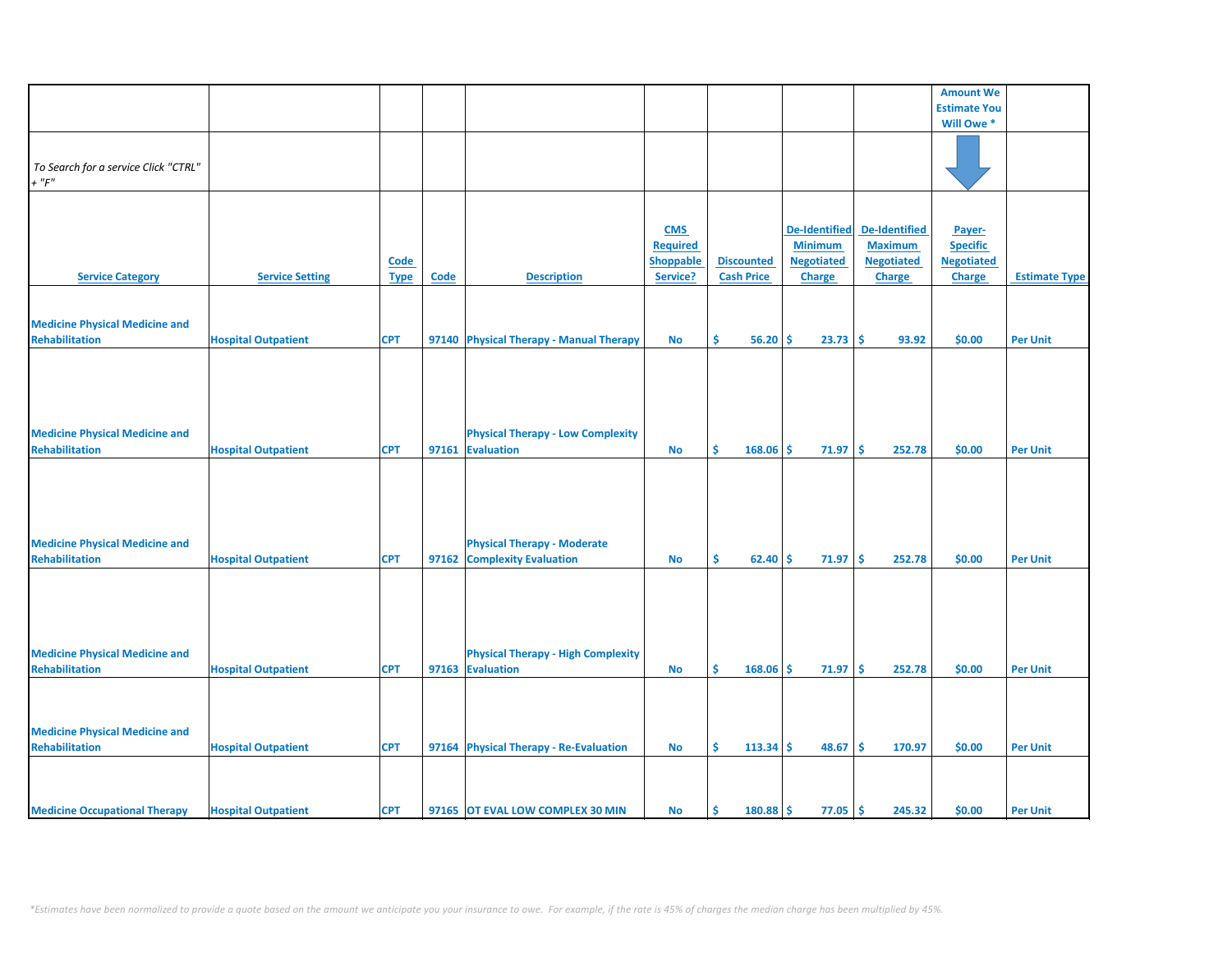|                                       |                            |             |       |                                           |                  |                   |                        |                      | <b>Amount We</b>    |                      |
|---------------------------------------|----------------------------|-------------|-------|-------------------------------------------|------------------|-------------------|------------------------|----------------------|---------------------|----------------------|
|                                       |                            |             |       |                                           |                  |                   |                        |                      |                     |                      |
|                                       |                            |             |       |                                           |                  |                   |                        |                      | <b>Estimate You</b> |                      |
|                                       |                            |             |       |                                           |                  |                   |                        |                      | Will Owe *          |                      |
|                                       |                            |             |       |                                           |                  |                   |                        |                      |                     |                      |
|                                       |                            |             |       |                                           |                  |                   |                        |                      |                     |                      |
| To Search for a service Click "CTRL"  |                            |             |       |                                           |                  |                   |                        |                      |                     |                      |
| $+$ " $F"$                            |                            |             |       |                                           |                  |                   |                        |                      |                     |                      |
|                                       |                            |             |       |                                           |                  |                   |                        |                      |                     |                      |
|                                       |                            |             |       |                                           |                  |                   |                        |                      |                     |                      |
|                                       |                            |             |       |                                           | <b>CMS</b>       |                   | <b>De-Identified</b>   | <b>De-Identified</b> | Payer-              |                      |
|                                       |                            |             |       |                                           | <b>Required</b>  |                   | <b>Minimum</b>         | <b>Maximum</b>       | <b>Specific</b>     |                      |
|                                       |                            |             |       |                                           |                  |                   |                        |                      |                     |                      |
|                                       |                            | Code        |       |                                           | <b>Shoppable</b> | <b>Discounted</b> | <b>Negotiated</b>      | <b>Negotiated</b>    | <b>Negotiated</b>   |                      |
| <b>Service Category</b>               | <b>Service Setting</b>     | <b>Type</b> | Code  | <b>Description</b>                        | Service?         | <b>Cash Price</b> | Charge                 | Charge               | <b>Charge</b>       | <b>Estimate Type</b> |
|                                       |                            |             |       |                                           |                  |                   |                        |                      |                     |                      |
|                                       |                            |             |       |                                           |                  |                   |                        |                      |                     |                      |
| <b>Medicine Physical Medicine and</b> |                            |             |       |                                           |                  |                   |                        |                      |                     |                      |
| <b>Rehabilitation</b>                 | <b>Hospital Outpatient</b> | <b>CPT</b>  |       | 97140 Physical Therapy - Manual Therapy   | <b>No</b>        | \$.<br>56.20      | Ŝ<br>23.73             | -\$<br>93.92         | \$0.00              | <b>Per Unit</b>      |
|                                       |                            |             |       |                                           |                  |                   |                        |                      |                     |                      |
|                                       |                            |             |       |                                           |                  |                   |                        |                      |                     |                      |
|                                       |                            |             |       |                                           |                  |                   |                        |                      |                     |                      |
|                                       |                            |             |       |                                           |                  |                   |                        |                      |                     |                      |
|                                       |                            |             |       |                                           |                  |                   |                        |                      |                     |                      |
|                                       |                            |             |       |                                           |                  |                   |                        |                      |                     |                      |
| <b>Medicine Physical Medicine and</b> |                            |             |       | <b>Physical Therapy - Low Complexity</b>  |                  |                   |                        |                      |                     |                      |
| <b>Rehabilitation</b>                 | <b>Hospital Outpatient</b> | <b>CPT</b>  | 97161 | <b>Evaluation</b>                         | <b>No</b>        | \$<br>168.06      | Ŝ.<br>71.97            | ∣\$<br>252.78        | \$0.00              | <b>Per Unit</b>      |
|                                       |                            |             |       |                                           |                  |                   |                        |                      |                     |                      |
|                                       |                            |             |       |                                           |                  |                   |                        |                      |                     |                      |
|                                       |                            |             |       |                                           |                  |                   |                        |                      |                     |                      |
|                                       |                            |             |       |                                           |                  |                   |                        |                      |                     |                      |
|                                       |                            |             |       |                                           |                  |                   |                        |                      |                     |                      |
|                                       |                            |             |       |                                           |                  |                   |                        |                      |                     |                      |
| <b>Medicine Physical Medicine and</b> |                            |             |       | <b>Physical Therapy - Moderate</b>        |                  |                   |                        |                      |                     |                      |
| <b>Rehabilitation</b>                 | <b>Hospital Outpatient</b> | <b>CPT</b>  |       | 97162 Complexity Evaluation               | <b>No</b>        | \$<br>62.40       | Ŝ<br>71.97             | l\$<br>252.78        | \$0.00              | <b>Per Unit</b>      |
|                                       |                            |             |       |                                           |                  |                   |                        |                      |                     |                      |
|                                       |                            |             |       |                                           |                  |                   |                        |                      |                     |                      |
|                                       |                            |             |       |                                           |                  |                   |                        |                      |                     |                      |
|                                       |                            |             |       |                                           |                  |                   |                        |                      |                     |                      |
|                                       |                            |             |       |                                           |                  |                   |                        |                      |                     |                      |
|                                       |                            |             |       |                                           |                  |                   |                        |                      |                     |                      |
| <b>Medicine Physical Medicine and</b> |                            |             |       | <b>Physical Therapy - High Complexity</b> |                  |                   |                        |                      |                     |                      |
| <b>Rehabilitation</b>                 | <b>Hospital Outpatient</b> | <b>CPT</b>  |       | 97163 Evaluation                          | <b>No</b>        | Š.<br>168.06      | Ŝ.<br>71.97            | -\$<br>252.78        | \$0.00              | <b>Per Unit</b>      |
|                                       |                            |             |       |                                           |                  |                   |                        |                      |                     |                      |
|                                       |                            |             |       |                                           |                  |                   |                        |                      |                     |                      |
|                                       |                            |             |       |                                           |                  |                   |                        |                      |                     |                      |
| <b>Medicine Physical Medicine and</b> |                            |             |       |                                           |                  |                   |                        |                      |                     |                      |
| <b>Rehabilitation</b>                 | <b>Hospital Outpatient</b> | <b>CPT</b>  |       | 97164 Physical Therapy - Re-Evaluation    | <b>No</b>        | Š.<br>$113.34$ \$ | 48.67                  | ∣\$<br>170.97        | \$0.00              | <b>Per Unit</b>      |
|                                       |                            |             |       |                                           |                  |                   |                        |                      |                     |                      |
|                                       |                            |             |       |                                           |                  |                   |                        |                      |                     |                      |
|                                       |                            |             |       |                                           |                  |                   |                        |                      |                     |                      |
|                                       |                            |             |       |                                           |                  |                   |                        |                      |                     |                      |
| <b>Medicine Occupational Therapy</b>  | <b>Hospital Outpatient</b> | <b>CPT</b>  |       | 97165 OT EVAL LOW COMPLEX 30 MIN          | <b>No</b>        | Ś.<br>180.88      | <b>S</b><br>$77.05$ \$ | 245.32               | \$0.00              | <b>Per Unit</b>      |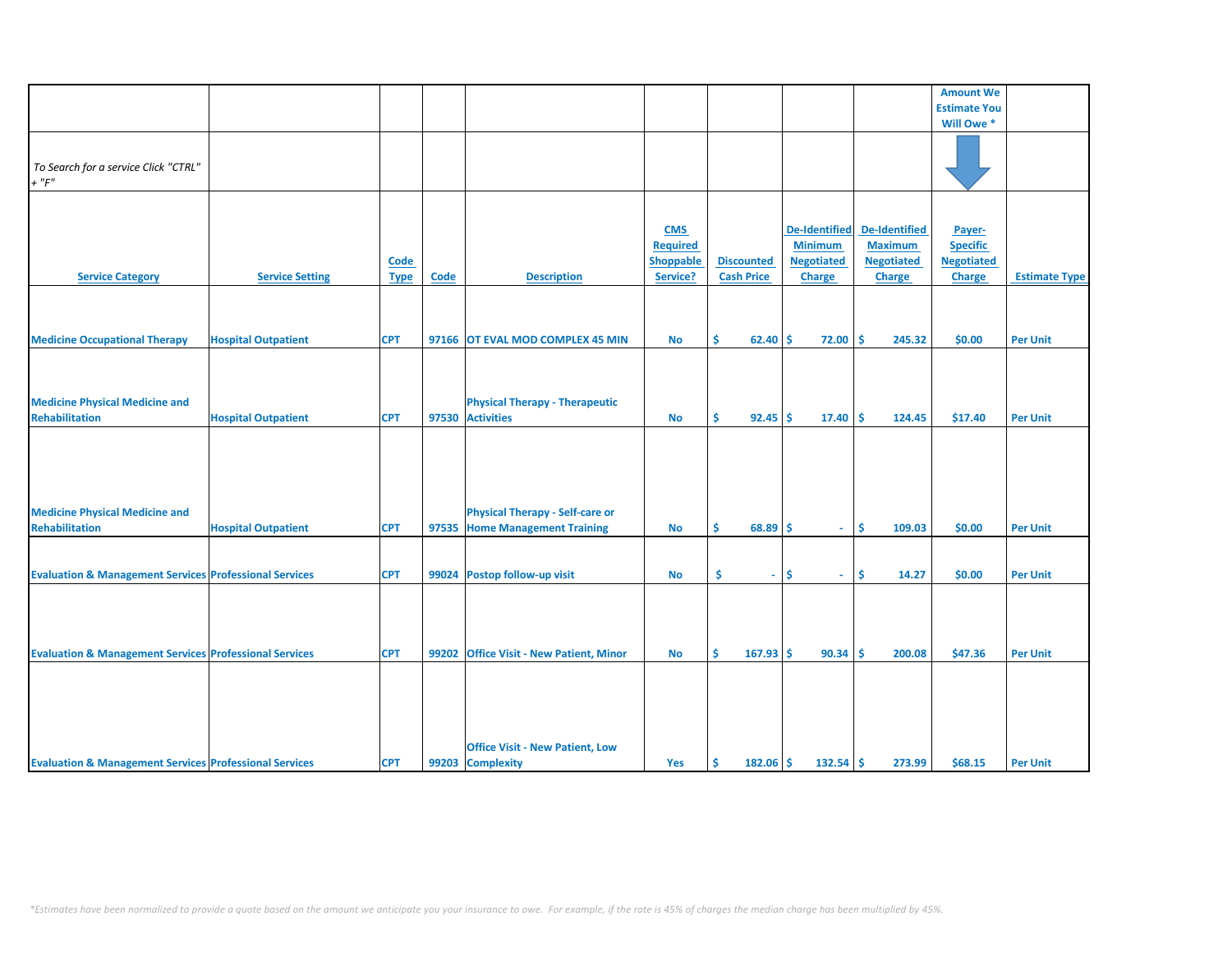|                                                                   |                            |             |       |                                          |                  |                   |                      |                      | <b>Amount We</b>    |                      |
|-------------------------------------------------------------------|----------------------------|-------------|-------|------------------------------------------|------------------|-------------------|----------------------|----------------------|---------------------|----------------------|
|                                                                   |                            |             |       |                                          |                  |                   |                      |                      | <b>Estimate You</b> |                      |
|                                                                   |                            |             |       |                                          |                  |                   |                      |                      | Will Owe *          |                      |
|                                                                   |                            |             |       |                                          |                  |                   |                      |                      |                     |                      |
|                                                                   |                            |             |       |                                          |                  |                   |                      |                      |                     |                      |
| To Search for a service Click "CTRL"                              |                            |             |       |                                          |                  |                   |                      |                      |                     |                      |
| $+$ " $F$ "                                                       |                            |             |       |                                          |                  |                   |                      |                      |                     |                      |
|                                                                   |                            |             |       |                                          |                  |                   |                      |                      |                     |                      |
|                                                                   |                            |             |       |                                          |                  |                   |                      |                      |                     |                      |
|                                                                   |                            |             |       |                                          |                  |                   |                      |                      |                     |                      |
|                                                                   |                            |             |       |                                          | <b>CMS</b>       |                   | <b>De-Identified</b> | <b>De-Identified</b> | Payer-              |                      |
|                                                                   |                            |             |       |                                          | <b>Required</b>  |                   | <b>Minimum</b>       | <b>Maximum</b>       | <b>Specific</b>     |                      |
|                                                                   |                            | Code        |       |                                          | <b>Shoppable</b> | <b>Discounted</b> | <b>Negotiated</b>    | <b>Negotiated</b>    | <b>Negotiated</b>   |                      |
| <b>Service Category</b>                                           | <b>Service Setting</b>     | <b>Type</b> | Code  | <b>Description</b>                       | Service?         | <b>Cash Price</b> | <b>Charge</b>        | <b>Charge</b>        | <b>Charge</b>       | <b>Estimate Type</b> |
|                                                                   |                            |             |       |                                          |                  |                   |                      |                      |                     |                      |
|                                                                   |                            |             |       |                                          |                  |                   |                      |                      |                     |                      |
|                                                                   |                            |             |       |                                          |                  |                   |                      |                      |                     |                      |
| <b>Medicine Occupational Therapy</b>                              | <b>Hospital Outpatient</b> | <b>CPT</b>  |       | 97166 OT EVAL MOD COMPLEX 45 MIN         | No               | \$<br>$62.40$ \$  | 72.00                | <b>S</b><br>245.32   | \$0.00              | <b>Per Unit</b>      |
|                                                                   |                            |             |       |                                          |                  |                   |                      |                      |                     |                      |
|                                                                   |                            |             |       |                                          |                  |                   |                      |                      |                     |                      |
|                                                                   |                            |             |       |                                          |                  |                   |                      |                      |                     |                      |
|                                                                   |                            |             |       |                                          |                  |                   |                      |                      |                     |                      |
| <b>Medicine Physical Medicine and</b>                             |                            |             |       | <b>Physical Therapy - Therapeutic</b>    |                  |                   |                      |                      |                     |                      |
| <b>Rehabilitation</b>                                             | <b>Hospital Outpatient</b> | <b>CPT</b>  |       | 97530 Activities                         | <b>No</b>        | \$<br>$92.45$ \$  | 17.40                | Ŝ.<br>124.45         | \$17.40             | <b>Per Unit</b>      |
|                                                                   |                            |             |       |                                          |                  |                   |                      |                      |                     |                      |
|                                                                   |                            |             |       |                                          |                  |                   |                      |                      |                     |                      |
|                                                                   |                            |             |       |                                          |                  |                   |                      |                      |                     |                      |
|                                                                   |                            |             |       |                                          |                  |                   |                      |                      |                     |                      |
|                                                                   |                            |             |       |                                          |                  |                   |                      |                      |                     |                      |
| <b>Medicine Physical Medicine and</b>                             |                            |             |       | <b>Physical Therapy - Self-care or</b>   |                  |                   |                      |                      |                     |                      |
|                                                                   |                            |             |       |                                          |                  |                   |                      | Ŝ                    |                     |                      |
| <b>Rehabilitation</b>                                             | <b>Hospital Outpatient</b> | <b>CPT</b>  |       | 97535 Home Management Training           | No               | Ŝ.<br>$68.89$ \$  | $\sim$               | 109.03               | \$0.00              | <b>Per Unit</b>      |
|                                                                   |                            |             |       |                                          |                  |                   |                      |                      |                     |                      |
|                                                                   |                            |             |       |                                          |                  |                   |                      |                      |                     |                      |
| <b>Evaluation &amp; Management Services Professional Services</b> |                            | <b>CPT</b>  |       | 99024 Postop follow-up visit             | <b>No</b>        | \$<br>$\omega$    | Ŝ.<br>$\sim$         | Ŝ.<br>14.27          | \$0.00              | <b>Per Unit</b>      |
|                                                                   |                            |             |       |                                          |                  |                   |                      |                      |                     |                      |
|                                                                   |                            |             |       |                                          |                  |                   |                      |                      |                     |                      |
|                                                                   |                            |             |       |                                          |                  |                   |                      |                      |                     |                      |
|                                                                   |                            |             |       |                                          |                  |                   |                      |                      |                     |                      |
| <b>Evaluation &amp; Management Services Professional Services</b> |                            | <b>CPT</b>  | 99202 | <b>Office Visit - New Patient, Minor</b> | <b>No</b>        | Ŝ<br>$167.93$ \$  | 90.34                | Ś<br>200.08          | \$47.36             | <b>Per Unit</b>      |
|                                                                   |                            |             |       |                                          |                  |                   |                      |                      |                     |                      |
|                                                                   |                            |             |       |                                          |                  |                   |                      |                      |                     |                      |
|                                                                   |                            |             |       |                                          |                  |                   |                      |                      |                     |                      |
|                                                                   |                            |             |       |                                          |                  |                   |                      |                      |                     |                      |
|                                                                   |                            |             |       |                                          |                  |                   |                      |                      |                     |                      |
|                                                                   |                            |             |       |                                          |                  |                   |                      |                      |                     |                      |
|                                                                   |                            |             |       | <b>Office Visit - New Patient, Low</b>   |                  |                   |                      |                      |                     |                      |
| <b>Evaluation &amp; Management Services Professional Services</b> |                            | <b>CPT</b>  |       | 99203 Complexity                         | Yes              | \$<br>$182.06$ \$ | 132.54               | -\$<br>273.99        | \$68.15             | <b>Per Unit</b>      |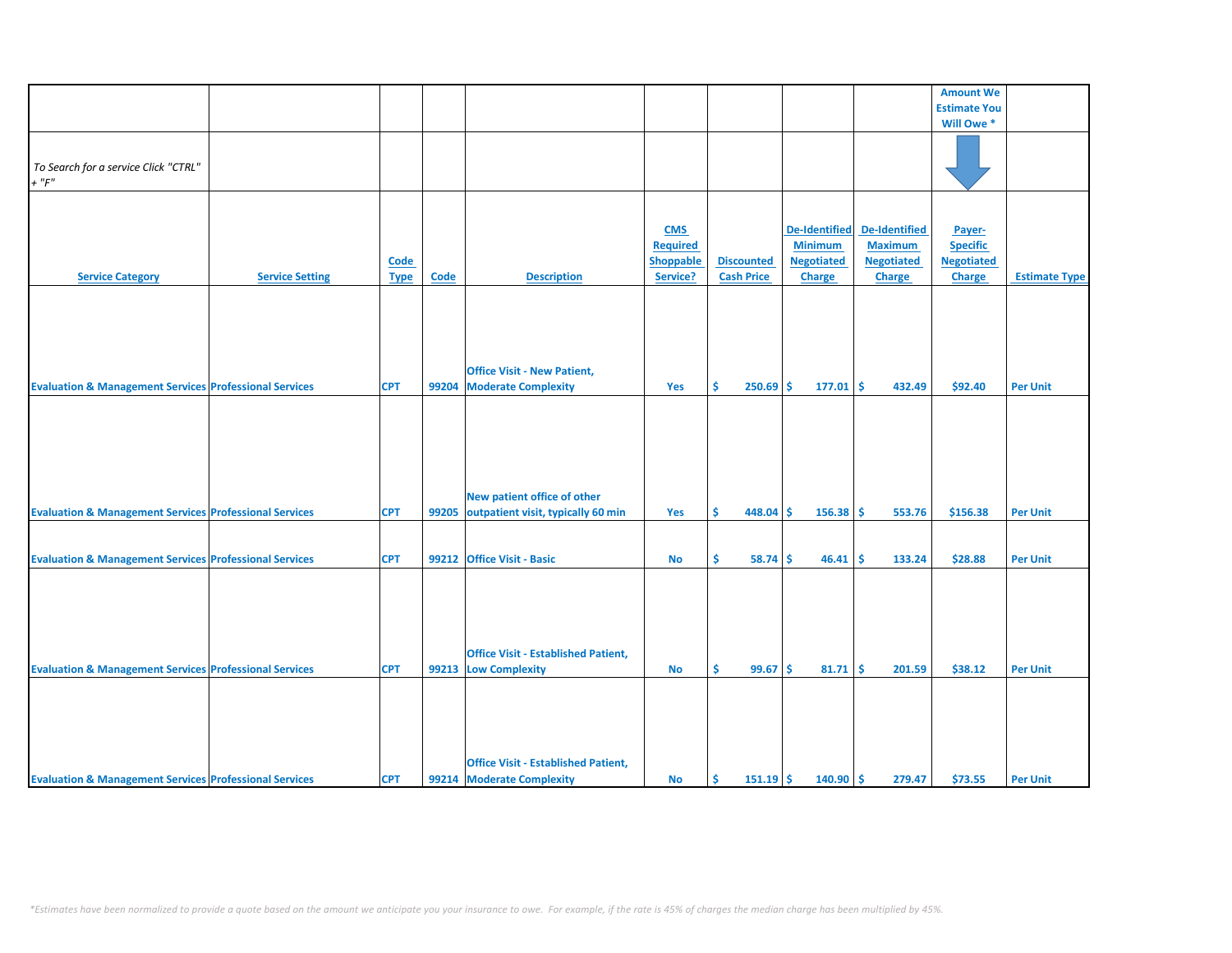|                                                                   |                        |             |             |                                            |                 |                   |                      |                      | <b>Amount We</b>    |                      |
|-------------------------------------------------------------------|------------------------|-------------|-------------|--------------------------------------------|-----------------|-------------------|----------------------|----------------------|---------------------|----------------------|
|                                                                   |                        |             |             |                                            |                 |                   |                      |                      | <b>Estimate You</b> |                      |
|                                                                   |                        |             |             |                                            |                 |                   |                      |                      |                     |                      |
|                                                                   |                        |             |             |                                            |                 |                   |                      |                      | Will Owe*           |                      |
|                                                                   |                        |             |             |                                            |                 |                   |                      |                      |                     |                      |
|                                                                   |                        |             |             |                                            |                 |                   |                      |                      |                     |                      |
| To Search for a service Click "CTRL"                              |                        |             |             |                                            |                 |                   |                      |                      |                     |                      |
| $+$ " $F"$                                                        |                        |             |             |                                            |                 |                   |                      |                      |                     |                      |
|                                                                   |                        |             |             |                                            |                 |                   |                      |                      |                     |                      |
|                                                                   |                        |             |             |                                            |                 |                   |                      |                      |                     |                      |
|                                                                   |                        |             |             |                                            | <b>CMS</b>      |                   | <b>De-Identified</b> | <b>De-Identified</b> | Payer-              |                      |
|                                                                   |                        |             |             |                                            | <b>Required</b> |                   | <b>Minimum</b>       | <b>Maximum</b>       | <b>Specific</b>     |                      |
|                                                                   |                        | <b>Code</b> |             |                                            | Shoppable       | <b>Discounted</b> | <b>Negotiated</b>    | <b>Negotiated</b>    | <b>Negotiated</b>   |                      |
| <b>Service Category</b>                                           | <b>Service Setting</b> |             | <b>Code</b> | <b>Description</b>                         | Service?        | <b>Cash Price</b> | <b>Charge</b>        | <b>Charge</b>        | <b>Charge</b>       | <b>Estimate Type</b> |
|                                                                   |                        | <b>Type</b> |             |                                            |                 |                   |                      |                      |                     |                      |
|                                                                   |                        |             |             |                                            |                 |                   |                      |                      |                     |                      |
|                                                                   |                        |             |             |                                            |                 |                   |                      |                      |                     |                      |
|                                                                   |                        |             |             |                                            |                 |                   |                      |                      |                     |                      |
|                                                                   |                        |             |             |                                            |                 |                   |                      |                      |                     |                      |
|                                                                   |                        |             |             |                                            |                 |                   |                      |                      |                     |                      |
|                                                                   |                        |             |             |                                            |                 |                   |                      |                      |                     |                      |
|                                                                   |                        |             |             | <b>Office Visit - New Patient,</b>         |                 |                   |                      |                      |                     |                      |
| <b>Evaluation &amp; Management Services Professional Services</b> |                        | <b>CPT</b>  | 99204       | <b>Moderate Complexity</b>                 | Yes             | Ŝ<br>250.69       | Ŝ.<br>177.01         | l \$<br>432.49       | \$92.40             | <b>Per Unit</b>      |
|                                                                   |                        |             |             |                                            |                 |                   |                      |                      |                     |                      |
|                                                                   |                        |             |             |                                            |                 |                   |                      |                      |                     |                      |
|                                                                   |                        |             |             |                                            |                 |                   |                      |                      |                     |                      |
|                                                                   |                        |             |             |                                            |                 |                   |                      |                      |                     |                      |
|                                                                   |                        |             |             |                                            |                 |                   |                      |                      |                     |                      |
|                                                                   |                        |             |             |                                            |                 |                   |                      |                      |                     |                      |
|                                                                   |                        |             |             |                                            |                 |                   |                      |                      |                     |                      |
|                                                                   |                        |             |             | New patient office of other                |                 |                   |                      |                      |                     |                      |
| <b>Evaluation &amp; Management Services Professional Services</b> |                        | <b>CPT</b>  | 99205       | outpatient visit, typically 60 min         | Yes             | \$<br>$448.04$ \$ | 156.38               | \$<br>553.76         | \$156.38            | <b>Per Unit</b>      |
|                                                                   |                        |             |             |                                            |                 |                   |                      |                      |                     |                      |
|                                                                   |                        |             |             |                                            |                 |                   |                      |                      |                     |                      |
|                                                                   |                        |             |             |                                            |                 |                   |                      |                      |                     |                      |
| <b>Evaluation &amp; Management Services Professional Services</b> |                        | <b>CPT</b>  |             | 99212 Office Visit - Basic                 | <b>No</b>       | \$<br>58.74       | 46.41<br>Ŝ.          | <b>S</b><br>133.24   | \$28.88             | <b>Per Unit</b>      |
|                                                                   |                        |             |             |                                            |                 |                   |                      |                      |                     |                      |
|                                                                   |                        |             |             |                                            |                 |                   |                      |                      |                     |                      |
|                                                                   |                        |             |             |                                            |                 |                   |                      |                      |                     |                      |
|                                                                   |                        |             |             |                                            |                 |                   |                      |                      |                     |                      |
|                                                                   |                        |             |             |                                            |                 |                   |                      |                      |                     |                      |
|                                                                   |                        |             |             |                                            |                 |                   |                      |                      |                     |                      |
|                                                                   |                        |             |             | <b>Office Visit - Established Patient,</b> |                 |                   |                      |                      |                     |                      |
| <b>Evaluation &amp; Management Services Professional Services</b> |                        | <b>CPT</b>  |             | 99213 Low Complexity                       | <b>No</b>       | Ś.<br>99.67       | Ŝ.<br>81.71          | l \$<br>201.59       | \$38.12             | <b>Per Unit</b>      |
|                                                                   |                        |             |             |                                            |                 |                   |                      |                      |                     |                      |
|                                                                   |                        |             |             |                                            |                 |                   |                      |                      |                     |                      |
|                                                                   |                        |             |             |                                            |                 |                   |                      |                      |                     |                      |
|                                                                   |                        |             |             |                                            |                 |                   |                      |                      |                     |                      |
|                                                                   |                        |             |             |                                            |                 |                   |                      |                      |                     |                      |
|                                                                   |                        |             |             |                                            |                 |                   |                      |                      |                     |                      |
|                                                                   |                        |             |             | <b>Office Visit - Established Patient,</b> |                 |                   |                      |                      |                     |                      |
| <b>Evaluation &amp; Management Services Professional Services</b> |                        | <b>CPT</b>  |             | 99214 Moderate Complexity                  | <b>No</b>       | $151.19$ \$<br>Ŝ. | $140.90$ \$          | 279.47               | \$73.55             | <b>Per Unit</b>      |
|                                                                   |                        |             |             |                                            |                 |                   |                      |                      |                     |                      |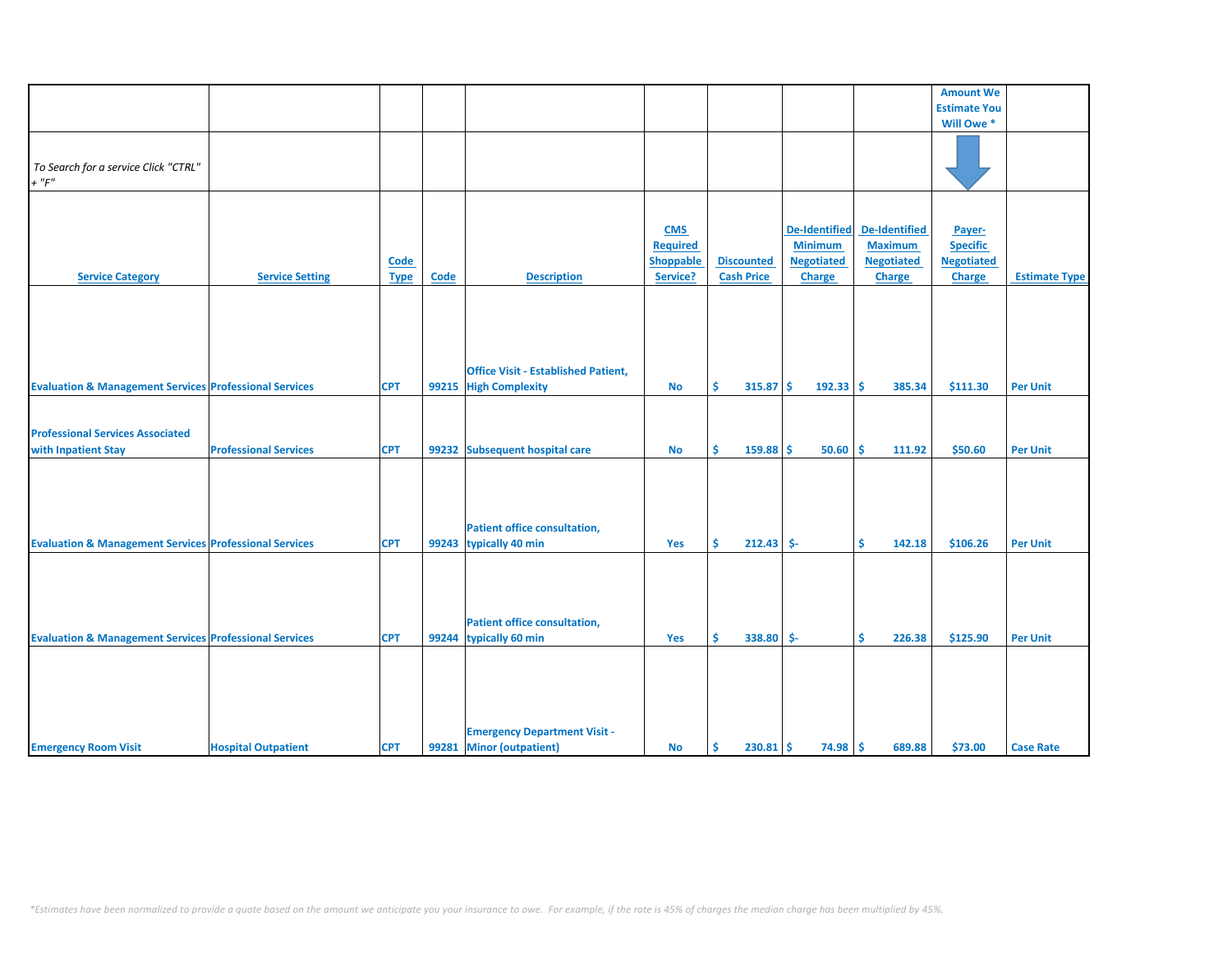| Code        |                                                      |                         |                                                                                                                                                                                                                                                                                                        | <b>Discounted</b>                                                                         |                      |                                                                                                                                          |                                                                                                                                                            |                                                                                                                                                        |
|-------------|------------------------------------------------------|-------------------------|--------------------------------------------------------------------------------------------------------------------------------------------------------------------------------------------------------------------------------------------------------------------------------------------------------|-------------------------------------------------------------------------------------------|----------------------|------------------------------------------------------------------------------------------------------------------------------------------|------------------------------------------------------------------------------------------------------------------------------------------------------------|--------------------------------------------------------------------------------------------------------------------------------------------------------|
| <b>Type</b> | Code                                                 | <b>Description</b>      | Service?                                                                                                                                                                                                                                                                                               | <b>Cash Price</b>                                                                         | <b>Charge</b>        | <b>Charge</b>                                                                                                                            | <b>Charge</b>                                                                                                                                              | <b>Estimate Type</b>                                                                                                                                   |
|             |                                                      |                         |                                                                                                                                                                                                                                                                                                        |                                                                                           |                      |                                                                                                                                          |                                                                                                                                                            |                                                                                                                                                        |
|             |                                                      |                         |                                                                                                                                                                                                                                                                                                        |                                                                                           |                      |                                                                                                                                          |                                                                                                                                                            |                                                                                                                                                        |
|             |                                                      |                         |                                                                                                                                                                                                                                                                                                        |                                                                                           |                      |                                                                                                                                          |                                                                                                                                                            |                                                                                                                                                        |
|             |                                                      |                         |                                                                                                                                                                                                                                                                                                        |                                                                                           |                      |                                                                                                                                          |                                                                                                                                                            |                                                                                                                                                        |
|             |                                                      |                         |                                                                                                                                                                                                                                                                                                        |                                                                                           |                      |                                                                                                                                          |                                                                                                                                                            |                                                                                                                                                        |
|             |                                                      |                         |                                                                                                                                                                                                                                                                                                        |                                                                                           |                      |                                                                                                                                          |                                                                                                                                                            |                                                                                                                                                        |
|             |                                                      |                         |                                                                                                                                                                                                                                                                                                        |                                                                                           |                      |                                                                                                                                          |                                                                                                                                                            |                                                                                                                                                        |
|             |                                                      |                         |                                                                                                                                                                                                                                                                                                        |                                                                                           |                      |                                                                                                                                          |                                                                                                                                                            | <b>Per Unit</b>                                                                                                                                        |
|             |                                                      |                         |                                                                                                                                                                                                                                                                                                        |                                                                                           |                      |                                                                                                                                          |                                                                                                                                                            |                                                                                                                                                        |
|             |                                                      |                         |                                                                                                                                                                                                                                                                                                        |                                                                                           |                      |                                                                                                                                          |                                                                                                                                                            |                                                                                                                                                        |
|             |                                                      |                         |                                                                                                                                                                                                                                                                                                        |                                                                                           |                      |                                                                                                                                          |                                                                                                                                                            |                                                                                                                                                        |
|             |                                                      |                         |                                                                                                                                                                                                                                                                                                        |                                                                                           |                      |                                                                                                                                          |                                                                                                                                                            |                                                                                                                                                        |
| <b>CPT</b>  |                                                      |                         | <b>No</b>                                                                                                                                                                                                                                                                                              | \$                                                                                        |                      | 111.92                                                                                                                                   | \$50.60                                                                                                                                                    | <b>Per Unit</b>                                                                                                                                        |
|             |                                                      |                         |                                                                                                                                                                                                                                                                                                        |                                                                                           |                      |                                                                                                                                          |                                                                                                                                                            |                                                                                                                                                        |
|             |                                                      |                         |                                                                                                                                                                                                                                                                                                        |                                                                                           |                      |                                                                                                                                          |                                                                                                                                                            |                                                                                                                                                        |
|             |                                                      |                         |                                                                                                                                                                                                                                                                                                        |                                                                                           |                      |                                                                                                                                          |                                                                                                                                                            |                                                                                                                                                        |
|             |                                                      |                         |                                                                                                                                                                                                                                                                                                        |                                                                                           |                      |                                                                                                                                          |                                                                                                                                                            |                                                                                                                                                        |
|             |                                                      |                         |                                                                                                                                                                                                                                                                                                        |                                                                                           |                      |                                                                                                                                          |                                                                                                                                                            |                                                                                                                                                        |
|             |                                                      |                         |                                                                                                                                                                                                                                                                                                        |                                                                                           |                      |                                                                                                                                          |                                                                                                                                                            |                                                                                                                                                        |
|             |                                                      |                         |                                                                                                                                                                                                                                                                                                        |                                                                                           |                      |                                                                                                                                          |                                                                                                                                                            | <b>Per Unit</b>                                                                                                                                        |
|             |                                                      |                         |                                                                                                                                                                                                                                                                                                        |                                                                                           |                      |                                                                                                                                          |                                                                                                                                                            |                                                                                                                                                        |
|             |                                                      |                         |                                                                                                                                                                                                                                                                                                        |                                                                                           |                      |                                                                                                                                          |                                                                                                                                                            |                                                                                                                                                        |
|             |                                                      |                         |                                                                                                                                                                                                                                                                                                        |                                                                                           |                      |                                                                                                                                          |                                                                                                                                                            |                                                                                                                                                        |
|             |                                                      |                         |                                                                                                                                                                                                                                                                                                        |                                                                                           |                      |                                                                                                                                          |                                                                                                                                                            |                                                                                                                                                        |
|             |                                                      |                         |                                                                                                                                                                                                                                                                                                        |                                                                                           |                      |                                                                                                                                          |                                                                                                                                                            |                                                                                                                                                        |
|             |                                                      |                         |                                                                                                                                                                                                                                                                                                        |                                                                                           |                      |                                                                                                                                          |                                                                                                                                                            |                                                                                                                                                        |
|             |                                                      |                         |                                                                                                                                                                                                                                                                                                        |                                                                                           |                      |                                                                                                                                          |                                                                                                                                                            |                                                                                                                                                        |
|             |                                                      |                         |                                                                                                                                                                                                                                                                                                        |                                                                                           |                      |                                                                                                                                          |                                                                                                                                                            | <b>Per Unit</b>                                                                                                                                        |
|             |                                                      |                         |                                                                                                                                                                                                                                                                                                        |                                                                                           |                      |                                                                                                                                          |                                                                                                                                                            |                                                                                                                                                        |
|             |                                                      |                         |                                                                                                                                                                                                                                                                                                        |                                                                                           |                      |                                                                                                                                          |                                                                                                                                                            |                                                                                                                                                        |
|             |                                                      |                         |                                                                                                                                                                                                                                                                                                        |                                                                                           |                      |                                                                                                                                          |                                                                                                                                                            |                                                                                                                                                        |
|             |                                                      |                         |                                                                                                                                                                                                                                                                                                        |                                                                                           |                      |                                                                                                                                          |                                                                                                                                                            |                                                                                                                                                        |
|             |                                                      |                         |                                                                                                                                                                                                                                                                                                        |                                                                                           |                      |                                                                                                                                          |                                                                                                                                                            |                                                                                                                                                        |
|             |                                                      |                         |                                                                                                                                                                                                                                                                                                        |                                                                                           |                      |                                                                                                                                          |                                                                                                                                                            |                                                                                                                                                        |
|             |                                                      |                         |                                                                                                                                                                                                                                                                                                        |                                                                                           |                      |                                                                                                                                          |                                                                                                                                                            |                                                                                                                                                        |
|             |                                                      |                         |                                                                                                                                                                                                                                                                                                        |                                                                                           |                      |                                                                                                                                          |                                                                                                                                                            | <b>Case Rate</b>                                                                                                                                       |
|             | <b>CPT</b><br><b>CPT</b><br><b>CPT</b><br><b>CPT</b> | 99215<br>99244<br>99281 | <b>Office Visit - Established Patient,</b><br><b>High Complexity</b><br>99232 Subsequent hospital care<br><b>Patient office consultation,</b><br>99243 typically 40 min<br><b>Patient office consultation,</b><br>typically 60 min<br><b>Emergency Department Visit -</b><br><b>Minor (outpatient)</b> | <b>CMS</b><br><b>Required</b><br><b>Shoppable</b><br><b>No</b><br>Yes<br>Yes<br><b>No</b> | Ś.<br>Š.<br>\$<br>\$ | <b>De-Identified</b><br><b>Minimum</b><br><b>Negotiated</b><br>315.87<br>Ŝ<br>$159.88$ \$<br>$212.43$ \$-<br>338.80 \$-<br>230.81<br>-\$ | <b>De-Identified</b><br><b>Maximum</b><br><b>Negotiated</b><br>$192.33$ \$<br>385.34<br>$50.60$ \$<br>Ś.<br>142.18<br>\$<br>226.38<br>$74.98$ \$<br>689.88 | <b>Amount We</b><br><b>Estimate You</b><br>Will Owe *<br>Payer-<br><b>Specific</b><br><b>Negotiated</b><br>\$111.30<br>\$106.26<br>\$125.90<br>\$73.00 |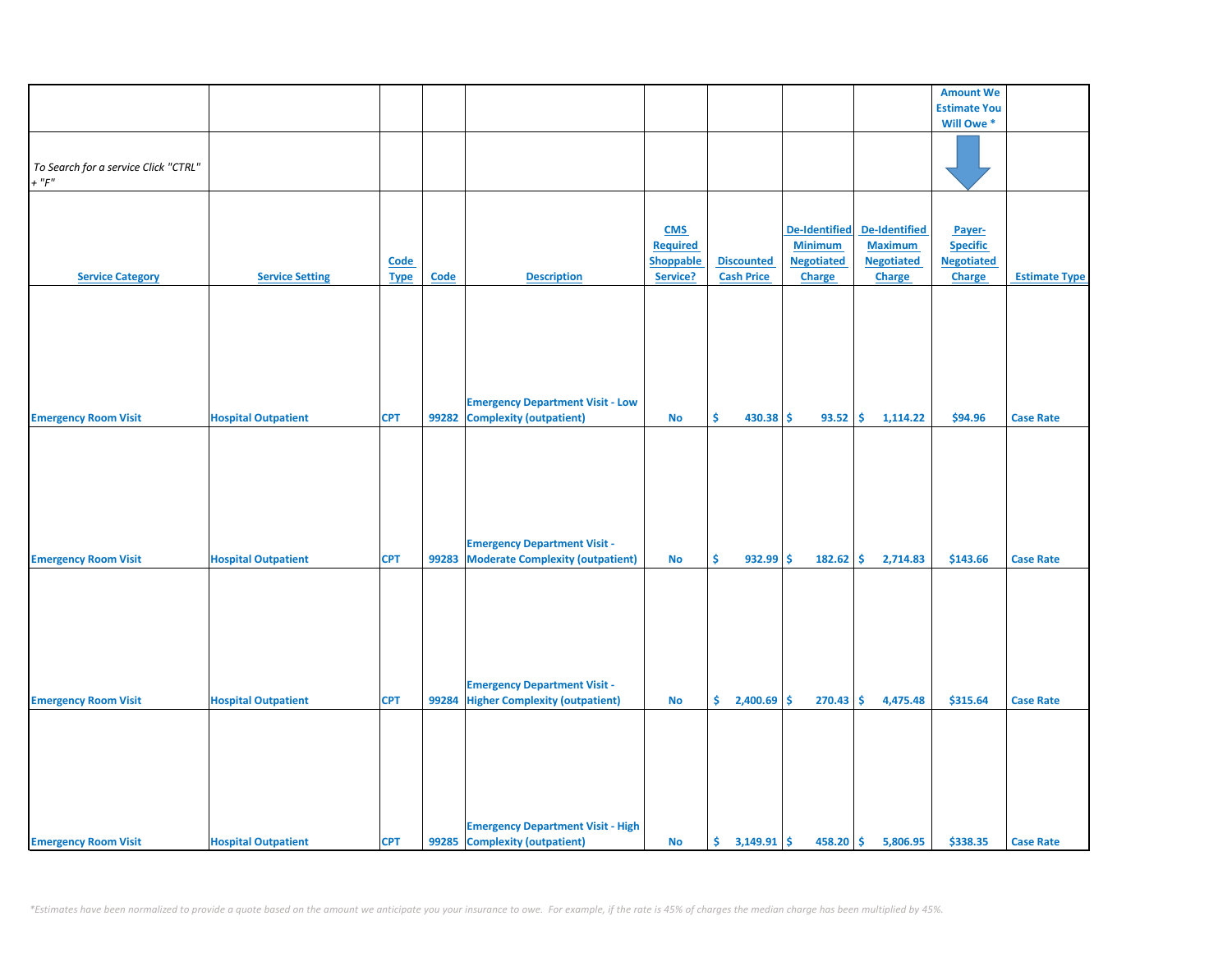|                                      |                            |             |       |                                          |                  |                   |                      |                      | <b>Amount We</b>      |                      |
|--------------------------------------|----------------------------|-------------|-------|------------------------------------------|------------------|-------------------|----------------------|----------------------|-----------------------|----------------------|
|                                      |                            |             |       |                                          |                  |                   |                      |                      | <b>Estimate You</b>   |                      |
|                                      |                            |             |       |                                          |                  |                   |                      |                      | Will Owe <sup>*</sup> |                      |
|                                      |                            |             |       |                                          |                  |                   |                      |                      |                       |                      |
|                                      |                            |             |       |                                          |                  |                   |                      |                      |                       |                      |
| To Search for a service Click "CTRL" |                            |             |       |                                          |                  |                   |                      |                      |                       |                      |
|                                      |                            |             |       |                                          |                  |                   |                      |                      |                       |                      |
| $+$ " $F"$                           |                            |             |       |                                          |                  |                   |                      |                      |                       |                      |
|                                      |                            |             |       |                                          |                  |                   |                      |                      |                       |                      |
|                                      |                            |             |       |                                          |                  |                   |                      |                      |                       |                      |
|                                      |                            |             |       |                                          | <b>CMS</b>       |                   | <b>De-Identified</b> | <b>De-Identified</b> | Payer-                |                      |
|                                      |                            |             |       |                                          | Required         |                   | <b>Minimum</b>       | <b>Maximum</b>       | <b>Specific</b>       |                      |
|                                      |                            |             |       |                                          | <b>Shoppable</b> | <b>Discounted</b> | <b>Negotiated</b>    | <b>Negotiated</b>    | <b>Negotiated</b>     |                      |
|                                      |                            | <b>Code</b> |       |                                          |                  |                   |                      |                      |                       |                      |
| <b>Service Category</b>              | <b>Service Setting</b>     | <b>Type</b> | Code  | <b>Description</b>                       | Service?         | <b>Cash Price</b> | <b>Charge</b>        | <b>Charge</b>        | Charge                | <b>Estimate Type</b> |
|                                      |                            |             |       |                                          |                  |                   |                      |                      |                       |                      |
|                                      |                            |             |       |                                          |                  |                   |                      |                      |                       |                      |
|                                      |                            |             |       |                                          |                  |                   |                      |                      |                       |                      |
|                                      |                            |             |       |                                          |                  |                   |                      |                      |                       |                      |
|                                      |                            |             |       |                                          |                  |                   |                      |                      |                       |                      |
|                                      |                            |             |       |                                          |                  |                   |                      |                      |                       |                      |
|                                      |                            |             |       |                                          |                  |                   |                      |                      |                       |                      |
|                                      |                            |             |       |                                          |                  |                   |                      |                      |                       |                      |
|                                      |                            |             |       | <b>Emergency Department Visit - Low</b>  |                  |                   |                      |                      |                       |                      |
|                                      |                            |             |       |                                          |                  |                   |                      |                      |                       |                      |
| <b>Emergency Room Visit</b>          | <b>Hospital Outpatient</b> | <b>CPT</b>  | 99282 | <b>Complexity (outpatient)</b>           | <b>No</b>        | \$<br>$430.38$ \$ | 93.52                | \$<br>1,114.22       | \$94.96               | <b>Case Rate</b>     |
|                                      |                            |             |       |                                          |                  |                   |                      |                      |                       |                      |
|                                      |                            |             |       |                                          |                  |                   |                      |                      |                       |                      |
|                                      |                            |             |       |                                          |                  |                   |                      |                      |                       |                      |
|                                      |                            |             |       |                                          |                  |                   |                      |                      |                       |                      |
|                                      |                            |             |       |                                          |                  |                   |                      |                      |                       |                      |
|                                      |                            |             |       |                                          |                  |                   |                      |                      |                       |                      |
|                                      |                            |             |       |                                          |                  |                   |                      |                      |                       |                      |
|                                      |                            |             |       |                                          |                  |                   |                      |                      |                       |                      |
|                                      |                            |             |       | <b>Emergency Department Visit -</b>      |                  |                   |                      |                      |                       |                      |
|                                      |                            |             |       |                                          |                  |                   |                      |                      |                       |                      |
| <b>Emergency Room Visit</b>          | <b>Hospital Outpatient</b> | <b>CPT</b>  | 99283 | <b>Moderate Complexity (outpatient)</b>  | <b>No</b>        | \$<br>932.99      | -\$<br>182.62        | \$<br>2,714.83       | \$143.66              | <b>Case Rate</b>     |
|                                      |                            |             |       |                                          |                  |                   |                      |                      |                       |                      |
|                                      |                            |             |       |                                          |                  |                   |                      |                      |                       |                      |
|                                      |                            |             |       |                                          |                  |                   |                      |                      |                       |                      |
|                                      |                            |             |       |                                          |                  |                   |                      |                      |                       |                      |
|                                      |                            |             |       |                                          |                  |                   |                      |                      |                       |                      |
|                                      |                            |             |       |                                          |                  |                   |                      |                      |                       |                      |
|                                      |                            |             |       |                                          |                  |                   |                      |                      |                       |                      |
|                                      |                            |             |       |                                          |                  |                   |                      |                      |                       |                      |
|                                      |                            |             |       | <b>Emergency Department Visit -</b>      |                  |                   |                      |                      |                       |                      |
|                                      |                            |             |       |                                          |                  |                   |                      |                      |                       |                      |
| <b>Emergency Room Visit</b>          | <b>Hospital Outpatient</b> | <b>CPT</b>  |       | 99284 Higher Complexity (outpatient)     | <b>No</b>        | \$.<br>2,400.69   | \$<br>270.43         | \$.<br>4,475.48      | \$315.64              | <b>Case Rate</b>     |
|                                      |                            |             |       |                                          |                  |                   |                      |                      |                       |                      |
|                                      |                            |             |       |                                          |                  |                   |                      |                      |                       |                      |
|                                      |                            |             |       |                                          |                  |                   |                      |                      |                       |                      |
|                                      |                            |             |       |                                          |                  |                   |                      |                      |                       |                      |
|                                      |                            |             |       |                                          |                  |                   |                      |                      |                       |                      |
|                                      |                            |             |       |                                          |                  |                   |                      |                      |                       |                      |
|                                      |                            |             |       |                                          |                  |                   |                      |                      |                       |                      |
|                                      |                            |             |       |                                          |                  |                   |                      |                      |                       |                      |
|                                      |                            |             |       |                                          |                  |                   |                      |                      |                       |                      |
|                                      |                            |             |       | <b>Emergency Department Visit - High</b> |                  |                   |                      |                      |                       |                      |
| <b>Emergency Room Visit</b>          | <b>Hospital Outpatient</b> | <b>CPT</b>  |       | 99285 Complexity (outpatient)            | <b>No</b>        |                   | $458.20$ \$          | 5,806.95             | \$338.35              | <b>Case Rate</b>     |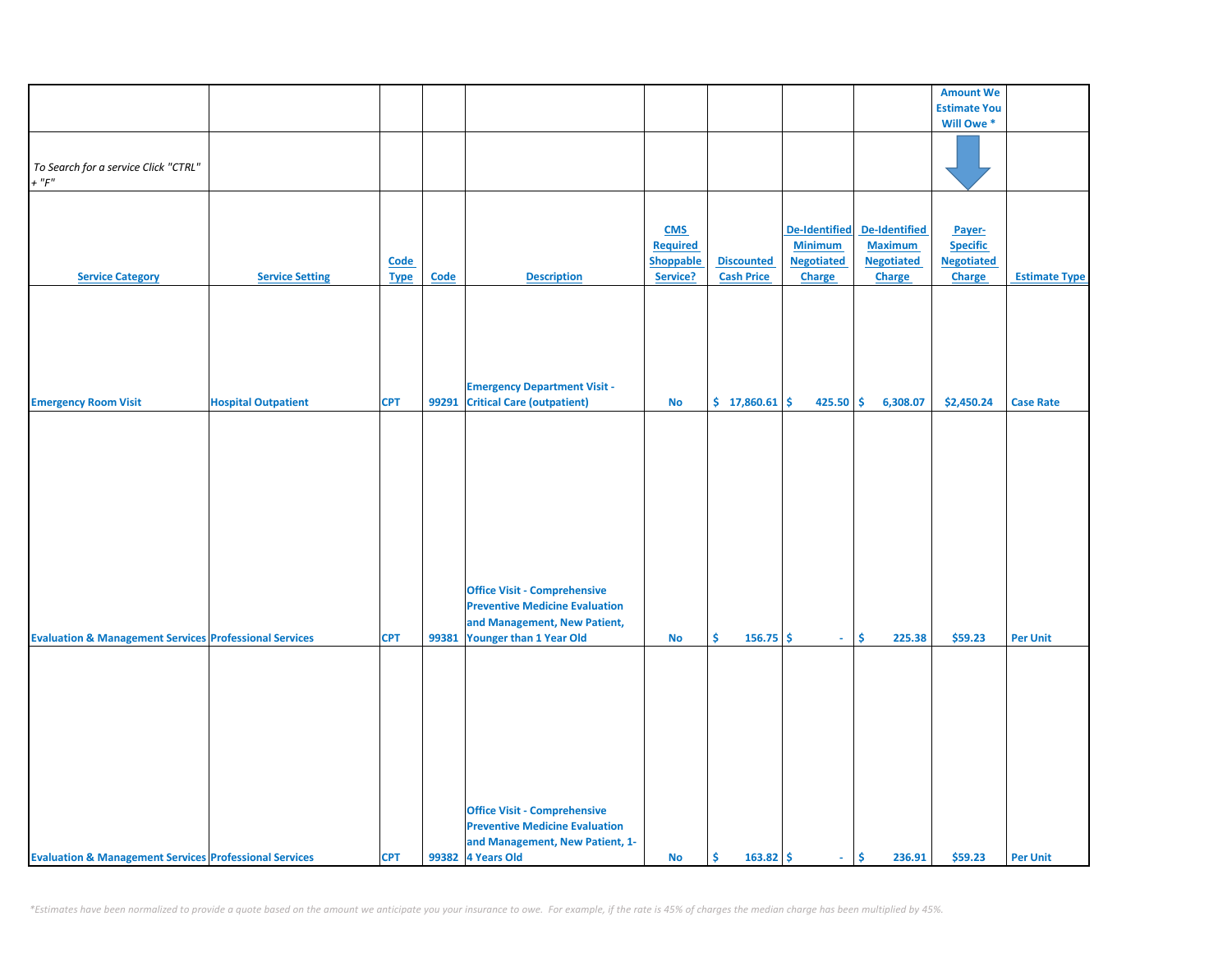|                                                                   |                            |                            |       |                                                                                                                                         |                                                        |                                        |                                                                       |                                                                       | <b>Amount We</b>                                         |                      |
|-------------------------------------------------------------------|----------------------------|----------------------------|-------|-----------------------------------------------------------------------------------------------------------------------------------------|--------------------------------------------------------|----------------------------------------|-----------------------------------------------------------------------|-----------------------------------------------------------------------|----------------------------------------------------------|----------------------|
|                                                                   |                            |                            |       |                                                                                                                                         |                                                        |                                        |                                                                       |                                                                       | <b>Estimate You</b>                                      |                      |
|                                                                   |                            |                            |       |                                                                                                                                         |                                                        |                                        |                                                                       |                                                                       | Will Owe <sup>*</sup>                                    |                      |
| To Search for a service Click "CTRL"<br>$+$ " $F$ "               |                            |                            |       |                                                                                                                                         |                                                        |                                        |                                                                       |                                                                       |                                                          |                      |
| <b>Service Category</b>                                           | <b>Service Setting</b>     | <b>Code</b><br><b>Type</b> | Code  | <b>Description</b>                                                                                                                      | <b>CMS</b><br><b>Required</b><br>Shoppable<br>Service? | <b>Discounted</b><br><b>Cash Price</b> | <b>De-Identified</b><br><b>Minimum</b><br><b>Negotiated</b><br>Charge | <b>De-Identified</b><br><b>Maximum</b><br><b>Negotiated</b><br>Charge | Payer-<br><b>Specific</b><br><b>Negotiated</b><br>Charge | <b>Estimate Type</b> |
| <b>Emergency Room Visit</b>                                       | <b>Hospital Outpatient</b> | <b>CPT</b>                 | 99291 | <b>Emergency Department Visit -</b><br><b>Critical Care (outpatient)</b>                                                                | No                                                     | \$17,860.61                            | 425.50                                                                | \$<br>6,308.07                                                        | \$2,450.24                                               | <b>Case Rate</b>     |
|                                                                   |                            |                            |       |                                                                                                                                         |                                                        |                                        |                                                                       |                                                                       |                                                          |                      |
| <b>Evaluation &amp; Management Services Professional Services</b> |                            | <b>CPT</b>                 | 99381 | <b>Office Visit - Comprehensive</b><br><b>Preventive Medicine Evaluation</b><br>and Management, New Patient,<br>Younger than 1 Year Old | No                                                     | Š.<br>$156.75$ \$                      | $\omega$ .                                                            | \$<br>225.38                                                          | \$59.23                                                  | <b>Per Unit</b>      |
| <b>Evaluation &amp; Management Services Professional Services</b> |                            | <b>CPT</b>                 |       | <b>Office Visit - Comprehensive</b><br><b>Preventive Medicine Evaluation</b><br>and Management, New Patient, 1-<br>99382 4 Years Old    | No                                                     | \$<br>$163.82 \mid \frac{1}{2}$        | $\sim$                                                                | \$<br>236.91                                                          | \$59.23                                                  | <b>Per Unit</b>      |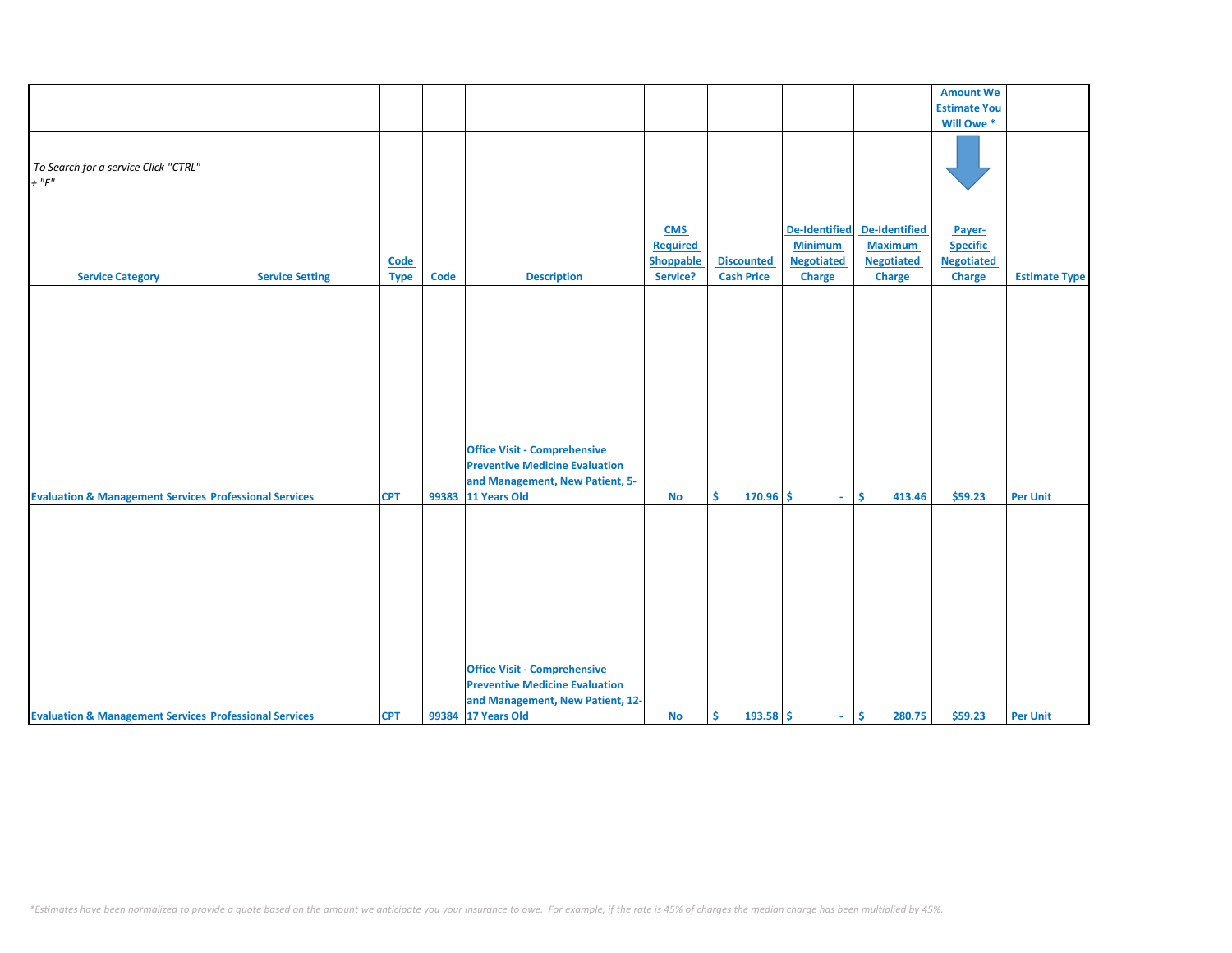|                                                                                                                                        |                        |             |       |                                                                                                                                                                           |                  |                   |                      |                      | <b>Amount We</b>    |                      |
|----------------------------------------------------------------------------------------------------------------------------------------|------------------------|-------------|-------|---------------------------------------------------------------------------------------------------------------------------------------------------------------------------|------------------|-------------------|----------------------|----------------------|---------------------|----------------------|
|                                                                                                                                        |                        |             |       |                                                                                                                                                                           |                  |                   |                      |                      | <b>Estimate You</b> |                      |
|                                                                                                                                        |                        |             |       |                                                                                                                                                                           |                  |                   |                      |                      |                     |                      |
|                                                                                                                                        |                        |             |       |                                                                                                                                                                           |                  |                   |                      |                      | Will Owe *          |                      |
|                                                                                                                                        |                        |             |       |                                                                                                                                                                           |                  |                   |                      |                      |                     |                      |
| To Search for a service Click "CTRL"                                                                                                   |                        |             |       |                                                                                                                                                                           |                  |                   |                      |                      |                     |                      |
| $+$ " $F$ "                                                                                                                            |                        |             |       |                                                                                                                                                                           |                  |                   |                      |                      |                     |                      |
|                                                                                                                                        |                        |             |       |                                                                                                                                                                           |                  |                   |                      |                      |                     |                      |
|                                                                                                                                        |                        |             |       |                                                                                                                                                                           |                  |                   |                      |                      |                     |                      |
|                                                                                                                                        |                        |             |       |                                                                                                                                                                           |                  |                   |                      |                      |                     |                      |
|                                                                                                                                        |                        |             |       |                                                                                                                                                                           | <b>CMS</b>       |                   | <b>De-Identified</b> | <b>De-Identified</b> | Payer-              |                      |
|                                                                                                                                        |                        |             |       |                                                                                                                                                                           | <b>Required</b>  |                   | <b>Minimum</b>       | <b>Maximum</b>       | <b>Specific</b>     |                      |
|                                                                                                                                        |                        | <b>Code</b> |       |                                                                                                                                                                           | <b>Shoppable</b> | <b>Discounted</b> | <b>Negotiated</b>    | <b>Negotiated</b>    | <b>Negotiated</b>   |                      |
| <b>Service Category</b>                                                                                                                | <b>Service Setting</b> | <b>Type</b> | Code  | <b>Description</b>                                                                                                                                                        | Service?         | <b>Cash Price</b> | Charge               | Charge               | <b>Charge</b>       | <b>Estimate Type</b> |
|                                                                                                                                        |                        |             |       |                                                                                                                                                                           |                  |                   |                      |                      |                     |                      |
|                                                                                                                                        |                        |             |       |                                                                                                                                                                           |                  |                   |                      |                      |                     |                      |
|                                                                                                                                        |                        |             |       |                                                                                                                                                                           |                  |                   |                      |                      |                     |                      |
|                                                                                                                                        |                        |             |       |                                                                                                                                                                           |                  |                   |                      |                      |                     |                      |
|                                                                                                                                        |                        |             |       |                                                                                                                                                                           |                  |                   |                      |                      |                     |                      |
|                                                                                                                                        |                        |             |       |                                                                                                                                                                           |                  |                   |                      |                      |                     |                      |
|                                                                                                                                        |                        |             |       |                                                                                                                                                                           |                  |                   |                      |                      |                     |                      |
|                                                                                                                                        |                        |             |       |                                                                                                                                                                           |                  |                   |                      |                      |                     |                      |
|                                                                                                                                        |                        |             |       |                                                                                                                                                                           |                  |                   |                      |                      |                     |                      |
|                                                                                                                                        |                        |             |       |                                                                                                                                                                           |                  |                   |                      |                      |                     |                      |
|                                                                                                                                        |                        |             |       |                                                                                                                                                                           |                  |                   |                      |                      |                     |                      |
|                                                                                                                                        |                        |             |       |                                                                                                                                                                           |                  |                   |                      |                      |                     |                      |
|                                                                                                                                        |                        |             |       |                                                                                                                                                                           |                  |                   |                      |                      |                     |                      |
|                                                                                                                                        |                        |             |       |                                                                                                                                                                           |                  |                   |                      |                      |                     |                      |
|                                                                                                                                        |                        | <b>CPT</b>  | 99383 | 11 Years Old                                                                                                                                                              | <b>No</b>        | Ŝ.<br>$170.96$ \$ | $\sim$               | \$.<br>413.46        | \$59.23             | <b>Per Unit</b>      |
|                                                                                                                                        |                        |             |       |                                                                                                                                                                           |                  |                   |                      |                      |                     |                      |
|                                                                                                                                        |                        |             |       |                                                                                                                                                                           |                  |                   |                      |                      |                     |                      |
|                                                                                                                                        |                        |             |       |                                                                                                                                                                           |                  |                   |                      |                      |                     |                      |
|                                                                                                                                        |                        |             |       |                                                                                                                                                                           |                  |                   |                      |                      |                     |                      |
|                                                                                                                                        |                        |             |       |                                                                                                                                                                           |                  |                   |                      |                      |                     |                      |
|                                                                                                                                        |                        |             |       |                                                                                                                                                                           |                  |                   |                      |                      |                     |                      |
|                                                                                                                                        |                        |             |       |                                                                                                                                                                           |                  |                   |                      |                      |                     |                      |
|                                                                                                                                        |                        |             |       |                                                                                                                                                                           |                  |                   |                      |                      |                     |                      |
|                                                                                                                                        |                        |             |       |                                                                                                                                                                           |                  |                   |                      |                      |                     |                      |
|                                                                                                                                        |                        |             |       |                                                                                                                                                                           |                  |                   |                      |                      |                     |                      |
|                                                                                                                                        |                        |             |       |                                                                                                                                                                           |                  |                   |                      |                      |                     |                      |
|                                                                                                                                        |                        |             |       | <b>Office Visit - Comprehensive</b>                                                                                                                                       |                  |                   |                      |                      |                     |                      |
|                                                                                                                                        |                        |             |       | <b>Preventive Medicine Evaluation</b>                                                                                                                                     |                  |                   |                      |                      |                     |                      |
|                                                                                                                                        |                        |             |       |                                                                                                                                                                           |                  |                   |                      |                      |                     |                      |
|                                                                                                                                        |                        | <b>CPT</b>  |       |                                                                                                                                                                           | <b>No</b>        | Ŝ.<br>$193.58$ \$ | $\omega_{\rm c}$     | \$<br>280.75         | \$59.23             | <b>Per Unit</b>      |
| <b>Evaluation &amp; Management Services Professional Services</b><br><b>Evaluation &amp; Management Services Professional Services</b> |                        |             |       | <b>Office Visit - Comprehensive</b><br><b>Preventive Medicine Evaluation</b><br>and Management, New Patient, 5-<br>and Management, New Patient, 12-<br>99384 17 Years Old |                  |                   |                      |                      |                     |                      |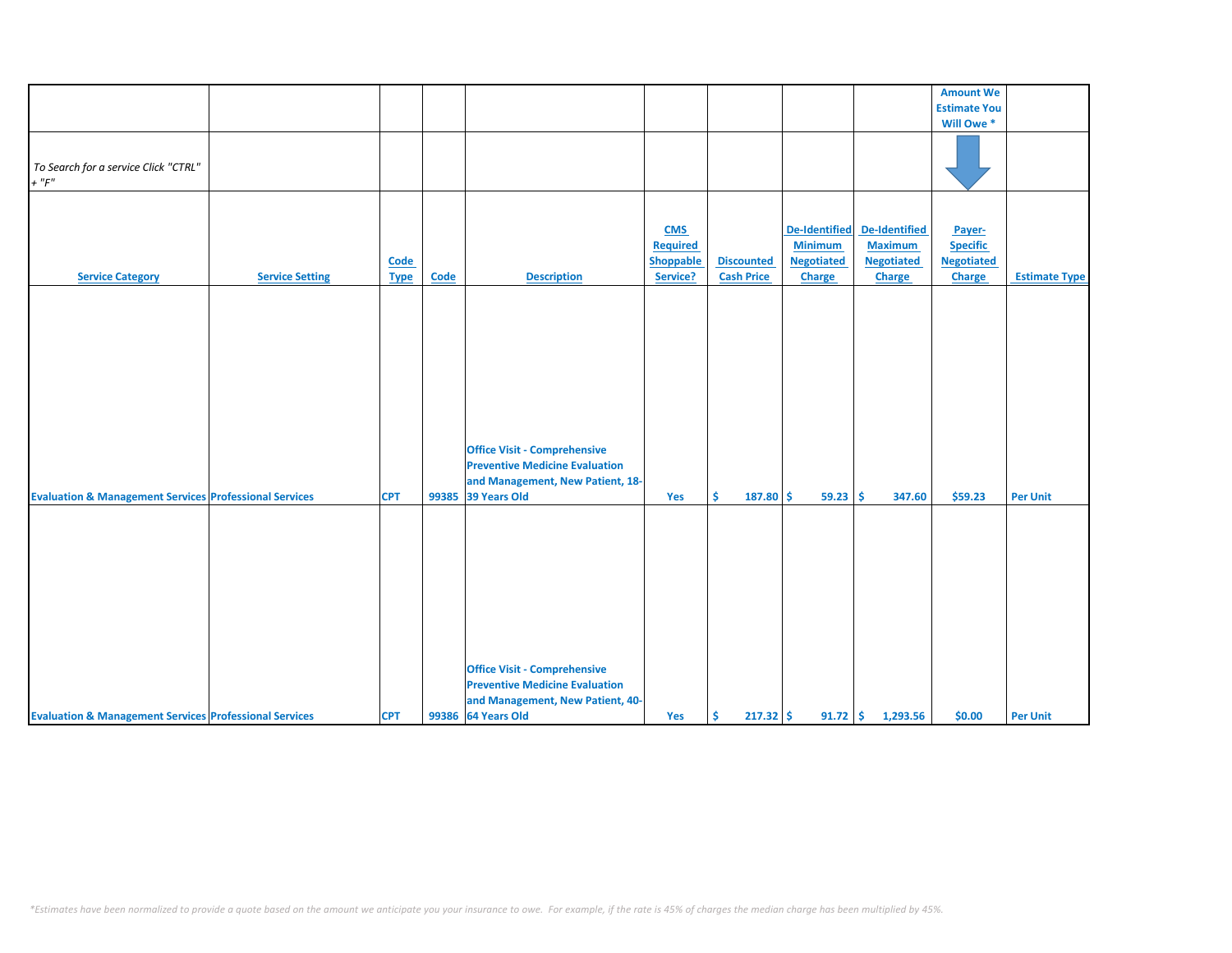| To Search for a service Click "CTRL"                              |                        |             |       |                                                                                                                  |                  |                   |                      |                      | <b>Amount We</b><br><b>Estimate You</b> |                      |
|-------------------------------------------------------------------|------------------------|-------------|-------|------------------------------------------------------------------------------------------------------------------|------------------|-------------------|----------------------|----------------------|-----------------------------------------|----------------------|
|                                                                   |                        |             |       |                                                                                                                  |                  |                   |                      |                      |                                         |                      |
|                                                                   |                        |             |       |                                                                                                                  |                  |                   |                      |                      |                                         |                      |
|                                                                   |                        |             |       |                                                                                                                  |                  |                   |                      |                      | Will Owe *                              |                      |
|                                                                   |                        |             |       |                                                                                                                  |                  |                   |                      |                      |                                         |                      |
|                                                                   |                        |             |       |                                                                                                                  |                  |                   |                      |                      |                                         |                      |
| $+$ " $F$ "                                                       |                        |             |       |                                                                                                                  |                  |                   |                      |                      |                                         |                      |
|                                                                   |                        |             |       |                                                                                                                  |                  |                   |                      |                      |                                         |                      |
|                                                                   |                        |             |       |                                                                                                                  |                  |                   |                      |                      |                                         |                      |
|                                                                   |                        |             |       |                                                                                                                  |                  |                   |                      |                      |                                         |                      |
|                                                                   |                        |             |       |                                                                                                                  | <b>CMS</b>       |                   | <b>De-Identified</b> | <b>De-Identified</b> | Payer-                                  |                      |
|                                                                   |                        |             |       |                                                                                                                  | <b>Required</b>  |                   | <b>Minimum</b>       | <b>Maximum</b>       | <b>Specific</b>                         |                      |
|                                                                   |                        | <b>Code</b> |       |                                                                                                                  | <b>Shoppable</b> | <b>Discounted</b> | <b>Negotiated</b>    | <b>Negotiated</b>    | <b>Negotiated</b>                       |                      |
| <b>Service Category</b>                                           | <b>Service Setting</b> | <b>Type</b> | Code  | <b>Description</b>                                                                                               | Service?         | <b>Cash Price</b> | Charge               | Charge               | <b>Charge</b>                           | <b>Estimate Type</b> |
|                                                                   |                        |             |       |                                                                                                                  |                  |                   |                      |                      |                                         |                      |
|                                                                   |                        |             |       |                                                                                                                  |                  |                   |                      |                      |                                         |                      |
|                                                                   |                        |             |       |                                                                                                                  |                  |                   |                      |                      |                                         |                      |
|                                                                   |                        |             |       |                                                                                                                  |                  |                   |                      |                      |                                         |                      |
|                                                                   |                        |             |       |                                                                                                                  |                  |                   |                      |                      |                                         |                      |
|                                                                   |                        |             |       |                                                                                                                  |                  |                   |                      |                      |                                         |                      |
|                                                                   |                        |             |       |                                                                                                                  |                  |                   |                      |                      |                                         |                      |
|                                                                   |                        |             |       |                                                                                                                  |                  |                   |                      |                      |                                         |                      |
|                                                                   |                        |             |       |                                                                                                                  |                  |                   |                      |                      |                                         |                      |
|                                                                   |                        |             |       |                                                                                                                  |                  |                   |                      |                      |                                         |                      |
|                                                                   |                        |             |       |                                                                                                                  |                  |                   |                      |                      |                                         |                      |
|                                                                   |                        |             |       |                                                                                                                  |                  |                   |                      |                      |                                         |                      |
|                                                                   |                        |             |       |                                                                                                                  |                  |                   |                      |                      |                                         |                      |
|                                                                   |                        |             |       |                                                                                                                  |                  |                   |                      |                      |                                         |                      |
|                                                                   |                        | <b>CPT</b>  | 99385 | 39 Years Old                                                                                                     | Yes              | Ŝ.<br>187.80      | Ŝ.<br>59.23          | Ŝ<br>347.60          | \$59.23                                 | <b>Per Unit</b>      |
|                                                                   |                        |             |       |                                                                                                                  |                  |                   |                      |                      |                                         |                      |
|                                                                   |                        |             |       |                                                                                                                  |                  |                   |                      |                      |                                         |                      |
|                                                                   |                        |             |       |                                                                                                                  |                  |                   |                      |                      |                                         |                      |
|                                                                   |                        |             |       |                                                                                                                  |                  |                   |                      |                      |                                         |                      |
|                                                                   |                        |             |       |                                                                                                                  |                  |                   |                      |                      |                                         |                      |
|                                                                   |                        |             |       |                                                                                                                  |                  |                   |                      |                      |                                         |                      |
|                                                                   |                        |             |       |                                                                                                                  |                  |                   |                      |                      |                                         |                      |
|                                                                   |                        |             |       |                                                                                                                  |                  |                   |                      |                      |                                         |                      |
|                                                                   |                        |             |       |                                                                                                                  |                  |                   |                      |                      |                                         |                      |
|                                                                   |                        |             |       |                                                                                                                  |                  |                   |                      |                      |                                         |                      |
|                                                                   |                        |             |       |                                                                                                                  |                  |                   |                      |                      |                                         |                      |
|                                                                   |                        |             |       | <b>Office Visit - Comprehensive</b>                                                                              |                  |                   |                      |                      |                                         |                      |
|                                                                   |                        |             |       | <b>Preventive Medicine Evaluation</b>                                                                            |                  |                   |                      |                      |                                         |                      |
|                                                                   |                        |             |       |                                                                                                                  |                  |                   |                      |                      |                                         |                      |
|                                                                   |                        |             |       | and Management, New Patient, 40-                                                                                 |                  |                   |                      |                      |                                         |                      |
| <b>Evaluation &amp; Management Services Professional Services</b> |                        |             |       | <b>Office Visit - Comprehensive</b><br><b>Preventive Medicine Evaluation</b><br>and Management, New Patient, 18- |                  |                   |                      |                      |                                         |                      |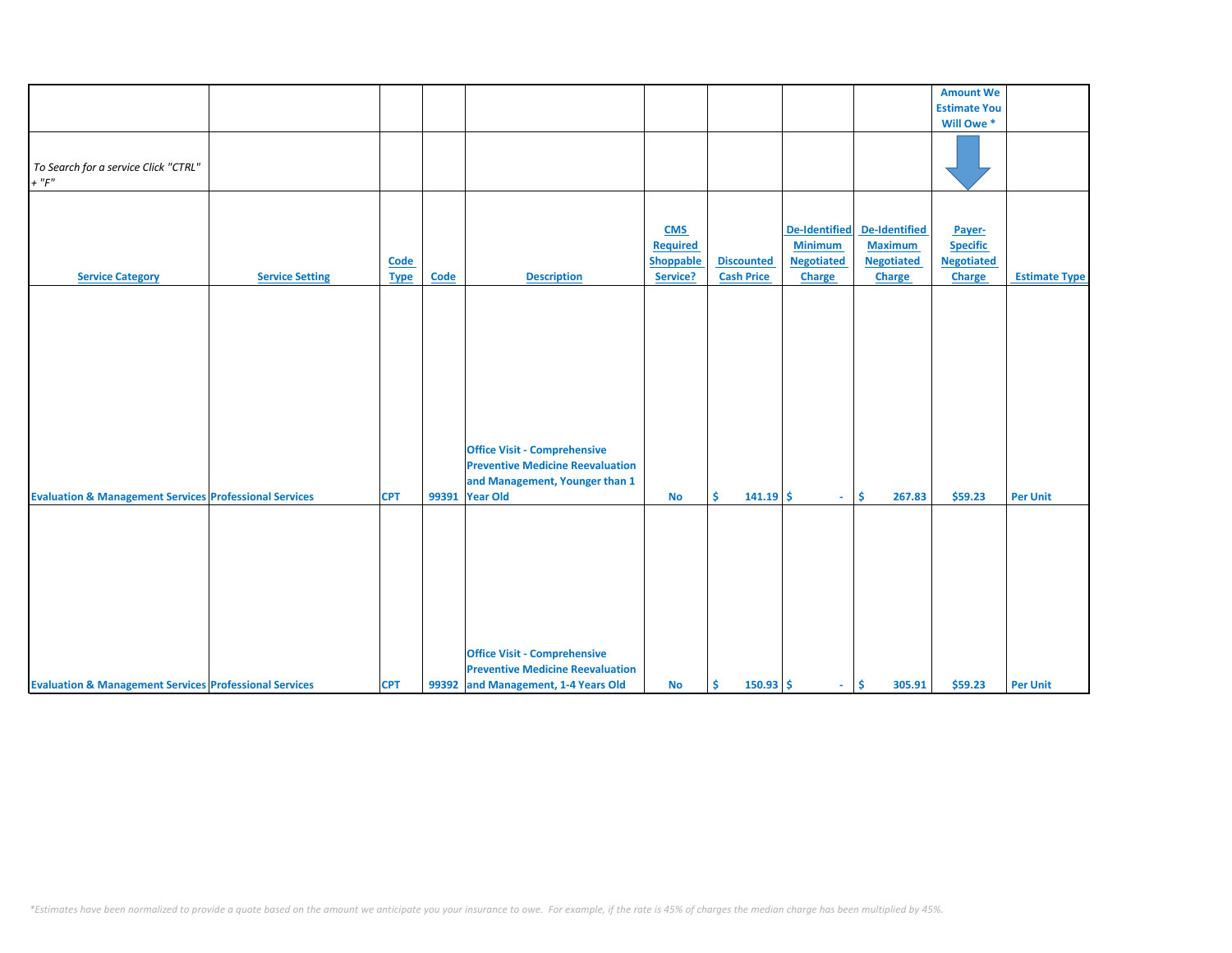|                                                                   |                        |                     |             |                                                                                                                                    |                                                        |                                        |                                                                |                                                                | <b>Amount We</b>                                                |                      |
|-------------------------------------------------------------------|------------------------|---------------------|-------------|------------------------------------------------------------------------------------------------------------------------------------|--------------------------------------------------------|----------------------------------------|----------------------------------------------------------------|----------------------------------------------------------------|-----------------------------------------------------------------|----------------------|
|                                                                   |                        |                     |             |                                                                                                                                    |                                                        |                                        |                                                                |                                                                |                                                                 |                      |
|                                                                   |                        |                     |             |                                                                                                                                    |                                                        |                                        |                                                                |                                                                | <b>Estimate You</b>                                             |                      |
|                                                                   |                        |                     |             |                                                                                                                                    |                                                        |                                        |                                                                |                                                                | Will Owe *                                                      |                      |
| To Search for a service Click "CTRL"<br>$+$ " $F$ "               |                        |                     |             |                                                                                                                                    |                                                        |                                        |                                                                |                                                                |                                                                 |                      |
| <b>Service Category</b>                                           | <b>Service Setting</b> | Code<br><b>Type</b> | <b>Code</b> | <b>Description</b>                                                                                                                 | <b>CMS</b><br>Required<br><b>Shoppable</b><br>Service? | <b>Discounted</b><br><b>Cash Price</b> | De-Identified<br><b>Minimum</b><br><b>Negotiated</b><br>Charge | De-Identified<br><b>Maximum</b><br><b>Negotiated</b><br>Charge | Payer-<br><b>Specific</b><br><b>Negotiated</b><br><b>Charge</b> | <b>Estimate Type</b> |
| <b>Evaluation &amp; Management Services Professional Services</b> |                        | <b>CPT</b>          |             | <b>Office Visit - Comprehensive</b><br><b>Preventive Medicine Reevaluation</b><br>and Management, Younger than 1<br>99391 Year Old | <b>No</b>                                              | Ŝ.<br>$141.19$ \$                      | $\sim$                                                         | \$<br>267.83                                                   | \$59.23                                                         | <b>Per Unit</b>      |
| <b>Evaluation &amp; Management Services Professional Services</b> |                        | <b>CPT</b>          |             | <b>Office Visit - Comprehensive</b><br><b>Preventive Medicine Reevaluation</b><br>99392 and Management, 1-4 Years Old              | <b>No</b>                                              | $150.93$ \$<br>Ŝ.                      | $\sim$                                                         | Ŝ.<br>305.91                                                   | \$59.23                                                         | <b>Per Unit</b>      |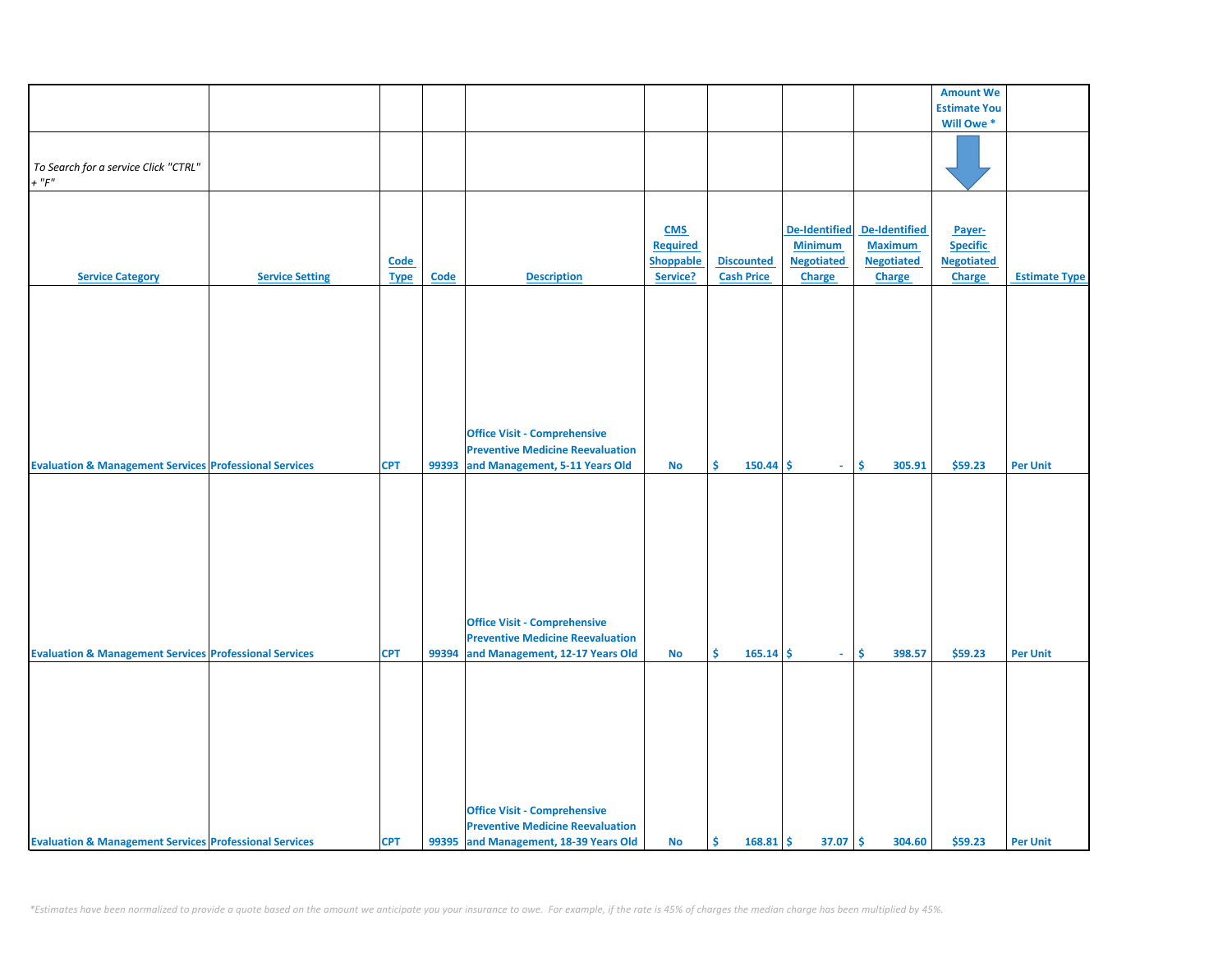|                                                                   |                        |             |             |                                         |                  |                   |                      |                   | <b>Amount We</b>    |                      |
|-------------------------------------------------------------------|------------------------|-------------|-------------|-----------------------------------------|------------------|-------------------|----------------------|-------------------|---------------------|----------------------|
|                                                                   |                        |             |             |                                         |                  |                   |                      |                   | <b>Estimate You</b> |                      |
|                                                                   |                        |             |             |                                         |                  |                   |                      |                   | Will Owe *          |                      |
|                                                                   |                        |             |             |                                         |                  |                   |                      |                   |                     |                      |
|                                                                   |                        |             |             |                                         |                  |                   |                      |                   |                     |                      |
|                                                                   |                        |             |             |                                         |                  |                   |                      |                   |                     |                      |
| To Search for a service Click "CTRL"                              |                        |             |             |                                         |                  |                   |                      |                   |                     |                      |
| $+$ " $F$ "                                                       |                        |             |             |                                         |                  |                   |                      |                   |                     |                      |
|                                                                   |                        |             |             |                                         |                  |                   |                      |                   |                     |                      |
|                                                                   |                        |             |             |                                         |                  |                   |                      |                   |                     |                      |
|                                                                   |                        |             |             |                                         |                  |                   |                      |                   |                     |                      |
|                                                                   |                        |             |             |                                         | <b>CMS</b>       |                   | <b>De-Identified</b> | De-Identified     | Payer-              |                      |
|                                                                   |                        |             |             |                                         |                  |                   |                      |                   |                     |                      |
|                                                                   |                        |             |             |                                         | <b>Required</b>  |                   | <b>Minimum</b>       | <b>Maximum</b>    | <b>Specific</b>     |                      |
|                                                                   |                        | <b>Code</b> |             |                                         | <b>Shoppable</b> | <b>Discounted</b> | <b>Negotiated</b>    | <b>Negotiated</b> | <b>Negotiated</b>   |                      |
| <b>Service Category</b>                                           | <b>Service Setting</b> | <b>Type</b> | <b>Code</b> | <b>Description</b>                      | Service?         | <b>Cash Price</b> | Charge               | Charge            | <b>Charge</b>       | <b>Estimate Type</b> |
|                                                                   |                        |             |             |                                         |                  |                   |                      |                   |                     |                      |
|                                                                   |                        |             |             |                                         |                  |                   |                      |                   |                     |                      |
|                                                                   |                        |             |             |                                         |                  |                   |                      |                   |                     |                      |
|                                                                   |                        |             |             |                                         |                  |                   |                      |                   |                     |                      |
|                                                                   |                        |             |             |                                         |                  |                   |                      |                   |                     |                      |
|                                                                   |                        |             |             |                                         |                  |                   |                      |                   |                     |                      |
|                                                                   |                        |             |             |                                         |                  |                   |                      |                   |                     |                      |
|                                                                   |                        |             |             |                                         |                  |                   |                      |                   |                     |                      |
|                                                                   |                        |             |             |                                         |                  |                   |                      |                   |                     |                      |
|                                                                   |                        |             |             |                                         |                  |                   |                      |                   |                     |                      |
|                                                                   |                        |             |             |                                         |                  |                   |                      |                   |                     |                      |
|                                                                   |                        |             |             |                                         |                  |                   |                      |                   |                     |                      |
|                                                                   |                        |             |             |                                         |                  |                   |                      |                   |                     |                      |
|                                                                   |                        |             |             | <b>Office Visit - Comprehensive</b>     |                  |                   |                      |                   |                     |                      |
|                                                                   |                        |             |             | <b>Preventive Medicine Reevaluation</b> |                  |                   |                      |                   |                     |                      |
| <b>Evaluation &amp; Management Services Professional Services</b> |                        | <b>CPT</b>  | 99393       | and Management, 5-11 Years Old          | No               | Ŝ.<br>150.44      | -\$<br>$\sim$        | Ŝ.<br>305.91      | \$59.23             | <b>Per Unit</b>      |
|                                                                   |                        |             |             |                                         |                  |                   |                      |                   |                     |                      |
|                                                                   |                        |             |             |                                         |                  |                   |                      |                   |                     |                      |
|                                                                   |                        |             |             |                                         |                  |                   |                      |                   |                     |                      |
|                                                                   |                        |             |             |                                         |                  |                   |                      |                   |                     |                      |
|                                                                   |                        |             |             |                                         |                  |                   |                      |                   |                     |                      |
|                                                                   |                        |             |             |                                         |                  |                   |                      |                   |                     |                      |
|                                                                   |                        |             |             |                                         |                  |                   |                      |                   |                     |                      |
|                                                                   |                        |             |             |                                         |                  |                   |                      |                   |                     |                      |
|                                                                   |                        |             |             |                                         |                  |                   |                      |                   |                     |                      |
|                                                                   |                        |             |             |                                         |                  |                   |                      |                   |                     |                      |
|                                                                   |                        |             |             |                                         |                  |                   |                      |                   |                     |                      |
|                                                                   |                        |             |             |                                         |                  |                   |                      |                   |                     |                      |
|                                                                   |                        |             |             |                                         |                  |                   |                      |                   |                     |                      |
|                                                                   |                        |             |             | <b>Office Visit - Comprehensive</b>     |                  |                   |                      |                   |                     |                      |
|                                                                   |                        |             |             | <b>Preventive Medicine Reevaluation</b> |                  |                   |                      |                   |                     |                      |
| <b>Evaluation &amp; Management Services Professional Services</b> |                        | <b>CPT</b>  | 99394       | and Management, 12-17 Years Old         | <b>No</b>        | Ŝ.<br>165.14      | \$<br>$\sim$         | \$<br>398.57      | \$59.23             | <b>Per Unit</b>      |
|                                                                   |                        |             |             |                                         |                  |                   |                      |                   |                     |                      |
|                                                                   |                        |             |             |                                         |                  |                   |                      |                   |                     |                      |
|                                                                   |                        |             |             |                                         |                  |                   |                      |                   |                     |                      |
|                                                                   |                        |             |             |                                         |                  |                   |                      |                   |                     |                      |
|                                                                   |                        |             |             |                                         |                  |                   |                      |                   |                     |                      |
|                                                                   |                        |             |             |                                         |                  |                   |                      |                   |                     |                      |
|                                                                   |                        |             |             |                                         |                  |                   |                      |                   |                     |                      |
|                                                                   |                        |             |             |                                         |                  |                   |                      |                   |                     |                      |
|                                                                   |                        |             |             |                                         |                  |                   |                      |                   |                     |                      |
|                                                                   |                        |             |             |                                         |                  |                   |                      |                   |                     |                      |
|                                                                   |                        |             |             |                                         |                  |                   |                      |                   |                     |                      |
|                                                                   |                        |             |             |                                         |                  |                   |                      |                   |                     |                      |
|                                                                   |                        |             |             |                                         |                  |                   |                      |                   |                     |                      |
|                                                                   |                        |             |             | <b>Office Visit - Comprehensive</b>     |                  |                   |                      |                   |                     |                      |
|                                                                   |                        |             |             | <b>Preventive Medicine Reevaluation</b> |                  |                   |                      |                   |                     |                      |
| <b>Evaluation &amp; Management Services Professional Services</b> |                        | <b>CPT</b>  |             | 99395 and Management, 18-39 Years Old   | <b>No</b>        | \$.<br>168.81     | Ŝ.<br>37.07          | -\$<br>304.60     | \$59.23             | <b>Per Unit</b>      |
|                                                                   |                        |             |             |                                         |                  |                   |                      |                   |                     |                      |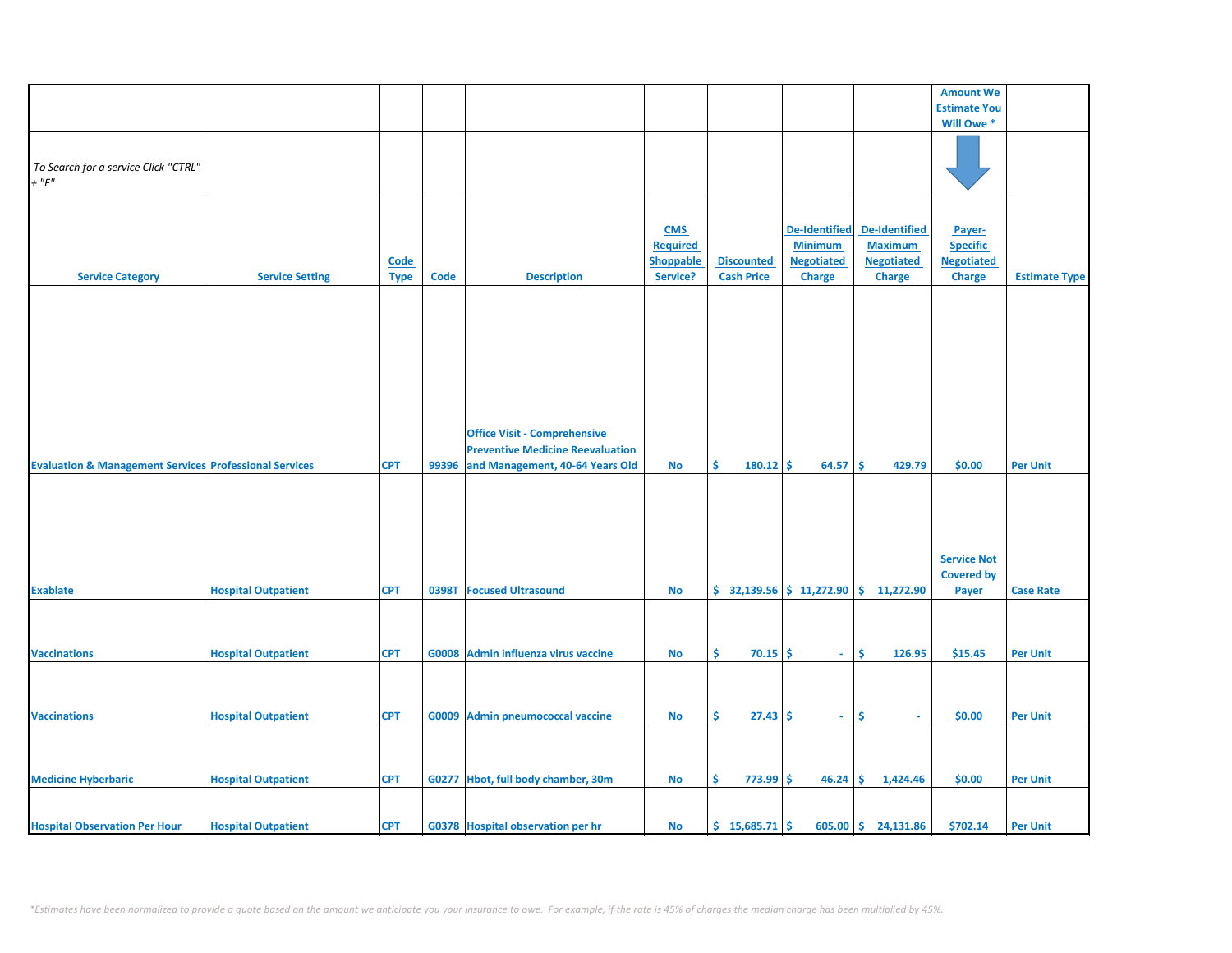|                                                                   |                            |             |             |                                         |                  |                           |                      |                       | <b>Amount We</b>    |                      |
|-------------------------------------------------------------------|----------------------------|-------------|-------------|-----------------------------------------|------------------|---------------------------|----------------------|-----------------------|---------------------|----------------------|
|                                                                   |                            |             |             |                                         |                  |                           |                      |                       | <b>Estimate You</b> |                      |
|                                                                   |                            |             |             |                                         |                  |                           |                      |                       | Will Owe *          |                      |
|                                                                   |                            |             |             |                                         |                  |                           |                      |                       |                     |                      |
|                                                                   |                            |             |             |                                         |                  |                           |                      |                       |                     |                      |
| To Search for a service Click "CTRL"                              |                            |             |             |                                         |                  |                           |                      |                       |                     |                      |
|                                                                   |                            |             |             |                                         |                  |                           |                      |                       |                     |                      |
| $+$ " $F$ "                                                       |                            |             |             |                                         |                  |                           |                      |                       |                     |                      |
|                                                                   |                            |             |             |                                         |                  |                           |                      |                       |                     |                      |
|                                                                   |                            |             |             |                                         |                  |                           |                      |                       |                     |                      |
|                                                                   |                            |             |             |                                         | <b>CMS</b>       |                           |                      | De-Identified         |                     |                      |
|                                                                   |                            |             |             |                                         |                  |                           | <b>De-Identified</b> |                       | Payer-              |                      |
|                                                                   |                            |             |             |                                         | <b>Required</b>  |                           | <b>Minimum</b>       | <b>Maximum</b>        | <b>Specific</b>     |                      |
|                                                                   |                            | Code        |             |                                         | <b>Shoppable</b> | <b>Discounted</b>         | <b>Negotiated</b>    | <b>Negotiated</b>     | <b>Negotiated</b>   |                      |
| <b>Service Category</b>                                           | <b>Service Setting</b>     | <b>Type</b> | <b>Code</b> | <b>Description</b>                      | Service?         | <b>Cash Price</b>         | <b>Charge</b>        | <b>Charge</b>         | <b>Charge</b>       | <b>Estimate Type</b> |
|                                                                   |                            |             |             |                                         |                  |                           |                      |                       |                     |                      |
|                                                                   |                            |             |             |                                         |                  |                           |                      |                       |                     |                      |
|                                                                   |                            |             |             |                                         |                  |                           |                      |                       |                     |                      |
|                                                                   |                            |             |             |                                         |                  |                           |                      |                       |                     |                      |
|                                                                   |                            |             |             |                                         |                  |                           |                      |                       |                     |                      |
|                                                                   |                            |             |             |                                         |                  |                           |                      |                       |                     |                      |
|                                                                   |                            |             |             |                                         |                  |                           |                      |                       |                     |                      |
|                                                                   |                            |             |             |                                         |                  |                           |                      |                       |                     |                      |
|                                                                   |                            |             |             |                                         |                  |                           |                      |                       |                     |                      |
|                                                                   |                            |             |             |                                         |                  |                           |                      |                       |                     |                      |
|                                                                   |                            |             |             |                                         |                  |                           |                      |                       |                     |                      |
|                                                                   |                            |             |             |                                         |                  |                           |                      |                       |                     |                      |
|                                                                   |                            |             |             | <b>Office Visit - Comprehensive</b>     |                  |                           |                      |                       |                     |                      |
|                                                                   |                            |             |             |                                         |                  |                           |                      |                       |                     |                      |
|                                                                   |                            |             |             | <b>Preventive Medicine Reevaluation</b> |                  |                           |                      |                       |                     |                      |
| <b>Evaluation &amp; Management Services Professional Services</b> |                            | <b>CPT</b>  | 99396       | and Management, 40-64 Years Old         | <b>No</b>        | \$<br>180.12              | -\$<br>64.57         | \$.<br>429.79         | \$0.00              | <b>Per Unit</b>      |
|                                                                   |                            |             |             |                                         |                  |                           |                      |                       |                     |                      |
|                                                                   |                            |             |             |                                         |                  |                           |                      |                       |                     |                      |
|                                                                   |                            |             |             |                                         |                  |                           |                      |                       |                     |                      |
|                                                                   |                            |             |             |                                         |                  |                           |                      |                       |                     |                      |
|                                                                   |                            |             |             |                                         |                  |                           |                      |                       |                     |                      |
|                                                                   |                            |             |             |                                         |                  |                           |                      |                       |                     |                      |
|                                                                   |                            |             |             |                                         |                  |                           |                      |                       | <b>Service Not</b>  |                      |
|                                                                   |                            |             |             |                                         |                  |                           |                      |                       |                     |                      |
|                                                                   |                            |             |             |                                         |                  |                           |                      |                       | <b>Covered by</b>   |                      |
| <b>Exablate</b>                                                   | <b>Hospital Outpatient</b> | <b>CPT</b>  | 0398T       | <b>Focused Ultrasound</b>               | No               | $$32,139.56$ $$11,272.90$ |                      | \$11,272.90           | Payer               | <b>Case Rate</b>     |
|                                                                   |                            |             |             |                                         |                  |                           |                      |                       |                     |                      |
|                                                                   |                            |             |             |                                         |                  |                           |                      |                       |                     |                      |
|                                                                   |                            |             |             |                                         |                  |                           |                      |                       |                     |                      |
|                                                                   |                            |             |             |                                         |                  |                           |                      |                       |                     |                      |
| <b>Vaccinations</b>                                               | <b>Hospital Outpatient</b> | <b>CPT</b>  |             | G0008 Admin influenza virus vaccine     | No               | \$<br>70.15               | Ŝ.<br>$\sim$         | Ŝ.<br>126.95          | \$15.45             | <b>Per Unit</b>      |
|                                                                   |                            |             |             |                                         |                  |                           |                      |                       |                     |                      |
|                                                                   |                            |             |             |                                         |                  |                           |                      |                       |                     |                      |
|                                                                   |                            |             |             |                                         |                  |                           |                      |                       |                     |                      |
|                                                                   |                            |             |             |                                         |                  |                           |                      |                       |                     |                      |
| <b>Vaccinations</b>                                               | <b>Hospital Outpatient</b> | <b>CPT</b>  |             | G0009 Admin pneumococcal vaccine        | No               | \$<br>$27.43$ \$          | $\sim$               | \$<br>$\sim$          | \$0.00              | <b>Per Unit</b>      |
|                                                                   |                            |             |             |                                         |                  |                           |                      |                       |                     |                      |
|                                                                   |                            |             |             |                                         |                  |                           |                      |                       |                     |                      |
|                                                                   |                            |             |             |                                         |                  |                           |                      |                       |                     |                      |
|                                                                   |                            |             |             |                                         |                  |                           |                      |                       |                     |                      |
| <b>Medicine Hyberbaric</b>                                        | <b>Hospital Outpatient</b> | <b>CPT</b>  |             | G0277 Hbot, full body chamber, 30m      | No               | \$<br>$773.99$ \$         | 46.24                | \$.<br>1,424.46       | \$0.00              | <b>Per Unit</b>      |
|                                                                   |                            |             |             |                                         |                  |                           |                      |                       |                     |                      |
|                                                                   |                            |             |             |                                         |                  |                           |                      |                       |                     |                      |
|                                                                   |                            |             |             |                                         |                  |                           |                      |                       |                     |                      |
| <b>Hospital Observation Per Hour</b>                              | <b>Hospital Outpatient</b> | <b>CPT</b>  |             | G0378 Hospital observation per hr       | No               | \$15,685.71               |                      | $605.00$ \$ 24,131.86 | \$702.14            | <b>Per Unit</b>      |
|                                                                   |                            |             |             |                                         |                  |                           |                      |                       |                     |                      |